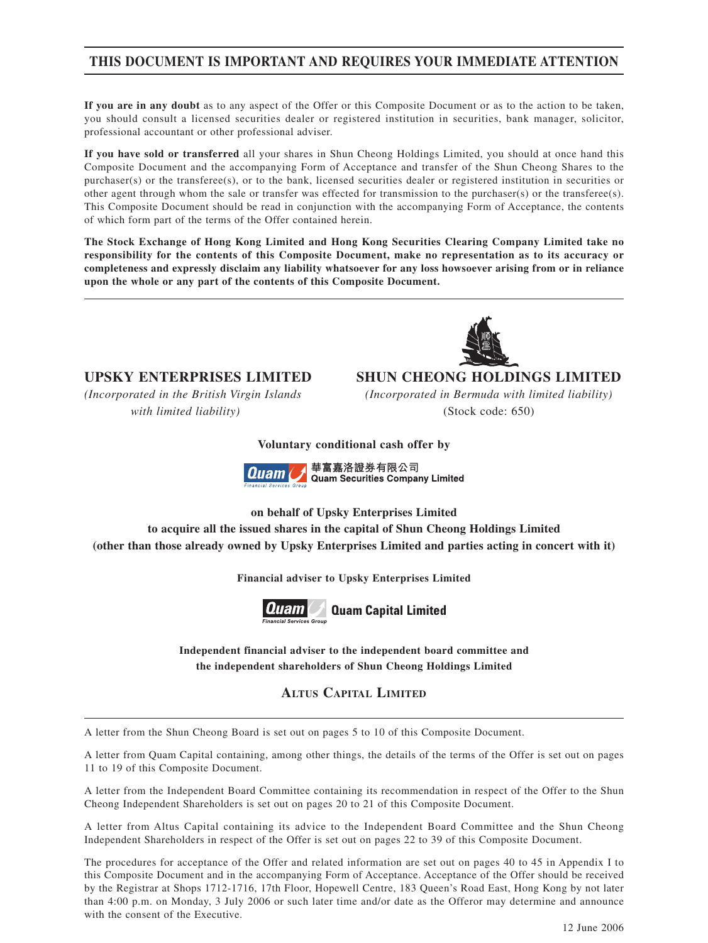### **THIS DOCUMENT IS IMPORTANT AND REQUIRES YOUR IMMEDIATE ATTENTION**

**If you are in any doubt** as to any aspect of the Offer or this Composite Document or as to the action to be taken, you should consult a licensed securities dealer or registered institution in securities, bank manager, solicitor, professional accountant or other professional adviser.

**If you have sold or transferred** all your shares in Shun Cheong Holdings Limited, you should at once hand this Composite Document and the accompanying Form of Acceptance and transfer of the Shun Cheong Shares to the purchaser(s) or the transferee(s), or to the bank, licensed securities dealer or registered institution in securities or other agent through whom the sale or transfer was effected for transmission to the purchaser(s) or the transferee(s). This Composite Document should be read in conjunction with the accompanying Form of Acceptance, the contents of which form part of the terms of the Offer contained herein.

**The Stock Exchange of Hong Kong Limited and Hong Kong Securities Clearing Company Limited take no responsibility for the contents of this Composite Document, make no representation as to its accuracy or completeness and expressly disclaim any liability whatsoever for any loss howsoever arising from or in reliance upon the whole or any part of the contents of this Composite Document.**



*with limited liability)* (Stock code: 650)

**UPSKY ENTERPRISES LIMITED SHUN CHEONG HOLDINGS LIMITED**

*(Incorporated in the British Virgin Islands (Incorporated in Bermuda with limited liability)*

### **Voluntary conditional cash offer by**



華富嘉洛證券有限公司 **Quam Securities Company Limited** 

**on behalf of Upsky Enterprises Limited**

**to acquire all the issued shares in the capital of Shun Cheong Holdings Limited (other than those already owned by Upsky Enterprises Limited and parties acting in concert with it)**

**Financial adviser to Upsky Enterprises Limited**



**Quam** duam Capital Limited

**Independent financial adviser to the independent board committee and the independent shareholders of Shun Cheong Holdings Limited**

### **ALTUS CAPITAL LIMITED**

A letter from the Shun Cheong Board is set out on pages 5 to 10 of this Composite Document.

A letter from Quam Capital containing, among other things, the details of the terms of the Offer is set out on pages 11 to 19 of this Composite Document.

A letter from the Independent Board Committee containing its recommendation in respect of the Offer to the Shun Cheong Independent Shareholders is set out on pages 20 to 21 of this Composite Document.

A letter from Altus Capital containing its advice to the Independent Board Committee and the Shun Cheong Independent Shareholders in respect of the Offer is set out on pages 22 to 39 of this Composite Document.

The procedures for acceptance of the Offer and related information are set out on pages 40 to 45 in Appendix I to this Composite Document and in the accompanying Form of Acceptance. Acceptance of the Offer should be received by the Registrar at Shops 1712-1716, 17th Floor, Hopewell Centre, 183 Queen's Road East, Hong Kong by not later than 4:00 p.m. on Monday, 3 July 2006 or such later time and/or date as the Offeror may determine and announce with the consent of the Executive.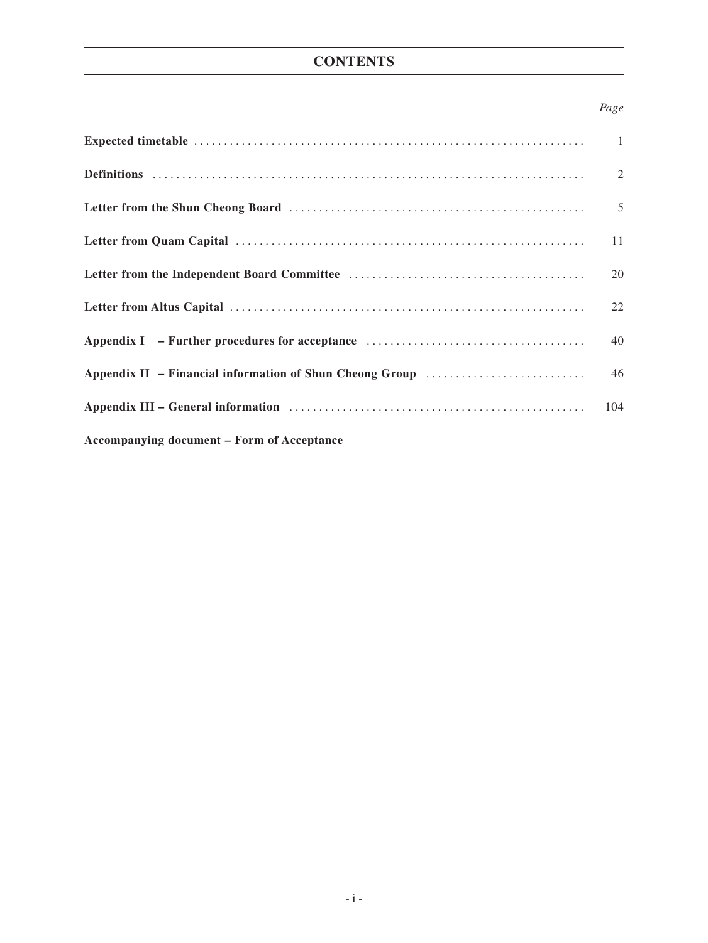### *Page*

|                                            | 11  |
|--------------------------------------------|-----|
|                                            | 20  |
|                                            | 22  |
|                                            | 40  |
|                                            | 46  |
|                                            | 104 |
| Accompanying document - Form of Acceptance |     |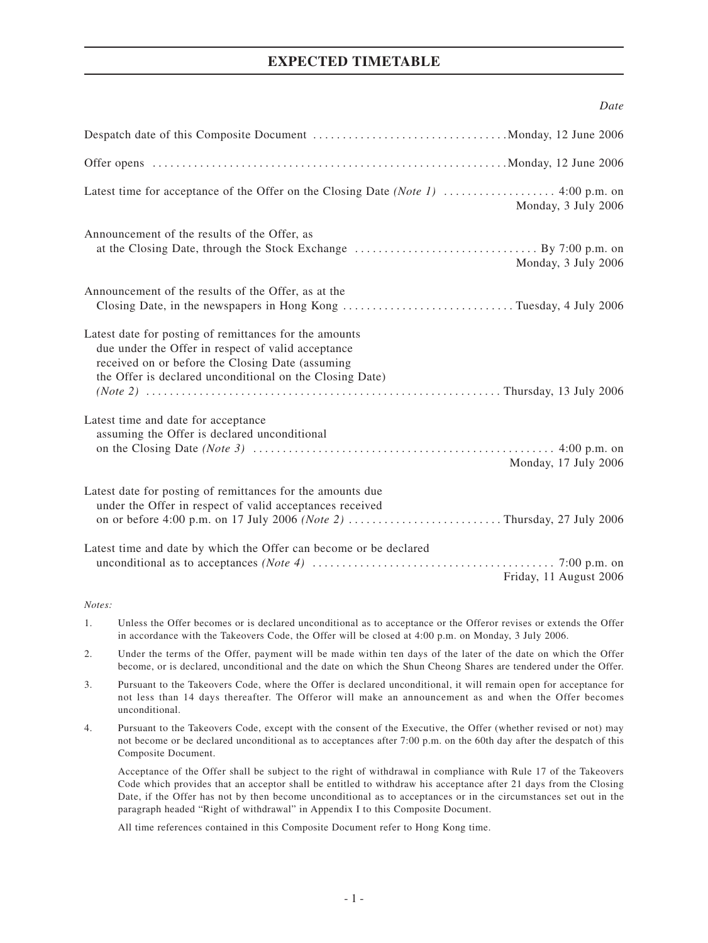### **EXPECTED TIMETABLE**

| Date                                                                                                                                                                                                                         |
|------------------------------------------------------------------------------------------------------------------------------------------------------------------------------------------------------------------------------|
|                                                                                                                                                                                                                              |
|                                                                                                                                                                                                                              |
| Monday, 3 July 2006                                                                                                                                                                                                          |
| Announcement of the results of the Offer, as<br>Monday, 3 July 2006                                                                                                                                                          |
| Announcement of the results of the Offer, as at the<br>Closing Date, in the newspapers in Hong Kong Tuesday, 4 July 2006                                                                                                     |
| Latest date for posting of remittances for the amounts<br>due under the Offer in respect of valid acceptance<br>received on or before the Closing Date (assuming<br>the Offer is declared unconditional on the Closing Date) |
| Latest time and date for acceptance<br>assuming the Offer is declared unconditional<br>Monday, 17 July 2006                                                                                                                  |
| Latest date for posting of remittances for the amounts due<br>under the Offer in respect of valid acceptances received<br>on or before 4:00 p.m. on 17 July 2006 (Note 2) Thursday, 27 July 2006                             |
| Latest time and date by which the Offer can become or be declared<br>Friday, 11 August 2006                                                                                                                                  |

#### *Notes:*

- 1. Unless the Offer becomes or is declared unconditional as to acceptance or the Offeror revises or extends the Offer in accordance with the Takeovers Code, the Offer will be closed at 4:00 p.m. on Monday, 3 July 2006.
- 2. Under the terms of the Offer, payment will be made within ten days of the later of the date on which the Offer become, or is declared, unconditional and the date on which the Shun Cheong Shares are tendered under the Offer.
- 3. Pursuant to the Takeovers Code, where the Offer is declared unconditional, it will remain open for acceptance for not less than 14 days thereafter. The Offeror will make an announcement as and when the Offer becomes unconditional.
- 4. Pursuant to the Takeovers Code, except with the consent of the Executive, the Offer (whether revised or not) may not become or be declared unconditional as to acceptances after 7:00 p.m. on the 60th day after the despatch of this Composite Document.

Acceptance of the Offer shall be subject to the right of withdrawal in compliance with Rule 17 of the Takeovers Code which provides that an acceptor shall be entitled to withdraw his acceptance after 21 days from the Closing Date, if the Offer has not by then become unconditional as to acceptances or in the circumstances set out in the paragraph headed "Right of withdrawal" in Appendix I to this Composite Document.

All time references contained in this Composite Document refer to Hong Kong time.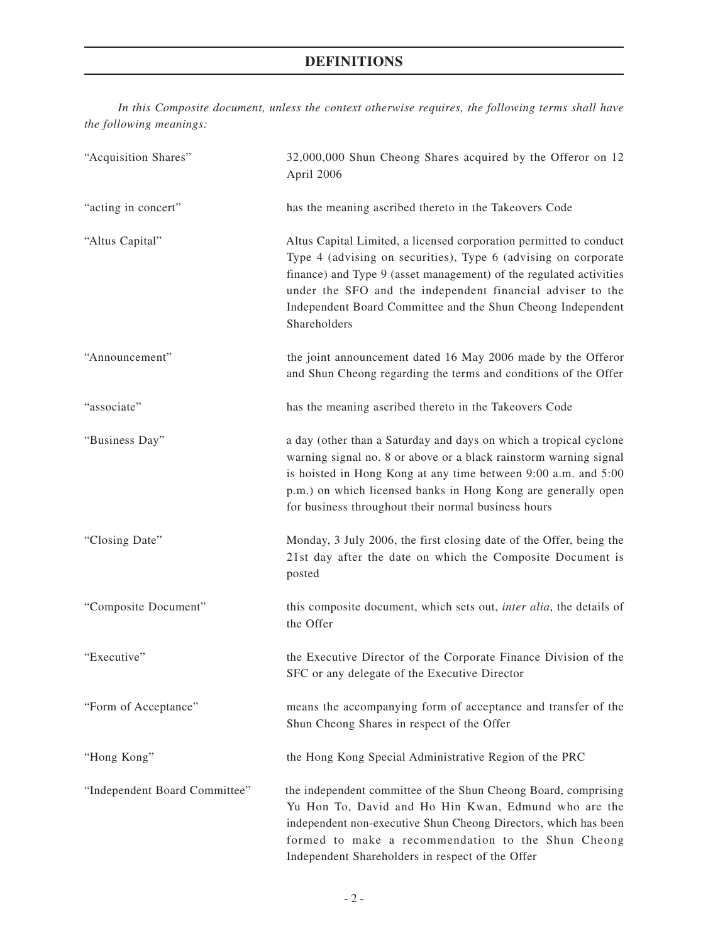### **DEFINITIONS**

*In this Composite document, unless the context otherwise requires, the following terms shall have the following meanings:*

| "Acquisition Shares"          | 32,000,000 Shun Cheong Shares acquired by the Offeror on 12<br>April 2006                                                                                                                                                                                                                                                                               |
|-------------------------------|---------------------------------------------------------------------------------------------------------------------------------------------------------------------------------------------------------------------------------------------------------------------------------------------------------------------------------------------------------|
| "acting in concert"           | has the meaning ascribed thereto in the Takeovers Code                                                                                                                                                                                                                                                                                                  |
| "Altus Capital"               | Altus Capital Limited, a licensed corporation permitted to conduct<br>Type 4 (advising on securities), Type 6 (advising on corporate<br>finance) and Type 9 (asset management) of the regulated activities<br>under the SFO and the independent financial adviser to the<br>Independent Board Committee and the Shun Cheong Independent<br>Shareholders |
| "Announcement"                | the joint announcement dated 16 May 2006 made by the Offeror<br>and Shun Cheong regarding the terms and conditions of the Offer                                                                                                                                                                                                                         |
| "associate"                   | has the meaning ascribed thereto in the Takeovers Code                                                                                                                                                                                                                                                                                                  |
| "Business Day"                | a day (other than a Saturday and days on which a tropical cyclone<br>warning signal no. 8 or above or a black rainstorm warning signal<br>is hoisted in Hong Kong at any time between 9:00 a.m. and 5:00<br>p.m.) on which licensed banks in Hong Kong are generally open<br>for business throughout their normal business hours                        |
| "Closing Date"                | Monday, 3 July 2006, the first closing date of the Offer, being the<br>21st day after the date on which the Composite Document is<br>posted                                                                                                                                                                                                             |
| "Composite Document"          | this composite document, which sets out, inter alia, the details of<br>the Offer                                                                                                                                                                                                                                                                        |
| "Executive"                   | the Executive Director of the Corporate Finance Division of the<br>SFC or any delegate of the Executive Director                                                                                                                                                                                                                                        |
| "Form of Acceptance"          | means the accompanying form of acceptance and transfer of the<br>Shun Cheong Shares in respect of the Offer                                                                                                                                                                                                                                             |
| "Hong Kong"                   | the Hong Kong Special Administrative Region of the PRC                                                                                                                                                                                                                                                                                                  |
| "Independent Board Committee" | the independent committee of the Shun Cheong Board, comprising<br>Yu Hon To, David and Ho Hin Kwan, Edmund who are the<br>independent non-executive Shun Cheong Directors, which has been<br>formed to make a recommendation to the Shun Cheong<br>Independent Shareholders in respect of the Offer                                                     |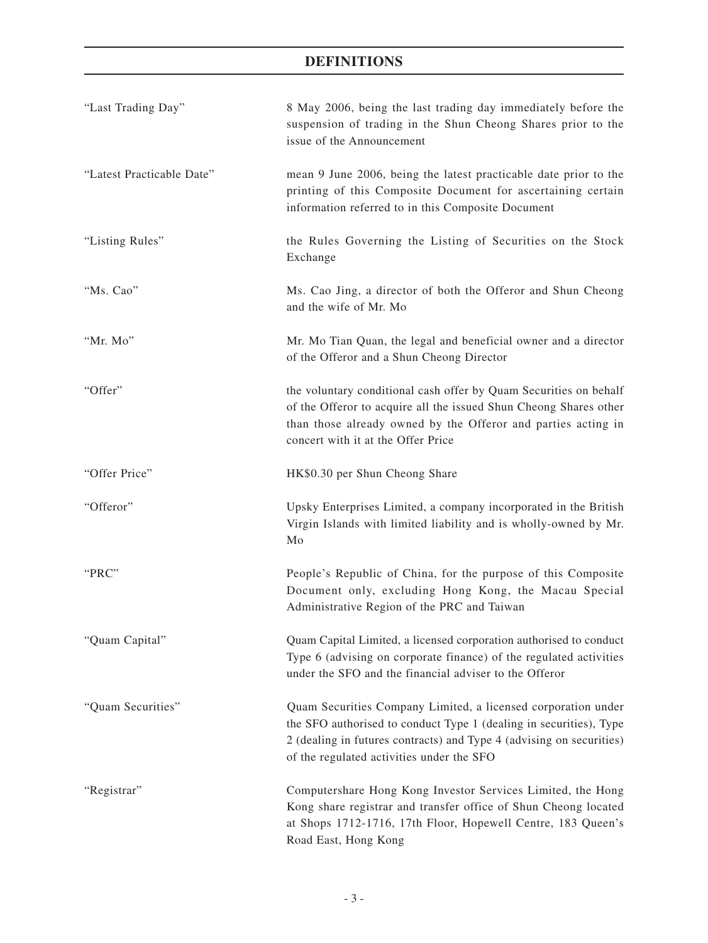### **DEFINITIONS**

| "Last Trading Day"        | 8 May 2006, being the last trading day immediately before the<br>suspension of trading in the Shun Cheong Shares prior to the<br>issue of the Announcement                                                                                               |
|---------------------------|----------------------------------------------------------------------------------------------------------------------------------------------------------------------------------------------------------------------------------------------------------|
| "Latest Practicable Date" | mean 9 June 2006, being the latest practicable date prior to the<br>printing of this Composite Document for ascertaining certain<br>information referred to in this Composite Document                                                                   |
| "Listing Rules"           | the Rules Governing the Listing of Securities on the Stock<br>Exchange                                                                                                                                                                                   |
| "Ms. Cao"                 | Ms. Cao Jing, a director of both the Offeror and Shun Cheong<br>and the wife of Mr. Mo                                                                                                                                                                   |
| "Mr. Mo"                  | Mr. Mo Tian Quan, the legal and beneficial owner and a director<br>of the Offeror and a Shun Cheong Director                                                                                                                                             |
| "Offer"                   | the voluntary conditional cash offer by Quam Securities on behalf<br>of the Offeror to acquire all the issued Shun Cheong Shares other<br>than those already owned by the Offeror and parties acting in<br>concert with it at the Offer Price            |
| "Offer Price"             | HK\$0.30 per Shun Cheong Share                                                                                                                                                                                                                           |
| "Offeror"                 | Upsky Enterprises Limited, a company incorporated in the British<br>Virgin Islands with limited liability and is wholly-owned by Mr.<br>Mo                                                                                                               |
| "PRC"                     | People's Republic of China, for the purpose of this Composite<br>Document only, excluding Hong Kong, the Macau Special<br>Administrative Region of the PRC and Taiwan                                                                                    |
| "Quam Capital"            | Quam Capital Limited, a licensed corporation authorised to conduct<br>Type 6 (advising on corporate finance) of the regulated activities<br>under the SFO and the financial adviser to the Offeror                                                       |
| "Quam Securities"         | Quam Securities Company Limited, a licensed corporation under<br>the SFO authorised to conduct Type 1 (dealing in securities), Type<br>2 (dealing in futures contracts) and Type 4 (advising on securities)<br>of the regulated activities under the SFO |
| "Registrar"               | Computershare Hong Kong Investor Services Limited, the Hong<br>Kong share registrar and transfer office of Shun Cheong located<br>at Shops 1712-1716, 17th Floor, Hopewell Centre, 183 Queen's<br>Road East, Hong Kong                                   |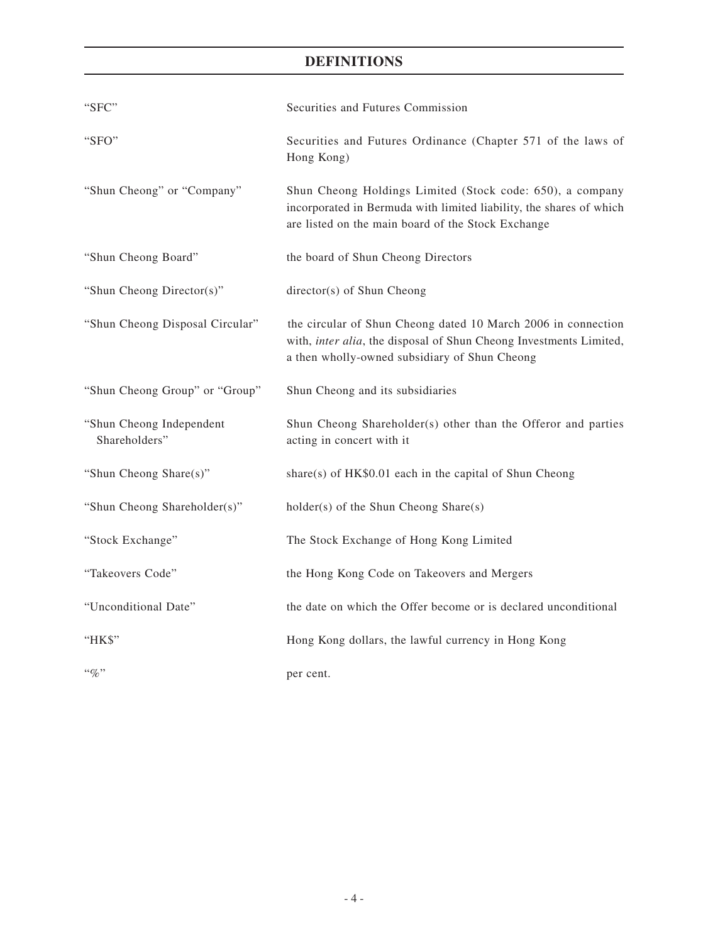## **DEFINITIONS**

| "SFC"                                     | Securities and Futures Commission                                                                                                                                                      |
|-------------------------------------------|----------------------------------------------------------------------------------------------------------------------------------------------------------------------------------------|
| "SFO"                                     | Securities and Futures Ordinance (Chapter 571 of the laws of<br>Hong Kong)                                                                                                             |
| "Shun Cheong" or "Company"                | Shun Cheong Holdings Limited (Stock code: 650), a company<br>incorporated in Bermuda with limited liability, the shares of which<br>are listed on the main board of the Stock Exchange |
| "Shun Cheong Board"                       | the board of Shun Cheong Directors                                                                                                                                                     |
| "Shun Cheong Director(s)"                 | director(s) of Shun Cheong                                                                                                                                                             |
| "Shun Cheong Disposal Circular"           | the circular of Shun Cheong dated 10 March 2006 in connection<br>with, inter alia, the disposal of Shun Cheong Investments Limited,<br>a then wholly-owned subsidiary of Shun Cheong   |
| "Shun Cheong Group" or "Group"            | Shun Cheong and its subsidiaries                                                                                                                                                       |
| "Shun Cheong Independent<br>Shareholders" | Shun Cheong Shareholder(s) other than the Offeror and parties<br>acting in concert with it                                                                                             |
| "Shun Cheong Share(s)"                    | share(s) of HK\$0.01 each in the capital of Shun Cheong                                                                                                                                |
| "Shun Cheong Shareholder(s)"              | holder(s) of the Shun Cheong Share(s)                                                                                                                                                  |
| "Stock Exchange"                          | The Stock Exchange of Hong Kong Limited                                                                                                                                                |
| "Takeovers Code"                          | the Hong Kong Code on Takeovers and Mergers                                                                                                                                            |
| "Unconditional Date"                      | the date on which the Offer become or is declared unconditional                                                                                                                        |
| "HK\$"                                    | Hong Kong dollars, the lawful currency in Hong Kong                                                                                                                                    |
| $``\%"$                                   | per cent.                                                                                                                                                                              |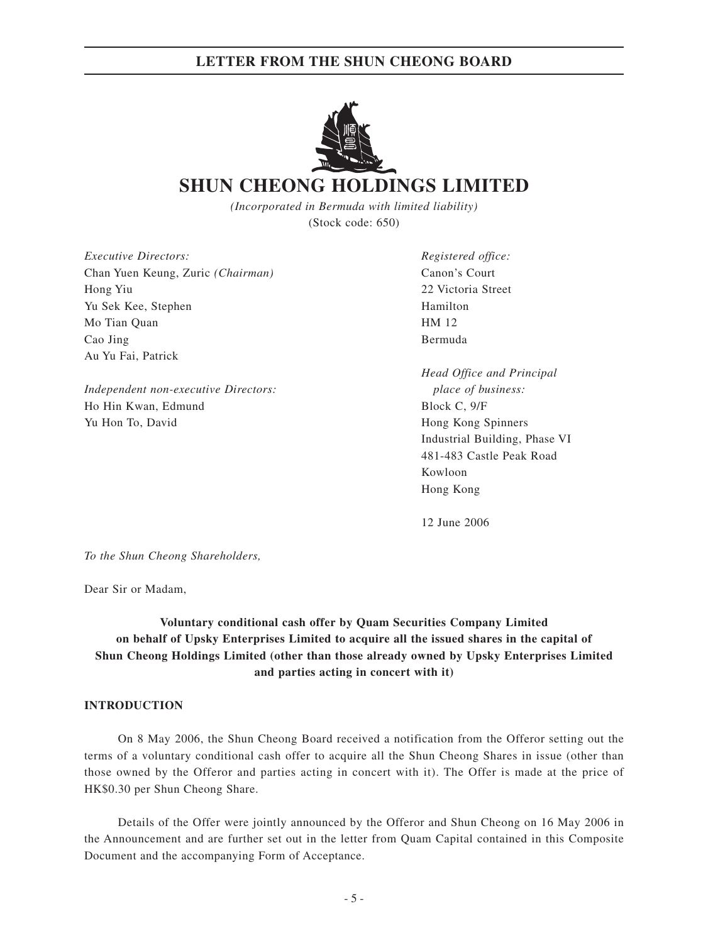

**SHUN CHEONG HOLDINGS LIMITED**

*(Incorporated in Bermuda with limited liability)* (Stock code: 650)

*Executive Directors: Registered office:* Chan Yuen Keung, Zuric *(Chairman)* Canon's Court Hong Yiu 22 Victoria Street Yu Sek Kee, Stephen Hamilton Mo Tian Quan HM 12 Cao Jing Bermuda Au Yu Fai, Patrick

*Independent non-executive Directors: place of business:* Ho Hin Kwan, Edmund Block C, 9/F Yu Hon To, David **Hong Kong Spinners Hong Kong Spinners** 

*Head Office and Principal* Industrial Building, Phase VI 481-483 Castle Peak Road Kowloon Hong Kong

12 June 2006

*To the Shun Cheong Shareholders,*

Dear Sir or Madam,

### **Voluntary conditional cash offer by Quam Securities Company Limited on behalf of Upsky Enterprises Limited to acquire all the issued shares in the capital of Shun Cheong Holdings Limited (other than those already owned by Upsky Enterprises Limited and parties acting in concert with it)**

### **INTRODUCTION**

On 8 May 2006, the Shun Cheong Board received a notification from the Offeror setting out the terms of a voluntary conditional cash offer to acquire all the Shun Cheong Shares in issue (other than those owned by the Offeror and parties acting in concert with it). The Offer is made at the price of HK\$0.30 per Shun Cheong Share.

Details of the Offer were jointly announced by the Offeror and Shun Cheong on 16 May 2006 in the Announcement and are further set out in the letter from Quam Capital contained in this Composite Document and the accompanying Form of Acceptance.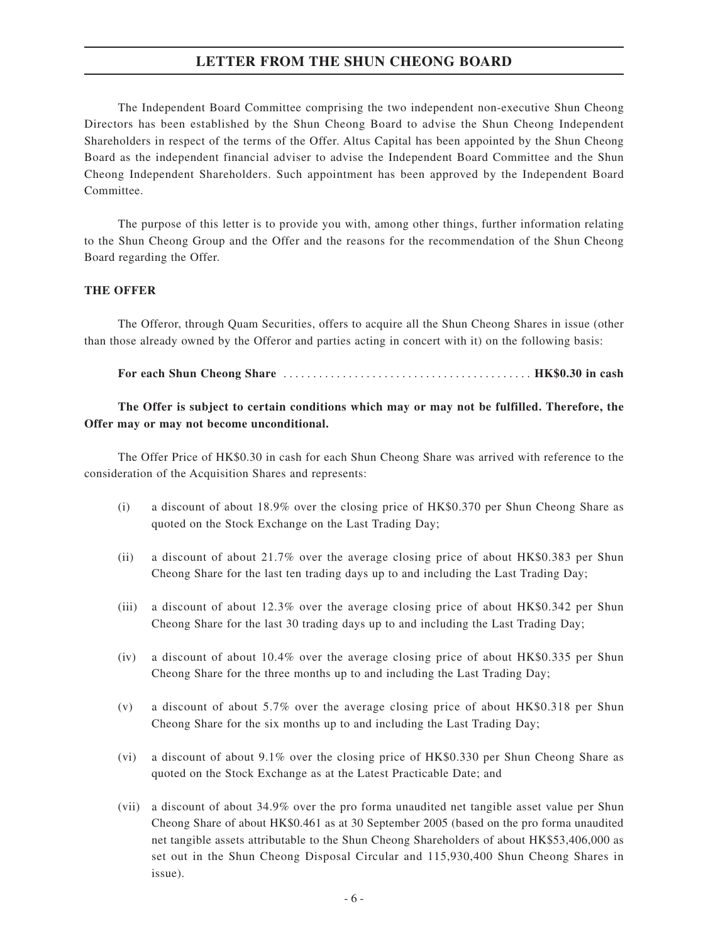The Independent Board Committee comprising the two independent non-executive Shun Cheong Directors has been established by the Shun Cheong Board to advise the Shun Cheong Independent Shareholders in respect of the terms of the Offer. Altus Capital has been appointed by the Shun Cheong Board as the independent financial adviser to advise the Independent Board Committee and the Shun Cheong Independent Shareholders. Such appointment has been approved by the Independent Board Committee.

The purpose of this letter is to provide you with, among other things, further information relating to the Shun Cheong Group and the Offer and the reasons for the recommendation of the Shun Cheong Board regarding the Offer.

#### **THE OFFER**

The Offeror, through Quam Securities, offers to acquire all the Shun Cheong Shares in issue (other than those already owned by the Offeror and parties acting in concert with it) on the following basis:

**For each Shun Cheong Share** . . . . . . . . . . . . . . . . . . . . . . . . . . . . . . . . . . . . . . . . . . **HK\$0.30 in cash**

### **The Offer is subject to certain conditions which may or may not be fulfilled. Therefore, the Offer may or may not become unconditional.**

The Offer Price of HK\$0.30 in cash for each Shun Cheong Share was arrived with reference to the consideration of the Acquisition Shares and represents:

- (i) a discount of about 18.9% over the closing price of HK\$0.370 per Shun Cheong Share as quoted on the Stock Exchange on the Last Trading Day;
- (ii) a discount of about 21.7% over the average closing price of about HK\$0.383 per Shun Cheong Share for the last ten trading days up to and including the Last Trading Day;
- (iii) a discount of about 12.3% over the average closing price of about HK\$0.342 per Shun Cheong Share for the last 30 trading days up to and including the Last Trading Day;
- (iv) a discount of about 10.4% over the average closing price of about HK\$0.335 per Shun Cheong Share for the three months up to and including the Last Trading Day;
- (v) a discount of about 5.7% over the average closing price of about HK\$0.318 per Shun Cheong Share for the six months up to and including the Last Trading Day;
- (vi) a discount of about 9.1% over the closing price of HK\$0.330 per Shun Cheong Share as quoted on the Stock Exchange as at the Latest Practicable Date; and
- (vii) a discount of about 34.9% over the pro forma unaudited net tangible asset value per Shun Cheong Share of about HK\$0.461 as at 30 September 2005 (based on the pro forma unaudited net tangible assets attributable to the Shun Cheong Shareholders of about HK\$53,406,000 as set out in the Shun Cheong Disposal Circular and 115,930,400 Shun Cheong Shares in issue).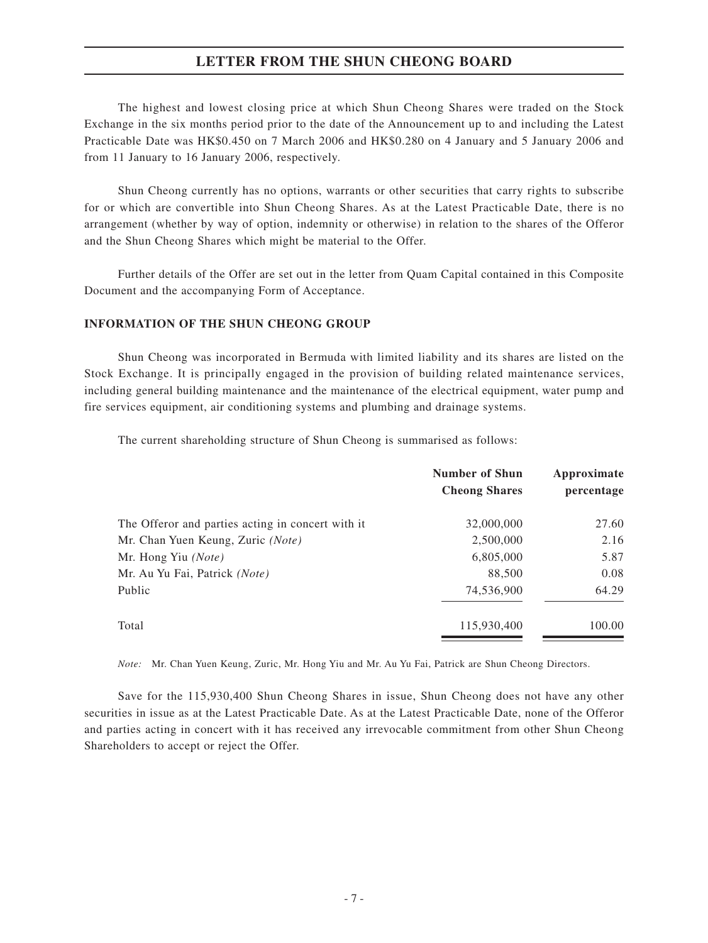The highest and lowest closing price at which Shun Cheong Shares were traded on the Stock Exchange in the six months period prior to the date of the Announcement up to and including the Latest Practicable Date was HK\$0.450 on 7 March 2006 and HK\$0.280 on 4 January and 5 January 2006 and from 11 January to 16 January 2006, respectively.

Shun Cheong currently has no options, warrants or other securities that carry rights to subscribe for or which are convertible into Shun Cheong Shares. As at the Latest Practicable Date, there is no arrangement (whether by way of option, indemnity or otherwise) in relation to the shares of the Offeror and the Shun Cheong Shares which might be material to the Offer.

Further details of the Offer are set out in the letter from Quam Capital contained in this Composite Document and the accompanying Form of Acceptance.

### **INFORMATION OF THE SHUN CHEONG GROUP**

Shun Cheong was incorporated in Bermuda with limited liability and its shares are listed on the Stock Exchange. It is principally engaged in the provision of building related maintenance services, including general building maintenance and the maintenance of the electrical equipment, water pump and fire services equipment, air conditioning systems and plumbing and drainage systems.

The current shareholding structure of Shun Cheong is summarised as follows:

|                                                   | <b>Number of Shun</b><br><b>Cheong Shares</b> | Approximate<br>percentage |
|---------------------------------------------------|-----------------------------------------------|---------------------------|
| The Offeror and parties acting in concert with it | 32,000,000                                    | 27.60                     |
| Mr. Chan Yuen Keung, Zuric (Note)                 | 2,500,000                                     | 2.16                      |
| Mr. Hong Yiu (Note)                               | 6,805,000                                     | 5.87                      |
| Mr. Au Yu Fai, Patrick (Note)                     | 88,500                                        | 0.08                      |
| Public                                            | 74,536,900                                    | 64.29                     |
| Total                                             | 115,930,400                                   | 100.00                    |

*Note:* Mr. Chan Yuen Keung, Zuric, Mr. Hong Yiu and Mr. Au Yu Fai, Patrick are Shun Cheong Directors.

Save for the 115,930,400 Shun Cheong Shares in issue, Shun Cheong does not have any other securities in issue as at the Latest Practicable Date. As at the Latest Practicable Date, none of the Offeror and parties acting in concert with it has received any irrevocable commitment from other Shun Cheong Shareholders to accept or reject the Offer.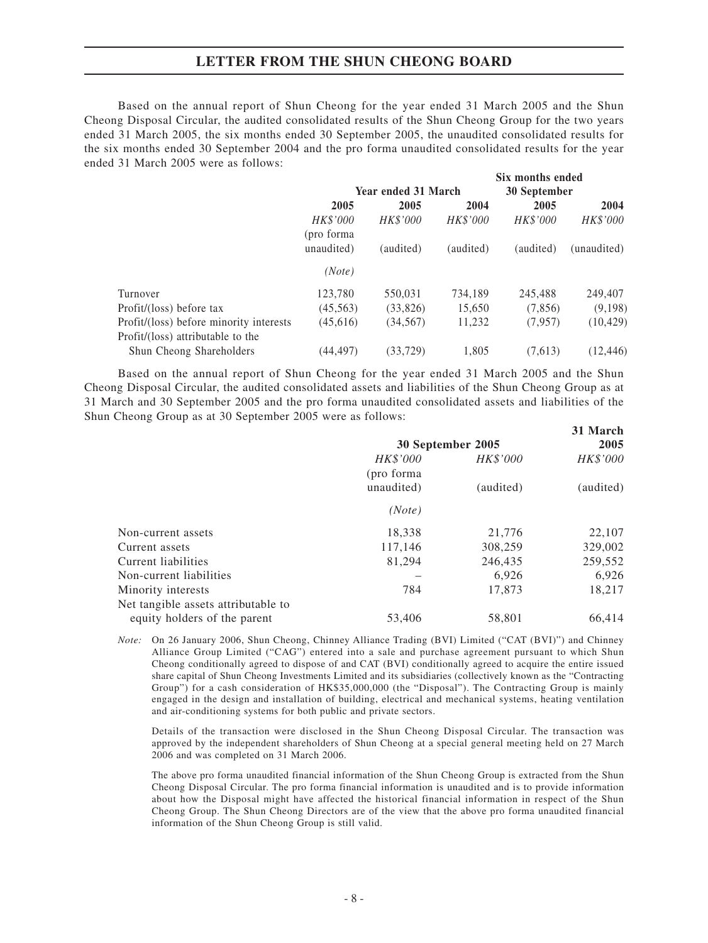Based on the annual report of Shun Cheong for the year ended 31 March 2005 and the Shun Cheong Disposal Circular, the audited consolidated results of the Shun Cheong Group for the two years ended 31 March 2005, the six months ended 30 September 2005, the unaudited consolidated results for the six months ended 30 September 2004 and the pro forma unaudited consolidated results for the year ended 31 March 2005 were as follows:

|                                         |                     |           |           | Six months ended |             |
|-----------------------------------------|---------------------|-----------|-----------|------------------|-------------|
|                                         | Year ended 31 March |           |           | 30 September     |             |
|                                         | 2005                | 2005      | 2004      | 2005             | 2004        |
|                                         | HK\$'000            | HK\$'000  | HK\$'000  | HK\$'000         | HK\$'000    |
|                                         | (pro forma          |           |           |                  |             |
|                                         | unaudited)          | (audited) | (audited) | (audited)        | (unaudited) |
|                                         | (Note)              |           |           |                  |             |
| Turnover                                | 123,780             | 550.031   | 734,189   | 245.488          | 249,407     |
| Profit/(loss) before tax                | (45, 563)           | (33,826)  | 15,650    | (7,856)          | (9,198)     |
| Profit/(loss) before minority interests | (45,616)            | (34, 567) | 11,232    | (7,957)          | (10, 429)   |
| Profit/(loss) attributable to the       |                     |           |           |                  |             |
| Shun Cheong Shareholders                | (44, 497)           | (33, 729) | 1,805     | (7.613)          | (12, 446)   |

Based on the annual report of Shun Cheong for the year ended 31 March 2005 and the Shun Cheong Disposal Circular, the audited consolidated assets and liabilities of the Shun Cheong Group as at 31 March and 30 September 2005 and the pro forma unaudited consolidated assets and liabilities of the Shun Cheong Group as at 30 September 2005 were as follows:

|                                     |            |                   | 31 March  |
|-------------------------------------|------------|-------------------|-----------|
|                                     |            | 30 September 2005 | 2005      |
|                                     | HK\$'000   | <b>HK\$'000</b>   | HK\$'000  |
|                                     | (pro forma |                   |           |
|                                     | unaudited) | (audited)         | (audited) |
|                                     | (Note)     |                   |           |
| Non-current assets                  | 18,338     | 21,776            | 22,107    |
| Current assets                      | 117,146    | 308,259           | 329,002   |
| Current liabilities                 | 81,294     | 246,435           | 259,552   |
| Non-current liabilities             |            | 6.926             | 6,926     |
| Minority interests                  | 784        | 17,873            | 18,217    |
| Net tangible assets attributable to |            |                   |           |
| equity holders of the parent        | 53,406     | 58,801            | 66,414    |

*Note:* On 26 January 2006, Shun Cheong, Chinney Alliance Trading (BVI) Limited ("CAT (BVI)") and Chinney Alliance Group Limited ("CAG") entered into a sale and purchase agreement pursuant to which Shun Cheong conditionally agreed to dispose of and CAT (BVI) conditionally agreed to acquire the entire issued share capital of Shun Cheong Investments Limited and its subsidiaries (collectively known as the "Contracting Group") for a cash consideration of HK\$35,000,000 (the "Disposal"). The Contracting Group is mainly engaged in the design and installation of building, electrical and mechanical systems, heating ventilation and air-conditioning systems for both public and private sectors.

Details of the transaction were disclosed in the Shun Cheong Disposal Circular. The transaction was approved by the independent shareholders of Shun Cheong at a special general meeting held on 27 March 2006 and was completed on 31 March 2006.

The above pro forma unaudited financial information of the Shun Cheong Group is extracted from the Shun Cheong Disposal Circular. The pro forma financial information is unaudited and is to provide information about how the Disposal might have affected the historical financial information in respect of the Shun Cheong Group. The Shun Cheong Directors are of the view that the above pro forma unaudited financial information of the Shun Cheong Group is still valid.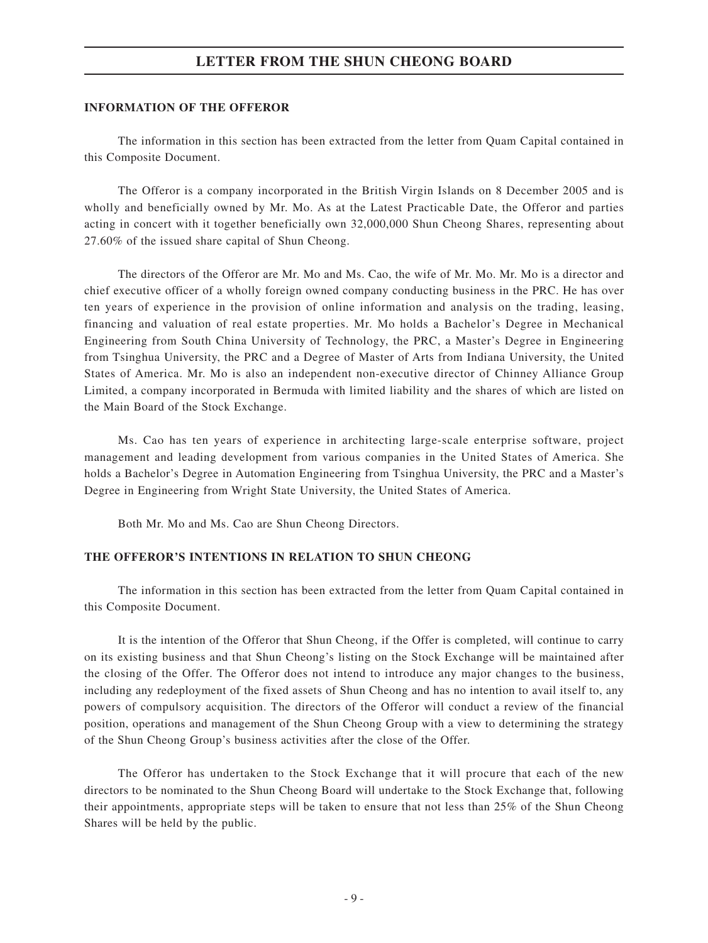#### **INFORMATION OF THE OFFEROR**

The information in this section has been extracted from the letter from Quam Capital contained in this Composite Document.

The Offeror is a company incorporated in the British Virgin Islands on 8 December 2005 and is wholly and beneficially owned by Mr. Mo. As at the Latest Practicable Date, the Offeror and parties acting in concert with it together beneficially own 32,000,000 Shun Cheong Shares, representing about 27.60% of the issued share capital of Shun Cheong.

The directors of the Offeror are Mr. Mo and Ms. Cao, the wife of Mr. Mo. Mr. Mo is a director and chief executive officer of a wholly foreign owned company conducting business in the PRC. He has over ten years of experience in the provision of online information and analysis on the trading, leasing, financing and valuation of real estate properties. Mr. Mo holds a Bachelor's Degree in Mechanical Engineering from South China University of Technology, the PRC, a Master's Degree in Engineering from Tsinghua University, the PRC and a Degree of Master of Arts from Indiana University, the United States of America. Mr. Mo is also an independent non-executive director of Chinney Alliance Group Limited, a company incorporated in Bermuda with limited liability and the shares of which are listed on the Main Board of the Stock Exchange.

Ms. Cao has ten years of experience in architecting large-scale enterprise software, project management and leading development from various companies in the United States of America. She holds a Bachelor's Degree in Automation Engineering from Tsinghua University, the PRC and a Master's Degree in Engineering from Wright State University, the United States of America.

Both Mr. Mo and Ms. Cao are Shun Cheong Directors.

#### **THE OFFEROR'S INTENTIONS IN RELATION TO SHUN CHEONG**

The information in this section has been extracted from the letter from Quam Capital contained in this Composite Document.

It is the intention of the Offeror that Shun Cheong, if the Offer is completed, will continue to carry on its existing business and that Shun Cheong's listing on the Stock Exchange will be maintained after the closing of the Offer. The Offeror does not intend to introduce any major changes to the business, including any redeployment of the fixed assets of Shun Cheong and has no intention to avail itself to, any powers of compulsory acquisition. The directors of the Offeror will conduct a review of the financial position, operations and management of the Shun Cheong Group with a view to determining the strategy of the Shun Cheong Group's business activities after the close of the Offer.

The Offeror has undertaken to the Stock Exchange that it will procure that each of the new directors to be nominated to the Shun Cheong Board will undertake to the Stock Exchange that, following their appointments, appropriate steps will be taken to ensure that not less than 25% of the Shun Cheong Shares will be held by the public.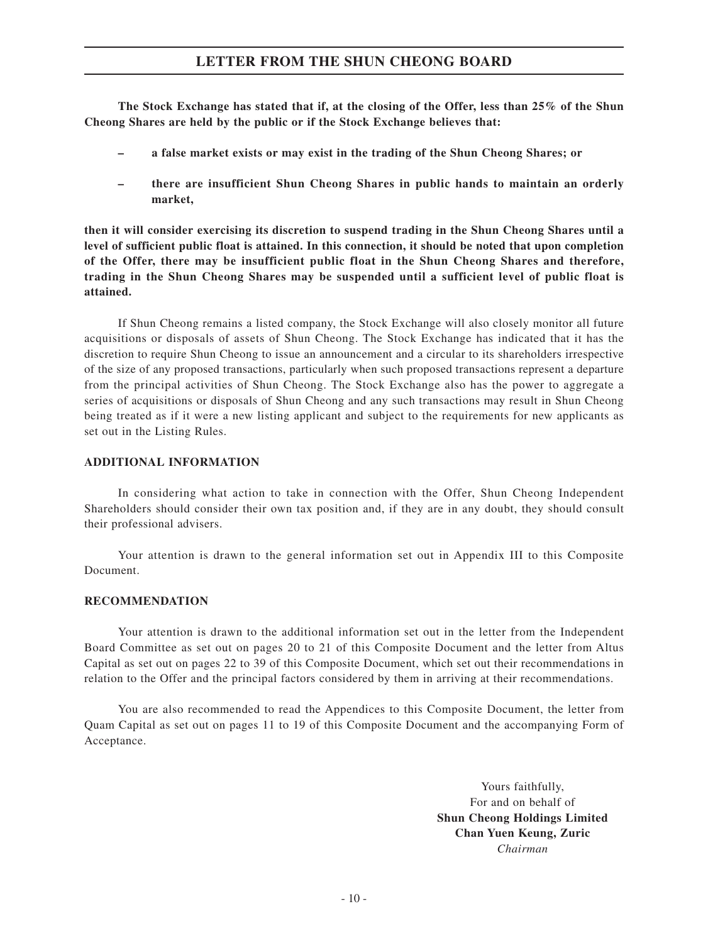**The Stock Exchange has stated that if, at the closing of the Offer, less than 25% of the Shun Cheong Shares are held by the public or if the Stock Exchange believes that:**

- **a false market exists or may exist in the trading of the Shun Cheong Shares; or**
- **there are insufficient Shun Cheong Shares in public hands to maintain an orderly market,**

**then it will consider exercising its discretion to suspend trading in the Shun Cheong Shares until a level of sufficient public float is attained. In this connection, it should be noted that upon completion of the Offer, there may be insufficient public float in the Shun Cheong Shares and therefore, trading in the Shun Cheong Shares may be suspended until a sufficient level of public float is attained.**

If Shun Cheong remains a listed company, the Stock Exchange will also closely monitor all future acquisitions or disposals of assets of Shun Cheong. The Stock Exchange has indicated that it has the discretion to require Shun Cheong to issue an announcement and a circular to its shareholders irrespective of the size of any proposed transactions, particularly when such proposed transactions represent a departure from the principal activities of Shun Cheong. The Stock Exchange also has the power to aggregate a series of acquisitions or disposals of Shun Cheong and any such transactions may result in Shun Cheong being treated as if it were a new listing applicant and subject to the requirements for new applicants as set out in the Listing Rules.

### **ADDITIONAL INFORMATION**

In considering what action to take in connection with the Offer, Shun Cheong Independent Shareholders should consider their own tax position and, if they are in any doubt, they should consult their professional advisers.

Your attention is drawn to the general information set out in Appendix III to this Composite Document.

#### **RECOMMENDATION**

Your attention is drawn to the additional information set out in the letter from the Independent Board Committee as set out on pages 20 to 21 of this Composite Document and the letter from Altus Capital as set out on pages 22 to 39 of this Composite Document, which set out their recommendations in relation to the Offer and the principal factors considered by them in arriving at their recommendations.

You are also recommended to read the Appendices to this Composite Document, the letter from Quam Capital as set out on pages 11 to 19 of this Composite Document and the accompanying Form of Acceptance.

> Yours faithfully, For and on behalf of **Shun Cheong Holdings Limited Chan Yuen Keung, Zuric** *Chairman*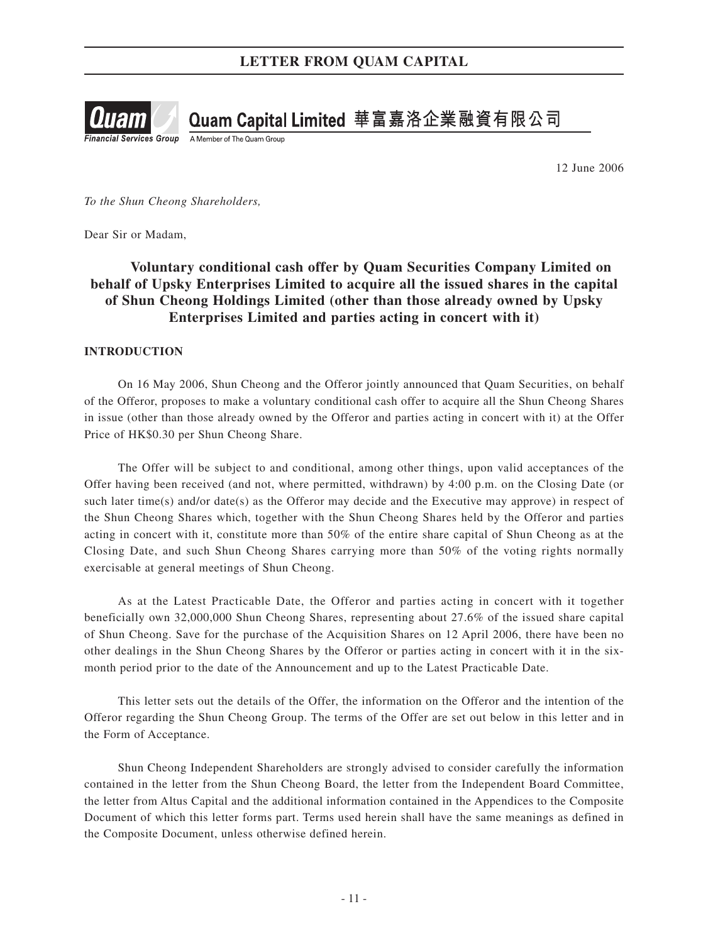

# Quam Capital Limited 華富嘉洛企業融資有限公司

ancial Services Group A Member of The Quam Group

12 June 2006

*To the Shun Cheong Shareholders,*

Dear Sir or Madam,

### **Voluntary conditional cash offer by Quam Securities Company Limited on behalf of Upsky Enterprises Limited to acquire all the issued shares in the capital of Shun Cheong Holdings Limited (other than those already owned by Upsky Enterprises Limited and parties acting in concert with it)**

#### **INTRODUCTION**

On 16 May 2006, Shun Cheong and the Offeror jointly announced that Quam Securities, on behalf of the Offeror, proposes to make a voluntary conditional cash offer to acquire all the Shun Cheong Shares in issue (other than those already owned by the Offeror and parties acting in concert with it) at the Offer Price of HK\$0.30 per Shun Cheong Share.

The Offer will be subject to and conditional, among other things, upon valid acceptances of the Offer having been received (and not, where permitted, withdrawn) by 4:00 p.m. on the Closing Date (or such later time(s) and/or date(s) as the Offeror may decide and the Executive may approve) in respect of the Shun Cheong Shares which, together with the Shun Cheong Shares held by the Offeror and parties acting in concert with it, constitute more than 50% of the entire share capital of Shun Cheong as at the Closing Date, and such Shun Cheong Shares carrying more than 50% of the voting rights normally exercisable at general meetings of Shun Cheong.

As at the Latest Practicable Date, the Offeror and parties acting in concert with it together beneficially own 32,000,000 Shun Cheong Shares, representing about 27.6% of the issued share capital of Shun Cheong. Save for the purchase of the Acquisition Shares on 12 April 2006, there have been no other dealings in the Shun Cheong Shares by the Offeror or parties acting in concert with it in the sixmonth period prior to the date of the Announcement and up to the Latest Practicable Date.

This letter sets out the details of the Offer, the information on the Offeror and the intention of the Offeror regarding the Shun Cheong Group. The terms of the Offer are set out below in this letter and in the Form of Acceptance.

Shun Cheong Independent Shareholders are strongly advised to consider carefully the information contained in the letter from the Shun Cheong Board, the letter from the Independent Board Committee, the letter from Altus Capital and the additional information contained in the Appendices to the Composite Document of which this letter forms part. Terms used herein shall have the same meanings as defined in the Composite Document, unless otherwise defined herein.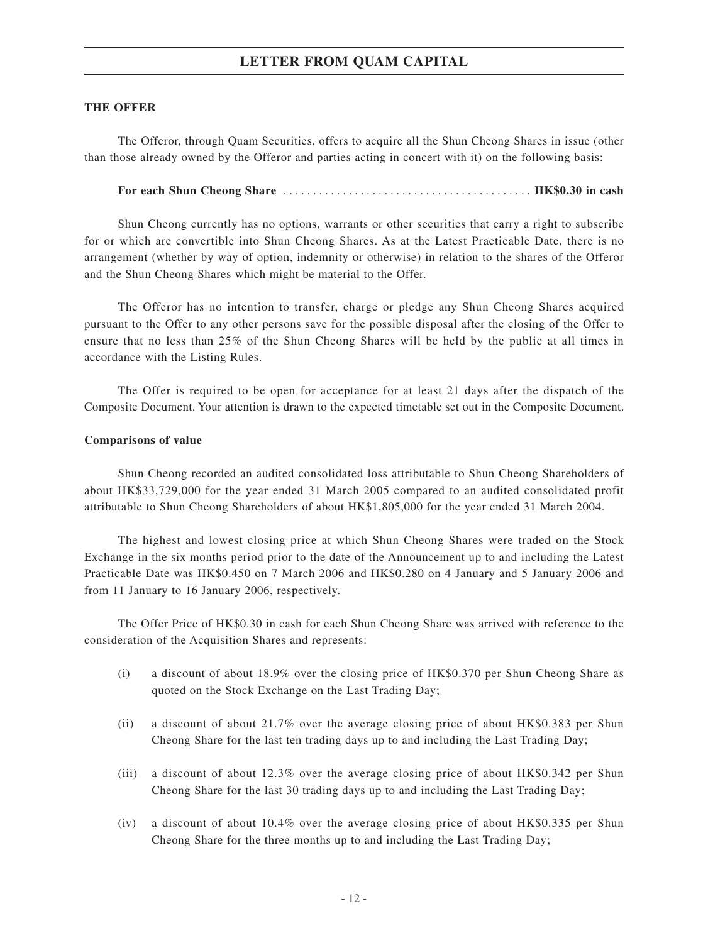### **THE OFFER**

The Offeror, through Quam Securities, offers to acquire all the Shun Cheong Shares in issue (other than those already owned by the Offeror and parties acting in concert with it) on the following basis:

#### **For each Shun Cheong Share** . . . . . . . . . . . . . . . . . . . . . . . . . . . . . . . . . . . . . . . . . . **HK\$0.30 in cash**

Shun Cheong currently has no options, warrants or other securities that carry a right to subscribe for or which are convertible into Shun Cheong Shares. As at the Latest Practicable Date, there is no arrangement (whether by way of option, indemnity or otherwise) in relation to the shares of the Offeror and the Shun Cheong Shares which might be material to the Offer.

The Offeror has no intention to transfer, charge or pledge any Shun Cheong Shares acquired pursuant to the Offer to any other persons save for the possible disposal after the closing of the Offer to ensure that no less than 25% of the Shun Cheong Shares will be held by the public at all times in accordance with the Listing Rules.

The Offer is required to be open for acceptance for at least 21 days after the dispatch of the Composite Document. Your attention is drawn to the expected timetable set out in the Composite Document.

#### **Comparisons of value**

Shun Cheong recorded an audited consolidated loss attributable to Shun Cheong Shareholders of about HK\$33,729,000 for the year ended 31 March 2005 compared to an audited consolidated profit attributable to Shun Cheong Shareholders of about HK\$1,805,000 for the year ended 31 March 2004.

The highest and lowest closing price at which Shun Cheong Shares were traded on the Stock Exchange in the six months period prior to the date of the Announcement up to and including the Latest Practicable Date was HK\$0.450 on 7 March 2006 and HK\$0.280 on 4 January and 5 January 2006 and from 11 January to 16 January 2006, respectively.

The Offer Price of HK\$0.30 in cash for each Shun Cheong Share was arrived with reference to the consideration of the Acquisition Shares and represents:

- (i) a discount of about 18.9% over the closing price of HK\$0.370 per Shun Cheong Share as quoted on the Stock Exchange on the Last Trading Day;
- (ii) a discount of about 21.7% over the average closing price of about HK\$0.383 per Shun Cheong Share for the last ten trading days up to and including the Last Trading Day;
- (iii) a discount of about 12.3% over the average closing price of about HK\$0.342 per Shun Cheong Share for the last 30 trading days up to and including the Last Trading Day;
- (iv) a discount of about 10.4% over the average closing price of about HK\$0.335 per Shun Cheong Share for the three months up to and including the Last Trading Day;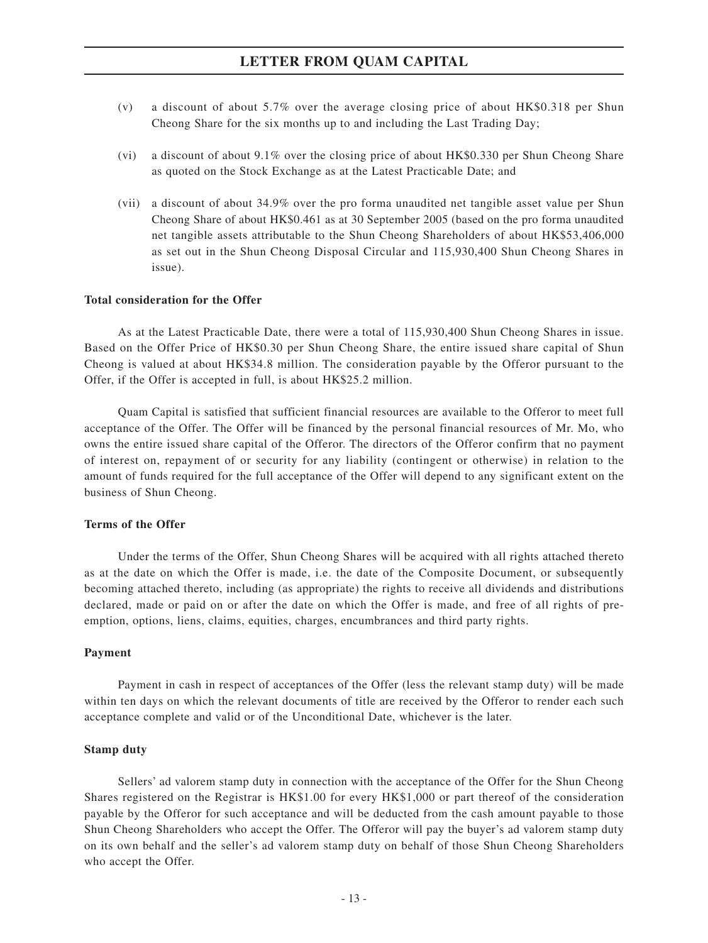- (v) a discount of about 5.7% over the average closing price of about HK\$0.318 per Shun Cheong Share for the six months up to and including the Last Trading Day;
- (vi) a discount of about 9.1% over the closing price of about HK\$0.330 per Shun Cheong Share as quoted on the Stock Exchange as at the Latest Practicable Date; and
- (vii) a discount of about 34.9% over the pro forma unaudited net tangible asset value per Shun Cheong Share of about HK\$0.461 as at 30 September 2005 (based on the pro forma unaudited net tangible assets attributable to the Shun Cheong Shareholders of about HK\$53,406,000 as set out in the Shun Cheong Disposal Circular and 115,930,400 Shun Cheong Shares in issue).

#### **Total consideration for the Offer**

As at the Latest Practicable Date, there were a total of 115,930,400 Shun Cheong Shares in issue. Based on the Offer Price of HK\$0.30 per Shun Cheong Share, the entire issued share capital of Shun Cheong is valued at about HK\$34.8 million. The consideration payable by the Offeror pursuant to the Offer, if the Offer is accepted in full, is about HK\$25.2 million.

Quam Capital is satisfied that sufficient financial resources are available to the Offeror to meet full acceptance of the Offer. The Offer will be financed by the personal financial resources of Mr. Mo, who owns the entire issued share capital of the Offeror. The directors of the Offeror confirm that no payment of interest on, repayment of or security for any liability (contingent or otherwise) in relation to the amount of funds required for the full acceptance of the Offer will depend to any significant extent on the business of Shun Cheong.

#### **Terms of the Offer**

Under the terms of the Offer, Shun Cheong Shares will be acquired with all rights attached thereto as at the date on which the Offer is made, i.e. the date of the Composite Document, or subsequently becoming attached thereto, including (as appropriate) the rights to receive all dividends and distributions declared, made or paid on or after the date on which the Offer is made, and free of all rights of preemption, options, liens, claims, equities, charges, encumbrances and third party rights.

#### **Payment**

Payment in cash in respect of acceptances of the Offer (less the relevant stamp duty) will be made within ten days on which the relevant documents of title are received by the Offeror to render each such acceptance complete and valid or of the Unconditional Date, whichever is the later.

#### **Stamp duty**

Sellers' ad valorem stamp duty in connection with the acceptance of the Offer for the Shun Cheong Shares registered on the Registrar is HK\$1.00 for every HK\$1,000 or part thereof of the consideration payable by the Offeror for such acceptance and will be deducted from the cash amount payable to those Shun Cheong Shareholders who accept the Offer. The Offeror will pay the buyer's ad valorem stamp duty on its own behalf and the seller's ad valorem stamp duty on behalf of those Shun Cheong Shareholders who accept the Offer.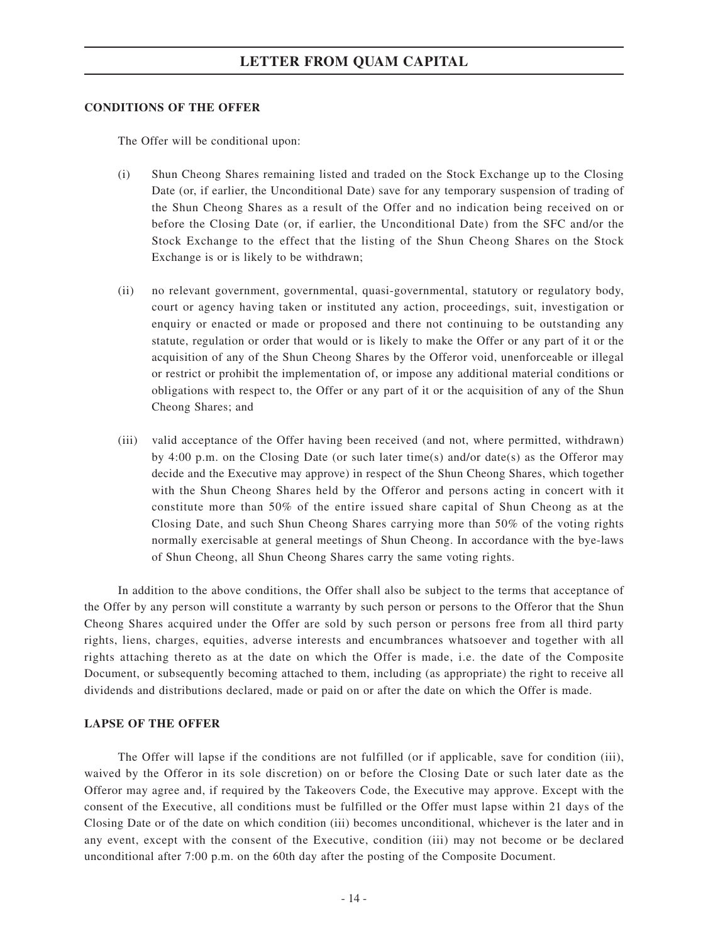#### **CONDITIONS OF THE OFFER**

The Offer will be conditional upon:

- (i) Shun Cheong Shares remaining listed and traded on the Stock Exchange up to the Closing Date (or, if earlier, the Unconditional Date) save for any temporary suspension of trading of the Shun Cheong Shares as a result of the Offer and no indication being received on or before the Closing Date (or, if earlier, the Unconditional Date) from the SFC and/or the Stock Exchange to the effect that the listing of the Shun Cheong Shares on the Stock Exchange is or is likely to be withdrawn;
- (ii) no relevant government, governmental, quasi-governmental, statutory or regulatory body, court or agency having taken or instituted any action, proceedings, suit, investigation or enquiry or enacted or made or proposed and there not continuing to be outstanding any statute, regulation or order that would or is likely to make the Offer or any part of it or the acquisition of any of the Shun Cheong Shares by the Offeror void, unenforceable or illegal or restrict or prohibit the implementation of, or impose any additional material conditions or obligations with respect to, the Offer or any part of it or the acquisition of any of the Shun Cheong Shares; and
- (iii) valid acceptance of the Offer having been received (and not, where permitted, withdrawn) by 4:00 p.m. on the Closing Date (or such later time(s) and/or date(s) as the Offeror may decide and the Executive may approve) in respect of the Shun Cheong Shares, which together with the Shun Cheong Shares held by the Offeror and persons acting in concert with it constitute more than 50% of the entire issued share capital of Shun Cheong as at the Closing Date, and such Shun Cheong Shares carrying more than 50% of the voting rights normally exercisable at general meetings of Shun Cheong. In accordance with the bye-laws of Shun Cheong, all Shun Cheong Shares carry the same voting rights.

In addition to the above conditions, the Offer shall also be subject to the terms that acceptance of the Offer by any person will constitute a warranty by such person or persons to the Offeror that the Shun Cheong Shares acquired under the Offer are sold by such person or persons free from all third party rights, liens, charges, equities, adverse interests and encumbrances whatsoever and together with all rights attaching thereto as at the date on which the Offer is made, i.e. the date of the Composite Document, or subsequently becoming attached to them, including (as appropriate) the right to receive all dividends and distributions declared, made or paid on or after the date on which the Offer is made.

### **LAPSE OF THE OFFER**

The Offer will lapse if the conditions are not fulfilled (or if applicable, save for condition (iii), waived by the Offeror in its sole discretion) on or before the Closing Date or such later date as the Offeror may agree and, if required by the Takeovers Code, the Executive may approve. Except with the consent of the Executive, all conditions must be fulfilled or the Offer must lapse within 21 days of the Closing Date or of the date on which condition (iii) becomes unconditional, whichever is the later and in any event, except with the consent of the Executive, condition (iii) may not become or be declared unconditional after 7:00 p.m. on the 60th day after the posting of the Composite Document.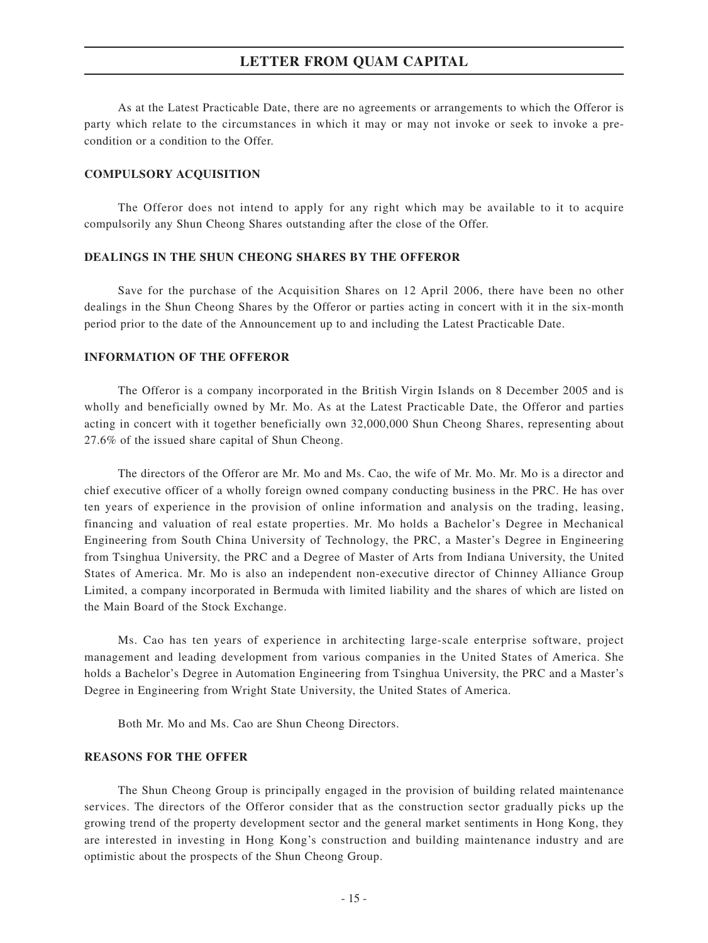As at the Latest Practicable Date, there are no agreements or arrangements to which the Offeror is party which relate to the circumstances in which it may or may not invoke or seek to invoke a precondition or a condition to the Offer.

#### **COMPULSORY ACQUISITION**

The Offeror does not intend to apply for any right which may be available to it to acquire compulsorily any Shun Cheong Shares outstanding after the close of the Offer.

#### **DEALINGS IN THE SHUN CHEONG SHARES BY THE OFFEROR**

Save for the purchase of the Acquisition Shares on 12 April 2006, there have been no other dealings in the Shun Cheong Shares by the Offeror or parties acting in concert with it in the six-month period prior to the date of the Announcement up to and including the Latest Practicable Date.

#### **INFORMATION OF THE OFFEROR**

The Offeror is a company incorporated in the British Virgin Islands on 8 December 2005 and is wholly and beneficially owned by Mr. Mo. As at the Latest Practicable Date, the Offeror and parties acting in concert with it together beneficially own 32,000,000 Shun Cheong Shares, representing about 27.6% of the issued share capital of Shun Cheong.

The directors of the Offeror are Mr. Mo and Ms. Cao, the wife of Mr. Mo. Mr. Mo is a director and chief executive officer of a wholly foreign owned company conducting business in the PRC. He has over ten years of experience in the provision of online information and analysis on the trading, leasing, financing and valuation of real estate properties. Mr. Mo holds a Bachelor's Degree in Mechanical Engineering from South China University of Technology, the PRC, a Master's Degree in Engineering from Tsinghua University, the PRC and a Degree of Master of Arts from Indiana University, the United States of America. Mr. Mo is also an independent non-executive director of Chinney Alliance Group Limited, a company incorporated in Bermuda with limited liability and the shares of which are listed on the Main Board of the Stock Exchange.

Ms. Cao has ten years of experience in architecting large-scale enterprise software, project management and leading development from various companies in the United States of America. She holds a Bachelor's Degree in Automation Engineering from Tsinghua University, the PRC and a Master's Degree in Engineering from Wright State University, the United States of America.

Both Mr. Mo and Ms. Cao are Shun Cheong Directors.

#### **REASONS FOR THE OFFER**

The Shun Cheong Group is principally engaged in the provision of building related maintenance services. The directors of the Offeror consider that as the construction sector gradually picks up the growing trend of the property development sector and the general market sentiments in Hong Kong, they are interested in investing in Hong Kong's construction and building maintenance industry and are optimistic about the prospects of the Shun Cheong Group.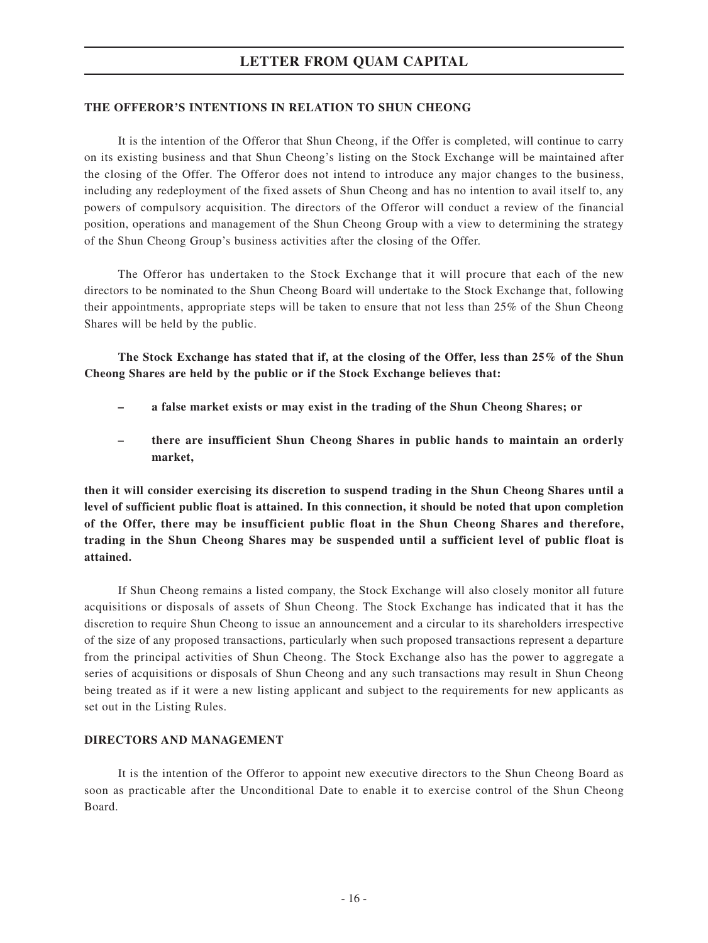### **THE OFFEROR'S INTENTIONS IN RELATION TO SHUN CHEONG**

It is the intention of the Offeror that Shun Cheong, if the Offer is completed, will continue to carry on its existing business and that Shun Cheong's listing on the Stock Exchange will be maintained after the closing of the Offer. The Offeror does not intend to introduce any major changes to the business, including any redeployment of the fixed assets of Shun Cheong and has no intention to avail itself to, any powers of compulsory acquisition. The directors of the Offeror will conduct a review of the financial position, operations and management of the Shun Cheong Group with a view to determining the strategy of the Shun Cheong Group's business activities after the closing of the Offer.

The Offeror has undertaken to the Stock Exchange that it will procure that each of the new directors to be nominated to the Shun Cheong Board will undertake to the Stock Exchange that, following their appointments, appropriate steps will be taken to ensure that not less than 25% of the Shun Cheong Shares will be held by the public.

**The Stock Exchange has stated that if, at the closing of the Offer, less than 25% of the Shun Cheong Shares are held by the public or if the Stock Exchange believes that:**

- **a false market exists or may exist in the trading of the Shun Cheong Shares; or**
- **there are insufficient Shun Cheong Shares in public hands to maintain an orderly market,**

**then it will consider exercising its discretion to suspend trading in the Shun Cheong Shares until a level of sufficient public float is attained. In this connection, it should be noted that upon completion of the Offer, there may be insufficient public float in the Shun Cheong Shares and therefore, trading in the Shun Cheong Shares may be suspended until a sufficient level of public float is attained.**

If Shun Cheong remains a listed company, the Stock Exchange will also closely monitor all future acquisitions or disposals of assets of Shun Cheong. The Stock Exchange has indicated that it has the discretion to require Shun Cheong to issue an announcement and a circular to its shareholders irrespective of the size of any proposed transactions, particularly when such proposed transactions represent a departure from the principal activities of Shun Cheong. The Stock Exchange also has the power to aggregate a series of acquisitions or disposals of Shun Cheong and any such transactions may result in Shun Cheong being treated as if it were a new listing applicant and subject to the requirements for new applicants as set out in the Listing Rules.

### **DIRECTORS AND MANAGEMENT**

It is the intention of the Offeror to appoint new executive directors to the Shun Cheong Board as soon as practicable after the Unconditional Date to enable it to exercise control of the Shun Cheong Board.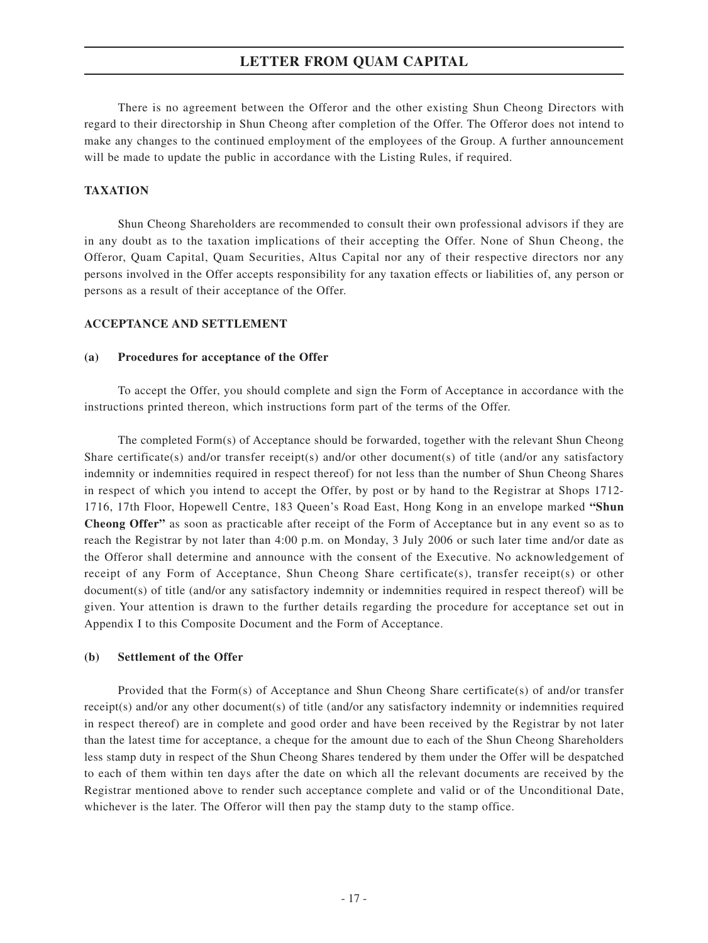There is no agreement between the Offeror and the other existing Shun Cheong Directors with regard to their directorship in Shun Cheong after completion of the Offer. The Offeror does not intend to make any changes to the continued employment of the employees of the Group. A further announcement will be made to update the public in accordance with the Listing Rules, if required.

### **TAXATION**

Shun Cheong Shareholders are recommended to consult their own professional advisors if they are in any doubt as to the taxation implications of their accepting the Offer. None of Shun Cheong, the Offeror, Quam Capital, Quam Securities, Altus Capital nor any of their respective directors nor any persons involved in the Offer accepts responsibility for any taxation effects or liabilities of, any person or persons as a result of their acceptance of the Offer.

### **ACCEPTANCE AND SETTLEMENT**

#### **(a) Procedures for acceptance of the Offer**

To accept the Offer, you should complete and sign the Form of Acceptance in accordance with the instructions printed thereon, which instructions form part of the terms of the Offer.

The completed Form(s) of Acceptance should be forwarded, together with the relevant Shun Cheong Share certificate(s) and/or transfer receipt(s) and/or other document(s) of title (and/or any satisfactory indemnity or indemnities required in respect thereof) for not less than the number of Shun Cheong Shares in respect of which you intend to accept the Offer, by post or by hand to the Registrar at Shops 1712- 1716, 17th Floor, Hopewell Centre, 183 Queen's Road East, Hong Kong in an envelope marked **"Shun Cheong Offer"** as soon as practicable after receipt of the Form of Acceptance but in any event so as to reach the Registrar by not later than 4:00 p.m. on Monday, 3 July 2006 or such later time and/or date as the Offeror shall determine and announce with the consent of the Executive. No acknowledgement of receipt of any Form of Acceptance, Shun Cheong Share certificate(s), transfer receipt(s) or other document(s) of title (and/or any satisfactory indemnity or indemnities required in respect thereof) will be given. Your attention is drawn to the further details regarding the procedure for acceptance set out in Appendix I to this Composite Document and the Form of Acceptance.

### **(b) Settlement of the Offer**

Provided that the Form(s) of Acceptance and Shun Cheong Share certificate(s) of and/or transfer receipt(s) and/or any other document(s) of title (and/or any satisfactory indemnity or indemnities required in respect thereof) are in complete and good order and have been received by the Registrar by not later than the latest time for acceptance, a cheque for the amount due to each of the Shun Cheong Shareholders less stamp duty in respect of the Shun Cheong Shares tendered by them under the Offer will be despatched to each of them within ten days after the date on which all the relevant documents are received by the Registrar mentioned above to render such acceptance complete and valid or of the Unconditional Date, whichever is the later. The Offeror will then pay the stamp duty to the stamp office.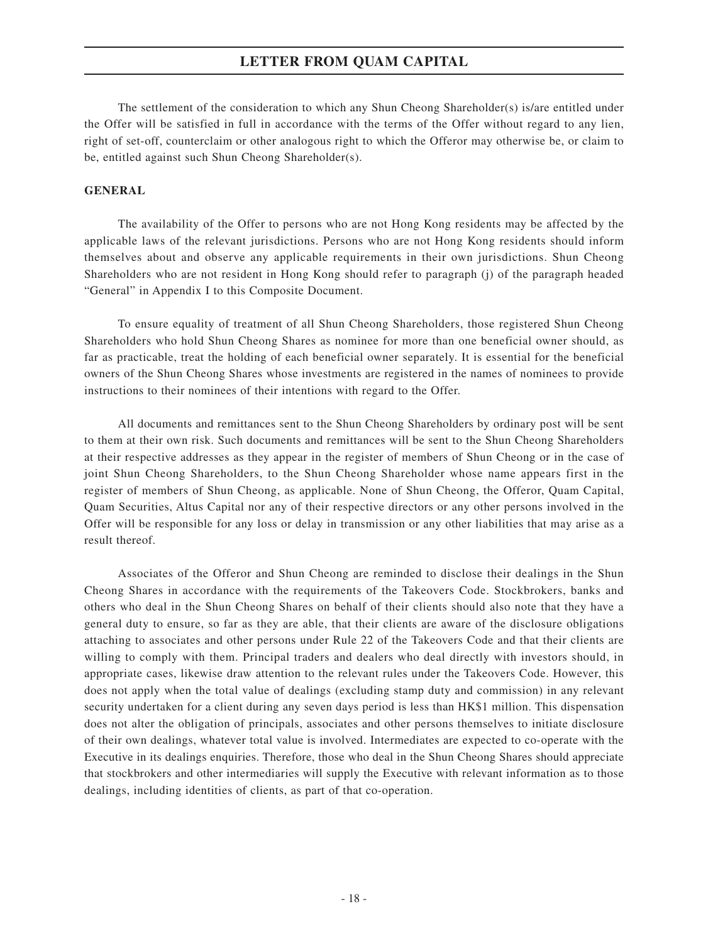The settlement of the consideration to which any Shun Cheong Shareholder(s) is/are entitled under the Offer will be satisfied in full in accordance with the terms of the Offer without regard to any lien, right of set-off, counterclaim or other analogous right to which the Offeror may otherwise be, or claim to be, entitled against such Shun Cheong Shareholder(s).

### **GENERAL**

The availability of the Offer to persons who are not Hong Kong residents may be affected by the applicable laws of the relevant jurisdictions. Persons who are not Hong Kong residents should inform themselves about and observe any applicable requirements in their own jurisdictions. Shun Cheong Shareholders who are not resident in Hong Kong should refer to paragraph (j) of the paragraph headed "General" in Appendix I to this Composite Document.

To ensure equality of treatment of all Shun Cheong Shareholders, those registered Shun Cheong Shareholders who hold Shun Cheong Shares as nominee for more than one beneficial owner should, as far as practicable, treat the holding of each beneficial owner separately. It is essential for the beneficial owners of the Shun Cheong Shares whose investments are registered in the names of nominees to provide instructions to their nominees of their intentions with regard to the Offer.

All documents and remittances sent to the Shun Cheong Shareholders by ordinary post will be sent to them at their own risk. Such documents and remittances will be sent to the Shun Cheong Shareholders at their respective addresses as they appear in the register of members of Shun Cheong or in the case of joint Shun Cheong Shareholders, to the Shun Cheong Shareholder whose name appears first in the register of members of Shun Cheong, as applicable. None of Shun Cheong, the Offeror, Quam Capital, Quam Securities, Altus Capital nor any of their respective directors or any other persons involved in the Offer will be responsible for any loss or delay in transmission or any other liabilities that may arise as a result thereof.

Associates of the Offeror and Shun Cheong are reminded to disclose their dealings in the Shun Cheong Shares in accordance with the requirements of the Takeovers Code. Stockbrokers, banks and others who deal in the Shun Cheong Shares on behalf of their clients should also note that they have a general duty to ensure, so far as they are able, that their clients are aware of the disclosure obligations attaching to associates and other persons under Rule 22 of the Takeovers Code and that their clients are willing to comply with them. Principal traders and dealers who deal directly with investors should, in appropriate cases, likewise draw attention to the relevant rules under the Takeovers Code. However, this does not apply when the total value of dealings (excluding stamp duty and commission) in any relevant security undertaken for a client during any seven days period is less than HK\$1 million. This dispensation does not alter the obligation of principals, associates and other persons themselves to initiate disclosure of their own dealings, whatever total value is involved. Intermediates are expected to co-operate with the Executive in its dealings enquiries. Therefore, those who deal in the Shun Cheong Shares should appreciate that stockbrokers and other intermediaries will supply the Executive with relevant information as to those dealings, including identities of clients, as part of that co-operation.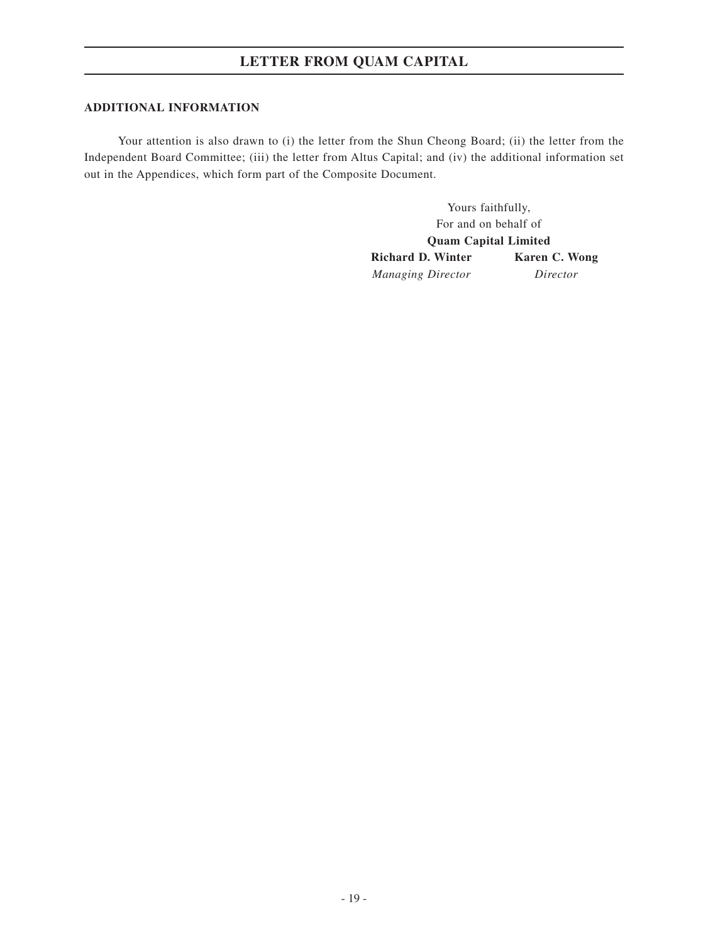### **ADDITIONAL INFORMATION**

Your attention is also drawn to (i) the letter from the Shun Cheong Board; (ii) the letter from the Independent Board Committee; (iii) the letter from Altus Capital; and (iv) the additional information set out in the Appendices, which form part of the Composite Document.

> Yours faithfully, For and on behalf of **Quam Capital Limited Richard D. Winter Karen C. Wong** *Managing Director Director*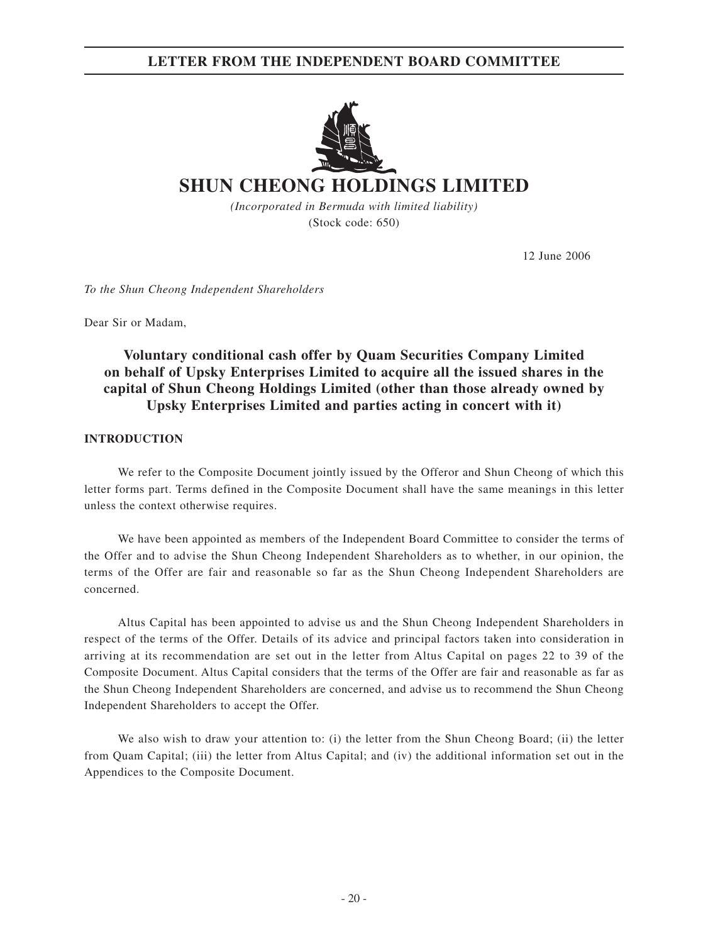### **LETTER FROM THE INDEPENDENT BOARD COMMITTEE**



**SHUN CHEONG HOLDINGS LIMITED**

*(Incorporated in Bermuda with limited liability)* (Stock code: 650)

12 June 2006

*To the Shun Cheong Independent Shareholders*

Dear Sir or Madam,

### **Voluntary conditional cash offer by Quam Securities Company Limited on behalf of Upsky Enterprises Limited to acquire all the issued shares in the capital of Shun Cheong Holdings Limited (other than those already owned by Upsky Enterprises Limited and parties acting in concert with it)**

### **INTRODUCTION**

We refer to the Composite Document jointly issued by the Offeror and Shun Cheong of which this letter forms part. Terms defined in the Composite Document shall have the same meanings in this letter unless the context otherwise requires.

We have been appointed as members of the Independent Board Committee to consider the terms of the Offer and to advise the Shun Cheong Independent Shareholders as to whether, in our opinion, the terms of the Offer are fair and reasonable so far as the Shun Cheong Independent Shareholders are concerned.

Altus Capital has been appointed to advise us and the Shun Cheong Independent Shareholders in respect of the terms of the Offer. Details of its advice and principal factors taken into consideration in arriving at its recommendation are set out in the letter from Altus Capital on pages 22 to 39 of the Composite Document. Altus Capital considers that the terms of the Offer are fair and reasonable as far as the Shun Cheong Independent Shareholders are concerned, and advise us to recommend the Shun Cheong Independent Shareholders to accept the Offer.

We also wish to draw your attention to: (i) the letter from the Shun Cheong Board; (ii) the letter from Quam Capital; (iii) the letter from Altus Capital; and (iv) the additional information set out in the Appendices to the Composite Document.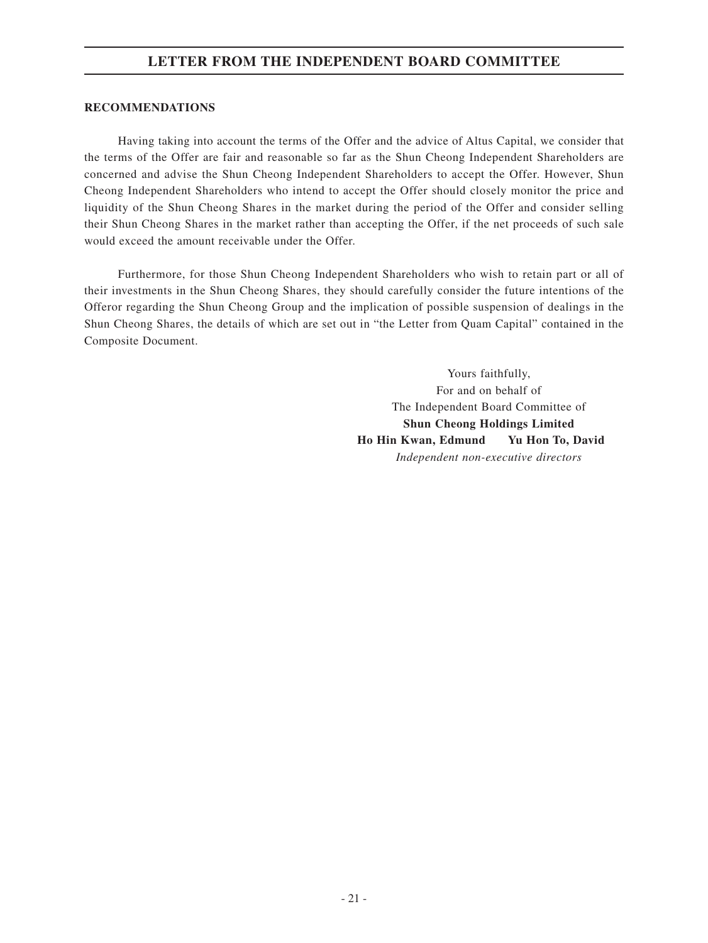### **LETTER FROM THE INDEPENDENT BOARD COMMITTEE**

#### **RECOMMENDATIONS**

Having taking into account the terms of the Offer and the advice of Altus Capital, we consider that the terms of the Offer are fair and reasonable so far as the Shun Cheong Independent Shareholders are concerned and advise the Shun Cheong Independent Shareholders to accept the Offer. However, Shun Cheong Independent Shareholders who intend to accept the Offer should closely monitor the price and liquidity of the Shun Cheong Shares in the market during the period of the Offer and consider selling their Shun Cheong Shares in the market rather than accepting the Offer, if the net proceeds of such sale would exceed the amount receivable under the Offer.

Furthermore, for those Shun Cheong Independent Shareholders who wish to retain part or all of their investments in the Shun Cheong Shares, they should carefully consider the future intentions of the Offeror regarding the Shun Cheong Group and the implication of possible suspension of dealings in the Shun Cheong Shares, the details of which are set out in "the Letter from Quam Capital" contained in the Composite Document.

> Yours faithfully, For and on behalf of The Independent Board Committee of **Shun Cheong Holdings Limited Ho Hin Kwan, Edmund Yu Hon To, David** *Independent non-executive directors*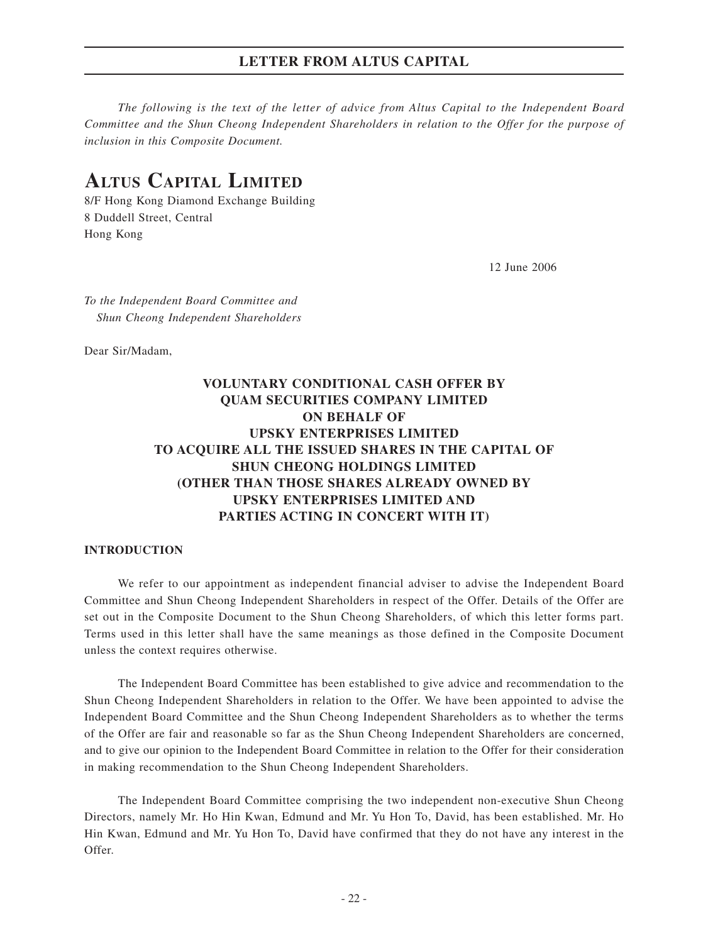*The following is the text of the letter of advice from Altus Capital to the Independent Board Committee and the Shun Cheong Independent Shareholders in relation to the Offer for the purpose of inclusion in this Composite Document.*

## **ALTUS CAPITAL LIMITED**

8/F Hong Kong Diamond Exchange Building 8 Duddell Street, Central Hong Kong

12 June 2006

*To the Independent Board Committee and Shun Cheong Independent Shareholders*

Dear Sir/Madam,

### **VOLUNTARY CONDITIONAL CASH OFFER BY QUAM SECURITIES COMPANY LIMITED ON BEHALF OF UPSKY ENTERPRISES LIMITED TO ACQUIRE ALL THE ISSUED SHARES IN THE CAPITAL OF SHUN CHEONG HOLDINGS LIMITED (OTHER THAN THOSE SHARES ALREADY OWNED BY UPSKY ENTERPRISES LIMITED AND PARTIES ACTING IN CONCERT WITH IT)**

### **INTRODUCTION**

We refer to our appointment as independent financial adviser to advise the Independent Board Committee and Shun Cheong Independent Shareholders in respect of the Offer. Details of the Offer are set out in the Composite Document to the Shun Cheong Shareholders, of which this letter forms part. Terms used in this letter shall have the same meanings as those defined in the Composite Document unless the context requires otherwise.

The Independent Board Committee has been established to give advice and recommendation to the Shun Cheong Independent Shareholders in relation to the Offer. We have been appointed to advise the Independent Board Committee and the Shun Cheong Independent Shareholders as to whether the terms of the Offer are fair and reasonable so far as the Shun Cheong Independent Shareholders are concerned, and to give our opinion to the Independent Board Committee in relation to the Offer for their consideration in making recommendation to the Shun Cheong Independent Shareholders.

The Independent Board Committee comprising the two independent non-executive Shun Cheong Directors, namely Mr. Ho Hin Kwan, Edmund and Mr. Yu Hon To, David, has been established. Mr. Ho Hin Kwan, Edmund and Mr. Yu Hon To, David have confirmed that they do not have any interest in the Offer.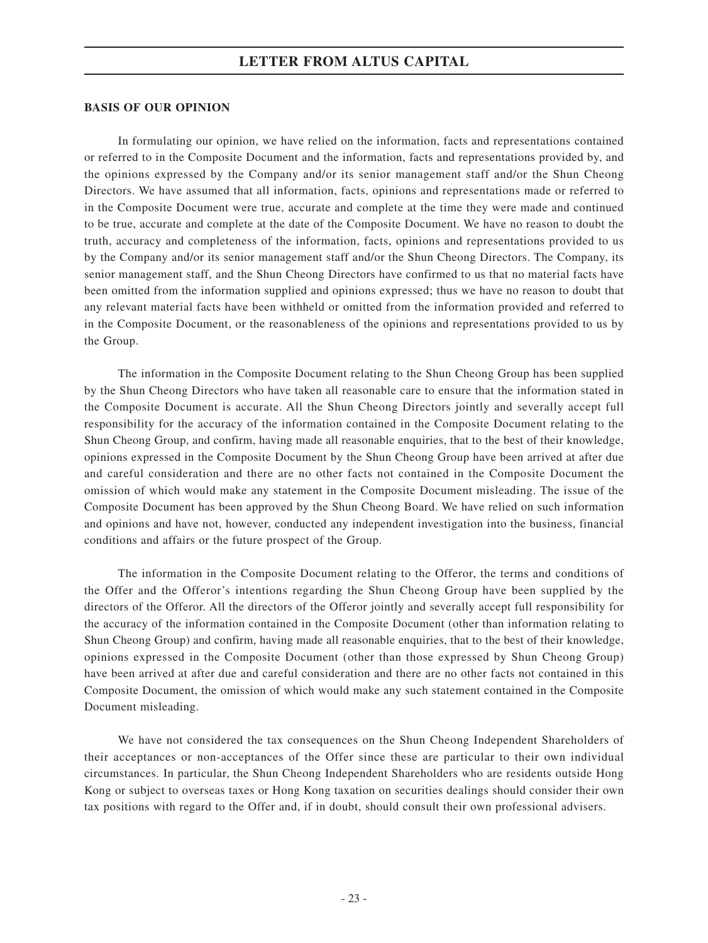#### **BASIS OF OUR OPINION**

In formulating our opinion, we have relied on the information, facts and representations contained or referred to in the Composite Document and the information, facts and representations provided by, and the opinions expressed by the Company and/or its senior management staff and/or the Shun Cheong Directors. We have assumed that all information, facts, opinions and representations made or referred to in the Composite Document were true, accurate and complete at the time they were made and continued to be true, accurate and complete at the date of the Composite Document. We have no reason to doubt the truth, accuracy and completeness of the information, facts, opinions and representations provided to us by the Company and/or its senior management staff and/or the Shun Cheong Directors. The Company, its senior management staff, and the Shun Cheong Directors have confirmed to us that no material facts have been omitted from the information supplied and opinions expressed; thus we have no reason to doubt that any relevant material facts have been withheld or omitted from the information provided and referred to in the Composite Document, or the reasonableness of the opinions and representations provided to us by the Group.

The information in the Composite Document relating to the Shun Cheong Group has been supplied by the Shun Cheong Directors who have taken all reasonable care to ensure that the information stated in the Composite Document is accurate. All the Shun Cheong Directors jointly and severally accept full responsibility for the accuracy of the information contained in the Composite Document relating to the Shun Cheong Group, and confirm, having made all reasonable enquiries, that to the best of their knowledge, opinions expressed in the Composite Document by the Shun Cheong Group have been arrived at after due and careful consideration and there are no other facts not contained in the Composite Document the omission of which would make any statement in the Composite Document misleading. The issue of the Composite Document has been approved by the Shun Cheong Board. We have relied on such information and opinions and have not, however, conducted any independent investigation into the business, financial conditions and affairs or the future prospect of the Group.

The information in the Composite Document relating to the Offeror, the terms and conditions of the Offer and the Offeror's intentions regarding the Shun Cheong Group have been supplied by the directors of the Offeror. All the directors of the Offeror jointly and severally accept full responsibility for the accuracy of the information contained in the Composite Document (other than information relating to Shun Cheong Group) and confirm, having made all reasonable enquiries, that to the best of their knowledge, opinions expressed in the Composite Document (other than those expressed by Shun Cheong Group) have been arrived at after due and careful consideration and there are no other facts not contained in this Composite Document, the omission of which would make any such statement contained in the Composite Document misleading.

We have not considered the tax consequences on the Shun Cheong Independent Shareholders of their acceptances or non-acceptances of the Offer since these are particular to their own individual circumstances. In particular, the Shun Cheong Independent Shareholders who are residents outside Hong Kong or subject to overseas taxes or Hong Kong taxation on securities dealings should consider their own tax positions with regard to the Offer and, if in doubt, should consult their own professional advisers.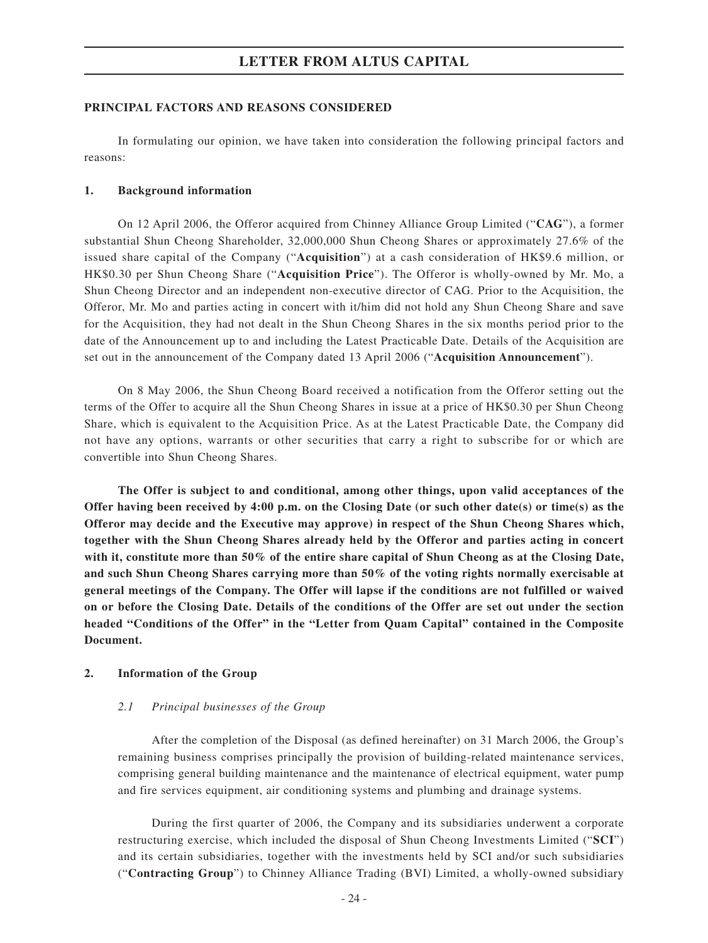#### **PRINCIPAL FACTORS AND REASONS CONSIDERED**

In formulating our opinion, we have taken into consideration the following principal factors and reasons:

#### **1. Background information**

On 12 April 2006, the Offeror acquired from Chinney Alliance Group Limited ("**CAG**"), a former substantial Shun Cheong Shareholder, 32,000,000 Shun Cheong Shares or approximately 27.6% of the issued share capital of the Company ("**Acquisition**") at a cash consideration of HK\$9.6 million, or HK\$0.30 per Shun Cheong Share ("**Acquisition Price**"). The Offeror is wholly-owned by Mr. Mo, a Shun Cheong Director and an independent non-executive director of CAG. Prior to the Acquisition, the Offeror, Mr. Mo and parties acting in concert with it/him did not hold any Shun Cheong Share and save for the Acquisition, they had not dealt in the Shun Cheong Shares in the six months period prior to the date of the Announcement up to and including the Latest Practicable Date. Details of the Acquisition are set out in the announcement of the Company dated 13 April 2006 ("**Acquisition Announcement**").

On 8 May 2006, the Shun Cheong Board received a notification from the Offeror setting out the terms of the Offer to acquire all the Shun Cheong Shares in issue at a price of HK\$0.30 per Shun Cheong Share, which is equivalent to the Acquisition Price. As at the Latest Practicable Date, the Company did not have any options, warrants or other securities that carry a right to subscribe for or which are convertible into Shun Cheong Shares.

**The Offer is subject to and conditional, among other things, upon valid acceptances of the Offer having been received by 4:00 p.m. on the Closing Date (or such other date(s) or time(s) as the Offeror may decide and the Executive may approve) in respect of the Shun Cheong Shares which, together with the Shun Cheong Shares already held by the Offeror and parties acting in concert with it, constitute more than 50% of the entire share capital of Shun Cheong as at the Closing Date, and such Shun Cheong Shares carrying more than 50% of the voting rights normally exercisable at general meetings of the Company. The Offer will lapse if the conditions are not fulfilled or waived on or before the Closing Date. Details of the conditions of the Offer are set out under the section headed "Conditions of the Offer" in the "Letter from Quam Capital" contained in the Composite Document.**

#### **2. Information of the Group**

#### *2.1 Principal businesses of the Group*

After the completion of the Disposal (as defined hereinafter) on 31 March 2006, the Group's remaining business comprises principally the provision of building-related maintenance services, comprising general building maintenance and the maintenance of electrical equipment, water pump and fire services equipment, air conditioning systems and plumbing and drainage systems.

During the first quarter of 2006, the Company and its subsidiaries underwent a corporate restructuring exercise, which included the disposal of Shun Cheong Investments Limited ("**SCI**") and its certain subsidiaries, together with the investments held by SCI and/or such subsidiaries ("**Contracting Group**") to Chinney Alliance Trading (BVI) Limited, a wholly-owned subsidiary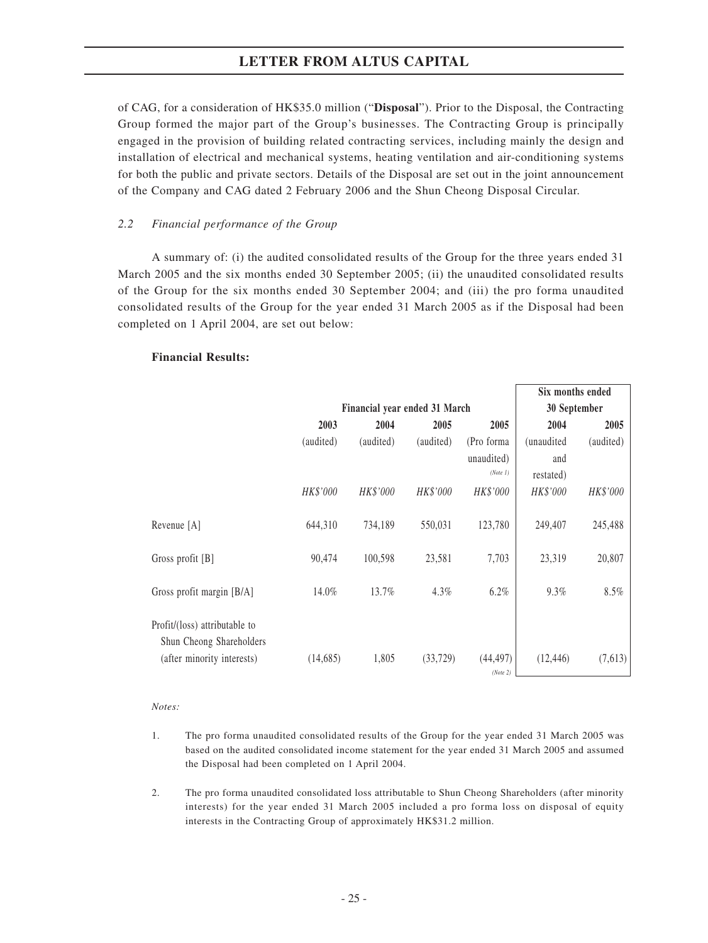of CAG, for a consideration of HK\$35.0 million ("**Disposal**"). Prior to the Disposal, the Contracting Group formed the major part of the Group's businesses. The Contracting Group is principally engaged in the provision of building related contracting services, including mainly the design and installation of electrical and mechanical systems, heating ventilation and air-conditioning systems for both the public and private sectors. Details of the Disposal are set out in the joint announcement of the Company and CAG dated 2 February 2006 and the Shun Cheong Disposal Circular.

### *2.2 Financial performance of the Group*

A summary of: (i) the audited consolidated results of the Group for the three years ended 31 March 2005 and the six months ended 30 September 2005; (ii) the unaudited consolidated results of the Group for the six months ended 30 September 2004; and (iii) the pro forma unaudited consolidated results of the Group for the year ended 31 March 2005 as if the Disposal had been completed on 1 April 2004, are set out below:

#### **Financial Results:**

|                                                                                         |                               |              |           |            | Six months ended |           |
|-----------------------------------------------------------------------------------------|-------------------------------|--------------|-----------|------------|------------------|-----------|
|                                                                                         | Financial year ended 31 March | 30 September |           |            |                  |           |
|                                                                                         | 2003                          | 2004         | 2005      | 2005       | 2004             | 2005      |
|                                                                                         | (audited)                     | (audited)    | (audited) | (Pro forma | (unaudited       | (audited) |
|                                                                                         |                               |              |           | unaudited) | and              |           |
|                                                                                         |                               |              |           | (Note 1)   | restated)        |           |
|                                                                                         | HK\$'000                      | HK\$'000     | HK\$'000  | HK\$'000   | HK\$'000         | HK\$'000  |
| Revenue [A]                                                                             | 644.310                       | 734,189      | 550,031   | 123,780    | 249,407          | 245,488   |
| Gross profit $[B]$                                                                      | 90,474                        | 100,598      | 23,581    | 7,703      | 23,319           | 20,807    |
| Gross profit margin [B/A]                                                               | 14.0%                         | 13.7%        | 4.3%      | 6.2%       | 9.3%             | 8.5%      |
| Profit/(loss) attributable to<br>Shun Cheong Shareholders<br>(after minority interests) | (14,685)                      | 1,805        | (33, 729) | (44, 497)  | (12, 446)        | (7,613)   |
|                                                                                         |                               |              |           | (Note 2)   |                  |           |

*Notes:*

- 1. The pro forma unaudited consolidated results of the Group for the year ended 31 March 2005 was based on the audited consolidated income statement for the year ended 31 March 2005 and assumed the Disposal had been completed on 1 April 2004.
- 2. The pro forma unaudited consolidated loss attributable to Shun Cheong Shareholders (after minority interests) for the year ended 31 March 2005 included a pro forma loss on disposal of equity interests in the Contracting Group of approximately HK\$31.2 million.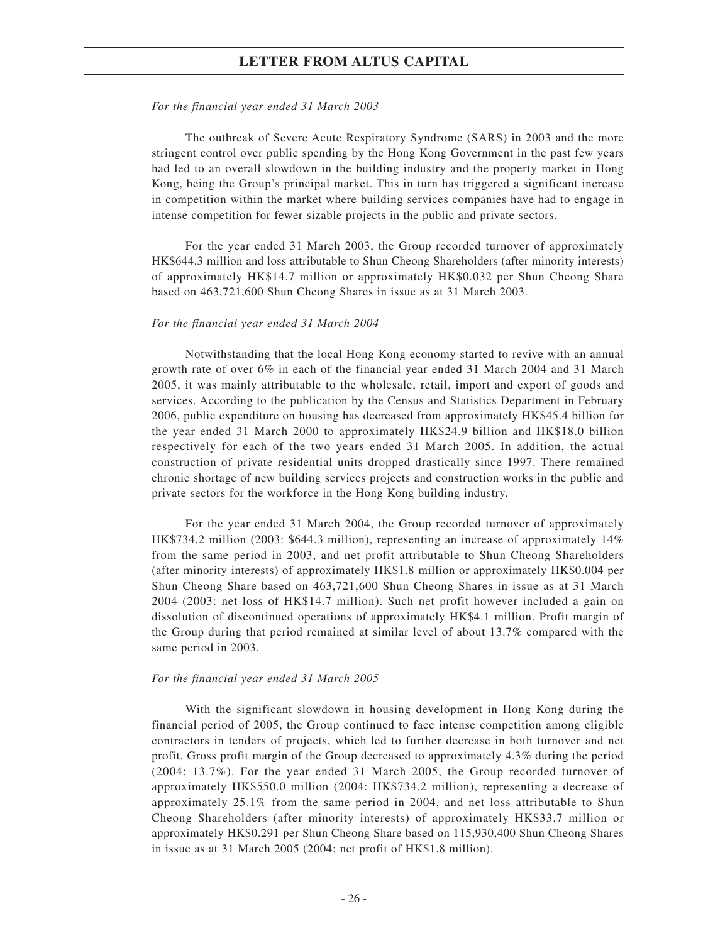#### *For the financial year ended 31 March 2003*

The outbreak of Severe Acute Respiratory Syndrome (SARS) in 2003 and the more stringent control over public spending by the Hong Kong Government in the past few years had led to an overall slowdown in the building industry and the property market in Hong Kong, being the Group's principal market. This in turn has triggered a significant increase in competition within the market where building services companies have had to engage in intense competition for fewer sizable projects in the public and private sectors.

For the year ended 31 March 2003, the Group recorded turnover of approximately HK\$644.3 million and loss attributable to Shun Cheong Shareholders (after minority interests) of approximately HK\$14.7 million or approximately HK\$0.032 per Shun Cheong Share based on 463,721,600 Shun Cheong Shares in issue as at 31 March 2003.

#### *For the financial year ended 31 March 2004*

Notwithstanding that the local Hong Kong economy started to revive with an annual growth rate of over 6% in each of the financial year ended 31 March 2004 and 31 March 2005, it was mainly attributable to the wholesale, retail, import and export of goods and services. According to the publication by the Census and Statistics Department in February 2006, public expenditure on housing has decreased from approximately HK\$45.4 billion for the year ended 31 March 2000 to approximately HK\$24.9 billion and HK\$18.0 billion respectively for each of the two years ended 31 March 2005. In addition, the actual construction of private residential units dropped drastically since 1997. There remained chronic shortage of new building services projects and construction works in the public and private sectors for the workforce in the Hong Kong building industry.

For the year ended 31 March 2004, the Group recorded turnover of approximately HK\$734.2 million (2003: \$644.3 million), representing an increase of approximately 14% from the same period in 2003, and net profit attributable to Shun Cheong Shareholders (after minority interests) of approximately HK\$1.8 million or approximately HK\$0.004 per Shun Cheong Share based on 463,721,600 Shun Cheong Shares in issue as at 31 March 2004 (2003: net loss of HK\$14.7 million). Such net profit however included a gain on dissolution of discontinued operations of approximately HK\$4.1 million. Profit margin of the Group during that period remained at similar level of about 13.7% compared with the same period in 2003.

#### *For the financial year ended 31 March 2005*

With the significant slowdown in housing development in Hong Kong during the financial period of 2005, the Group continued to face intense competition among eligible contractors in tenders of projects, which led to further decrease in both turnover and net profit. Gross profit margin of the Group decreased to approximately 4.3% during the period (2004: 13.7%). For the year ended 31 March 2005, the Group recorded turnover of approximately HK\$550.0 million (2004: HK\$734.2 million), representing a decrease of approximately 25.1% from the same period in 2004, and net loss attributable to Shun Cheong Shareholders (after minority interests) of approximately HK\$33.7 million or approximately HK\$0.291 per Shun Cheong Share based on 115,930,400 Shun Cheong Shares in issue as at 31 March 2005 (2004: net profit of HK\$1.8 million).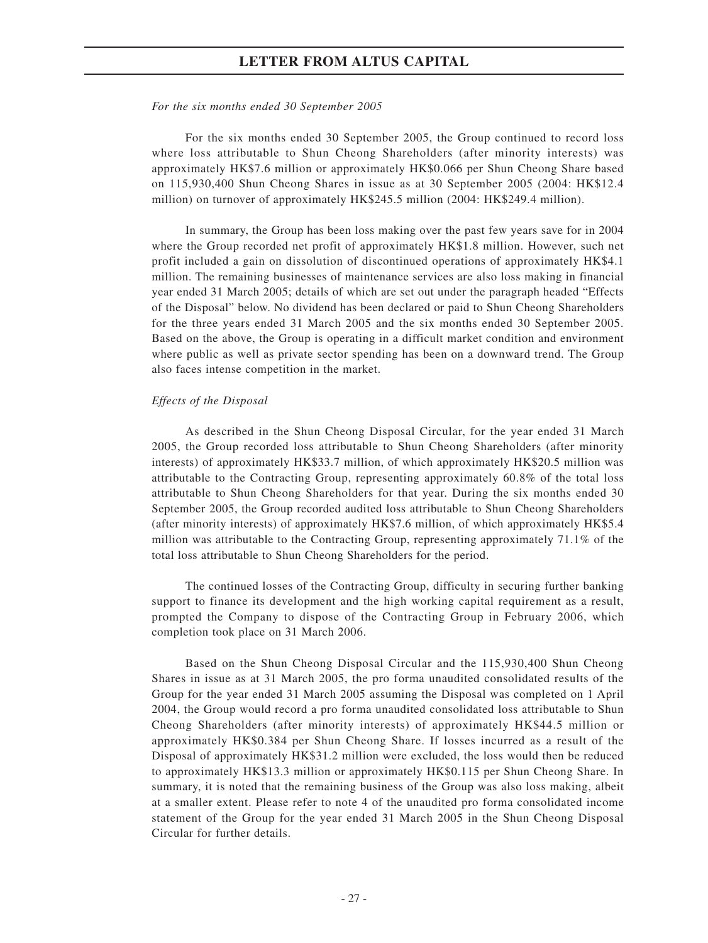#### *For the six months ended 30 September 2005*

For the six months ended 30 September 2005, the Group continued to record loss where loss attributable to Shun Cheong Shareholders (after minority interests) was approximately HK\$7.6 million or approximately HK\$0.066 per Shun Cheong Share based on 115,930,400 Shun Cheong Shares in issue as at 30 September 2005 (2004: HK\$12.4 million) on turnover of approximately HK\$245.5 million (2004: HK\$249.4 million).

In summary, the Group has been loss making over the past few years save for in 2004 where the Group recorded net profit of approximately HK\$1.8 million. However, such net profit included a gain on dissolution of discontinued operations of approximately HK\$4.1 million. The remaining businesses of maintenance services are also loss making in financial year ended 31 March 2005; details of which are set out under the paragraph headed "Effects of the Disposal" below. No dividend has been declared or paid to Shun Cheong Shareholders for the three years ended 31 March 2005 and the six months ended 30 September 2005. Based on the above, the Group is operating in a difficult market condition and environment where public as well as private sector spending has been on a downward trend. The Group also faces intense competition in the market.

#### *Effects of the Disposal*

As described in the Shun Cheong Disposal Circular, for the year ended 31 March 2005, the Group recorded loss attributable to Shun Cheong Shareholders (after minority interests) of approximately HK\$33.7 million, of which approximately HK\$20.5 million was attributable to the Contracting Group, representing approximately 60.8% of the total loss attributable to Shun Cheong Shareholders for that year. During the six months ended 30 September 2005, the Group recorded audited loss attributable to Shun Cheong Shareholders (after minority interests) of approximately HK\$7.6 million, of which approximately HK\$5.4 million was attributable to the Contracting Group, representing approximately 71.1% of the total loss attributable to Shun Cheong Shareholders for the period.

The continued losses of the Contracting Group, difficulty in securing further banking support to finance its development and the high working capital requirement as a result, prompted the Company to dispose of the Contracting Group in February 2006, which completion took place on 31 March 2006.

Based on the Shun Cheong Disposal Circular and the 115,930,400 Shun Cheong Shares in issue as at 31 March 2005, the pro forma unaudited consolidated results of the Group for the year ended 31 March 2005 assuming the Disposal was completed on 1 April 2004, the Group would record a pro forma unaudited consolidated loss attributable to Shun Cheong Shareholders (after minority interests) of approximately HK\$44.5 million or approximately HK\$0.384 per Shun Cheong Share. If losses incurred as a result of the Disposal of approximately HK\$31.2 million were excluded, the loss would then be reduced to approximately HK\$13.3 million or approximately HK\$0.115 per Shun Cheong Share. In summary, it is noted that the remaining business of the Group was also loss making, albeit at a smaller extent. Please refer to note 4 of the unaudited pro forma consolidated income statement of the Group for the year ended 31 March 2005 in the Shun Cheong Disposal Circular for further details.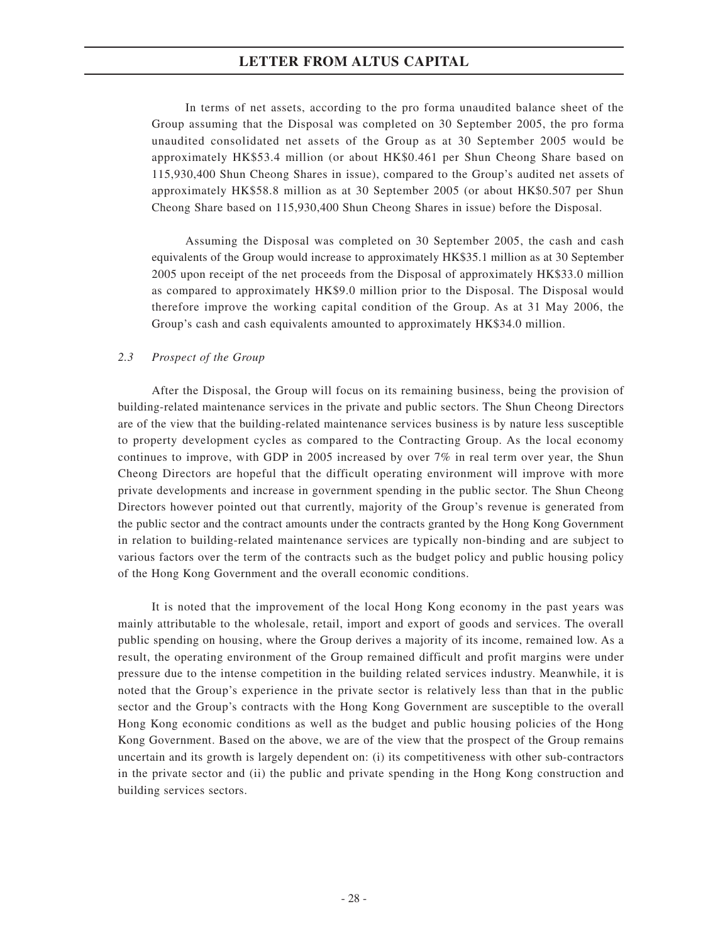In terms of net assets, according to the pro forma unaudited balance sheet of the Group assuming that the Disposal was completed on 30 September 2005, the pro forma unaudited consolidated net assets of the Group as at 30 September 2005 would be approximately HK\$53.4 million (or about HK\$0.461 per Shun Cheong Share based on 115,930,400 Shun Cheong Shares in issue), compared to the Group's audited net assets of approximately HK\$58.8 million as at 30 September 2005 (or about HK\$0.507 per Shun Cheong Share based on 115,930,400 Shun Cheong Shares in issue) before the Disposal.

Assuming the Disposal was completed on 30 September 2005, the cash and cash equivalents of the Group would increase to approximately HK\$35.1 million as at 30 September 2005 upon receipt of the net proceeds from the Disposal of approximately HK\$33.0 million as compared to approximately HK\$9.0 million prior to the Disposal. The Disposal would therefore improve the working capital condition of the Group. As at 31 May 2006, the Group's cash and cash equivalents amounted to approximately HK\$34.0 million.

#### *2.3 Prospect of the Group*

After the Disposal, the Group will focus on its remaining business, being the provision of building-related maintenance services in the private and public sectors. The Shun Cheong Directors are of the view that the building-related maintenance services business is by nature less susceptible to property development cycles as compared to the Contracting Group. As the local economy continues to improve, with GDP in 2005 increased by over 7% in real term over year, the Shun Cheong Directors are hopeful that the difficult operating environment will improve with more private developments and increase in government spending in the public sector. The Shun Cheong Directors however pointed out that currently, majority of the Group's revenue is generated from the public sector and the contract amounts under the contracts granted by the Hong Kong Government in relation to building-related maintenance services are typically non-binding and are subject to various factors over the term of the contracts such as the budget policy and public housing policy of the Hong Kong Government and the overall economic conditions.

It is noted that the improvement of the local Hong Kong economy in the past years was mainly attributable to the wholesale, retail, import and export of goods and services. The overall public spending on housing, where the Group derives a majority of its income, remained low. As a result, the operating environment of the Group remained difficult and profit margins were under pressure due to the intense competition in the building related services industry. Meanwhile, it is noted that the Group's experience in the private sector is relatively less than that in the public sector and the Group's contracts with the Hong Kong Government are susceptible to the overall Hong Kong economic conditions as well as the budget and public housing policies of the Hong Kong Government. Based on the above, we are of the view that the prospect of the Group remains uncertain and its growth is largely dependent on: (i) its competitiveness with other sub-contractors in the private sector and (ii) the public and private spending in the Hong Kong construction and building services sectors.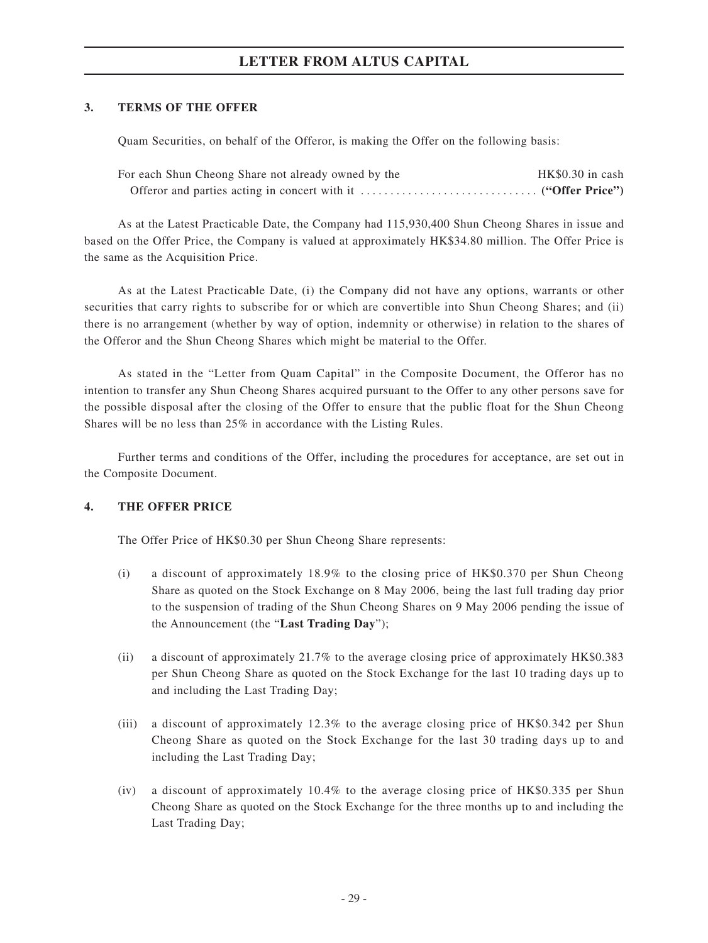### **3. TERMS OF THE OFFER**

Quam Securities, on behalf of the Offeror, is making the Offer on the following basis:

| For each Shun Cheong Share not already owned by the | HK\$0.30 in cash |
|-----------------------------------------------------|------------------|
|                                                     |                  |

As at the Latest Practicable Date, the Company had 115,930,400 Shun Cheong Shares in issue and based on the Offer Price, the Company is valued at approximately HK\$34.80 million. The Offer Price is the same as the Acquisition Price.

As at the Latest Practicable Date, (i) the Company did not have any options, warrants or other securities that carry rights to subscribe for or which are convertible into Shun Cheong Shares; and (ii) there is no arrangement (whether by way of option, indemnity or otherwise) in relation to the shares of the Offeror and the Shun Cheong Shares which might be material to the Offer.

As stated in the "Letter from Quam Capital" in the Composite Document, the Offeror has no intention to transfer any Shun Cheong Shares acquired pursuant to the Offer to any other persons save for the possible disposal after the closing of the Offer to ensure that the public float for the Shun Cheong Shares will be no less than 25% in accordance with the Listing Rules.

Further terms and conditions of the Offer, including the procedures for acceptance, are set out in the Composite Document.

#### **4. THE OFFER PRICE**

The Offer Price of HK\$0.30 per Shun Cheong Share represents:

- (i) a discount of approximately 18.9% to the closing price of HK\$0.370 per Shun Cheong Share as quoted on the Stock Exchange on 8 May 2006, being the last full trading day prior to the suspension of trading of the Shun Cheong Shares on 9 May 2006 pending the issue of the Announcement (the "**Last Trading Day**");
- (ii) a discount of approximately 21.7% to the average closing price of approximately HK\$0.383 per Shun Cheong Share as quoted on the Stock Exchange for the last 10 trading days up to and including the Last Trading Day;
- (iii) a discount of approximately 12.3% to the average closing price of HK\$0.342 per Shun Cheong Share as quoted on the Stock Exchange for the last 30 trading days up to and including the Last Trading Day;
- (iv) a discount of approximately 10.4% to the average closing price of HK\$0.335 per Shun Cheong Share as quoted on the Stock Exchange for the three months up to and including the Last Trading Day;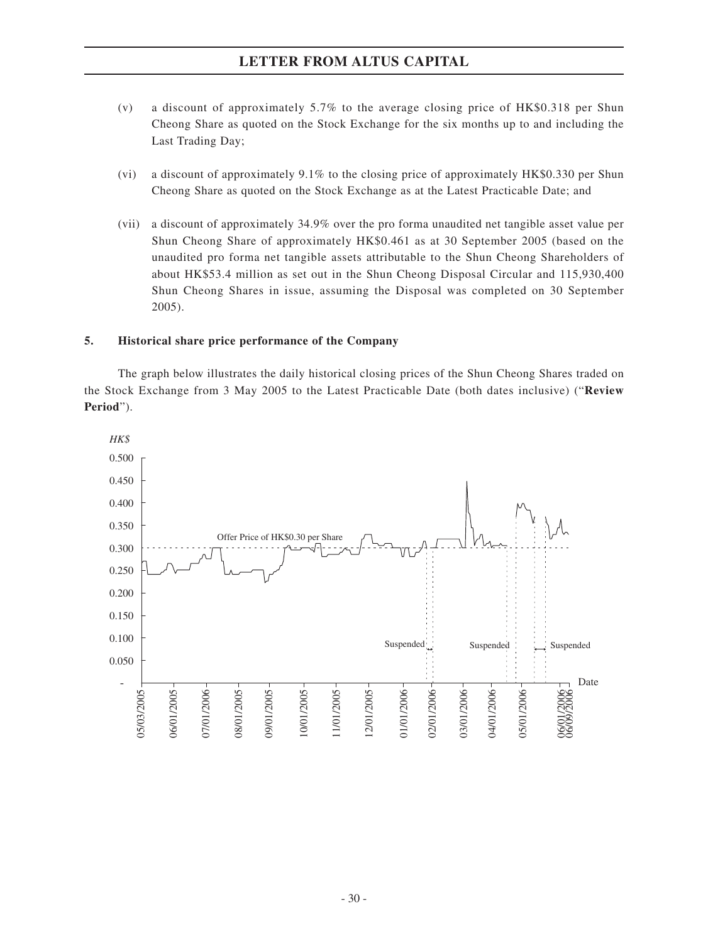- (v) a discount of approximately 5.7% to the average closing price of HK\$0.318 per Shun Cheong Share as quoted on the Stock Exchange for the six months up to and including the Last Trading Day;
- (vi) a discount of approximately 9.1% to the closing price of approximately HK\$0.330 per Shun Cheong Share as quoted on the Stock Exchange as at the Latest Practicable Date; and
- (vii) a discount of approximately 34.9% over the pro forma unaudited net tangible asset value per Shun Cheong Share of approximately HK\$0.461 as at 30 September 2005 (based on the unaudited pro forma net tangible assets attributable to the Shun Cheong Shareholders of about HK\$53.4 million as set out in the Shun Cheong Disposal Circular and 115,930,400 Shun Cheong Shares in issue, assuming the Disposal was completed on 30 September 2005).

### **5. Historical share price performance of the Company**

The graph below illustrates the daily historical closing prices of the Shun Cheong Shares traded on the Stock Exchange from 3 May 2005 to the Latest Practicable Date (both dates inclusive) ("**Review Period**").

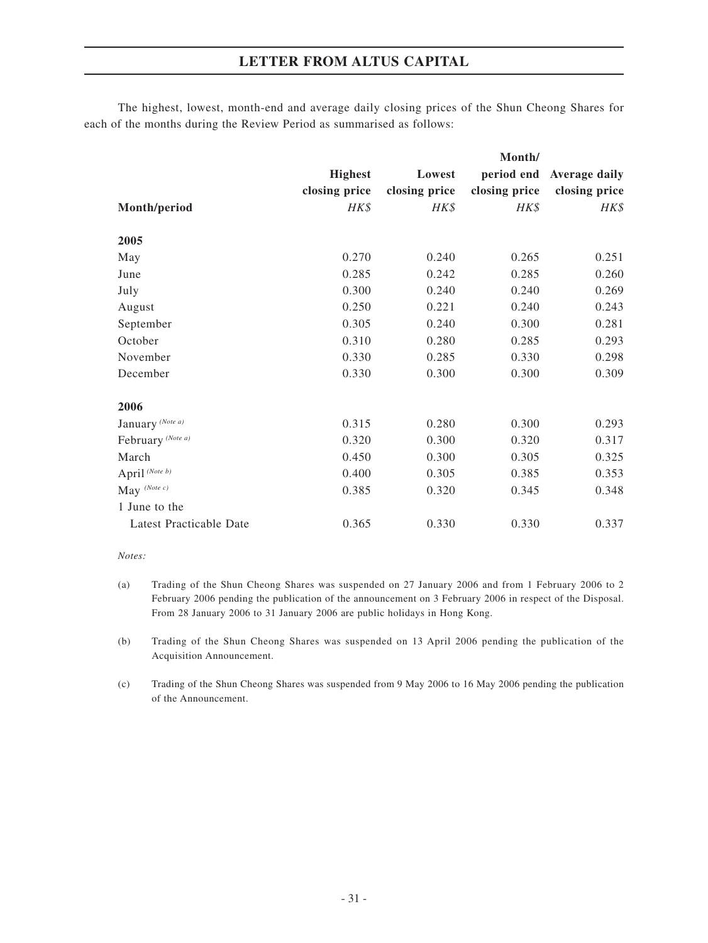The highest, lowest, month-end and average daily closing prices of the Shun Cheong Shares for each of the months during the Review Period as summarised as follows:

|                              |                |               | Month/        |                      |
|------------------------------|----------------|---------------|---------------|----------------------|
|                              | <b>Highest</b> | Lowest        | period end    | <b>Average daily</b> |
|                              | closing price  | closing price | closing price | closing price        |
| Month/period                 | HK\$           | HK\$          | HK\$          | HK\$                 |
| 2005                         |                |               |               |                      |
| May                          | 0.270          | 0.240         | 0.265         | 0.251                |
| June                         | 0.285          | 0.242         | 0.285         | 0.260                |
| July                         | 0.300          | 0.240         | 0.240         | 0.269                |
| August                       | 0.250          | 0.221         | 0.240         | 0.243                |
| September                    | 0.305          | 0.240         | 0.300         | 0.281                |
| October                      | 0.310          | 0.280         | 0.285         | 0.293                |
| November                     | 0.330          | 0.285         | 0.330         | 0.298                |
| December                     | 0.330          | 0.300         | 0.300         | 0.309                |
| 2006                         |                |               |               |                      |
| January <sup>(Note a)</sup>  | 0.315          | 0.280         | 0.300         | 0.293                |
| February <sup>(Note a)</sup> | 0.320          | 0.300         | 0.320         | 0.317                |
| March                        | 0.450          | 0.300         | 0.305         | 0.325                |
| April (Note b)               | 0.400          | 0.305         | 0.385         | 0.353                |
| May $^{(Note \; c)}$         | 0.385          | 0.320         | 0.345         | 0.348                |
| 1 June to the                |                |               |               |                      |
| Latest Practicable Date      | 0.365          | 0.330         | 0.330         | 0.337                |

#### *Notes:*

- (a) Trading of the Shun Cheong Shares was suspended on 27 January 2006 and from 1 February 2006 to 2 February 2006 pending the publication of the announcement on 3 February 2006 in respect of the Disposal. From 28 January 2006 to 31 January 2006 are public holidays in Hong Kong.
- (b) Trading of the Shun Cheong Shares was suspended on 13 April 2006 pending the publication of the Acquisition Announcement.
- (c) Trading of the Shun Cheong Shares was suspended from 9 May 2006 to 16 May 2006 pending the publication of the Announcement.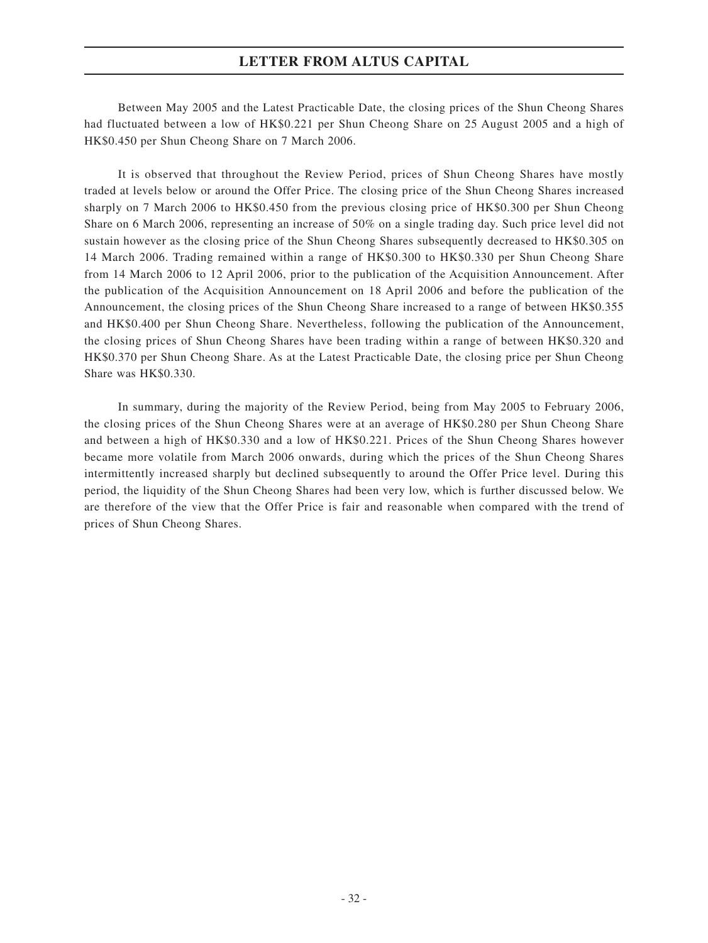Between May 2005 and the Latest Practicable Date, the closing prices of the Shun Cheong Shares had fluctuated between a low of HK\$0.221 per Shun Cheong Share on 25 August 2005 and a high of HK\$0.450 per Shun Cheong Share on 7 March 2006.

It is observed that throughout the Review Period, prices of Shun Cheong Shares have mostly traded at levels below or around the Offer Price. The closing price of the Shun Cheong Shares increased sharply on 7 March 2006 to HK\$0.450 from the previous closing price of HK\$0.300 per Shun Cheong Share on 6 March 2006, representing an increase of 50% on a single trading day. Such price level did not sustain however as the closing price of the Shun Cheong Shares subsequently decreased to HK\$0.305 on 14 March 2006. Trading remained within a range of HK\$0.300 to HK\$0.330 per Shun Cheong Share from 14 March 2006 to 12 April 2006, prior to the publication of the Acquisition Announcement. After the publication of the Acquisition Announcement on 18 April 2006 and before the publication of the Announcement, the closing prices of the Shun Cheong Share increased to a range of between HK\$0.355 and HK\$0.400 per Shun Cheong Share. Nevertheless, following the publication of the Announcement, the closing prices of Shun Cheong Shares have been trading within a range of between HK\$0.320 and HK\$0.370 per Shun Cheong Share. As at the Latest Practicable Date, the closing price per Shun Cheong Share was HK\$0.330.

In summary, during the majority of the Review Period, being from May 2005 to February 2006, the closing prices of the Shun Cheong Shares were at an average of HK\$0.280 per Shun Cheong Share and between a high of HK\$0.330 and a low of HK\$0.221. Prices of the Shun Cheong Shares however became more volatile from March 2006 onwards, during which the prices of the Shun Cheong Shares intermittently increased sharply but declined subsequently to around the Offer Price level. During this period, the liquidity of the Shun Cheong Shares had been very low, which is further discussed below. We are therefore of the view that the Offer Price is fair and reasonable when compared with the trend of prices of Shun Cheong Shares.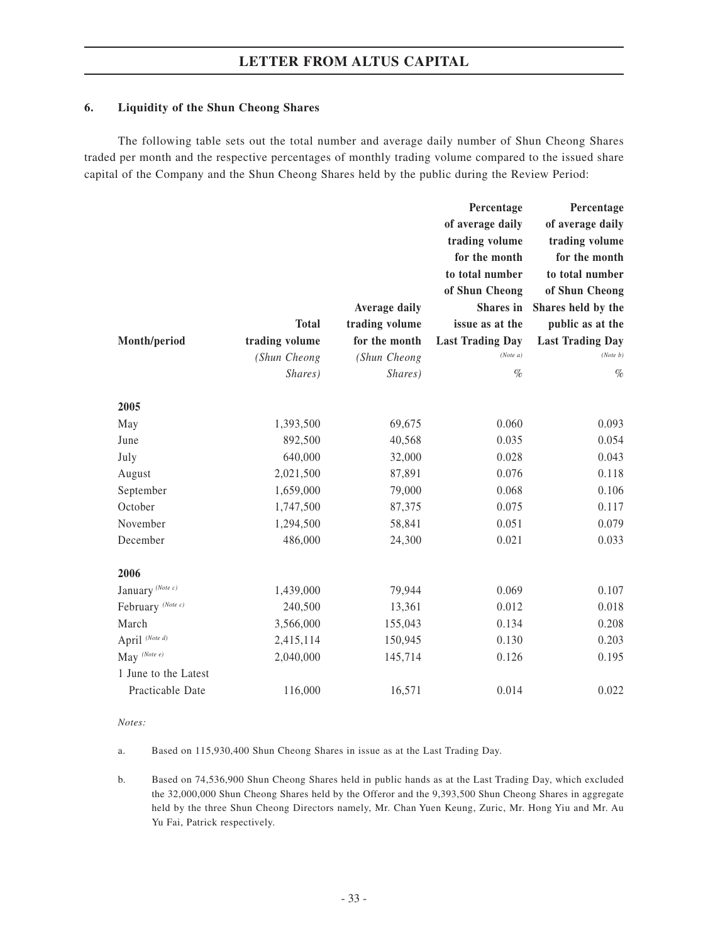### **6. Liquidity of the Shun Cheong Shares**

The following table sets out the total number and average daily number of Shun Cheong Shares traded per month and the respective percentages of monthly trading volume compared to the issued share capital of the Company and the Shun Cheong Shares held by the public during the Review Period:

|                            |                |                | Percentage              | Percentage              |
|----------------------------|----------------|----------------|-------------------------|-------------------------|
|                            |                |                | of average daily        | of average daily        |
|                            |                |                | trading volume          | trading volume          |
|                            |                |                | for the month           | for the month           |
|                            |                |                | to total number         | to total number         |
|                            |                |                | of Shun Cheong          | of Shun Cheong          |
|                            |                | Average daily  | Shares in               | Shares held by the      |
|                            | <b>Total</b>   | trading volume | issue as at the         | public as at the        |
| Month/period               | trading volume | for the month  | <b>Last Trading Day</b> | <b>Last Trading Day</b> |
|                            | (Shun Cheong   | (Shun Cheong   | (Note a)                | (Note b)                |
|                            | Shares)        | Shares)        | $\%$                    | $\%$                    |
| 2005                       |                |                |                         |                         |
| May                        | 1,393,500      | 69,675         | 0.060                   | 0.093                   |
| June                       | 892,500        | 40,568         | 0.035                   | 0.054                   |
| July                       | 640,000        | 32,000         | 0.028                   | 0.043                   |
| August                     | 2,021,500      | 87,891         | 0.076                   | 0.118                   |
| September                  | 1,659,000      | 79,000         | 0.068                   | 0.106                   |
| October                    | 1,747,500      | 87,375         | 0.075                   | 0.117                   |
| November                   | 1,294,500      | 58,841         | 0.051                   | 0.079                   |
| December                   | 486,000        | 24,300         | 0.021                   | 0.033                   |
| 2006                       |                |                |                         |                         |
| January $\sp{(Note \; c)}$ | 1,439,000      | 79,944         | 0.069                   | 0.107                   |
| February (Note c)          | 240,500        | 13,361         | 0.012                   | 0.018                   |
| March                      | 3,566,000      | 155,043        | 0.134                   | 0.208                   |
| April (Note d)             | 2,415,114      | 150,945        | 0.130                   | 0.203                   |
| May (Note e)               | 2,040,000      | 145,714        | 0.126                   | 0.195                   |
| 1 June to the Latest       |                |                |                         |                         |
| Practicable Date           | 116,000        | 16,571         | 0.014                   | 0.022                   |
|                            |                |                |                         |                         |

#### *Notes:*

a. Based on 115,930,400 Shun Cheong Shares in issue as at the Last Trading Day.

b. Based on 74,536,900 Shun Cheong Shares held in public hands as at the Last Trading Day, which excluded the 32,000,000 Shun Cheong Shares held by the Offeror and the 9,393,500 Shun Cheong Shares in aggregate held by the three Shun Cheong Directors namely, Mr. Chan Yuen Keung, Zuric, Mr. Hong Yiu and Mr. Au Yu Fai, Patrick respectively.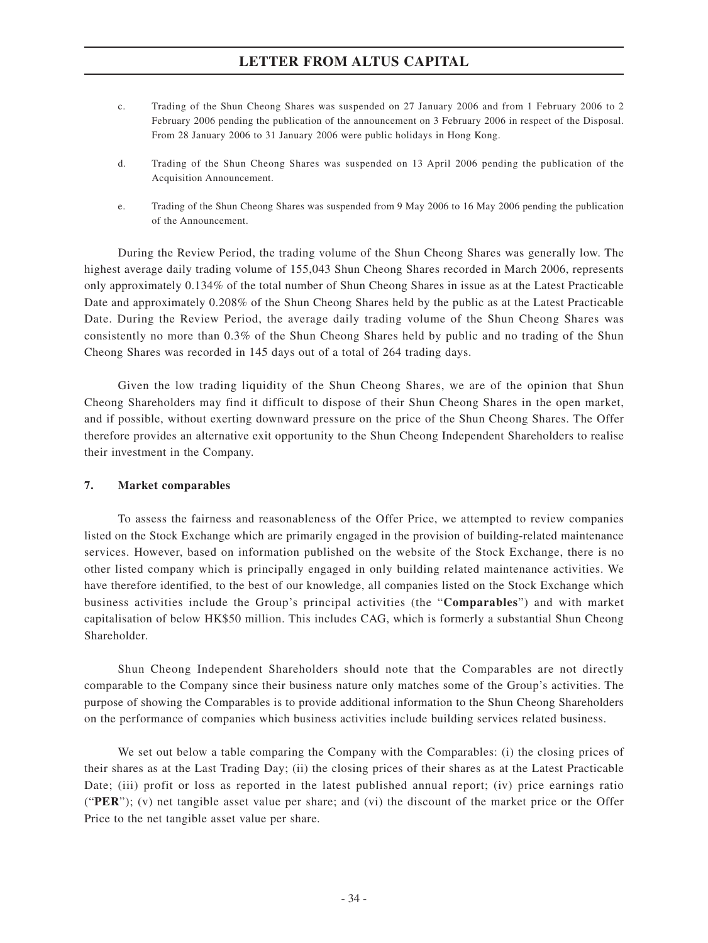- c. Trading of the Shun Cheong Shares was suspended on 27 January 2006 and from 1 February 2006 to 2 February 2006 pending the publication of the announcement on 3 February 2006 in respect of the Disposal. From 28 January 2006 to 31 January 2006 were public holidays in Hong Kong.
- d. Trading of the Shun Cheong Shares was suspended on 13 April 2006 pending the publication of the Acquisition Announcement.
- e. Trading of the Shun Cheong Shares was suspended from 9 May 2006 to 16 May 2006 pending the publication of the Announcement.

During the Review Period, the trading volume of the Shun Cheong Shares was generally low. The highest average daily trading volume of 155,043 Shun Cheong Shares recorded in March 2006, represents only approximately 0.134% of the total number of Shun Cheong Shares in issue as at the Latest Practicable Date and approximately 0.208% of the Shun Cheong Shares held by the public as at the Latest Practicable Date. During the Review Period, the average daily trading volume of the Shun Cheong Shares was consistently no more than 0.3% of the Shun Cheong Shares held by public and no trading of the Shun Cheong Shares was recorded in 145 days out of a total of 264 trading days.

Given the low trading liquidity of the Shun Cheong Shares, we are of the opinion that Shun Cheong Shareholders may find it difficult to dispose of their Shun Cheong Shares in the open market, and if possible, without exerting downward pressure on the price of the Shun Cheong Shares. The Offer therefore provides an alternative exit opportunity to the Shun Cheong Independent Shareholders to realise their investment in the Company.

#### **7. Market comparables**

To assess the fairness and reasonableness of the Offer Price, we attempted to review companies listed on the Stock Exchange which are primarily engaged in the provision of building-related maintenance services. However, based on information published on the website of the Stock Exchange, there is no other listed company which is principally engaged in only building related maintenance activities. We have therefore identified, to the best of our knowledge, all companies listed on the Stock Exchange which business activities include the Group's principal activities (the "**Comparables**") and with market capitalisation of below HK\$50 million. This includes CAG, which is formerly a substantial Shun Cheong Shareholder.

Shun Cheong Independent Shareholders should note that the Comparables are not directly comparable to the Company since their business nature only matches some of the Group's activities. The purpose of showing the Comparables is to provide additional information to the Shun Cheong Shareholders on the performance of companies which business activities include building services related business.

We set out below a table comparing the Company with the Comparables: (i) the closing prices of their shares as at the Last Trading Day; (ii) the closing prices of their shares as at the Latest Practicable Date; (iii) profit or loss as reported in the latest published annual report; (iv) price earnings ratio ("**PER**"); (v) net tangible asset value per share; and (vi) the discount of the market price or the Offer Price to the net tangible asset value per share.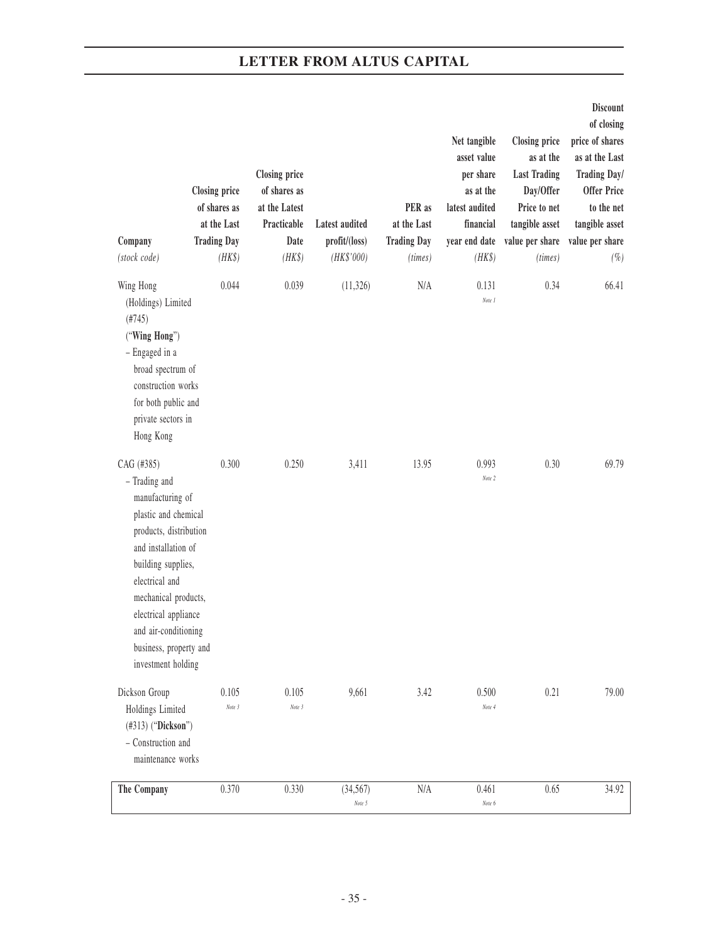| Company                                                                                                                                                                                                                                                                                  | <b>Closing price</b><br>of shares as<br>at the Last<br><b>Trading Day</b> | <b>Closing price</b><br>of shares as<br>at the Latest<br>Practicable<br>Date | Latest audited<br>profit/(loss) | PER as<br>at the Last<br><b>Trading Day</b> | Net tangible<br>asset value<br>per share<br>as at the<br>latest audited<br>financial<br>year end date | <b>Closing price</b><br>as at the<br><b>Last Trading</b><br>Day/Offer<br>Price to net<br>tangible asset<br>value per share | <b>Discount</b><br>of closing<br>price of shares<br>as at the Last<br>Trading Day/<br><b>Offer Price</b><br>to the net<br>tangible asset<br>value per share |
|------------------------------------------------------------------------------------------------------------------------------------------------------------------------------------------------------------------------------------------------------------------------------------------|---------------------------------------------------------------------------|------------------------------------------------------------------------------|---------------------------------|---------------------------------------------|-------------------------------------------------------------------------------------------------------|----------------------------------------------------------------------------------------------------------------------------|-------------------------------------------------------------------------------------------------------------------------------------------------------------|
| (stock code)                                                                                                                                                                                                                                                                             | (HK\$)                                                                    | (HK\$)                                                                       | (HK\$'000)                      | (times)                                     | (HK\$)                                                                                                | (times)                                                                                                                    | $(\% )$                                                                                                                                                     |
| Wing Hong<br>(Holdings) Limited<br>(#745)<br>("Wing Hong")<br>- Engaged in a<br>broad spectrum of<br>construction works<br>for both public and<br>private sectors in<br>Hong Kong                                                                                                        | 0.044                                                                     | 0.039                                                                        | (11, 326)                       | N/A                                         | 0.131<br>Note 1                                                                                       | 0.34                                                                                                                       | 66.41                                                                                                                                                       |
| CAG (#385)<br>- Trading and<br>manufacturing of<br>plastic and chemical<br>products, distribution<br>and installation of<br>building supplies,<br>electrical and<br>mechanical products,<br>electrical appliance<br>and air-conditioning<br>business, property and<br>investment holding | 0.300                                                                     | 0.250                                                                        | 3,411                           | 13.95                                       | 0.993<br>Note 2                                                                                       | 0.30                                                                                                                       | 69.79                                                                                                                                                       |
| Dickson Group<br>Holdings Limited<br>(#313) ("Dickson")<br>- Construction and<br>maintenance works                                                                                                                                                                                       | 0.105<br>Note 3                                                           | 0.105<br>Note 3                                                              | 9,661                           | 3.42                                        | 0.500<br>Note 4                                                                                       | 0.21                                                                                                                       | 79.00                                                                                                                                                       |
| The Company                                                                                                                                                                                                                                                                              | 0.370                                                                     | 0.330                                                                        | (34, 567)<br>Note 5             | $\rm N/A$                                   | 0.461<br>Note $6$                                                                                     | 0.65                                                                                                                       | 34.92                                                                                                                                                       |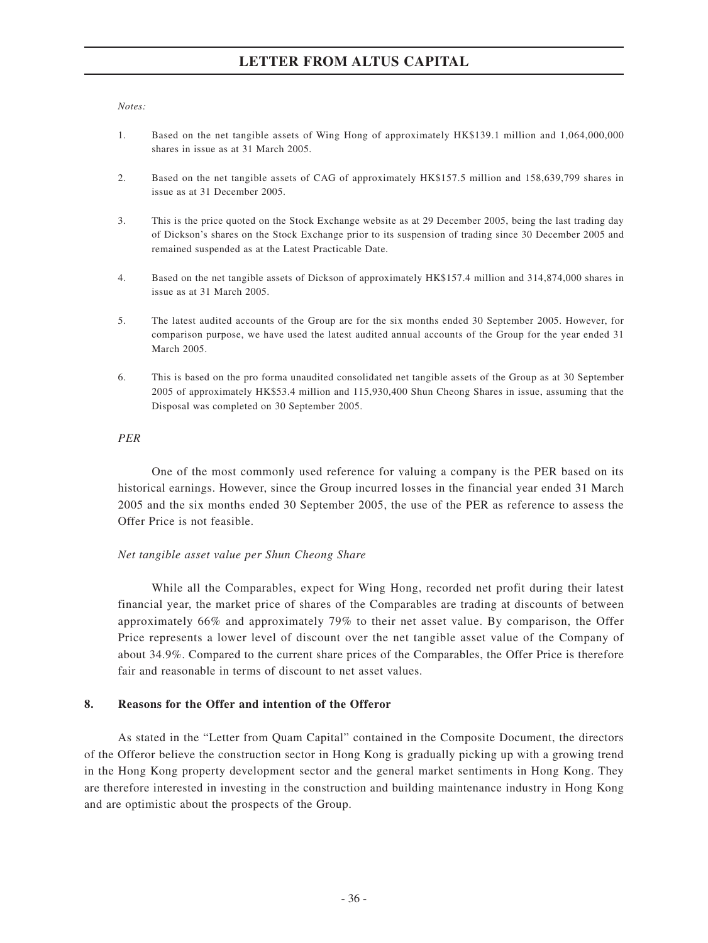### *Notes:*

- 1. Based on the net tangible assets of Wing Hong of approximately HK\$139.1 million and 1,064,000,000 shares in issue as at 31 March 2005.
- 2. Based on the net tangible assets of CAG of approximately HK\$157.5 million and 158,639,799 shares in issue as at 31 December 2005.
- 3. This is the price quoted on the Stock Exchange website as at 29 December 2005, being the last trading day of Dickson's shares on the Stock Exchange prior to its suspension of trading since 30 December 2005 and remained suspended as at the Latest Practicable Date.
- 4. Based on the net tangible assets of Dickson of approximately HK\$157.4 million and 314,874,000 shares in issue as at 31 March 2005.
- 5. The latest audited accounts of the Group are for the six months ended 30 September 2005. However, for comparison purpose, we have used the latest audited annual accounts of the Group for the year ended 31 March 2005.
- 6. This is based on the pro forma unaudited consolidated net tangible assets of the Group as at 30 September 2005 of approximately HK\$53.4 million and 115,930,400 Shun Cheong Shares in issue, assuming that the Disposal was completed on 30 September 2005.

### *PER*

One of the most commonly used reference for valuing a company is the PER based on its historical earnings. However, since the Group incurred losses in the financial year ended 31 March 2005 and the six months ended 30 September 2005, the use of the PER as reference to assess the Offer Price is not feasible.

### *Net tangible asset value per Shun Cheong Share*

While all the Comparables, expect for Wing Hong, recorded net profit during their latest financial year, the market price of shares of the Comparables are trading at discounts of between approximately 66% and approximately 79% to their net asset value. By comparison, the Offer Price represents a lower level of discount over the net tangible asset value of the Company of about 34.9%. Compared to the current share prices of the Comparables, the Offer Price is therefore fair and reasonable in terms of discount to net asset values.

### **8. Reasons for the Offer and intention of the Offeror**

As stated in the "Letter from Quam Capital" contained in the Composite Document, the directors of the Offeror believe the construction sector in Hong Kong is gradually picking up with a growing trend in the Hong Kong property development sector and the general market sentiments in Hong Kong. They are therefore interested in investing in the construction and building maintenance industry in Hong Kong and are optimistic about the prospects of the Group.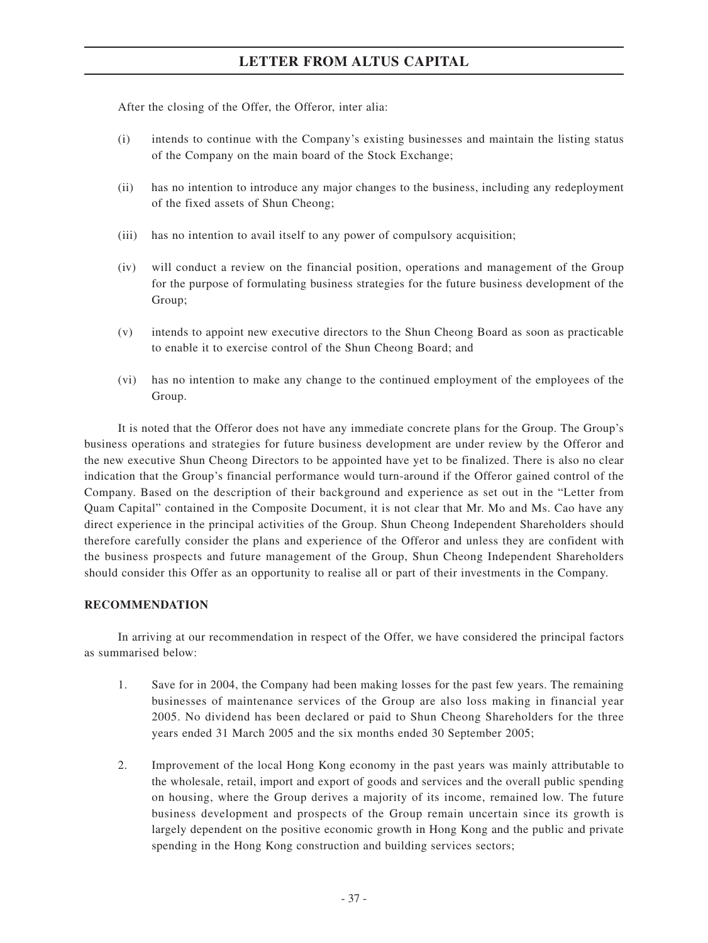After the closing of the Offer, the Offeror, inter alia:

- (i) intends to continue with the Company's existing businesses and maintain the listing status of the Company on the main board of the Stock Exchange;
- (ii) has no intention to introduce any major changes to the business, including any redeployment of the fixed assets of Shun Cheong;
- (iii) has no intention to avail itself to any power of compulsory acquisition;
- (iv) will conduct a review on the financial position, operations and management of the Group for the purpose of formulating business strategies for the future business development of the Group;
- (v) intends to appoint new executive directors to the Shun Cheong Board as soon as practicable to enable it to exercise control of the Shun Cheong Board; and
- (vi) has no intention to make any change to the continued employment of the employees of the Group.

It is noted that the Offeror does not have any immediate concrete plans for the Group. The Group's business operations and strategies for future business development are under review by the Offeror and the new executive Shun Cheong Directors to be appointed have yet to be finalized. There is also no clear indication that the Group's financial performance would turn-around if the Offeror gained control of the Company. Based on the description of their background and experience as set out in the "Letter from Quam Capital" contained in the Composite Document, it is not clear that Mr. Mo and Ms. Cao have any direct experience in the principal activities of the Group. Shun Cheong Independent Shareholders should therefore carefully consider the plans and experience of the Offeror and unless they are confident with the business prospects and future management of the Group, Shun Cheong Independent Shareholders should consider this Offer as an opportunity to realise all or part of their investments in the Company.

### **RECOMMENDATION**

In arriving at our recommendation in respect of the Offer, we have considered the principal factors as summarised below:

- 1. Save for in 2004, the Company had been making losses for the past few years. The remaining businesses of maintenance services of the Group are also loss making in financial year 2005. No dividend has been declared or paid to Shun Cheong Shareholders for the three years ended 31 March 2005 and the six months ended 30 September 2005;
- 2. Improvement of the local Hong Kong economy in the past years was mainly attributable to the wholesale, retail, import and export of goods and services and the overall public spending on housing, where the Group derives a majority of its income, remained low. The future business development and prospects of the Group remain uncertain since its growth is largely dependent on the positive economic growth in Hong Kong and the public and private spending in the Hong Kong construction and building services sectors;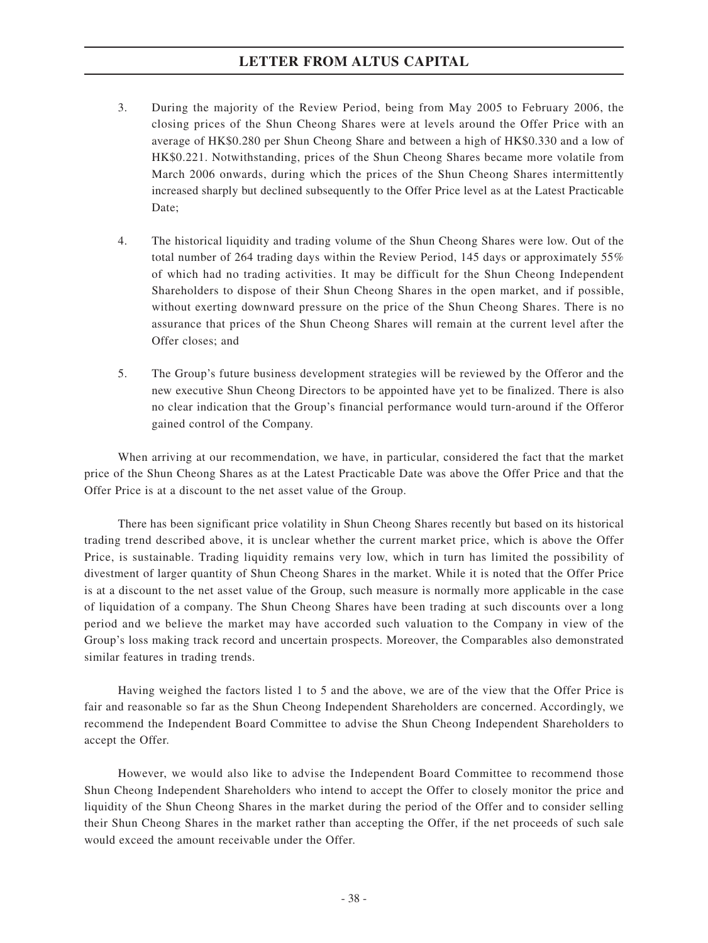- 3. During the majority of the Review Period, being from May 2005 to February 2006, the closing prices of the Shun Cheong Shares were at levels around the Offer Price with an average of HK\$0.280 per Shun Cheong Share and between a high of HK\$0.330 and a low of HK\$0.221. Notwithstanding, prices of the Shun Cheong Shares became more volatile from March 2006 onwards, during which the prices of the Shun Cheong Shares intermittently increased sharply but declined subsequently to the Offer Price level as at the Latest Practicable Date;
- 4. The historical liquidity and trading volume of the Shun Cheong Shares were low. Out of the total number of 264 trading days within the Review Period, 145 days or approximately 55% of which had no trading activities. It may be difficult for the Shun Cheong Independent Shareholders to dispose of their Shun Cheong Shares in the open market, and if possible, without exerting downward pressure on the price of the Shun Cheong Shares. There is no assurance that prices of the Shun Cheong Shares will remain at the current level after the Offer closes; and
- 5. The Group's future business development strategies will be reviewed by the Offeror and the new executive Shun Cheong Directors to be appointed have yet to be finalized. There is also no clear indication that the Group's financial performance would turn-around if the Offeror gained control of the Company.

When arriving at our recommendation, we have, in particular, considered the fact that the market price of the Shun Cheong Shares as at the Latest Practicable Date was above the Offer Price and that the Offer Price is at a discount to the net asset value of the Group.

There has been significant price volatility in Shun Cheong Shares recently but based on its historical trading trend described above, it is unclear whether the current market price, which is above the Offer Price, is sustainable. Trading liquidity remains very low, which in turn has limited the possibility of divestment of larger quantity of Shun Cheong Shares in the market. While it is noted that the Offer Price is at a discount to the net asset value of the Group, such measure is normally more applicable in the case of liquidation of a company. The Shun Cheong Shares have been trading at such discounts over a long period and we believe the market may have accorded such valuation to the Company in view of the Group's loss making track record and uncertain prospects. Moreover, the Comparables also demonstrated similar features in trading trends.

Having weighed the factors listed 1 to 5 and the above, we are of the view that the Offer Price is fair and reasonable so far as the Shun Cheong Independent Shareholders are concerned. Accordingly, we recommend the Independent Board Committee to advise the Shun Cheong Independent Shareholders to accept the Offer.

However, we would also like to advise the Independent Board Committee to recommend those Shun Cheong Independent Shareholders who intend to accept the Offer to closely monitor the price and liquidity of the Shun Cheong Shares in the market during the period of the Offer and to consider selling their Shun Cheong Shares in the market rather than accepting the Offer, if the net proceeds of such sale would exceed the amount receivable under the Offer.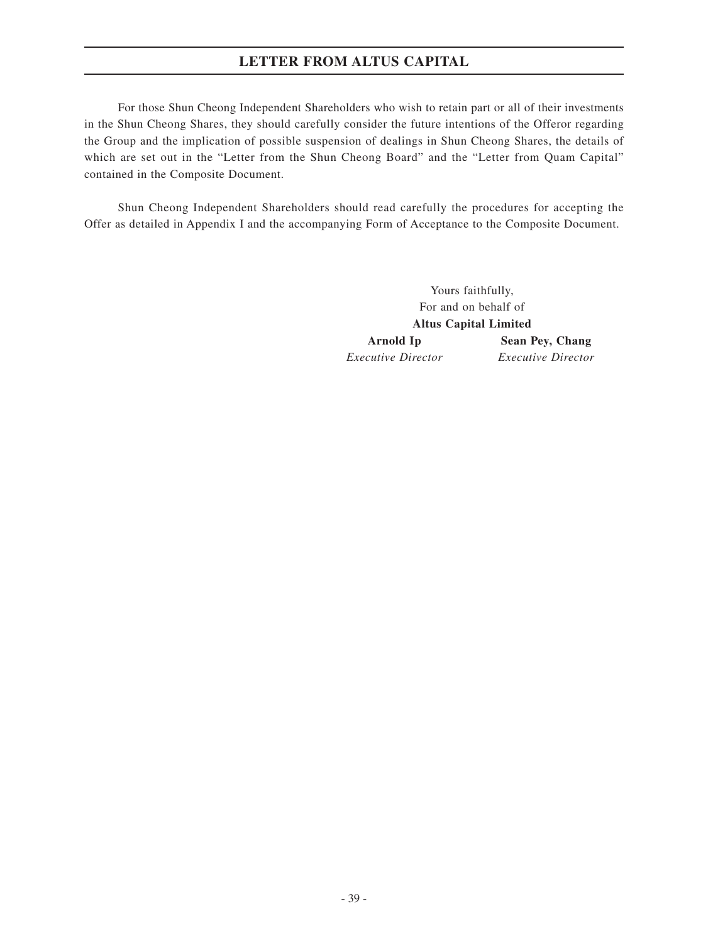For those Shun Cheong Independent Shareholders who wish to retain part or all of their investments in the Shun Cheong Shares, they should carefully consider the future intentions of the Offeror regarding the Group and the implication of possible suspension of dealings in Shun Cheong Shares, the details of which are set out in the "Letter from the Shun Cheong Board" and the "Letter from Quam Capital" contained in the Composite Document.

Shun Cheong Independent Shareholders should read carefully the procedures for accepting the Offer as detailed in Appendix I and the accompanying Form of Acceptance to the Composite Document.

> Yours faithfully, For and on behalf of **Altus Capital Limited Arnold Ip Sean Pey, Chang** *Executive Director Executive Director*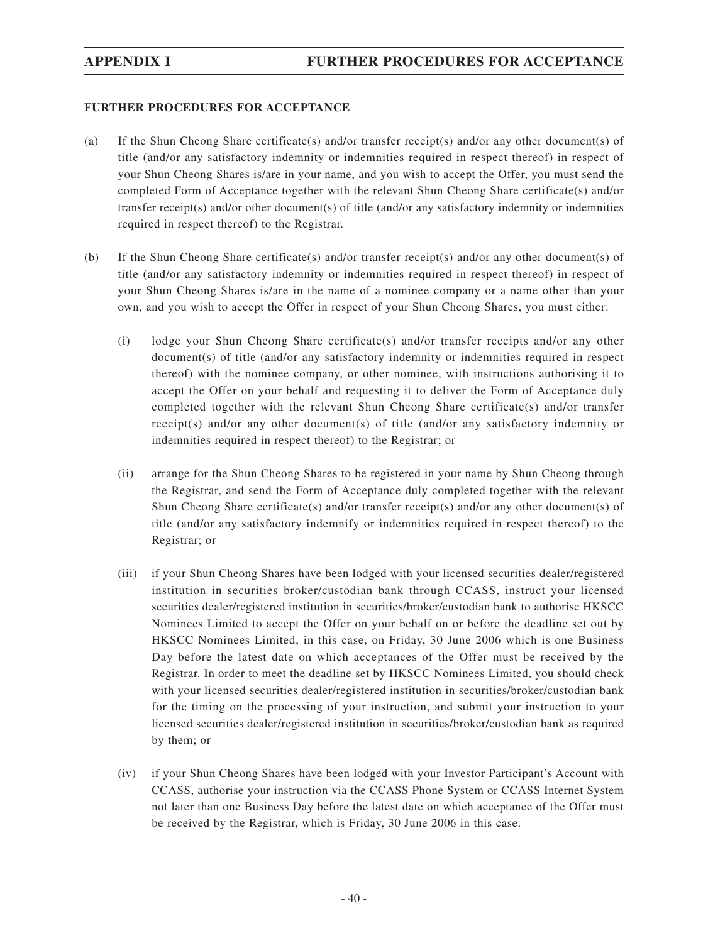### **FURTHER PROCEDURES FOR ACCEPTANCE**

- (a) If the Shun Cheong Share certificate(s) and/or transfer receipt(s) and/or any other document(s) of title (and/or any satisfactory indemnity or indemnities required in respect thereof) in respect of your Shun Cheong Shares is/are in your name, and you wish to accept the Offer, you must send the completed Form of Acceptance together with the relevant Shun Cheong Share certificate(s) and/or transfer receipt(s) and/or other document(s) of title (and/or any satisfactory indemnity or indemnities required in respect thereof) to the Registrar.
- (b) If the Shun Cheong Share certificate(s) and/or transfer receipt(s) and/or any other document(s) of title (and/or any satisfactory indemnity or indemnities required in respect thereof) in respect of your Shun Cheong Shares is/are in the name of a nominee company or a name other than your own, and you wish to accept the Offer in respect of your Shun Cheong Shares, you must either:
	- (i) lodge your Shun Cheong Share certificate(s) and/or transfer receipts and/or any other document(s) of title (and/or any satisfactory indemnity or indemnities required in respect thereof) with the nominee company, or other nominee, with instructions authorising it to accept the Offer on your behalf and requesting it to deliver the Form of Acceptance duly completed together with the relevant Shun Cheong Share certificate(s) and/or transfer receipt(s) and/or any other document(s) of title (and/or any satisfactory indemnity or indemnities required in respect thereof) to the Registrar; or
	- (ii) arrange for the Shun Cheong Shares to be registered in your name by Shun Cheong through the Registrar, and send the Form of Acceptance duly completed together with the relevant Shun Cheong Share certificate(s) and/or transfer receipt(s) and/or any other document(s) of title (and/or any satisfactory indemnify or indemnities required in respect thereof) to the Registrar; or
	- (iii) if your Shun Cheong Shares have been lodged with your licensed securities dealer/registered institution in securities broker/custodian bank through CCASS, instruct your licensed securities dealer/registered institution in securities/broker/custodian bank to authorise HKSCC Nominees Limited to accept the Offer on your behalf on or before the deadline set out by HKSCC Nominees Limited, in this case, on Friday, 30 June 2006 which is one Business Day before the latest date on which acceptances of the Offer must be received by the Registrar. In order to meet the deadline set by HKSCC Nominees Limited, you should check with your licensed securities dealer/registered institution in securities/broker/custodian bank for the timing on the processing of your instruction, and submit your instruction to your licensed securities dealer/registered institution in securities/broker/custodian bank as required by them; or
	- (iv) if your Shun Cheong Shares have been lodged with your Investor Participant's Account with CCASS, authorise your instruction via the CCASS Phone System or CCASS Internet System not later than one Business Day before the latest date on which acceptance of the Offer must be received by the Registrar, which is Friday, 30 June 2006 in this case.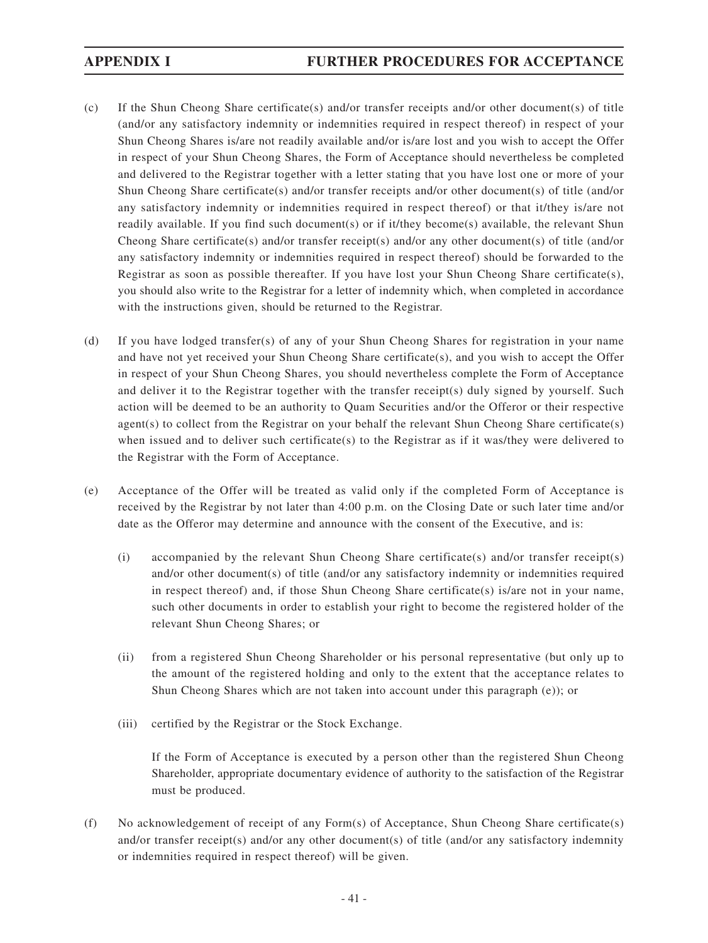- (c) If the Shun Cheong Share certificate(s) and/or transfer receipts and/or other document(s) of title (and/or any satisfactory indemnity or indemnities required in respect thereof) in respect of your Shun Cheong Shares is/are not readily available and/or is/are lost and you wish to accept the Offer in respect of your Shun Cheong Shares, the Form of Acceptance should nevertheless be completed and delivered to the Registrar together with a letter stating that you have lost one or more of your Shun Cheong Share certificate(s) and/or transfer receipts and/or other document(s) of title (and/or any satisfactory indemnity or indemnities required in respect thereof) or that it/they is/are not readily available. If you find such document(s) or if it/they become(s) available, the relevant Shun Cheong Share certificate(s) and/or transfer receipt(s) and/or any other document(s) of title (and/or any satisfactory indemnity or indemnities required in respect thereof) should be forwarded to the Registrar as soon as possible thereafter. If you have lost your Shun Cheong Share certificate(s), you should also write to the Registrar for a letter of indemnity which, when completed in accordance with the instructions given, should be returned to the Registrar.
- (d) If you have lodged transfer(s) of any of your Shun Cheong Shares for registration in your name and have not yet received your Shun Cheong Share certificate(s), and you wish to accept the Offer in respect of your Shun Cheong Shares, you should nevertheless complete the Form of Acceptance and deliver it to the Registrar together with the transfer receipt(s) duly signed by yourself. Such action will be deemed to be an authority to Quam Securities and/or the Offeror or their respective agent(s) to collect from the Registrar on your behalf the relevant Shun Cheong Share certificate(s) when issued and to deliver such certificate(s) to the Registrar as if it was/they were delivered to the Registrar with the Form of Acceptance.
- (e) Acceptance of the Offer will be treated as valid only if the completed Form of Acceptance is received by the Registrar by not later than 4:00 p.m. on the Closing Date or such later time and/or date as the Offeror may determine and announce with the consent of the Executive, and is:
	- (i) accompanied by the relevant Shun Cheong Share certificate(s) and/or transfer receipt(s) and/or other document(s) of title (and/or any satisfactory indemnity or indemnities required in respect thereof) and, if those Shun Cheong Share certificate(s) is/are not in your name, such other documents in order to establish your right to become the registered holder of the relevant Shun Cheong Shares; or
	- (ii) from a registered Shun Cheong Shareholder or his personal representative (but only up to the amount of the registered holding and only to the extent that the acceptance relates to Shun Cheong Shares which are not taken into account under this paragraph (e)); or
	- (iii) certified by the Registrar or the Stock Exchange.

If the Form of Acceptance is executed by a person other than the registered Shun Cheong Shareholder, appropriate documentary evidence of authority to the satisfaction of the Registrar must be produced.

(f) No acknowledgement of receipt of any Form(s) of Acceptance, Shun Cheong Share certificate(s) and/or transfer receipt(s) and/or any other document(s) of title (and/or any satisfactory indemnity or indemnities required in respect thereof) will be given.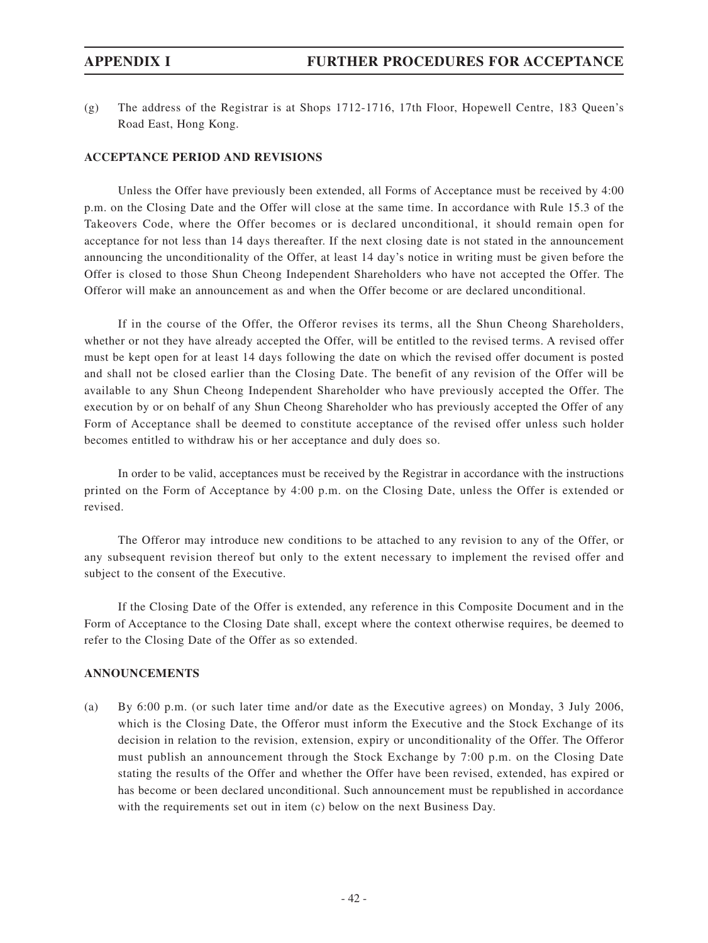(g) The address of the Registrar is at Shops 1712-1716, 17th Floor, Hopewell Centre, 183 Queen's Road East, Hong Kong.

### **ACCEPTANCE PERIOD AND REVISIONS**

Unless the Offer have previously been extended, all Forms of Acceptance must be received by 4:00 p.m. on the Closing Date and the Offer will close at the same time. In accordance with Rule 15.3 of the Takeovers Code, where the Offer becomes or is declared unconditional, it should remain open for acceptance for not less than 14 days thereafter. If the next closing date is not stated in the announcement announcing the unconditionality of the Offer, at least 14 day's notice in writing must be given before the Offer is closed to those Shun Cheong Independent Shareholders who have not accepted the Offer. The Offeror will make an announcement as and when the Offer become or are declared unconditional.

If in the course of the Offer, the Offeror revises its terms, all the Shun Cheong Shareholders, whether or not they have already accepted the Offer, will be entitled to the revised terms. A revised offer must be kept open for at least 14 days following the date on which the revised offer document is posted and shall not be closed earlier than the Closing Date. The benefit of any revision of the Offer will be available to any Shun Cheong Independent Shareholder who have previously accepted the Offer. The execution by or on behalf of any Shun Cheong Shareholder who has previously accepted the Offer of any Form of Acceptance shall be deemed to constitute acceptance of the revised offer unless such holder becomes entitled to withdraw his or her acceptance and duly does so.

In order to be valid, acceptances must be received by the Registrar in accordance with the instructions printed on the Form of Acceptance by 4:00 p.m. on the Closing Date, unless the Offer is extended or revised.

The Offeror may introduce new conditions to be attached to any revision to any of the Offer, or any subsequent revision thereof but only to the extent necessary to implement the revised offer and subject to the consent of the Executive.

If the Closing Date of the Offer is extended, any reference in this Composite Document and in the Form of Acceptance to the Closing Date shall, except where the context otherwise requires, be deemed to refer to the Closing Date of the Offer as so extended.

### **ANNOUNCEMENTS**

(a) By 6:00 p.m. (or such later time and/or date as the Executive agrees) on Monday, 3 July 2006, which is the Closing Date, the Offeror must inform the Executive and the Stock Exchange of its decision in relation to the revision, extension, expiry or unconditionality of the Offer. The Offeror must publish an announcement through the Stock Exchange by 7:00 p.m. on the Closing Date stating the results of the Offer and whether the Offer have been revised, extended, has expired or has become or been declared unconditional. Such announcement must be republished in accordance with the requirements set out in item (c) below on the next Business Day.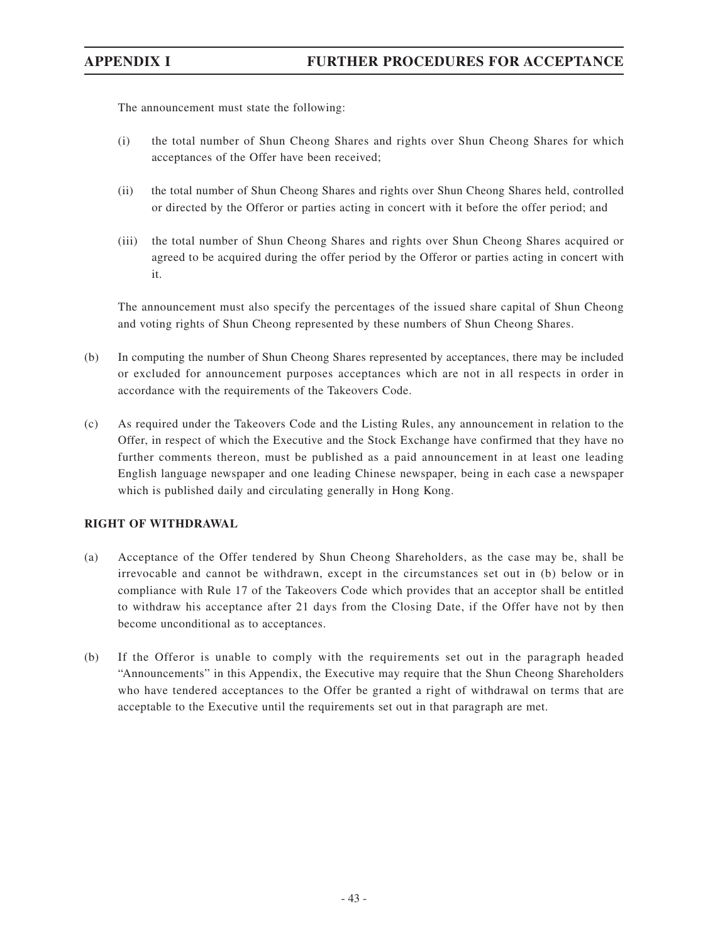The announcement must state the following:

- (i) the total number of Shun Cheong Shares and rights over Shun Cheong Shares for which acceptances of the Offer have been received;
- (ii) the total number of Shun Cheong Shares and rights over Shun Cheong Shares held, controlled or directed by the Offeror or parties acting in concert with it before the offer period; and
- (iii) the total number of Shun Cheong Shares and rights over Shun Cheong Shares acquired or agreed to be acquired during the offer period by the Offeror or parties acting in concert with it.

The announcement must also specify the percentages of the issued share capital of Shun Cheong and voting rights of Shun Cheong represented by these numbers of Shun Cheong Shares.

- (b) In computing the number of Shun Cheong Shares represented by acceptances, there may be included or excluded for announcement purposes acceptances which are not in all respects in order in accordance with the requirements of the Takeovers Code.
- (c) As required under the Takeovers Code and the Listing Rules, any announcement in relation to the Offer, in respect of which the Executive and the Stock Exchange have confirmed that they have no further comments thereon, must be published as a paid announcement in at least one leading English language newspaper and one leading Chinese newspaper, being in each case a newspaper which is published daily and circulating generally in Hong Kong.

### **RIGHT OF WITHDRAWAL**

- (a) Acceptance of the Offer tendered by Shun Cheong Shareholders, as the case may be, shall be irrevocable and cannot be withdrawn, except in the circumstances set out in (b) below or in compliance with Rule 17 of the Takeovers Code which provides that an acceptor shall be entitled to withdraw his acceptance after 21 days from the Closing Date, if the Offer have not by then become unconditional as to acceptances.
- (b) If the Offeror is unable to comply with the requirements set out in the paragraph headed "Announcements" in this Appendix, the Executive may require that the Shun Cheong Shareholders who have tendered acceptances to the Offer be granted a right of withdrawal on terms that are acceptable to the Executive until the requirements set out in that paragraph are met.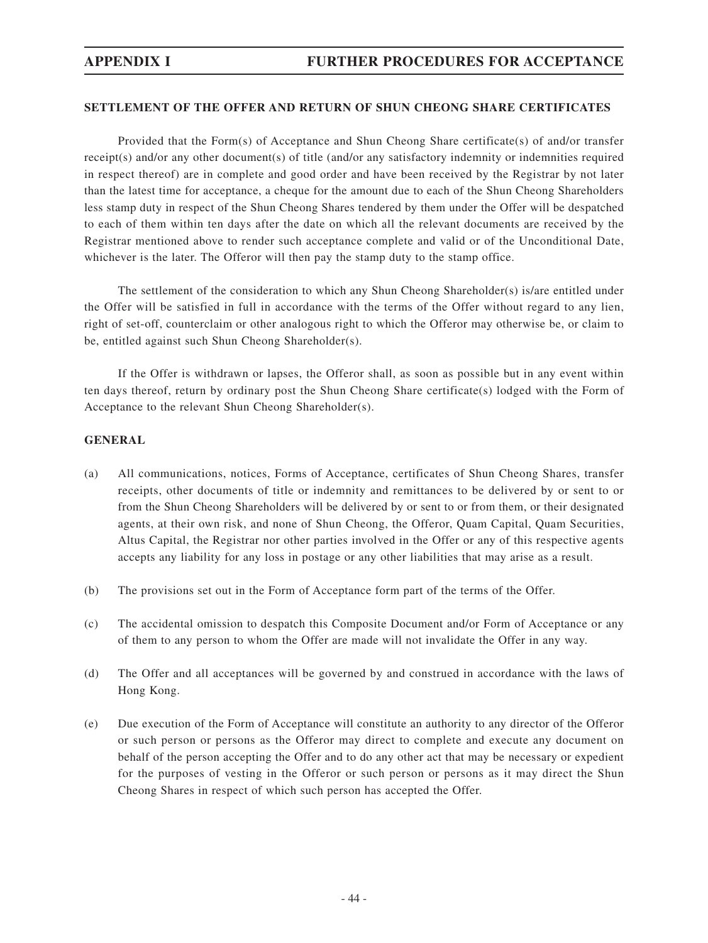### **SETTLEMENT OF THE OFFER AND RETURN OF SHUN CHEONG SHARE CERTIFICATES**

Provided that the Form(s) of Acceptance and Shun Cheong Share certificate(s) of and/or transfer receipt(s) and/or any other document(s) of title (and/or any satisfactory indemnity or indemnities required in respect thereof) are in complete and good order and have been received by the Registrar by not later than the latest time for acceptance, a cheque for the amount due to each of the Shun Cheong Shareholders less stamp duty in respect of the Shun Cheong Shares tendered by them under the Offer will be despatched to each of them within ten days after the date on which all the relevant documents are received by the Registrar mentioned above to render such acceptance complete and valid or of the Unconditional Date, whichever is the later. The Offeror will then pay the stamp duty to the stamp office.

The settlement of the consideration to which any Shun Cheong Shareholder(s) is/are entitled under the Offer will be satisfied in full in accordance with the terms of the Offer without regard to any lien, right of set-off, counterclaim or other analogous right to which the Offeror may otherwise be, or claim to be, entitled against such Shun Cheong Shareholder(s).

If the Offer is withdrawn or lapses, the Offeror shall, as soon as possible but in any event within ten days thereof, return by ordinary post the Shun Cheong Share certificate(s) lodged with the Form of Acceptance to the relevant Shun Cheong Shareholder(s).

### **GENERAL**

- (a) All communications, notices, Forms of Acceptance, certificates of Shun Cheong Shares, transfer receipts, other documents of title or indemnity and remittances to be delivered by or sent to or from the Shun Cheong Shareholders will be delivered by or sent to or from them, or their designated agents, at their own risk, and none of Shun Cheong, the Offeror, Quam Capital, Quam Securities, Altus Capital, the Registrar nor other parties involved in the Offer or any of this respective agents accepts any liability for any loss in postage or any other liabilities that may arise as a result.
- (b) The provisions set out in the Form of Acceptance form part of the terms of the Offer.
- (c) The accidental omission to despatch this Composite Document and/or Form of Acceptance or any of them to any person to whom the Offer are made will not invalidate the Offer in any way.
- (d) The Offer and all acceptances will be governed by and construed in accordance with the laws of Hong Kong.
- (e) Due execution of the Form of Acceptance will constitute an authority to any director of the Offeror or such person or persons as the Offeror may direct to complete and execute any document on behalf of the person accepting the Offer and to do any other act that may be necessary or expedient for the purposes of vesting in the Offeror or such person or persons as it may direct the Shun Cheong Shares in respect of which such person has accepted the Offer.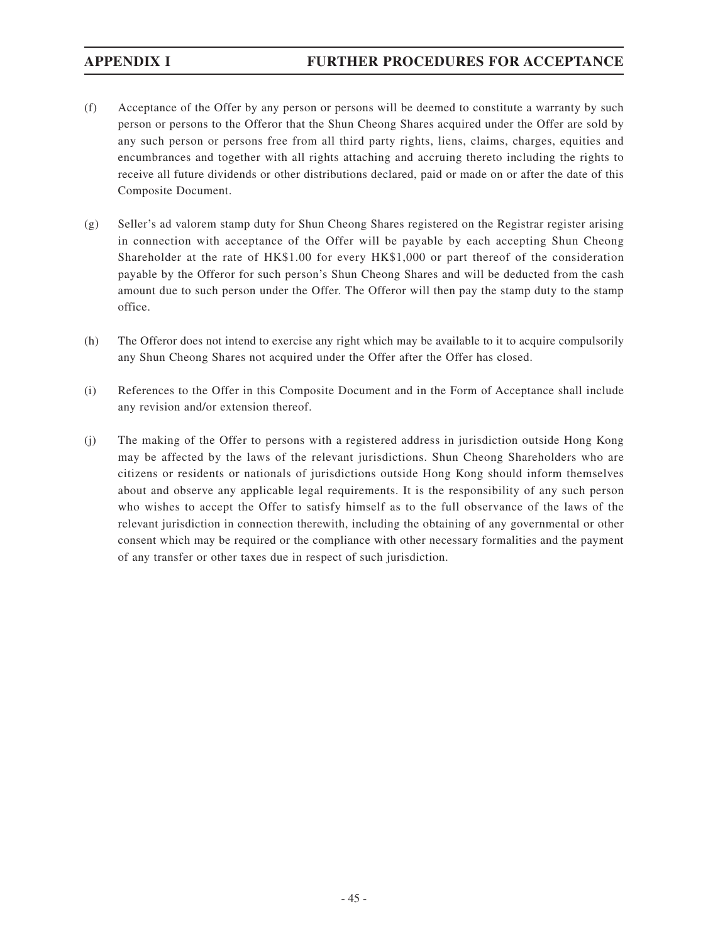- (f) Acceptance of the Offer by any person or persons will be deemed to constitute a warranty by such person or persons to the Offeror that the Shun Cheong Shares acquired under the Offer are sold by any such person or persons free from all third party rights, liens, claims, charges, equities and encumbrances and together with all rights attaching and accruing thereto including the rights to receive all future dividends or other distributions declared, paid or made on or after the date of this Composite Document.
- (g) Seller's ad valorem stamp duty for Shun Cheong Shares registered on the Registrar register arising in connection with acceptance of the Offer will be payable by each accepting Shun Cheong Shareholder at the rate of HK\$1.00 for every HK\$1,000 or part thereof of the consideration payable by the Offeror for such person's Shun Cheong Shares and will be deducted from the cash amount due to such person under the Offer. The Offeror will then pay the stamp duty to the stamp office.
- (h) The Offeror does not intend to exercise any right which may be available to it to acquire compulsorily any Shun Cheong Shares not acquired under the Offer after the Offer has closed.
- (i) References to the Offer in this Composite Document and in the Form of Acceptance shall include any revision and/or extension thereof.
- (j) The making of the Offer to persons with a registered address in jurisdiction outside Hong Kong may be affected by the laws of the relevant jurisdictions. Shun Cheong Shareholders who are citizens or residents or nationals of jurisdictions outside Hong Kong should inform themselves about and observe any applicable legal requirements. It is the responsibility of any such person who wishes to accept the Offer to satisfy himself as to the full observance of the laws of the relevant jurisdiction in connection therewith, including the obtaining of any governmental or other consent which may be required or the compliance with other necessary formalities and the payment of any transfer or other taxes due in respect of such jurisdiction.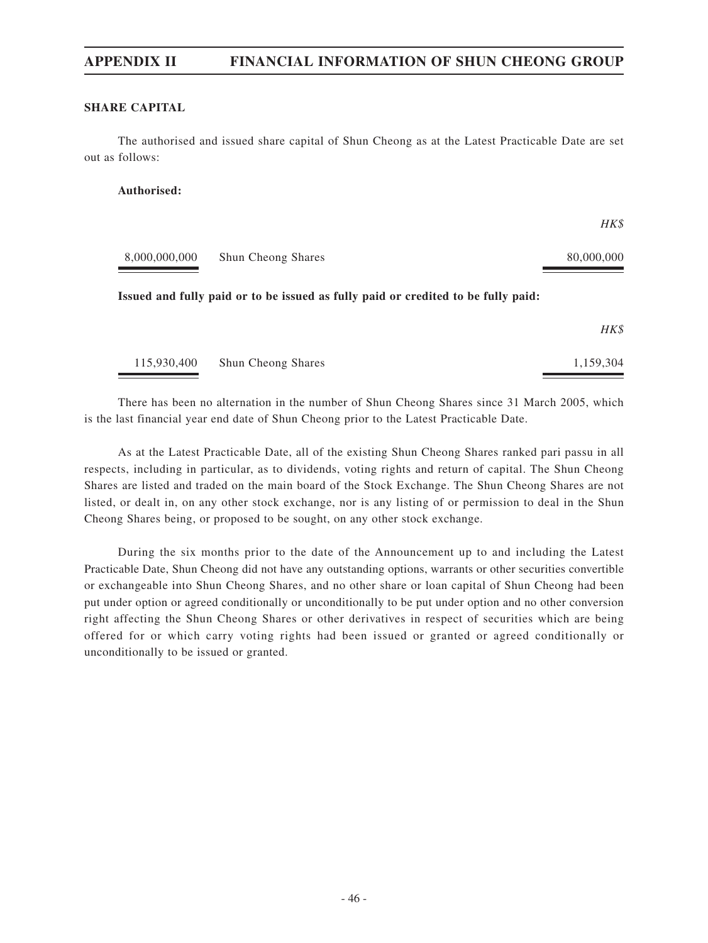### **SHARE CAPITAL**

The authorised and issued share capital of Shun Cheong as at the Latest Practicable Date are set out as follows:

### **Authorised:**

|                                            | HK\$       |
|--------------------------------------------|------------|
| 8,000,000,000<br><b>Shun Cheong Shares</b> | 80,000,000 |

### **Issued and fully paid or to be issued as fully paid or credited to be fully paid:**

|             |                           | HK\$      |
|-------------|---------------------------|-----------|
| 115,930,400 | <b>Shun Cheong Shares</b> | 1,159,304 |

There has been no alternation in the number of Shun Cheong Shares since 31 March 2005, which is the last financial year end date of Shun Cheong prior to the Latest Practicable Date.

As at the Latest Practicable Date, all of the existing Shun Cheong Shares ranked pari passu in all respects, including in particular, as to dividends, voting rights and return of capital. The Shun Cheong Shares are listed and traded on the main board of the Stock Exchange. The Shun Cheong Shares are not listed, or dealt in, on any other stock exchange, nor is any listing of or permission to deal in the Shun Cheong Shares being, or proposed to be sought, on any other stock exchange.

During the six months prior to the date of the Announcement up to and including the Latest Practicable Date, Shun Cheong did not have any outstanding options, warrants or other securities convertible or exchangeable into Shun Cheong Shares, and no other share or loan capital of Shun Cheong had been put under option or agreed conditionally or unconditionally to be put under option and no other conversion right affecting the Shun Cheong Shares or other derivatives in respect of securities which are being offered for or which carry voting rights had been issued or granted or agreed conditionally or unconditionally to be issued or granted.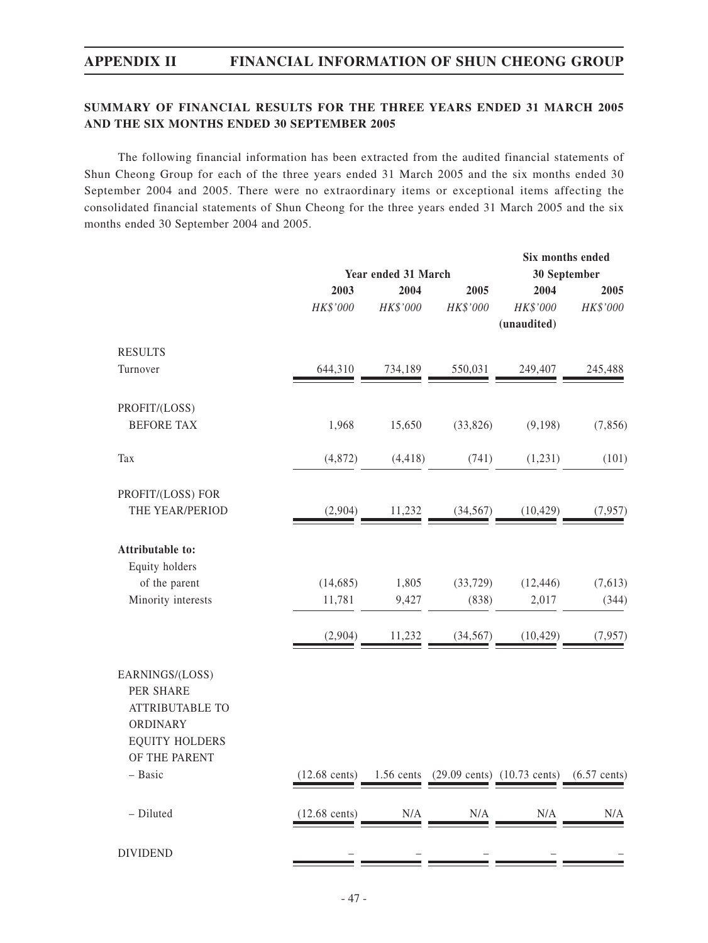## **SUMMARY OF FINANCIAL RESULTS FOR THE THREE YEARS ENDED 31 MARCH 2005 AND THE SIX MONTHS ENDED 30 SEPTEMBER 2005**

The following financial information has been extracted from the audited financial statements of Shun Cheong Group for each of the three years ended 31 March 2005 and the six months ended 30 September 2004 and 2005. There were no extraordinary items or exceptional items affecting the consolidated financial statements of Shun Cheong for the three years ended 31 March 2005 and the six months ended 30 September 2004 and 2005.

|                                                                                                                                |                         | Year ended 31 March |                  |                                                 | Six months ended<br>30 September |  |  |
|--------------------------------------------------------------------------------------------------------------------------------|-------------------------|---------------------|------------------|-------------------------------------------------|----------------------------------|--|--|
|                                                                                                                                | 2003<br>HK\$'000        | 2004<br>HK\$'000    | 2005<br>HK\$'000 | 2004<br>HK\$'000<br>(unaudited)                 | 2005<br>HK\$'000                 |  |  |
| <b>RESULTS</b>                                                                                                                 |                         |                     |                  |                                                 |                                  |  |  |
| Turnover                                                                                                                       | 644,310                 | 734,189             | 550,031          | 249,407                                         | 245,488                          |  |  |
| PROFIT/(LOSS)<br><b>BEFORE TAX</b>                                                                                             | 1,968                   | 15,650              | (33,826)         | (9, 198)                                        | (7, 856)                         |  |  |
| Tax                                                                                                                            | (4, 872)                | (4, 418)            | (741)            | (1,231)                                         | (101)                            |  |  |
| PROFIT/(LOSS) FOR<br>THE YEAR/PERIOD                                                                                           | (2,904)                 | 11,232              | (34, 567)        | (10, 429)                                       | (7, 957)                         |  |  |
| <b>Attributable to:</b><br>Equity holders                                                                                      |                         |                     |                  |                                                 |                                  |  |  |
| of the parent                                                                                                                  | (14, 685)               | 1,805               | (33, 729)        | (12, 446)                                       | (7,613)                          |  |  |
| Minority interests                                                                                                             | 11,781                  | 9,427               | (838)            | 2,017                                           | (344)                            |  |  |
|                                                                                                                                | (2,904)                 | 11,232              | (34, 567)        | (10, 429)                                       | (7, 957)                         |  |  |
| EARNINGS/(LOSS)<br>PER SHARE<br><b>ATTRIBUTABLE TO</b><br><b>ORDINARY</b><br><b>EQUITY HOLDERS</b><br>OF THE PARENT<br>- Basic | $(12.68 \text{ cents})$ | 1.56 cents          |                  | $(29.09 \text{ cents})$ $(10.73 \text{ cents})$ | $(6.57$ cents)                   |  |  |
|                                                                                                                                |                         |                     |                  |                                                 |                                  |  |  |
| - Diluted                                                                                                                      | $(12.68 \text{ cents})$ | N/A                 | N/A              | N/A                                             | N/A                              |  |  |
| <b>DIVIDEND</b>                                                                                                                |                         |                     |                  |                                                 |                                  |  |  |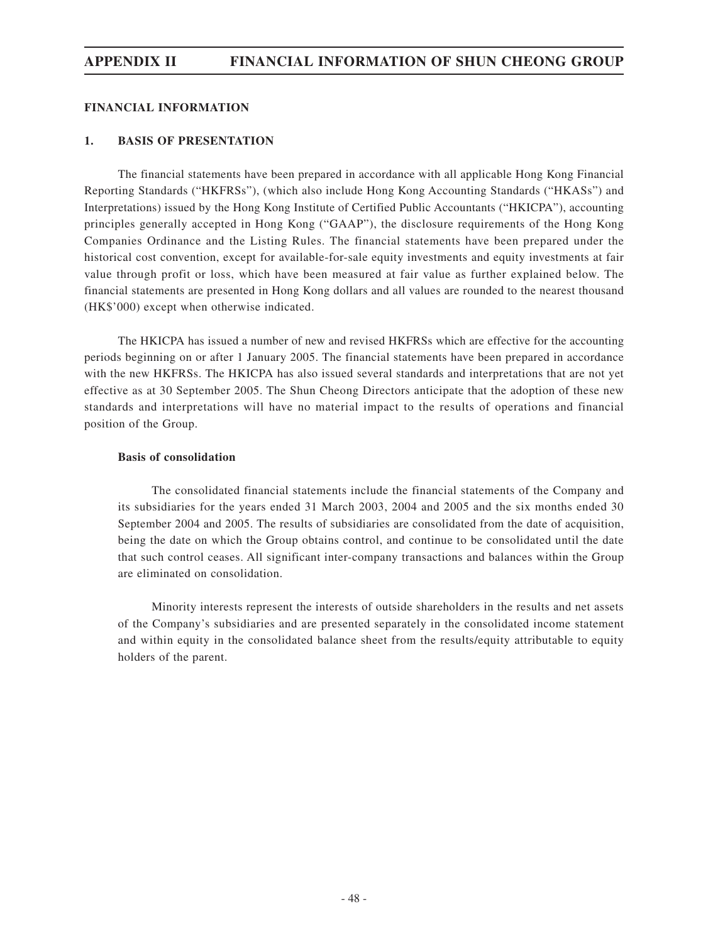### **FINANCIAL INFORMATION**

### **1. BASIS OF PRESENTATION**

The financial statements have been prepared in accordance with all applicable Hong Kong Financial Reporting Standards ("HKFRSs"), (which also include Hong Kong Accounting Standards ("HKASs") and Interpretations) issued by the Hong Kong Institute of Certified Public Accountants ("HKICPA"), accounting principles generally accepted in Hong Kong ("GAAP"), the disclosure requirements of the Hong Kong Companies Ordinance and the Listing Rules. The financial statements have been prepared under the historical cost convention, except for available-for-sale equity investments and equity investments at fair value through profit or loss, which have been measured at fair value as further explained below. The financial statements are presented in Hong Kong dollars and all values are rounded to the nearest thousand (HK\$'000) except when otherwise indicated.

The HKICPA has issued a number of new and revised HKFRSs which are effective for the accounting periods beginning on or after 1 January 2005. The financial statements have been prepared in accordance with the new HKFRSs. The HKICPA has also issued several standards and interpretations that are not yet effective as at 30 September 2005. The Shun Cheong Directors anticipate that the adoption of these new standards and interpretations will have no material impact to the results of operations and financial position of the Group.

### **Basis of consolidation**

The consolidated financial statements include the financial statements of the Company and its subsidiaries for the years ended 31 March 2003, 2004 and 2005 and the six months ended 30 September 2004 and 2005. The results of subsidiaries are consolidated from the date of acquisition, being the date on which the Group obtains control, and continue to be consolidated until the date that such control ceases. All significant inter-company transactions and balances within the Group are eliminated on consolidation.

Minority interests represent the interests of outside shareholders in the results and net assets of the Company's subsidiaries and are presented separately in the consolidated income statement and within equity in the consolidated balance sheet from the results/equity attributable to equity holders of the parent.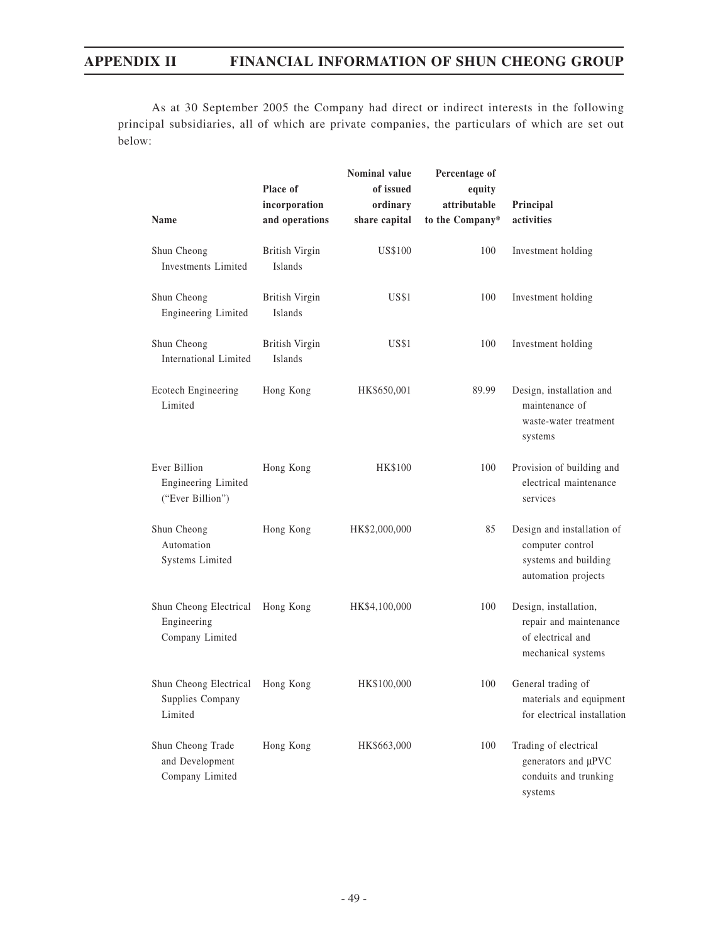As at 30 September 2005 the Company had direct or indirect interests in the following principal subsidiaries, all of which are private companies, the particulars of which are set out below:

| Name                                                               | Place of<br>incorporation<br>and operations | Nominal value<br>of issued<br>ordinary<br>share capital | Percentage of<br>equity<br>attributable<br>to the Company* | Principal<br>activities                                                                       |
|--------------------------------------------------------------------|---------------------------------------------|---------------------------------------------------------|------------------------------------------------------------|-----------------------------------------------------------------------------------------------|
| Shun Cheong<br><b>Investments Limited</b>                          | British Virgin<br>Islands                   | <b>US\$100</b>                                          | 100                                                        | Investment holding                                                                            |
| Shun Cheong<br>Engineering Limited                                 | British Virgin<br>Islands                   | <b>US\$1</b>                                            | 100                                                        | Investment holding                                                                            |
| Shun Cheong<br><b>International Limited</b>                        | British Virgin<br>Islands                   | US\$1                                                   | 100                                                        | Investment holding                                                                            |
| Ecotech Engineering<br>Limited                                     | Hong Kong                                   | HK\$650,001                                             | 89.99                                                      | Design, installation and<br>maintenance of<br>waste-water treatment<br>systems                |
| Ever Billion<br>Engineering Limited<br>("Ever Billion")            | Hong Kong                                   | <b>HK\$100</b>                                          | 100                                                        | Provision of building and<br>electrical maintenance<br>services                               |
| Shun Cheong<br>Automation<br>Systems Limited                       | Hong Kong                                   | HK\$2,000,000                                           | 85                                                         | Design and installation of<br>computer control<br>systems and building<br>automation projects |
| Shun Cheong Electrical Hong Kong<br>Engineering<br>Company Limited |                                             | HK\$4,100,000                                           | 100                                                        | Design, installation,<br>repair and maintenance<br>of electrical and<br>mechanical systems    |
| Shun Cheong Electrical Hong Kong<br>Supplies Company<br>Limited    |                                             | HK\$100,000                                             | 100                                                        | General trading of<br>materials and equipment<br>for electrical installation                  |
| Shun Cheong Trade<br>and Development<br>Company Limited            | Hong Kong                                   | HK\$663,000                                             | 100                                                        | Trading of electrical<br>generators and µPVC<br>conduits and trunking<br>systems              |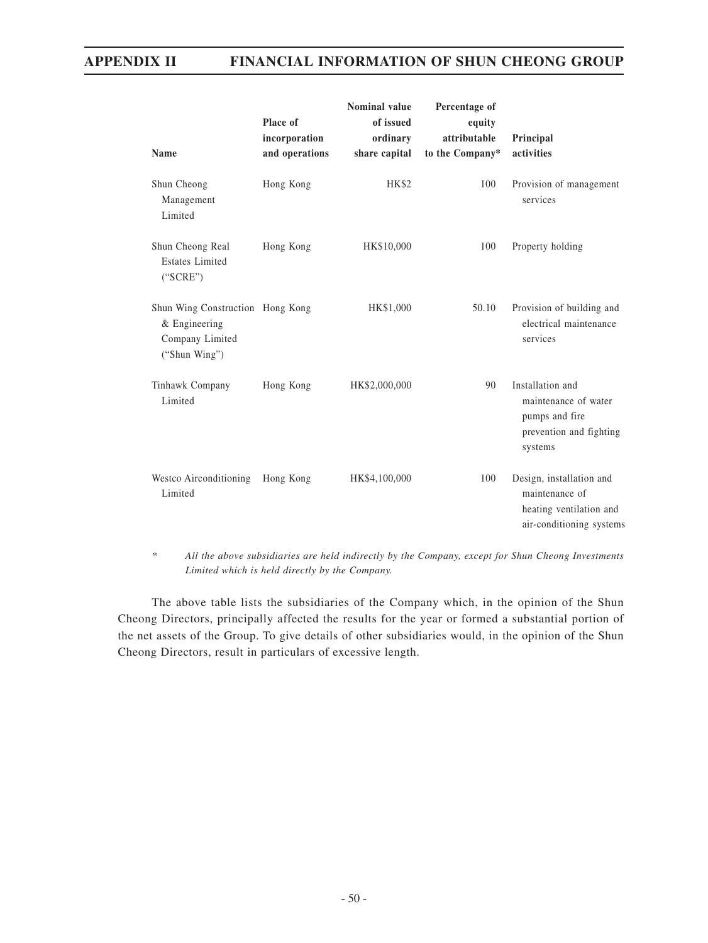| Name                                                                                  | Place of<br>incorporation<br>and operations | Nominal value<br>of issued<br>ordinary<br>share capital | Percentage of<br>equity<br>attributable<br>to the Company* | Principal<br>activities                                                                           |
|---------------------------------------------------------------------------------------|---------------------------------------------|---------------------------------------------------------|------------------------------------------------------------|---------------------------------------------------------------------------------------------------|
| Shun Cheong<br>Management<br>Limited                                                  | Hong Kong                                   | HK\$2                                                   | 100                                                        | Provision of management<br>services                                                               |
| Shun Cheong Real<br><b>Estates Limited</b><br>("SCRE")                                | Hong Kong                                   | HK\$10,000                                              | 100                                                        | Property holding                                                                                  |
| Shun Wing Construction Hong Kong<br>& Engineering<br>Company Limited<br>("Shun Wing") |                                             | HK\$1,000                                               | 50.10                                                      | Provision of building and<br>electrical maintenance<br>services                                   |
| Tinhawk Company<br>Limited                                                            | Hong Kong                                   | HK\$2,000,000                                           | 90                                                         | Installation and<br>maintenance of water<br>pumps and fire<br>prevention and fighting<br>systems  |
| Westco Airconditioning<br>Limited                                                     | Hong Kong                                   | HK\$4,100,000                                           | 100                                                        | Design, installation and<br>maintenance of<br>heating ventilation and<br>air-conditioning systems |

*\* All the above subsidiaries are held indirectly by the Company, except for Shun Cheong Investments Limited which is held directly by the Company.*

The above table lists the subsidiaries of the Company which, in the opinion of the Shun Cheong Directors, principally affected the results for the year or formed a substantial portion of the net assets of the Group. To give details of other subsidiaries would, in the opinion of the Shun Cheong Directors, result in particulars of excessive length.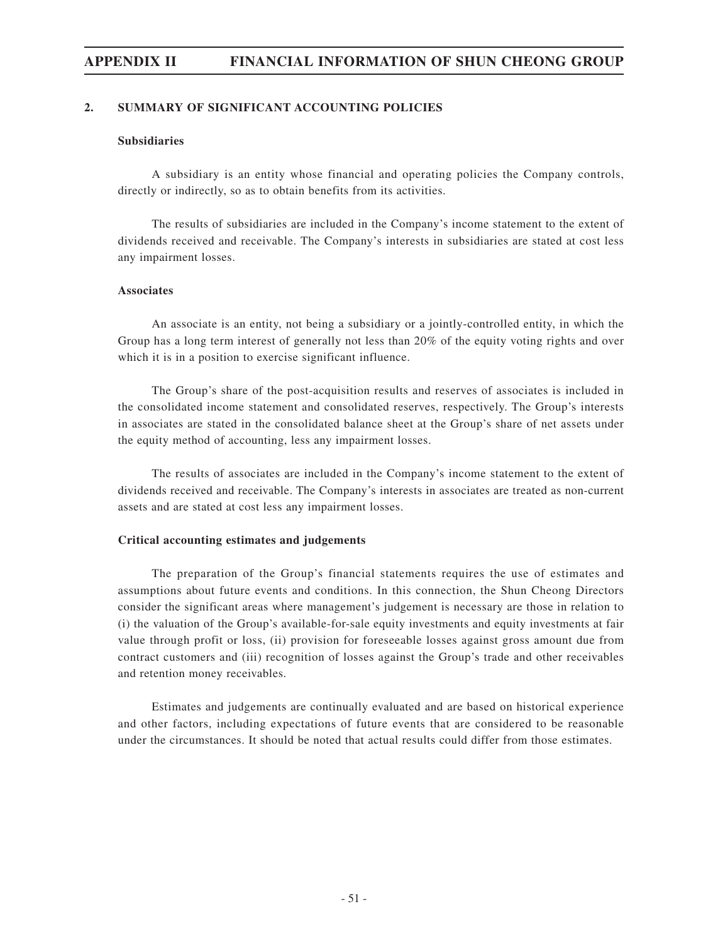### **2. SUMMARY OF SIGNIFICANT ACCOUNTING POLICIES**

### **Subsidiaries**

A subsidiary is an entity whose financial and operating policies the Company controls, directly or indirectly, so as to obtain benefits from its activities.

The results of subsidiaries are included in the Company's income statement to the extent of dividends received and receivable. The Company's interests in subsidiaries are stated at cost less any impairment losses.

### **Associates**

An associate is an entity, not being a subsidiary or a jointly-controlled entity, in which the Group has a long term interest of generally not less than 20% of the equity voting rights and over which it is in a position to exercise significant influence.

The Group's share of the post-acquisition results and reserves of associates is included in the consolidated income statement and consolidated reserves, respectively. The Group's interests in associates are stated in the consolidated balance sheet at the Group's share of net assets under the equity method of accounting, less any impairment losses.

The results of associates are included in the Company's income statement to the extent of dividends received and receivable. The Company's interests in associates are treated as non-current assets and are stated at cost less any impairment losses.

### **Critical accounting estimates and judgements**

The preparation of the Group's financial statements requires the use of estimates and assumptions about future events and conditions. In this connection, the Shun Cheong Directors consider the significant areas where management's judgement is necessary are those in relation to (i) the valuation of the Group's available-for-sale equity investments and equity investments at fair value through profit or loss, (ii) provision for foreseeable losses against gross amount due from contract customers and (iii) recognition of losses against the Group's trade and other receivables and retention money receivables.

Estimates and judgements are continually evaluated and are based on historical experience and other factors, including expectations of future events that are considered to be reasonable under the circumstances. It should be noted that actual results could differ from those estimates.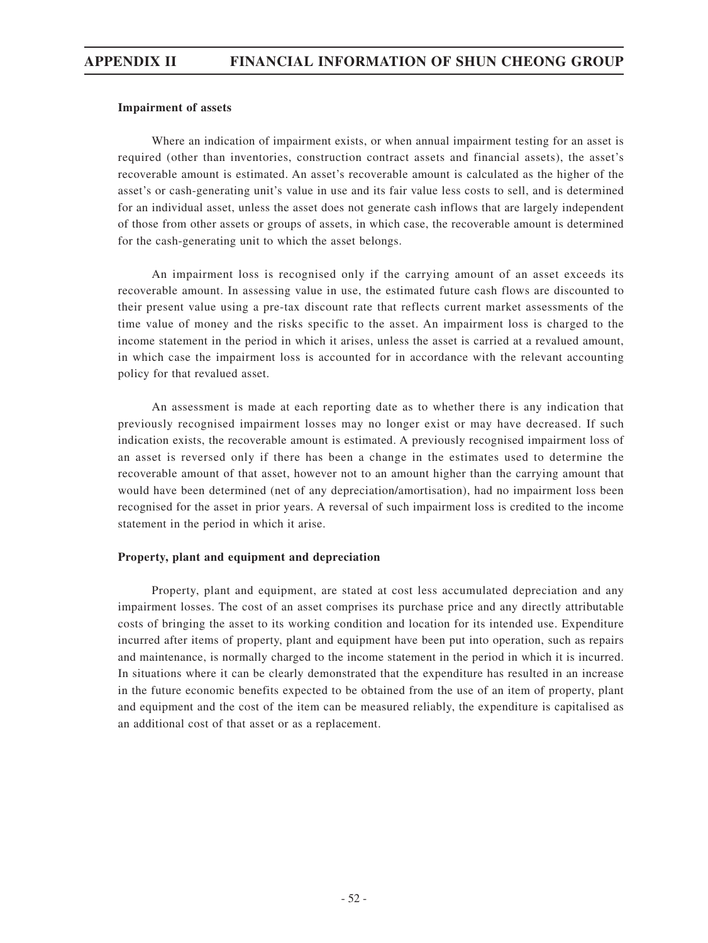### **Impairment of assets**

Where an indication of impairment exists, or when annual impairment testing for an asset is required (other than inventories, construction contract assets and financial assets), the asset's recoverable amount is estimated. An asset's recoverable amount is calculated as the higher of the asset's or cash-generating unit's value in use and its fair value less costs to sell, and is determined for an individual asset, unless the asset does not generate cash inflows that are largely independent of those from other assets or groups of assets, in which case, the recoverable amount is determined for the cash-generating unit to which the asset belongs.

An impairment loss is recognised only if the carrying amount of an asset exceeds its recoverable amount. In assessing value in use, the estimated future cash flows are discounted to their present value using a pre-tax discount rate that reflects current market assessments of the time value of money and the risks specific to the asset. An impairment loss is charged to the income statement in the period in which it arises, unless the asset is carried at a revalued amount, in which case the impairment loss is accounted for in accordance with the relevant accounting policy for that revalued asset.

An assessment is made at each reporting date as to whether there is any indication that previously recognised impairment losses may no longer exist or may have decreased. If such indication exists, the recoverable amount is estimated. A previously recognised impairment loss of an asset is reversed only if there has been a change in the estimates used to determine the recoverable amount of that asset, however not to an amount higher than the carrying amount that would have been determined (net of any depreciation/amortisation), had no impairment loss been recognised for the asset in prior years. A reversal of such impairment loss is credited to the income statement in the period in which it arise.

### **Property, plant and equipment and depreciation**

Property, plant and equipment, are stated at cost less accumulated depreciation and any impairment losses. The cost of an asset comprises its purchase price and any directly attributable costs of bringing the asset to its working condition and location for its intended use. Expenditure incurred after items of property, plant and equipment have been put into operation, such as repairs and maintenance, is normally charged to the income statement in the period in which it is incurred. In situations where it can be clearly demonstrated that the expenditure has resulted in an increase in the future economic benefits expected to be obtained from the use of an item of property, plant and equipment and the cost of the item can be measured reliably, the expenditure is capitalised as an additional cost of that asset or as a replacement.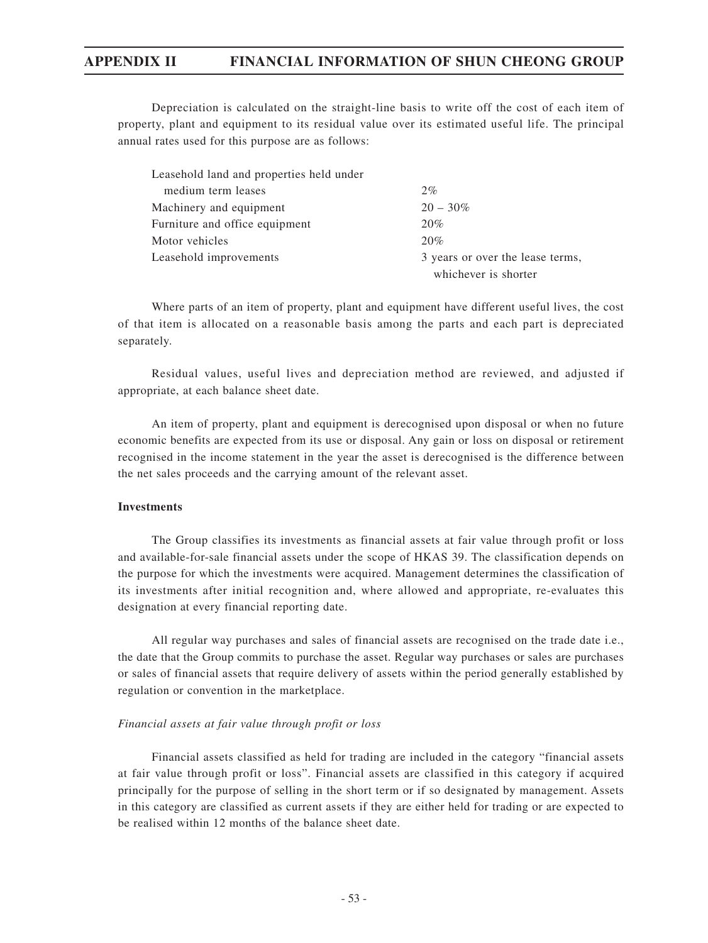Depreciation is calculated on the straight-line basis to write off the cost of each item of property, plant and equipment to its residual value over its estimated useful life. The principal annual rates used for this purpose are as follows:

| Leasehold land and properties held under |                                  |
|------------------------------------------|----------------------------------|
| medium term leases                       | 2%                               |
| Machinery and equipment                  | $20 - 30\%$                      |
| Furniture and office equipment           | 20%                              |
| Motor vehicles                           | 20%                              |
| Leasehold improvements                   | 3 years or over the lease terms, |
|                                          | whichever is shorter             |

Where parts of an item of property, plant and equipment have different useful lives, the cost of that item is allocated on a reasonable basis among the parts and each part is depreciated separately.

Residual values, useful lives and depreciation method are reviewed, and adjusted if appropriate, at each balance sheet date.

An item of property, plant and equipment is derecognised upon disposal or when no future economic benefits are expected from its use or disposal. Any gain or loss on disposal or retirement recognised in the income statement in the year the asset is derecognised is the difference between the net sales proceeds and the carrying amount of the relevant asset.

### **Investments**

The Group classifies its investments as financial assets at fair value through profit or loss and available-for-sale financial assets under the scope of HKAS 39. The classification depends on the purpose for which the investments were acquired. Management determines the classification of its investments after initial recognition and, where allowed and appropriate, re-evaluates this designation at every financial reporting date.

All regular way purchases and sales of financial assets are recognised on the trade date i.e., the date that the Group commits to purchase the asset. Regular way purchases or sales are purchases or sales of financial assets that require delivery of assets within the period generally established by regulation or convention in the marketplace.

### *Financial assets at fair value through profit or loss*

Financial assets classified as held for trading are included in the category "financial assets at fair value through profit or loss". Financial assets are classified in this category if acquired principally for the purpose of selling in the short term or if so designated by management. Assets in this category are classified as current assets if they are either held for trading or are expected to be realised within 12 months of the balance sheet date.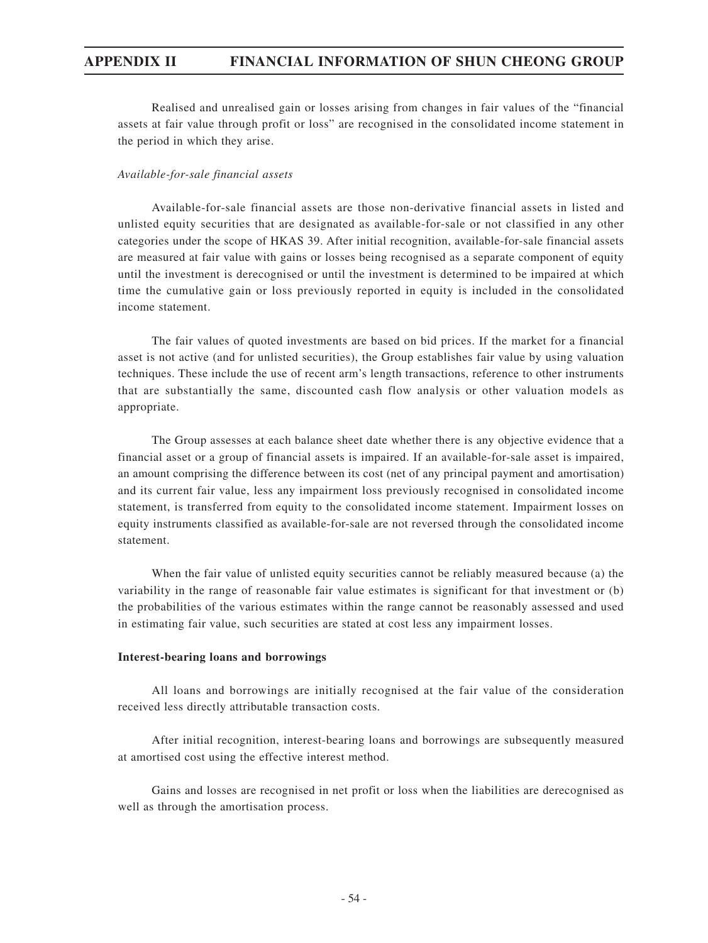Realised and unrealised gain or losses arising from changes in fair values of the "financial assets at fair value through profit or loss" are recognised in the consolidated income statement in the period in which they arise.

### *Available-for-sale financial assets*

Available-for-sale financial assets are those non-derivative financial assets in listed and unlisted equity securities that are designated as available-for-sale or not classified in any other categories under the scope of HKAS 39. After initial recognition, available-for-sale financial assets are measured at fair value with gains or losses being recognised as a separate component of equity until the investment is derecognised or until the investment is determined to be impaired at which time the cumulative gain or loss previously reported in equity is included in the consolidated income statement.

The fair values of quoted investments are based on bid prices. If the market for a financial asset is not active (and for unlisted securities), the Group establishes fair value by using valuation techniques. These include the use of recent arm's length transactions, reference to other instruments that are substantially the same, discounted cash flow analysis or other valuation models as appropriate.

The Group assesses at each balance sheet date whether there is any objective evidence that a financial asset or a group of financial assets is impaired. If an available-for-sale asset is impaired, an amount comprising the difference between its cost (net of any principal payment and amortisation) and its current fair value, less any impairment loss previously recognised in consolidated income statement, is transferred from equity to the consolidated income statement. Impairment losses on equity instruments classified as available-for-sale are not reversed through the consolidated income statement.

When the fair value of unlisted equity securities cannot be reliably measured because (a) the variability in the range of reasonable fair value estimates is significant for that investment or (b) the probabilities of the various estimates within the range cannot be reasonably assessed and used in estimating fair value, such securities are stated at cost less any impairment losses.

### **Interest-bearing loans and borrowings**

All loans and borrowings are initially recognised at the fair value of the consideration received less directly attributable transaction costs.

After initial recognition, interest-bearing loans and borrowings are subsequently measured at amortised cost using the effective interest method.

Gains and losses are recognised in net profit or loss when the liabilities are derecognised as well as through the amortisation process.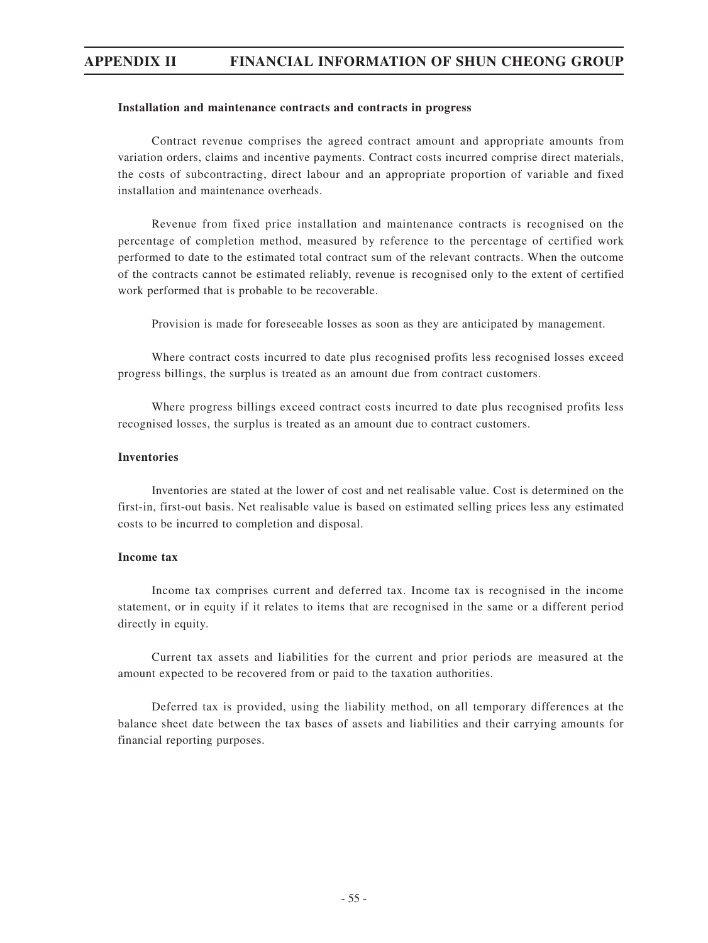### **Installation and maintenance contracts and contracts in progress**

Contract revenue comprises the agreed contract amount and appropriate amounts from variation orders, claims and incentive payments. Contract costs incurred comprise direct materials, the costs of subcontracting, direct labour and an appropriate proportion of variable and fixed installation and maintenance overheads.

Revenue from fixed price installation and maintenance contracts is recognised on the percentage of completion method, measured by reference to the percentage of certified work performed to date to the estimated total contract sum of the relevant contracts. When the outcome of the contracts cannot be estimated reliably, revenue is recognised only to the extent of certified work performed that is probable to be recoverable.

Provision is made for foreseeable losses as soon as they are anticipated by management.

Where contract costs incurred to date plus recognised profits less recognised losses exceed progress billings, the surplus is treated as an amount due from contract customers.

Where progress billings exceed contract costs incurred to date plus recognised profits less recognised losses, the surplus is treated as an amount due to contract customers.

### **Inventories**

Inventories are stated at the lower of cost and net realisable value. Cost is determined on the first-in, first-out basis. Net realisable value is based on estimated selling prices less any estimated costs to be incurred to completion and disposal.

### **Income tax**

Income tax comprises current and deferred tax. Income tax is recognised in the income statement, or in equity if it relates to items that are recognised in the same or a different period directly in equity.

Current tax assets and liabilities for the current and prior periods are measured at the amount expected to be recovered from or paid to the taxation authorities.

Deferred tax is provided, using the liability method, on all temporary differences at the balance sheet date between the tax bases of assets and liabilities and their carrying amounts for financial reporting purposes.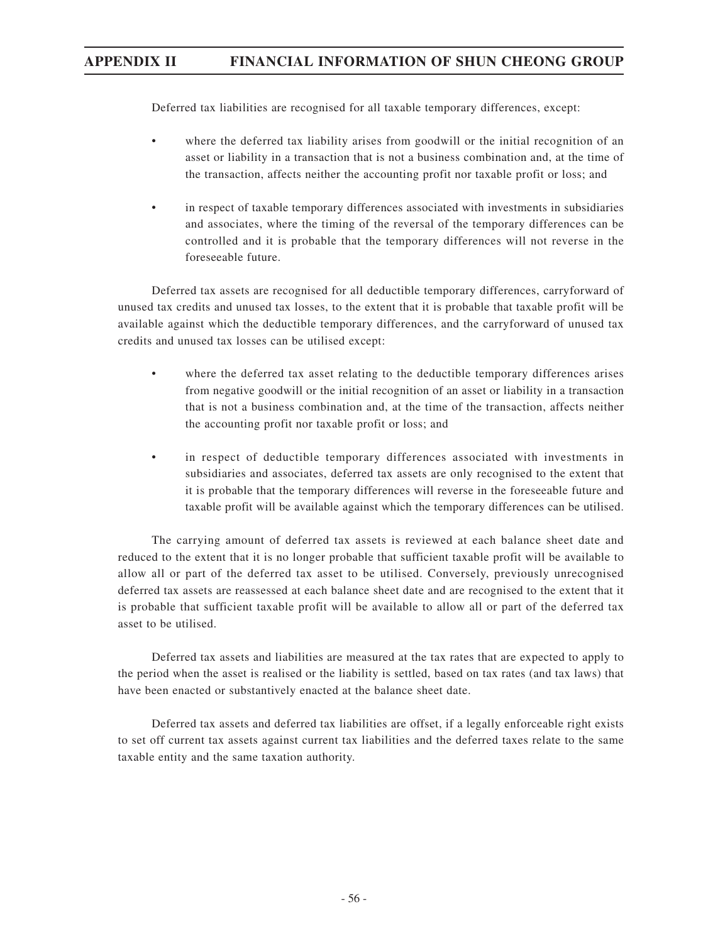Deferred tax liabilities are recognised for all taxable temporary differences, except:

- where the deferred tax liability arises from goodwill or the initial recognition of an asset or liability in a transaction that is not a business combination and, at the time of the transaction, affects neither the accounting profit nor taxable profit or loss; and
- in respect of taxable temporary differences associated with investments in subsidiaries and associates, where the timing of the reversal of the temporary differences can be controlled and it is probable that the temporary differences will not reverse in the foreseeable future.

Deferred tax assets are recognised for all deductible temporary differences, carryforward of unused tax credits and unused tax losses, to the extent that it is probable that taxable profit will be available against which the deductible temporary differences, and the carryforward of unused tax credits and unused tax losses can be utilised except:

- where the deferred tax asset relating to the deductible temporary differences arises from negative goodwill or the initial recognition of an asset or liability in a transaction that is not a business combination and, at the time of the transaction, affects neither the accounting profit nor taxable profit or loss; and
- in respect of deductible temporary differences associated with investments in subsidiaries and associates, deferred tax assets are only recognised to the extent that it is probable that the temporary differences will reverse in the foreseeable future and taxable profit will be available against which the temporary differences can be utilised.

The carrying amount of deferred tax assets is reviewed at each balance sheet date and reduced to the extent that it is no longer probable that sufficient taxable profit will be available to allow all or part of the deferred tax asset to be utilised. Conversely, previously unrecognised deferred tax assets are reassessed at each balance sheet date and are recognised to the extent that it is probable that sufficient taxable profit will be available to allow all or part of the deferred tax asset to be utilised.

Deferred tax assets and liabilities are measured at the tax rates that are expected to apply to the period when the asset is realised or the liability is settled, based on tax rates (and tax laws) that have been enacted or substantively enacted at the balance sheet date.

Deferred tax assets and deferred tax liabilities are offset, if a legally enforceable right exists to set off current tax assets against current tax liabilities and the deferred taxes relate to the same taxable entity and the same taxation authority.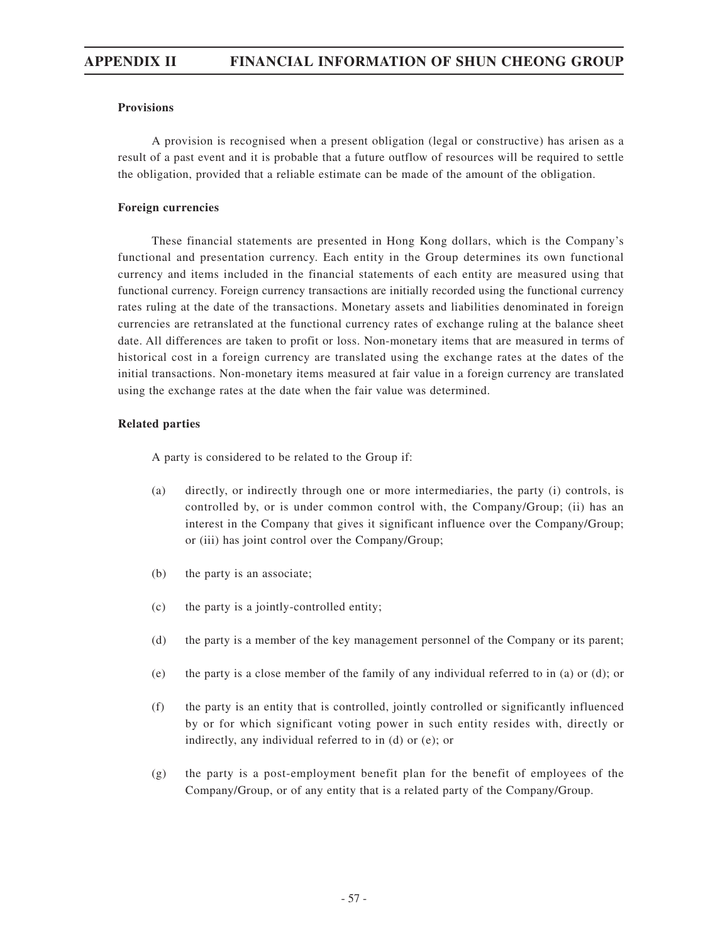### **Provisions**

A provision is recognised when a present obligation (legal or constructive) has arisen as a result of a past event and it is probable that a future outflow of resources will be required to settle the obligation, provided that a reliable estimate can be made of the amount of the obligation.

### **Foreign currencies**

These financial statements are presented in Hong Kong dollars, which is the Company's functional and presentation currency. Each entity in the Group determines its own functional currency and items included in the financial statements of each entity are measured using that functional currency. Foreign currency transactions are initially recorded using the functional currency rates ruling at the date of the transactions. Monetary assets and liabilities denominated in foreign currencies are retranslated at the functional currency rates of exchange ruling at the balance sheet date. All differences are taken to profit or loss. Non-monetary items that are measured in terms of historical cost in a foreign currency are translated using the exchange rates at the dates of the initial transactions. Non-monetary items measured at fair value in a foreign currency are translated using the exchange rates at the date when the fair value was determined.

### **Related parties**

A party is considered to be related to the Group if:

- (a) directly, or indirectly through one or more intermediaries, the party (i) controls, is controlled by, or is under common control with, the Company/Group; (ii) has an interest in the Company that gives it significant influence over the Company/Group; or (iii) has joint control over the Company/Group;
- (b) the party is an associate;
- (c) the party is a jointly-controlled entity;
- (d) the party is a member of the key management personnel of the Company or its parent;
- (e) the party is a close member of the family of any individual referred to in (a) or (d); or
- (f) the party is an entity that is controlled, jointly controlled or significantly influenced by or for which significant voting power in such entity resides with, directly or indirectly, any individual referred to in (d) or (e); or
- (g) the party is a post-employment benefit plan for the benefit of employees of the Company/Group, or of any entity that is a related party of the Company/Group.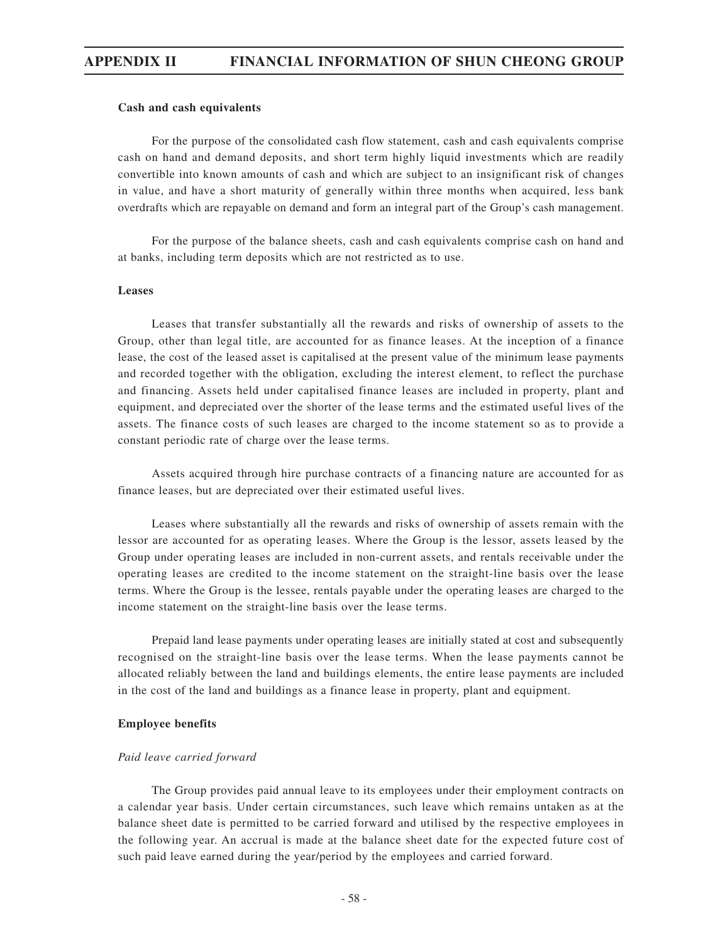### **Cash and cash equivalents**

For the purpose of the consolidated cash flow statement, cash and cash equivalents comprise cash on hand and demand deposits, and short term highly liquid investments which are readily convertible into known amounts of cash and which are subject to an insignificant risk of changes in value, and have a short maturity of generally within three months when acquired, less bank overdrafts which are repayable on demand and form an integral part of the Group's cash management.

For the purpose of the balance sheets, cash and cash equivalents comprise cash on hand and at banks, including term deposits which are not restricted as to use.

### **Leases**

Leases that transfer substantially all the rewards and risks of ownership of assets to the Group, other than legal title, are accounted for as finance leases. At the inception of a finance lease, the cost of the leased asset is capitalised at the present value of the minimum lease payments and recorded together with the obligation, excluding the interest element, to reflect the purchase and financing. Assets held under capitalised finance leases are included in property, plant and equipment, and depreciated over the shorter of the lease terms and the estimated useful lives of the assets. The finance costs of such leases are charged to the income statement so as to provide a constant periodic rate of charge over the lease terms.

Assets acquired through hire purchase contracts of a financing nature are accounted for as finance leases, but are depreciated over their estimated useful lives.

Leases where substantially all the rewards and risks of ownership of assets remain with the lessor are accounted for as operating leases. Where the Group is the lessor, assets leased by the Group under operating leases are included in non-current assets, and rentals receivable under the operating leases are credited to the income statement on the straight-line basis over the lease terms. Where the Group is the lessee, rentals payable under the operating leases are charged to the income statement on the straight-line basis over the lease terms.

Prepaid land lease payments under operating leases are initially stated at cost and subsequently recognised on the straight-line basis over the lease terms. When the lease payments cannot be allocated reliably between the land and buildings elements, the entire lease payments are included in the cost of the land and buildings as a finance lease in property, plant and equipment.

### **Employee benefits**

### *Paid leave carried forward*

The Group provides paid annual leave to its employees under their employment contracts on a calendar year basis. Under certain circumstances, such leave which remains untaken as at the balance sheet date is permitted to be carried forward and utilised by the respective employees in the following year. An accrual is made at the balance sheet date for the expected future cost of such paid leave earned during the year/period by the employees and carried forward.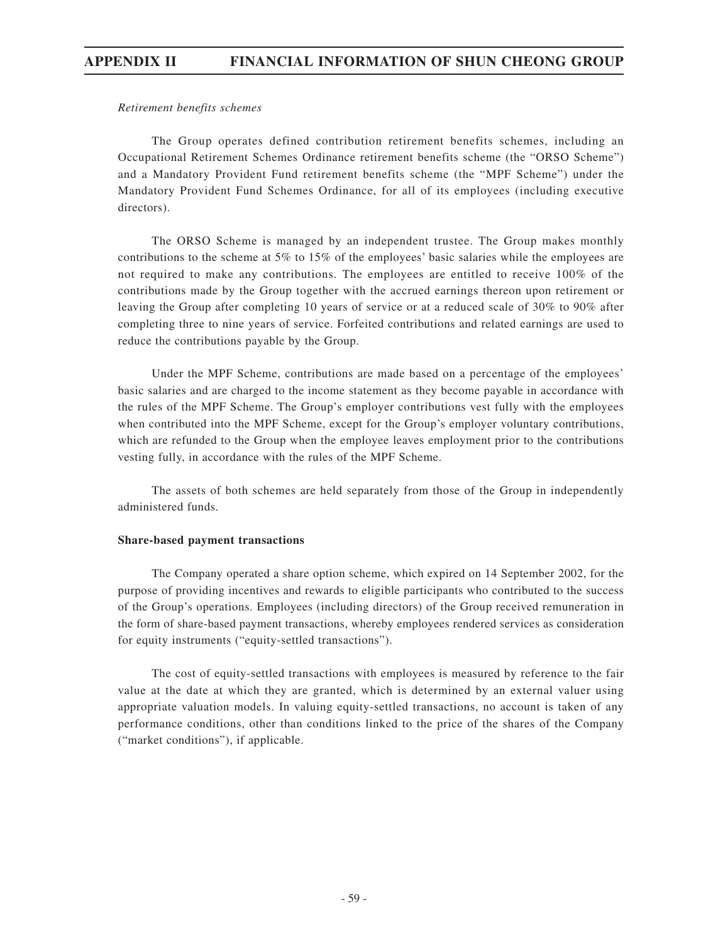### *Retirement benefits schemes*

The Group operates defined contribution retirement benefits schemes, including an Occupational Retirement Schemes Ordinance retirement benefits scheme (the "ORSO Scheme") and a Mandatory Provident Fund retirement benefits scheme (the "MPF Scheme") under the Mandatory Provident Fund Schemes Ordinance, for all of its employees (including executive directors).

The ORSO Scheme is managed by an independent trustee. The Group makes monthly contributions to the scheme at 5% to 15% of the employees' basic salaries while the employees are not required to make any contributions. The employees are entitled to receive 100% of the contributions made by the Group together with the accrued earnings thereon upon retirement or leaving the Group after completing 10 years of service or at a reduced scale of 30% to 90% after completing three to nine years of service. Forfeited contributions and related earnings are used to reduce the contributions payable by the Group.

Under the MPF Scheme, contributions are made based on a percentage of the employees' basic salaries and are charged to the income statement as they become payable in accordance with the rules of the MPF Scheme. The Group's employer contributions vest fully with the employees when contributed into the MPF Scheme, except for the Group's employer voluntary contributions, which are refunded to the Group when the employee leaves employment prior to the contributions vesting fully, in accordance with the rules of the MPF Scheme.

The assets of both schemes are held separately from those of the Group in independently administered funds.

### **Share-based payment transactions**

The Company operated a share option scheme, which expired on 14 September 2002, for the purpose of providing incentives and rewards to eligible participants who contributed to the success of the Group's operations. Employees (including directors) of the Group received remuneration in the form of share-based payment transactions, whereby employees rendered services as consideration for equity instruments ("equity-settled transactions").

The cost of equity-settled transactions with employees is measured by reference to the fair value at the date at which they are granted, which is determined by an external valuer using appropriate valuation models. In valuing equity-settled transactions, no account is taken of any performance conditions, other than conditions linked to the price of the shares of the Company ("market conditions"), if applicable.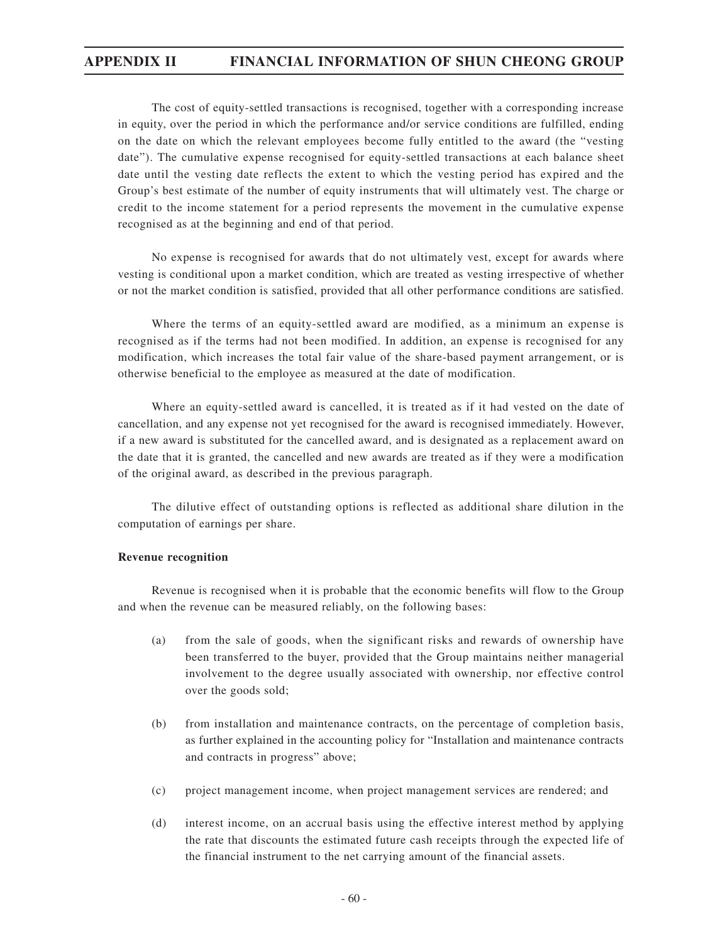The cost of equity-settled transactions is recognised, together with a corresponding increase in equity, over the period in which the performance and/or service conditions are fulfilled, ending on the date on which the relevant employees become fully entitled to the award (the "vesting date"). The cumulative expense recognised for equity-settled transactions at each balance sheet date until the vesting date reflects the extent to which the vesting period has expired and the Group's best estimate of the number of equity instruments that will ultimately vest. The charge or credit to the income statement for a period represents the movement in the cumulative expense recognised as at the beginning and end of that period.

No expense is recognised for awards that do not ultimately vest, except for awards where vesting is conditional upon a market condition, which are treated as vesting irrespective of whether or not the market condition is satisfied, provided that all other performance conditions are satisfied.

Where the terms of an equity-settled award are modified, as a minimum an expense is recognised as if the terms had not been modified. In addition, an expense is recognised for any modification, which increases the total fair value of the share-based payment arrangement, or is otherwise beneficial to the employee as measured at the date of modification.

Where an equity-settled award is cancelled, it is treated as if it had vested on the date of cancellation, and any expense not yet recognised for the award is recognised immediately. However, if a new award is substituted for the cancelled award, and is designated as a replacement award on the date that it is granted, the cancelled and new awards are treated as if they were a modification of the original award, as described in the previous paragraph.

The dilutive effect of outstanding options is reflected as additional share dilution in the computation of earnings per share.

### **Revenue recognition**

Revenue is recognised when it is probable that the economic benefits will flow to the Group and when the revenue can be measured reliably, on the following bases:

- (a) from the sale of goods, when the significant risks and rewards of ownership have been transferred to the buyer, provided that the Group maintains neither managerial involvement to the degree usually associated with ownership, nor effective control over the goods sold;
- (b) from installation and maintenance contracts, on the percentage of completion basis, as further explained in the accounting policy for "Installation and maintenance contracts and contracts in progress" above;
- (c) project management income, when project management services are rendered; and
- (d) interest income, on an accrual basis using the effective interest method by applying the rate that discounts the estimated future cash receipts through the expected life of the financial instrument to the net carrying amount of the financial assets.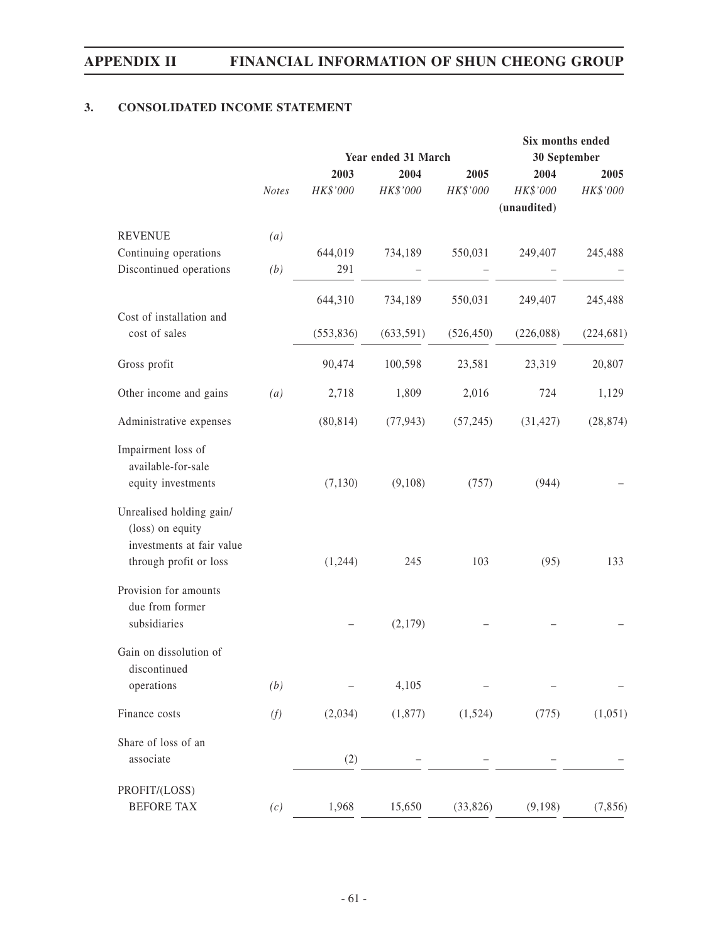### **3. CONSOLIDATED INCOME STATEMENT**

|                                                                                                     |                  |                     | Six months ended |            |                         |            |
|-----------------------------------------------------------------------------------------------------|------------------|---------------------|------------------|------------|-------------------------|------------|
|                                                                                                     |                  | Year ended 31 March |                  |            | 30 September            |            |
|                                                                                                     |                  | 2003                | 2004             | 2005       | 2004                    | 2005       |
|                                                                                                     | <b>Notes</b>     | HK\$'000            | HK\$'000         | HK\$'000   | HK\$'000<br>(unaudited) | HK\$'000   |
| <b>REVENUE</b>                                                                                      | (a)              |                     |                  |            |                         |            |
| Continuing operations                                                                               |                  | 644,019             | 734,189          | 550,031    | 249,407                 | 245,488    |
| Discontinued operations                                                                             | (b)              | 291                 |                  |            |                         |            |
|                                                                                                     |                  | 644,310             | 734,189          | 550,031    | 249,407                 | 245,488    |
| Cost of installation and<br>cost of sales                                                           |                  | (553, 836)          | (633, 591)       | (526, 450) | (226,088)               | (224, 681) |
| Gross profit                                                                                        |                  | 90,474              | 100,598          | 23,581     | 23,319                  | 20,807     |
| Other income and gains                                                                              | $\left(a\right)$ | 2,718               | 1,809            | 2,016      | 724                     | 1,129      |
| Administrative expenses                                                                             |                  | (80, 814)           | (77, 943)        | (57, 245)  | (31, 427)               | (28, 874)  |
| Impairment loss of<br>available-for-sale<br>equity investments                                      |                  | (7,130)             | (9,108)          | (757)      | (944)                   |            |
| Unrealised holding gain/<br>(loss) on equity<br>investments at fair value<br>through profit or loss |                  | (1,244)             | 245              | 103        | (95)                    | 133        |
| Provision for amounts<br>due from former<br>subsidiaries                                            |                  |                     | (2,179)          |            |                         |            |
| Gain on dissolution of<br>discontinued                                                              |                  |                     |                  |            |                         |            |
| operations                                                                                          | (b)              |                     | 4,105            |            |                         |            |
| Finance costs                                                                                       | (f)              | (2,034)             | (1,877)          | (1,524)    | (775)                   | (1,051)    |
| Share of loss of an<br>associate                                                                    |                  | (2)                 |                  |            |                         |            |
| PROFIT/(LOSS)                                                                                       |                  |                     |                  |            |                         |            |
| <b>BEFORE TAX</b>                                                                                   | (c)              | 1,968               | 15,650           | (33,826)   | (9,198)                 | (7, 856)   |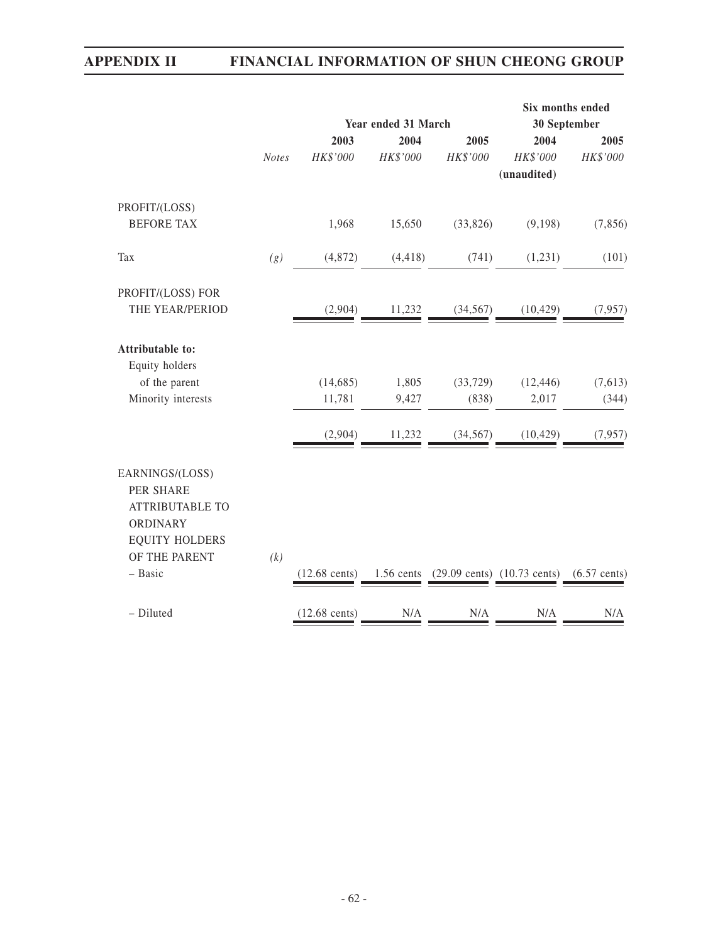|                                                                                                                         |              |                         |                     |           |                             | Six months ended |
|-------------------------------------------------------------------------------------------------------------------------|--------------|-------------------------|---------------------|-----------|-----------------------------|------------------|
|                                                                                                                         |              |                         | Year ended 31 March |           |                             | 30 September     |
|                                                                                                                         |              | 2003                    | 2004                | 2005      | 2004                        | 2005             |
|                                                                                                                         | <b>Notes</b> | HK\$'000                | HK\$'000            | HK\$'000  | HK\$'000                    | HK\$'000         |
|                                                                                                                         |              |                         |                     |           | (unaudited)                 |                  |
| PROFIT/(LOSS)                                                                                                           |              |                         |                     |           |                             |                  |
| <b>BEFORE TAX</b>                                                                                                       |              | 1,968                   | 15,650              | (33,826)  | (9,198)                     | (7, 856)         |
| Tax                                                                                                                     | (g)          | (4,872)                 | (4, 418)            | (741)     | (1,231)                     | (101)            |
| PROFIT/(LOSS) FOR                                                                                                       |              |                         |                     |           |                             |                  |
| THE YEAR/PERIOD                                                                                                         |              | (2,904)                 | 11,232              | (34, 567) | (10, 429)                   | (7, 957)         |
| Attributable to:<br>Equity holders                                                                                      |              |                         |                     |           |                             |                  |
| of the parent                                                                                                           |              | (14, 685)               | 1,805               | (33, 729) | (12, 446)                   | (7,613)          |
| Minority interests                                                                                                      |              | 11,781                  | 9,427               | (838)     | 2,017                       | (344)            |
|                                                                                                                         |              | (2,904)                 | 11,232              | (34, 567) | (10, 429)                   | (7, 957)         |
| EARNINGS/(LOSS)<br>PER SHARE<br><b>ATTRIBUTABLE TO</b><br>ORDINARY<br><b>EQUITY HOLDERS</b><br>OF THE PARENT<br>- Basic | (k)          | $(12.68 \text{ cents})$ | 1.56 cents          |           | (29.09 cents) (10.73 cents) | $(6.57$ cents)   |
|                                                                                                                         |              |                         |                     |           |                             |                  |
| - Diluted                                                                                                               |              | $(12.68 \text{ cents})$ | N/A                 | N/A       | N/A                         | N/A              |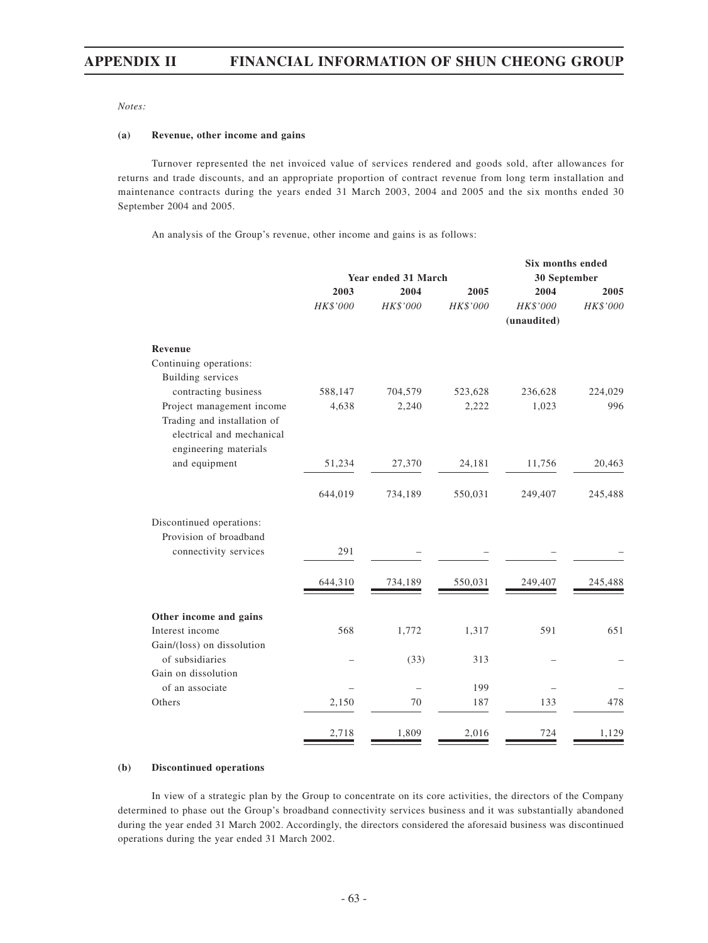### *Notes:*

### **(a) Revenue, other income and gains**

Turnover represented the net invoiced value of services rendered and goods sold, after allowances for returns and trade discounts, and an appropriate proportion of contract revenue from long term installation and maintenance contracts during the years ended 31 March 2003, 2004 and 2005 and the six months ended 30 September 2004 and 2005.

An analysis of the Group's revenue, other income and gains is as follows:

|          |          |          | Six months ended    |                  |  |
|----------|----------|----------|---------------------|------------------|--|
|          |          |          | 30 September        |                  |  |
| 2003     | 2004     | 2005     | 2004                | 2005             |  |
| HK\$'000 | HK\$'000 | HK\$'000 | HK\$'000            | HK\$'000         |  |
|          |          |          | (unaudited)         |                  |  |
|          |          |          |                     |                  |  |
|          |          |          |                     |                  |  |
|          |          |          |                     |                  |  |
| 588,147  | 704,579  | 523,628  |                     | 224,029          |  |
| 4,638    | 2,240    | 2,222    |                     | 996              |  |
|          |          |          |                     |                  |  |
| 51,234   | 27,370   | 24,181   | 11,756              | 20,463           |  |
|          |          |          |                     |                  |  |
| 644,019  | 734,189  | 550,031  | 249,407             | 245,488          |  |
|          |          |          |                     |                  |  |
|          |          |          |                     |                  |  |
| 291      |          |          |                     |                  |  |
| 644,310  | 734,189  | 550,031  | 249,407             | 245,488          |  |
|          |          |          |                     |                  |  |
|          |          |          |                     |                  |  |
| 568      | 1,772    | 1,317    | 591                 | 651              |  |
|          |          |          |                     |                  |  |
|          | (33)     | 313      |                     |                  |  |
|          |          |          |                     |                  |  |
|          |          | 199      |                     |                  |  |
| 2,150    | 70       | 187      | 133                 | 478              |  |
| 2,718    | 1,809    | 2,016    | 724                 | 1,129            |  |
|          |          |          | Year ended 31 March | 236,628<br>1,023 |  |

### **(b) Discontinued operations**

In view of a strategic plan by the Group to concentrate on its core activities, the directors of the Company determined to phase out the Group's broadband connectivity services business and it was substantially abandoned during the year ended 31 March 2002. Accordingly, the directors considered the aforesaid business was discontinued operations during the year ended 31 March 2002.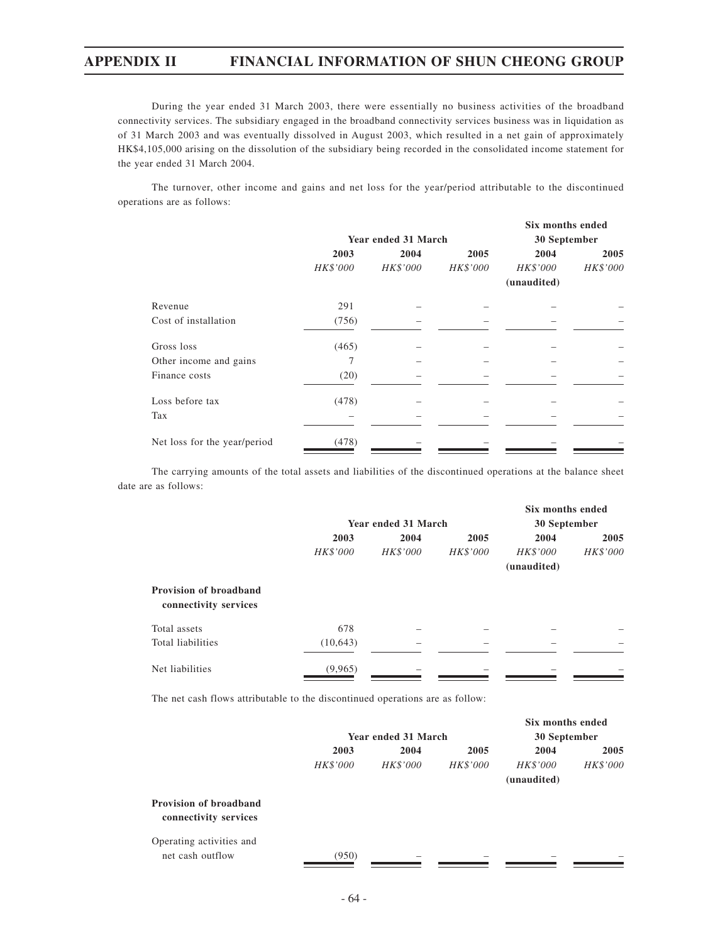During the year ended 31 March 2003, there were essentially no business activities of the broadband connectivity services. The subsidiary engaged in the broadband connectivity services business was in liquidation as of 31 March 2003 and was eventually dissolved in August 2003, which resulted in a net gain of approximately HK\$4,105,000 arising on the dissolution of the subsidiary being recorded in the consolidated income statement for the year ended 31 March 2004.

The turnover, other income and gains and net loss for the year/period attributable to the discontinued operations are as follows:

|                              |          |                     |          | Six months ended |          |  |
|------------------------------|----------|---------------------|----------|------------------|----------|--|
|                              |          | Year ended 31 March |          | 30 September     |          |  |
|                              | 2003     | 2004                | 2005     | 2004             | 2005     |  |
|                              | HK\$'000 | HK\$'000            | HK\$'000 | HK\$'000         | HK\$'000 |  |
|                              |          |                     |          | (unaudited)      |          |  |
| Revenue                      | 291      |                     |          |                  |          |  |
| Cost of installation         | (756)    |                     |          |                  |          |  |
| Gross loss                   | (465)    |                     |          |                  |          |  |
| Other income and gains       | 7        |                     |          |                  |          |  |
| Finance costs                | (20)     |                     |          |                  |          |  |
| Loss before tax              | (478)    |                     |          |                  |          |  |
| Tax                          |          |                     |          |                  |          |  |
| Net loss for the year/period | (478)    |                     |          |                  |          |  |
|                              |          |                     |          |                  |          |  |

The carrying amounts of the total assets and liabilities of the discontinued operations at the balance sheet date are as follows:

|                                                        |          |                     |              | Six months ended |          |
|--------------------------------------------------------|----------|---------------------|--------------|------------------|----------|
|                                                        |          | Year ended 31 March | 30 September |                  |          |
|                                                        | 2003     | 2004                | 2005         | 2004             | 2005     |
|                                                        | HK\$'000 | HK\$'000            | HK\$'000     | HK\$'000         | HK\$'000 |
|                                                        |          |                     |              | (unaudited)      |          |
| <b>Provision of broadband</b><br>connectivity services |          |                     |              |                  |          |
| Total assets                                           | 678      |                     |              |                  |          |
| Total liabilities                                      | (10,643) |                     |              |                  |          |
| Net liabilities                                        | (9,965)  |                     |              |                  |          |

The net cash flows attributable to the discontinued operations are as follow:

|                                                        |                 | Year ended 31 March      |          | Six months ended<br>30 September |          |
|--------------------------------------------------------|-----------------|--------------------------|----------|----------------------------------|----------|
|                                                        |                 |                          |          |                                  |          |
|                                                        | 2003            | 2004                     | 2005     | 2004                             | 2005     |
|                                                        | <i>HK\$'000</i> | HK\$'000                 | HK\$'000 | HK\$'000                         | HK\$'000 |
|                                                        |                 |                          |          | (unaudited)                      |          |
| <b>Provision of broadband</b><br>connectivity services |                 |                          |          |                                  |          |
| Operating activities and                               |                 |                          |          |                                  |          |
| net cash outflow                                       | (950)           | $\overline{\phantom{a}}$ |          | -                                |          |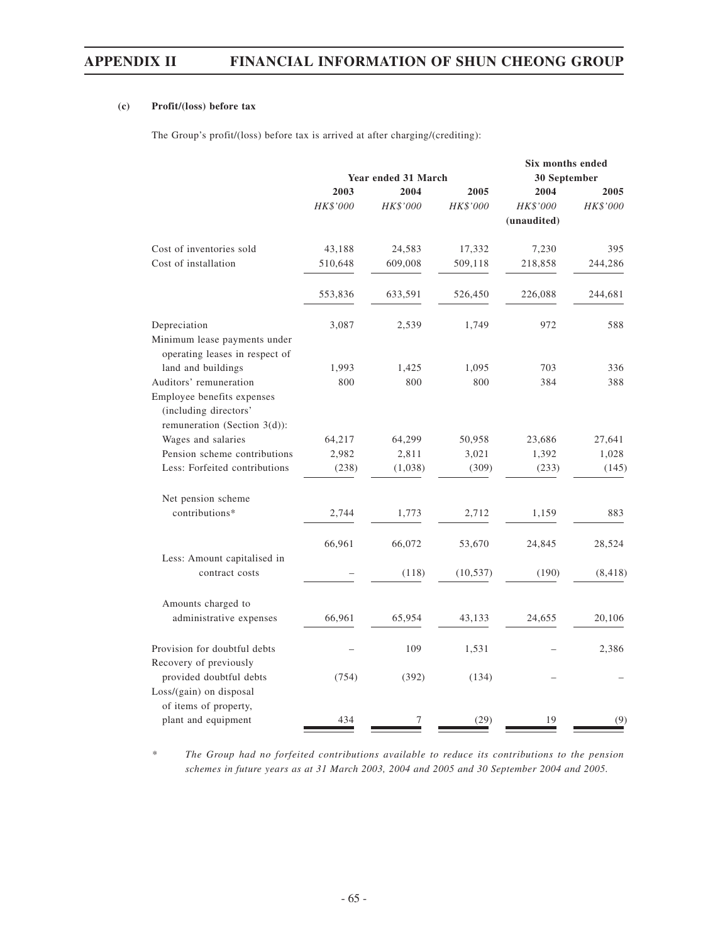### **(c) Profit/(loss) before tax**

The Group's profit/(loss) before tax is arrived at after charging/(crediting):

|                                                                                     |                     |          |           | Six months ended<br>30 September |          |  |
|-------------------------------------------------------------------------------------|---------------------|----------|-----------|----------------------------------|----------|--|
|                                                                                     | Year ended 31 March |          |           |                                  |          |  |
|                                                                                     | 2003                | 2004     | 2005      | 2004                             | 2005     |  |
|                                                                                     | HK\$'000            | HK\$'000 | HK\$'000  | HK\$'000                         | HK\$'000 |  |
|                                                                                     |                     |          |           | (unaudited)                      |          |  |
| Cost of inventories sold                                                            | 43,188              | 24,583   | 17,332    | 7,230                            | 395      |  |
| Cost of installation                                                                | 510,648             | 609,008  | 509,118   | 218,858                          | 244,286  |  |
|                                                                                     | 553,836             | 633,591  | 526,450   | 226,088                          | 244,681  |  |
| Depreciation                                                                        | 3,087               | 2,539    | 1,749     | 972                              | 588      |  |
| Minimum lease payments under<br>operating leases in respect of                      |                     |          |           |                                  |          |  |
| land and buildings                                                                  | 1,993               | 1,425    | 1,095     | 703                              | 336      |  |
| Auditors' remuneration                                                              | 800                 | 800      | 800       | 384                              | 388      |  |
| Employee benefits expenses<br>(including directors'<br>remuneration (Section 3(d)): |                     |          |           |                                  |          |  |
| Wages and salaries                                                                  | 64,217              | 64,299   | 50,958    | 23,686                           | 27,641   |  |
| Pension scheme contributions                                                        | 2,982               | 2,811    | 3,021     | 1,392                            | 1,028    |  |
| Less: Forfeited contributions                                                       | (238)               | (1,038)  | (309)     | (233)                            | (145)    |  |
| Net pension scheme                                                                  |                     |          |           |                                  |          |  |
| contributions*                                                                      | 2,744               | 1,773    | 2,712     | 1,159                            | 883      |  |
|                                                                                     | 66,961              | 66,072   | 53,670    | 24,845                           | 28,524   |  |
| Less: Amount capitalised in                                                         |                     |          |           |                                  |          |  |
| contract costs                                                                      |                     | (118)    | (10, 537) | (190)                            | (8, 418) |  |
| Amounts charged to                                                                  |                     |          |           |                                  |          |  |
| administrative expenses                                                             | 66,961              | 65,954   | 43,133    | 24,655                           | 20,106   |  |
| Provision for doubtful debts<br>Recovery of previously                              |                     | 109      | 1,531     |                                  | 2,386    |  |
| provided doubtful debts                                                             | (754)               | (392)    | (134)     |                                  |          |  |
| $Loss/(gain)$ on disposal<br>of items of property,                                  |                     |          |           |                                  |          |  |
| plant and equipment                                                                 | 434                 | 7        | (29)      | 19                               | (9)      |  |

*\* The Group had no forfeited contributions available to reduce its contributions to the pension schemes in future years as at 31 March 2003, 2004 and 2005 and 30 September 2004 and 2005.*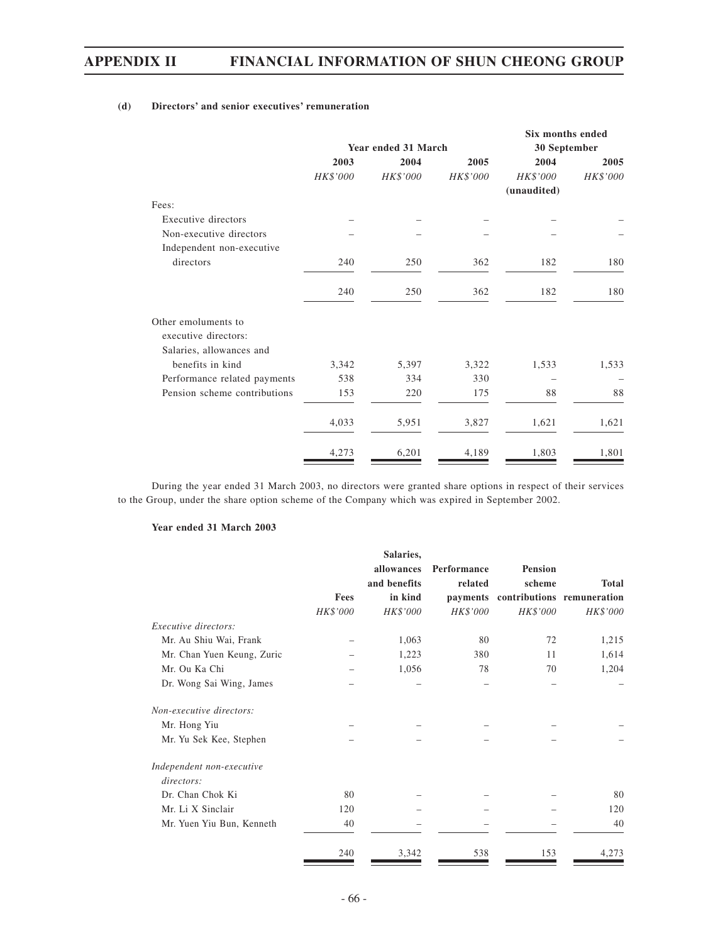### **(d) Directors' and senior executives' remuneration**

|                              |          |                     |          | <b>Six months ended</b> |          |
|------------------------------|----------|---------------------|----------|-------------------------|----------|
|                              |          | Year ended 31 March |          | 30 September            |          |
|                              | 2003     | 2004                | 2005     | 2004                    | 2005     |
|                              | HK\$'000 | HK\$'000            | HK\$'000 | HK\$'000                | HK\$'000 |
|                              |          |                     |          | (unaudited)             |          |
| Fees:                        |          |                     |          |                         |          |
| Executive directors          |          |                     |          |                         |          |
| Non-executive directors      |          |                     |          |                         |          |
| Independent non-executive    |          |                     |          |                         |          |
| directors                    | 240      | 250                 | 362      | 182                     | 180      |
|                              | 240      | 250                 | 362      | 182                     | 180      |
| Other emoluments to          |          |                     |          |                         |          |
| executive directors:         |          |                     |          |                         |          |
| Salaries, allowances and     |          |                     |          |                         |          |
| benefits in kind             | 3,342    | 5,397               | 3,322    | 1,533                   | 1,533    |
| Performance related payments | 538      | 334                 | 330      |                         |          |
| Pension scheme contributions | 153      | 220                 | 175      | 88                      | 88       |
|                              | 4,033    | 5,951               | 3,827    | 1,621                   | 1,621    |
|                              | 4,273    | 6,201               | 4,189    | 1,803                   | 1,801    |

During the year ended 31 March 2003, no directors were granted share options in respect of their services to the Group, under the share option scheme of the Company which was expired in September 2002.

### **Year ended 31 March 2003**

|                                         |          | Salaries,<br>allowances<br>and benefits | Performance<br>related | <b>Pension</b><br>scheme            | <b>Total</b>    |
|-----------------------------------------|----------|-----------------------------------------|------------------------|-------------------------------------|-----------------|
|                                         | Fees     | in kind                                 |                        | payments contributions remuneration |                 |
|                                         | HK\$'000 | HK\$'000                                | HK\$'000               | HK\$'000                            | <i>HK\$'000</i> |
| Executive directors:                    |          |                                         |                        |                                     |                 |
| Mr. Au Shiu Wai, Frank                  |          | 1,063                                   | 80                     | 72                                  | 1,215           |
| Mr. Chan Yuen Keung, Zuric              |          | 1,223                                   | 380                    | 11                                  | 1,614           |
| Mr. Ou Ka Chi                           |          | 1,056                                   | 78                     | 70                                  | 1,204           |
| Dr. Wong Sai Wing, James                |          |                                         |                        |                                     |                 |
| Non-executive directors:                |          |                                         |                        |                                     |                 |
| Mr. Hong Yiu                            |          |                                         |                        |                                     |                 |
| Mr. Yu Sek Kee, Stephen                 |          |                                         |                        |                                     |                 |
| Independent non-executive<br>directors: |          |                                         |                        |                                     |                 |
| Dr. Chan Chok Ki                        | 80       |                                         |                        |                                     | 80              |
| Mr. Li X Sinclair                       | 120      |                                         |                        |                                     | 120             |
| Mr. Yuen Yiu Bun, Kenneth               | 40       |                                         |                        |                                     | 40              |
|                                         | 240      | 3,342                                   | 538                    | 153                                 | 4,273           |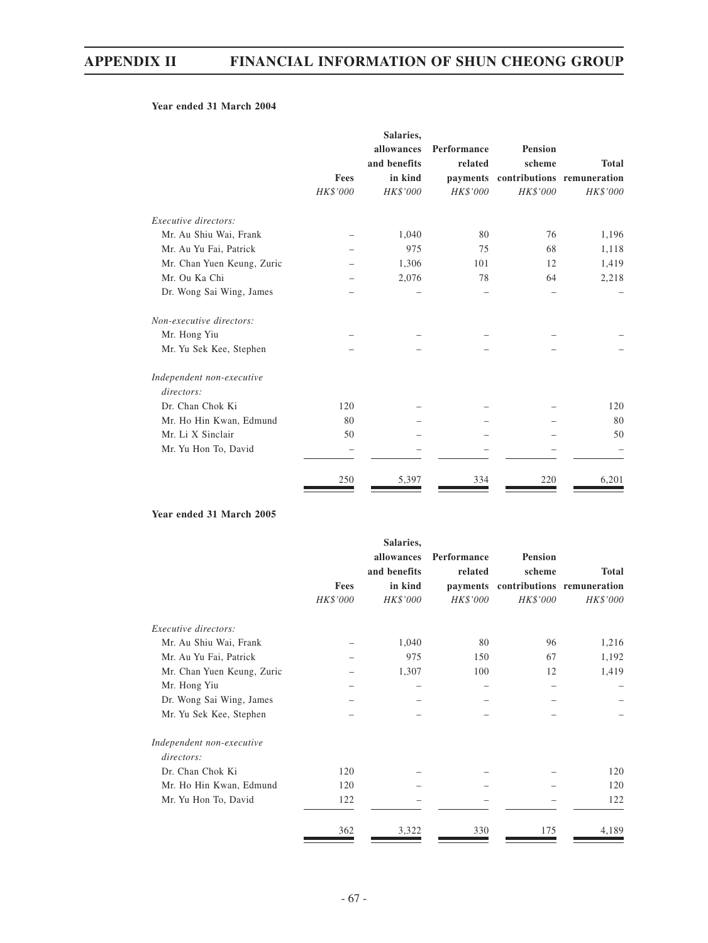### **Year ended 31 March 2004**

|                             |          | Salaries, |                            |                                     |                          |
|-----------------------------|----------|-----------|----------------------------|-------------------------------------|--------------------------|
|                             |          |           | allowances<br>and benefits | Performance<br>related              | <b>Pension</b><br>scheme |
|                             | Fees     | in kind   |                            | payments contributions remuneration |                          |
|                             | HK\$'000 | HK\$'000  | HK\$'000                   | HK\$'000                            | HK\$'000                 |
| <i>Executive directors:</i> |          |           |                            |                                     |                          |
| Mr. Au Shiu Wai, Frank      |          | 1,040     | 80                         | 76                                  | 1,196                    |
| Mr. Au Yu Fai, Patrick      |          | 975       | 75                         | 68                                  | 1,118                    |
| Mr. Chan Yuen Keung, Zuric  |          | 1,306     | 101                        | 12                                  | 1,419                    |
| Mr. Ou Ka Chi               |          | 2,076     | 78                         | 64                                  | 2,218                    |
| Dr. Wong Sai Wing, James    |          |           |                            |                                     |                          |
| Non-executive directors:    |          |           |                            |                                     |                          |
| Mr. Hong Yiu                |          |           |                            |                                     |                          |
| Mr. Yu Sek Kee, Stephen     |          |           |                            |                                     |                          |
| Independent non-executive   |          |           |                            |                                     |                          |
| directors:                  |          |           |                            |                                     |                          |
| Dr. Chan Chok Ki            | 120      |           |                            |                                     | 120                      |
| Mr. Ho Hin Kwan, Edmund     | 80       |           |                            |                                     | 80                       |
| Mr. Li X Sinclair           | 50       |           |                            |                                     | 50                       |
| Mr. Yu Hon To, David        |          |           |                            |                                     |                          |
|                             | 250      | 5,397     | 334                        | 220                                 | 6,201                    |

### **Year ended 31 March 2005**

|                             |          | Salaries,    |             |                                     |              |
|-----------------------------|----------|--------------|-------------|-------------------------------------|--------------|
|                             |          | allowances   | Performance | <b>Pension</b>                      |              |
|                             |          | and benefits | related     | scheme                              | <b>Total</b> |
|                             | Fees     | in kind      |             | payments contributions remuneration |              |
|                             | HK\$'000 | HK\$'000     | HK\$'000    | HK\$'000                            | HK\$'000     |
| <i>Executive directors:</i> |          |              |             |                                     |              |
| Mr. Au Shiu Wai, Frank      |          | 1,040        | 80          | 96                                  | 1,216        |
| Mr. Au Yu Fai, Patrick      |          | 975          | 150         | 67                                  | 1,192        |
| Mr. Chan Yuen Keung, Zuric  |          | 1,307        | 100         | 12                                  | 1,419        |
| Mr. Hong Yiu                |          |              |             |                                     |              |
| Dr. Wong Sai Wing, James    |          |              |             |                                     |              |
| Mr. Yu Sek Kee, Stephen     |          |              |             |                                     |              |
| Independent non-executive   |          |              |             |                                     |              |
| directors:                  |          |              |             |                                     |              |
| Dr. Chan Chok Ki            | 120      |              |             |                                     | 120          |
| Mr. Ho Hin Kwan, Edmund     | 120      |              |             |                                     | 120          |
| Mr. Yu Hon To, David        | 122      |              |             |                                     | 122          |
|                             | 362      | 3,322        | 330         | 175                                 | 4,189        |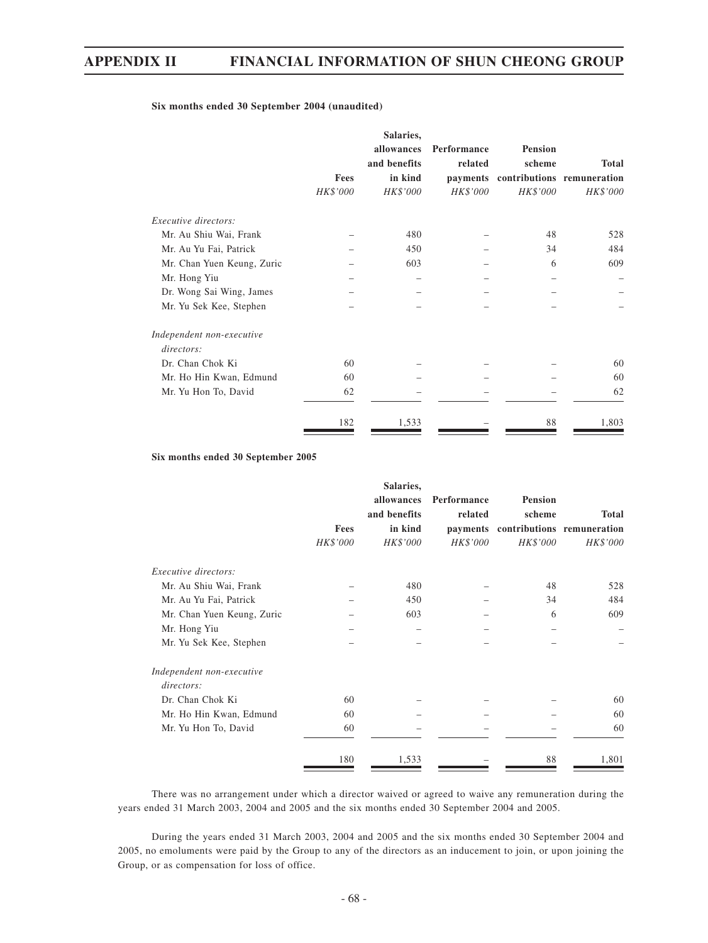### **Six months ended 30 September 2004 (unaudited)**

|                                         |          | Salaries,    |                    |                                     |                 |
|-----------------------------------------|----------|--------------|--------------------|-------------------------------------|-----------------|
|                                         |          | allowances   | <b>Performance</b> | <b>Pension</b>                      |                 |
|                                         |          | and benefits | related            | scheme                              | <b>Total</b>    |
|                                         | Fees     | in kind      |                    | payments contributions remuneration |                 |
|                                         | HK\$'000 | HK\$'000     | HK\$'000           | HK\$'000                            | <i>HK\$'000</i> |
| <i>Executive directors:</i>             |          |              |                    |                                     |                 |
| Mr. Au Shiu Wai, Frank                  |          | 480          |                    | 48                                  | 528             |
| Mr. Au Yu Fai, Patrick                  |          | 450          |                    | 34                                  | 484             |
| Mr. Chan Yuen Keung, Zuric              |          | 603          |                    | 6                                   | 609             |
| Mr. Hong Yiu                            |          |              |                    |                                     |                 |
| Dr. Wong Sai Wing, James                |          |              |                    |                                     |                 |
| Mr. Yu Sek Kee, Stephen                 |          |              |                    |                                     |                 |
| Independent non-executive<br>directors: |          |              |                    |                                     |                 |
| Dr. Chan Chok Ki                        | 60       |              |                    |                                     | 60              |
| Mr. Ho Hin Kwan, Edmund                 | 60       |              |                    |                                     | 60              |
| Mr. Yu Hon To, David                    | 62       |              |                    |                                     | 62              |
|                                         | 182      | 1,533        |                    | 88                                  | 1,803           |
|                                         |          |              |                    |                                     |                 |

### **Six months ended 30 September 2005**

|                                         | Fees<br>HK\$'000 | Salaries,<br>allowances<br>and benefits<br>in kind<br>HK\$'000 | Performance<br>related<br>HK\$'000 | <b>Pension</b><br>scheme<br>payments contributions remuneration<br>HK\$'000 | <b>Total</b><br>HK\$'000 |
|-----------------------------------------|------------------|----------------------------------------------------------------|------------------------------------|-----------------------------------------------------------------------------|--------------------------|
| <i>Executive directors:</i>             |                  |                                                                |                                    |                                                                             |                          |
| Mr. Au Shiu Wai, Frank                  |                  | 480                                                            |                                    | 48                                                                          | 528                      |
| Mr. Au Yu Fai, Patrick                  |                  | 450                                                            |                                    | 34                                                                          | 484                      |
| Mr. Chan Yuen Keung, Zuric              |                  | 603                                                            |                                    | 6                                                                           | 609                      |
| Mr. Hong Yiu                            |                  |                                                                |                                    |                                                                             |                          |
| Mr. Yu Sek Kee, Stephen                 |                  |                                                                |                                    |                                                                             |                          |
| Independent non-executive<br>directors: |                  |                                                                |                                    |                                                                             |                          |
| Dr. Chan Chok Ki                        | 60               |                                                                |                                    |                                                                             | 60                       |
| Mr. Ho Hin Kwan, Edmund                 | 60               |                                                                |                                    |                                                                             | 60                       |
| Mr. Yu Hon To, David                    | 60               |                                                                |                                    |                                                                             | 60                       |
|                                         | 180              | 1,533                                                          |                                    | 88                                                                          | 1,801                    |

There was no arrangement under which a director waived or agreed to waive any remuneration during the years ended 31 March 2003, 2004 and 2005 and the six months ended 30 September 2004 and 2005.

During the years ended 31 March 2003, 2004 and 2005 and the six months ended 30 September 2004 and 2005, no emoluments were paid by the Group to any of the directors as an inducement to join, or upon joining the Group, or as compensation for loss of office.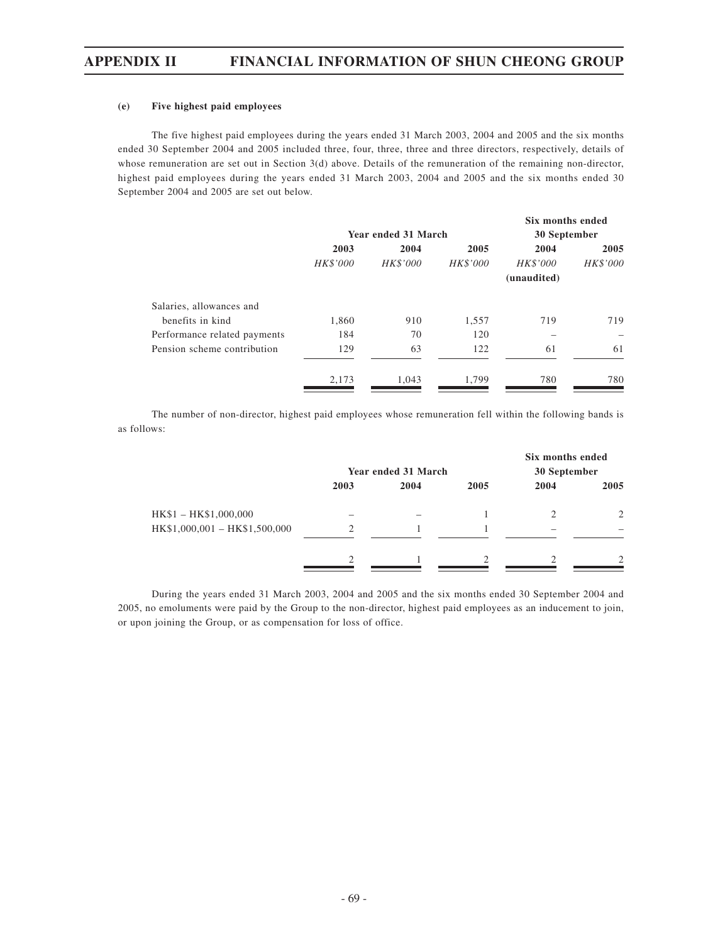### **(e) Five highest paid employees**

The five highest paid employees during the years ended 31 March 2003, 2004 and 2005 and the six months ended 30 September 2004 and 2005 included three, four, three, three and three directors, respectively, details of whose remuneration are set out in Section 3(d) above. Details of the remuneration of the remaining non-director, highest paid employees during the years ended 31 March 2003, 2004 and 2005 and the six months ended 30 September 2004 and 2005 are set out below.

|                              |                 |                     |          | Six months ended |          |
|------------------------------|-----------------|---------------------|----------|------------------|----------|
|                              |                 | Year ended 31 March |          | 30 September     |          |
|                              | 2003            | 2004                | 2005     | 2004             | 2005     |
|                              | <b>HK\$'000</b> | HK\$'000            | HK\$'000 | HK\$'000         | HK\$'000 |
|                              |                 |                     |          | (unaudited)      |          |
| Salaries, allowances and     |                 |                     |          |                  |          |
| benefits in kind             | 1,860           | 910                 | 1,557    | 719              | 719      |
| Performance related payments | 184             | 70                  | 120      |                  |          |
| Pension scheme contribution  | 129             | 63                  | 122      | 61               | 61       |
|                              | 2,173           | 1.043               | 1.799    | 780              | 780      |
|                              |                 |                     |          |                  |          |

The number of non-director, highest paid employees whose remuneration fell within the following bands is as follows:

|                               |      | Year ended 31 March |               |      | Six months ended<br>30 September |  |
|-------------------------------|------|---------------------|---------------|------|----------------------------------|--|
|                               | 2003 | 2004                | 2005          | 2004 | 2005                             |  |
| HK\$1 - HK\$1,000,000         |      |                     |               |      | 2                                |  |
| HK\$1,000,001 - HK\$1,500,000 |      |                     |               | -    |                                  |  |
|                               | ∍    |                     | $\mathcal{D}$ | ↑    | $\mathcal{D}_{\mathcal{A}}$      |  |

During the years ended 31 March 2003, 2004 and 2005 and the six months ended 30 September 2004 and 2005, no emoluments were paid by the Group to the non-director, highest paid employees as an inducement to join, or upon joining the Group, or as compensation for loss of office.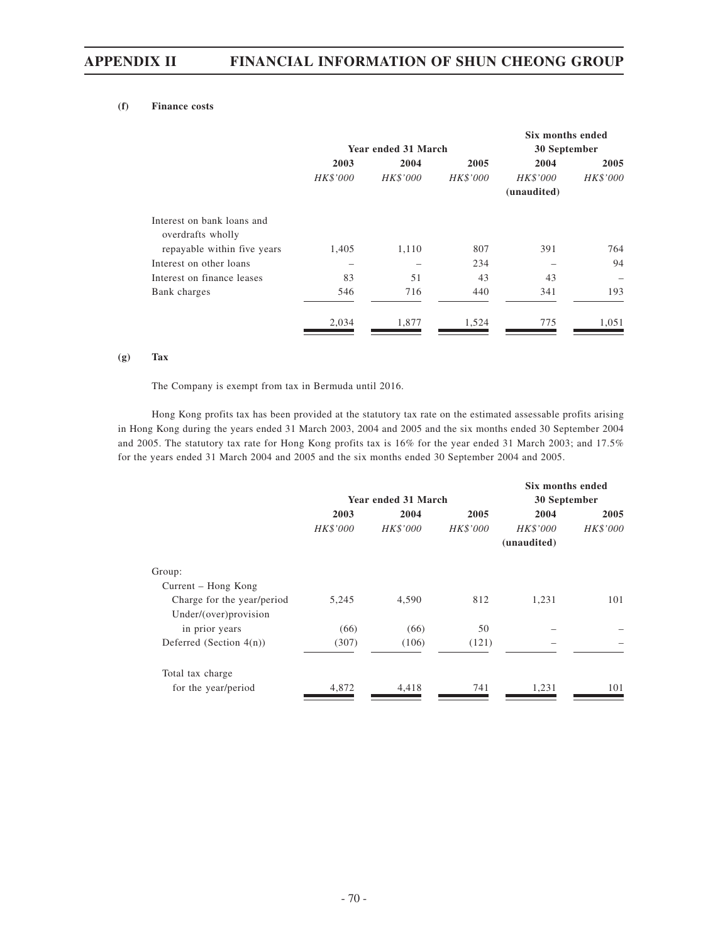### **(f) Finance costs**

|                                                 |          |                     |          | Six months ended |          |
|-------------------------------------------------|----------|---------------------|----------|------------------|----------|
|                                                 |          | Year ended 31 March |          | 30 September     |          |
|                                                 | 2003     | 2004                | 2005     | 2004             | 2005     |
|                                                 | HK\$'000 | HK\$'000            | HK\$'000 | HK\$'000         | HK\$'000 |
|                                                 |          |                     |          | (unaudited)      |          |
| Interest on bank loans and<br>overdrafts wholly |          |                     |          |                  |          |
| repayable within five years                     | 1,405    | 1,110               | 807      | 391              | 764      |
| Interest on other loans                         |          |                     | 234      |                  | 94       |
| Interest on finance leases                      | 83       | 51                  | 43       | 43               | -        |
| Bank charges                                    | 546      | 716                 | 440      | 341              | 193      |
|                                                 | 2,034    | 1,877               | 1,524    | 775              | 1,051    |

### **(g) Tax**

The Company is exempt from tax in Bermuda until 2016.

Hong Kong profits tax has been provided at the statutory tax rate on the estimated assessable profits arising in Hong Kong during the years ended 31 March 2003, 2004 and 2005 and the six months ended 30 September 2004 and 2005. The statutory tax rate for Hong Kong profits tax is 16% for the year ended 31 March 2003; and 17.5% for the years ended 31 March 2004 and 2005 and the six months ended 30 September 2004 and 2005.

|                            |          |                     |                 | Six months ended |          |
|----------------------------|----------|---------------------|-----------------|------------------|----------|
|                            |          | Year ended 31 March |                 | 30 September     |          |
|                            | 2003     | 2004                | 2005            | 2004             | 2005     |
|                            | HK\$'000 | <b>HK\$'000</b>     | <b>HK\$'000</b> | HK\$'000         | HK\$'000 |
|                            |          |                     |                 | (unaudited)      |          |
| Group:                     |          |                     |                 |                  |          |
| Current – Hong Kong        |          |                     |                 |                  |          |
| Charge for the year/period | 5,245    | 4,590               | 812             | 1,231            | 101      |
| Under/(over)provision      |          |                     |                 |                  |          |
| in prior years             | (66)     | (66)                | 50              |                  |          |
| Deferred (Section $4(n)$ ) | (307)    | (106)               | (121)           |                  |          |
| Total tax charge           |          |                     |                 |                  |          |
| for the year/period        | 4,872    | 4,418               | 741             | 1.231            | 101      |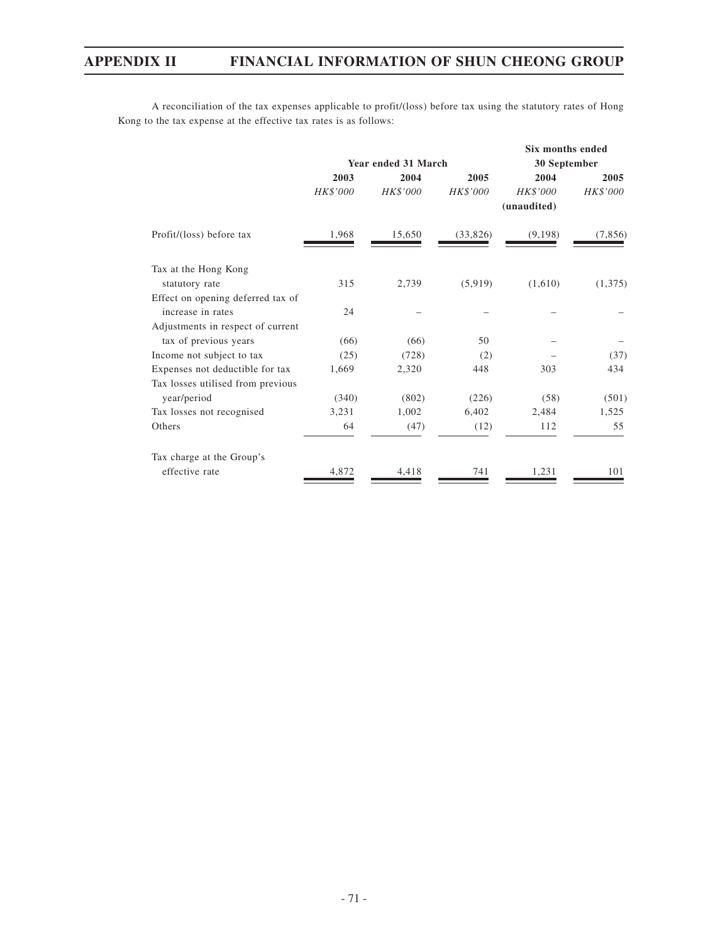A reconciliation of the tax expenses applicable to profit/(loss) before tax using the statutory rates of Hong Kong to the tax expense at the effective tax rates is as follows:

|                                   | Year ended 31 March |                  |                  | <b>Six months ended</b><br>30 September |                  |
|-----------------------------------|---------------------|------------------|------------------|-----------------------------------------|------------------|
|                                   | 2003<br>HK\$'000    | 2004<br>HK\$'000 | 2005<br>HK\$'000 | 2004<br>HK\$'000<br>(unaudited)         | 2005<br>HK\$'000 |
| Profit/(loss) before tax          | 1,968               | 15,650           | (33,826)         | (9,198)                                 | (7, 856)         |
| Tax at the Hong Kong              |                     |                  |                  |                                         |                  |
| statutory rate                    | 315                 | 2,739            | (5,919)          | (1,610)                                 | (1,375)          |
| Effect on opening deferred tax of |                     |                  |                  |                                         |                  |
| increase in rates                 | 24                  |                  |                  |                                         |                  |
| Adjustments in respect of current |                     |                  |                  |                                         |                  |
| tax of previous years             | (66)                | (66)             | 50               |                                         |                  |
| Income not subject to tax         | (25)                | (728)            | (2)              |                                         | (37)             |
| Expenses not deductible for tax   | 1,669               | 2,320            | 448              | 303                                     | 434              |
| Tax losses utilised from previous |                     |                  |                  |                                         |                  |
| year/period                       | (340)               | (802)            | (226)            | (58)                                    | (501)            |
| Tax losses not recognised         | 3,231               | 1,002            | 6,402            | 2,484                                   | 1,525            |
| Others                            | 64                  | (47)             | (12)             | 112                                     | 55               |
| Tax charge at the Group's         |                     |                  |                  |                                         |                  |
| effective rate                    | 4,872               | 4,418            | 741              | 1,231                                   | 101              |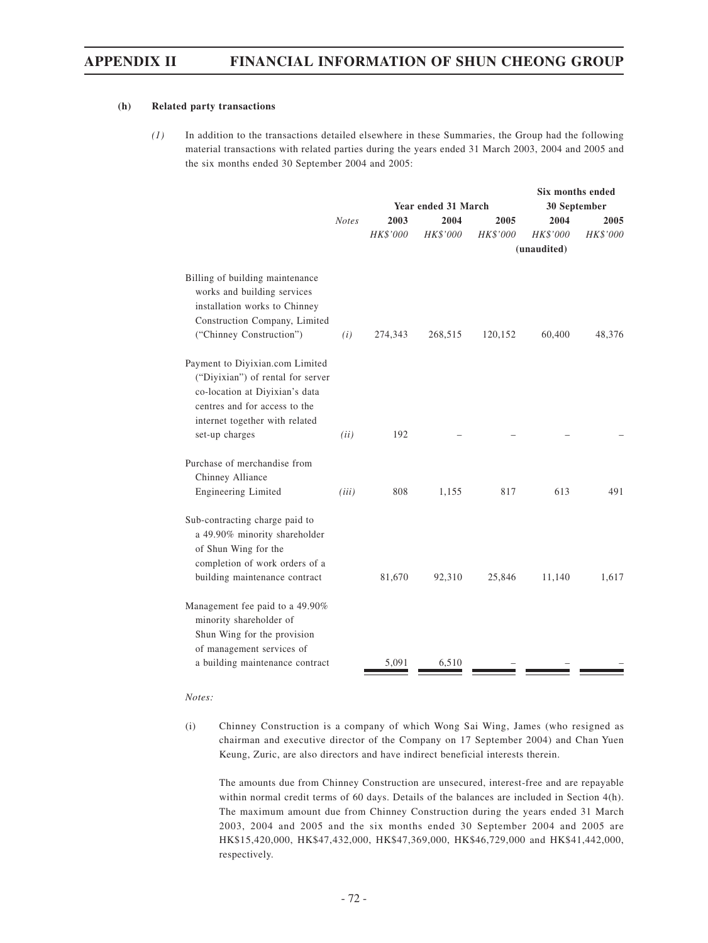#### **(h) Related party transactions**

*(1)* In addition to the transactions detailed elsewhere in these Summaries, the Group had the following material transactions with related parties during the years ended 31 March 2003, 2004 and 2005 and the six months ended 30 September 2004 and 2005:

|                                                                                                                                                                                             |              |                     |          |          | <b>Six months ended</b> |          |  |
|---------------------------------------------------------------------------------------------------------------------------------------------------------------------------------------------|--------------|---------------------|----------|----------|-------------------------|----------|--|
|                                                                                                                                                                                             |              | Year ended 31 March |          |          | 30 September            |          |  |
|                                                                                                                                                                                             | <b>Notes</b> | 2003                | 2004     | 2005     | 2004                    | 2005     |  |
|                                                                                                                                                                                             |              | HK\$'000            | HK\$'000 | HK\$'000 | HK\$'000                | HK\$'000 |  |
|                                                                                                                                                                                             |              |                     |          |          | (unaudited)             |          |  |
| Billing of building maintenance<br>works and building services<br>installation works to Chinney<br>Construction Company, Limited<br>("Chinney Construction")                                | (i)          | 274,343             | 268,515  | 120,152  | 60,400                  | 48,376   |  |
| Payment to Diyixian.com Limited<br>("Diyixian") of rental for server<br>co-location at Diyixian's data<br>centres and for access to the<br>internet together with related<br>set-up charges | (ii)         | 192                 |          |          |                         |          |  |
|                                                                                                                                                                                             |              |                     |          |          |                         |          |  |
| Purchase of merchandise from<br>Chinney Alliance<br>Engineering Limited                                                                                                                     | (iii)        | 808                 | 1,155    | 817      | 613                     | 491      |  |
| Sub-contracting charge paid to<br>a 49.90% minority shareholder<br>of Shun Wing for the<br>completion of work orders of a<br>building maintenance contract                                  |              | 81,670              | 92,310   | 25,846   | 11,140                  | 1,617    |  |
| Management fee paid to a 49.90%<br>minority shareholder of<br>Shun Wing for the provision<br>of management services of<br>a building maintenance contract                                   |              | 5,091               | 6,510    |          |                         |          |  |

### *Notes:*

(i) Chinney Construction is a company of which Wong Sai Wing, James (who resigned as chairman and executive director of the Company on 17 September 2004) and Chan Yuen Keung, Zuric, are also directors and have indirect beneficial interests therein.

The amounts due from Chinney Construction are unsecured, interest-free and are repayable within normal credit terms of 60 days. Details of the balances are included in Section 4(h). The maximum amount due from Chinney Construction during the years ended 31 March 2003, 2004 and 2005 and the six months ended 30 September 2004 and 2005 are HK\$15,420,000, HK\$47,432,000, HK\$47,369,000, HK\$46,729,000 and HK\$41,442,000, respectively.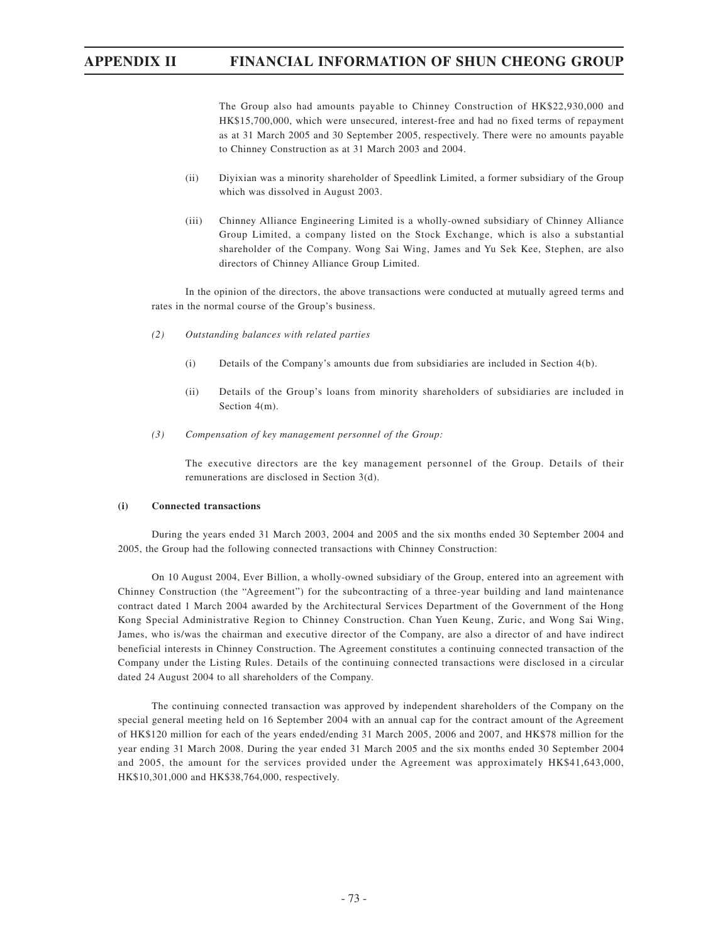The Group also had amounts payable to Chinney Construction of HK\$22,930,000 and HK\$15,700,000, which were unsecured, interest-free and had no fixed terms of repayment as at 31 March 2005 and 30 September 2005, respectively. There were no amounts payable to Chinney Construction as at 31 March 2003 and 2004.

- (ii) Diyixian was a minority shareholder of Speedlink Limited, a former subsidiary of the Group which was dissolved in August 2003.
- (iii) Chinney Alliance Engineering Limited is a wholly-owned subsidiary of Chinney Alliance Group Limited, a company listed on the Stock Exchange, which is also a substantial shareholder of the Company. Wong Sai Wing, James and Yu Sek Kee, Stephen, are also directors of Chinney Alliance Group Limited.

In the opinion of the directors, the above transactions were conducted at mutually agreed terms and rates in the normal course of the Group's business.

- *(2) Outstanding balances with related parties*
	- (i) Details of the Company's amounts due from subsidiaries are included in Section 4(b).
	- (ii) Details of the Group's loans from minority shareholders of subsidiaries are included in Section  $4(m)$ .
- *(3) Compensation of key management personnel of the Group:*

The executive directors are the key management personnel of the Group. Details of their remunerations are disclosed in Section 3(d).

#### **(i) Connected transactions**

During the years ended 31 March 2003, 2004 and 2005 and the six months ended 30 September 2004 and 2005, the Group had the following connected transactions with Chinney Construction:

On 10 August 2004, Ever Billion, a wholly-owned subsidiary of the Group, entered into an agreement with Chinney Construction (the "Agreement") for the subcontracting of a three-year building and land maintenance contract dated 1 March 2004 awarded by the Architectural Services Department of the Government of the Hong Kong Special Administrative Region to Chinney Construction. Chan Yuen Keung, Zuric, and Wong Sai Wing, James, who is/was the chairman and executive director of the Company, are also a director of and have indirect beneficial interests in Chinney Construction. The Agreement constitutes a continuing connected transaction of the Company under the Listing Rules. Details of the continuing connected transactions were disclosed in a circular dated 24 August 2004 to all shareholders of the Company.

The continuing connected transaction was approved by independent shareholders of the Company on the special general meeting held on 16 September 2004 with an annual cap for the contract amount of the Agreement of HK\$120 million for each of the years ended/ending 31 March 2005, 2006 and 2007, and HK\$78 million for the year ending 31 March 2008. During the year ended 31 March 2005 and the six months ended 30 September 2004 and 2005, the amount for the services provided under the Agreement was approximately HK\$41,643,000, HK\$10,301,000 and HK\$38,764,000, respectively.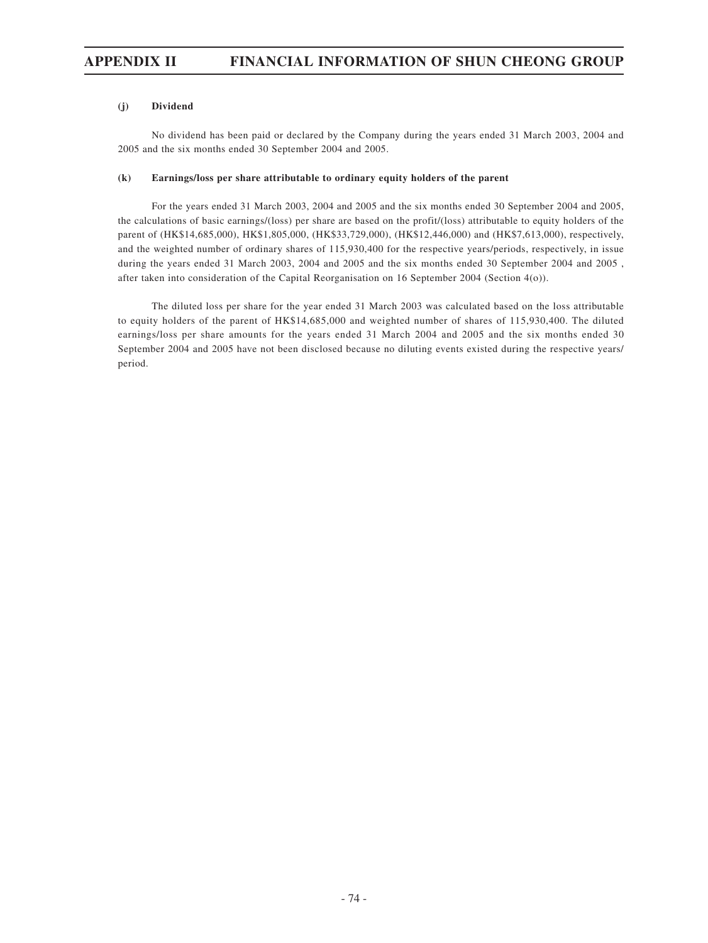### **(j) Dividend**

No dividend has been paid or declared by the Company during the years ended 31 March 2003, 2004 and 2005 and the six months ended 30 September 2004 and 2005.

#### **(k) Earnings/loss per share attributable to ordinary equity holders of the parent**

For the years ended 31 March 2003, 2004 and 2005 and the six months ended 30 September 2004 and 2005, the calculations of basic earnings/(loss) per share are based on the profit/(loss) attributable to equity holders of the parent of (HK\$14,685,000), HK\$1,805,000, (HK\$33,729,000), (HK\$12,446,000) and (HK\$7,613,000), respectively, and the weighted number of ordinary shares of 115,930,400 for the respective years/periods, respectively, in issue during the years ended 31 March 2003, 2004 and 2005 and the six months ended 30 September 2004 and 2005 , after taken into consideration of the Capital Reorganisation on 16 September 2004 (Section 4(o)).

The diluted loss per share for the year ended 31 March 2003 was calculated based on the loss attributable to equity holders of the parent of HK\$14,685,000 and weighted number of shares of 115,930,400. The diluted earnings/loss per share amounts for the years ended 31 March 2004 and 2005 and the six months ended 30 September 2004 and 2005 have not been disclosed because no diluting events existed during the respective years/ period.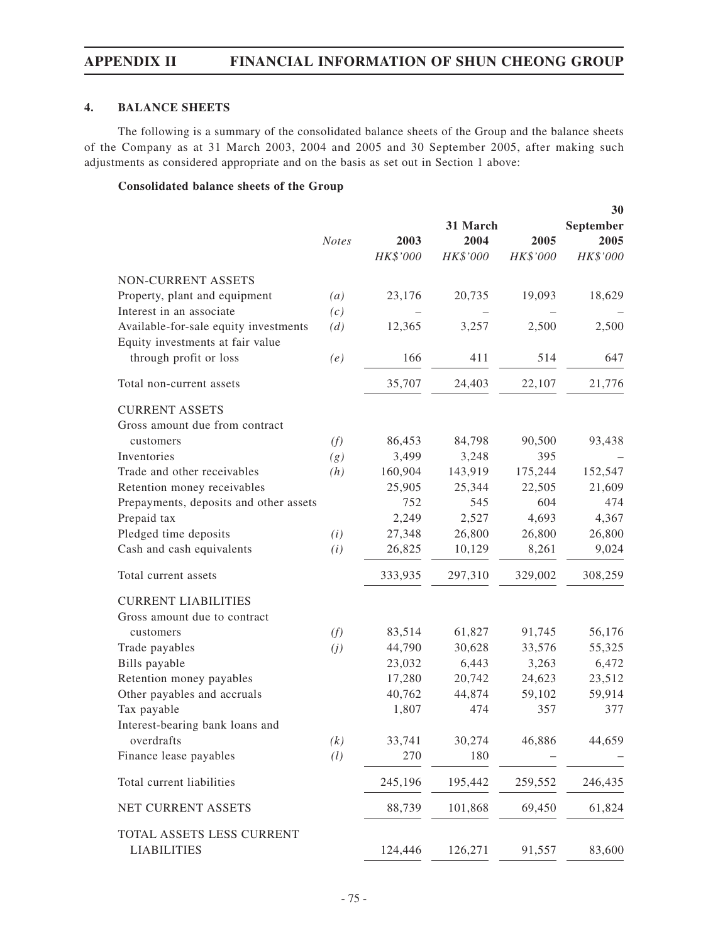## **4. BALANCE SHEETS**

The following is a summary of the consolidated balance sheets of the Group and the balance sheets of the Company as at 31 March 2003, 2004 and 2005 and 30 September 2005, after making such adjustments as considered appropriate and on the basis as set out in Section 1 above:

## **Consolidated balance sheets of the Group**

|                                        |              |          |          |          | 30        |
|----------------------------------------|--------------|----------|----------|----------|-----------|
|                                        |              |          | 31 March |          | September |
|                                        | <b>Notes</b> | 2003     | 2004     | 2005     | 2005      |
|                                        |              | HK\$'000 | HK\$'000 | HK\$'000 | HK\$'000  |
| <b>NON-CURRENT ASSETS</b>              |              |          |          |          |           |
| Property, plant and equipment          | (a)          | 23,176   | 20,735   | 19,093   | 18,629    |
| Interest in an associate               | (c)          |          |          |          |           |
| Available-for-sale equity investments  | (d)          | 12,365   | 3,257    | 2,500    | 2,500     |
| Equity investments at fair value       |              |          |          |          |           |
| through profit or loss                 | (e)          | 166      | 411      | 514      | 647       |
|                                        |              |          |          |          |           |
| Total non-current assets               |              | 35,707   | 24,403   | 22,107   | 21,776    |
| <b>CURRENT ASSETS</b>                  |              |          |          |          |           |
| Gross amount due from contract         |              |          |          |          |           |
| customers                              | (f)          | 86,453   | 84,798   | 90,500   | 93,438    |
| Inventories                            | (g)          | 3,499    | 3,248    | 395      |           |
| Trade and other receivables            | (h)          | 160,904  | 143,919  | 175,244  | 152,547   |
| Retention money receivables            |              | 25,905   | 25,344   | 22,505   | 21,609    |
| Prepayments, deposits and other assets |              | 752      | 545      | 604      | 474       |
| Prepaid tax                            |              | 2,249    | 2,527    | 4,693    | 4,367     |
| Pledged time deposits                  | (i)          | 27,348   | 26,800   | 26,800   | 26,800    |
| Cash and cash equivalents              | (i)          | 26,825   | 10,129   | 8,261    | 9,024     |
| Total current assets                   |              | 333,935  | 297,310  | 329,002  | 308,259   |
| <b>CURRENT LIABILITIES</b>             |              |          |          |          |           |
| Gross amount due to contract           |              |          |          |          |           |
| customers                              | (f)          | 83,514   | 61,827   | 91,745   | 56,176    |
| Trade payables                         | (j)          | 44,790   | 30,628   | 33,576   | 55,325    |
| Bills payable                          |              | 23,032   | 6,443    | 3,263    | 6,472     |
| Retention money payables               |              | 17,280   | 20,742   | 24,623   | 23,512    |
| Other payables and accruals            |              | 40,762   | 44,874   | 59,102   | 59,914    |
| Tax payable                            |              | 1,807    | 474      | 357      | 377       |
| Interest-bearing bank loans and        |              |          |          |          |           |
| overdrafts                             | (k)          | 33,741   | 30,274   | 46,886   | 44,659    |
| Finance lease payables                 | (l)          | 270      | 180      |          |           |
| Total current liabilities              |              | 245,196  | 195,442  | 259,552  | 246,435   |
| NET CURRENT ASSETS                     |              | 88,739   | 101,868  | 69,450   | 61,824    |
| TOTAL ASSETS LESS CURRENT              |              |          |          |          |           |
| <b>LIABILITIES</b>                     |              | 124,446  | 126,271  | 91,557   | 83,600    |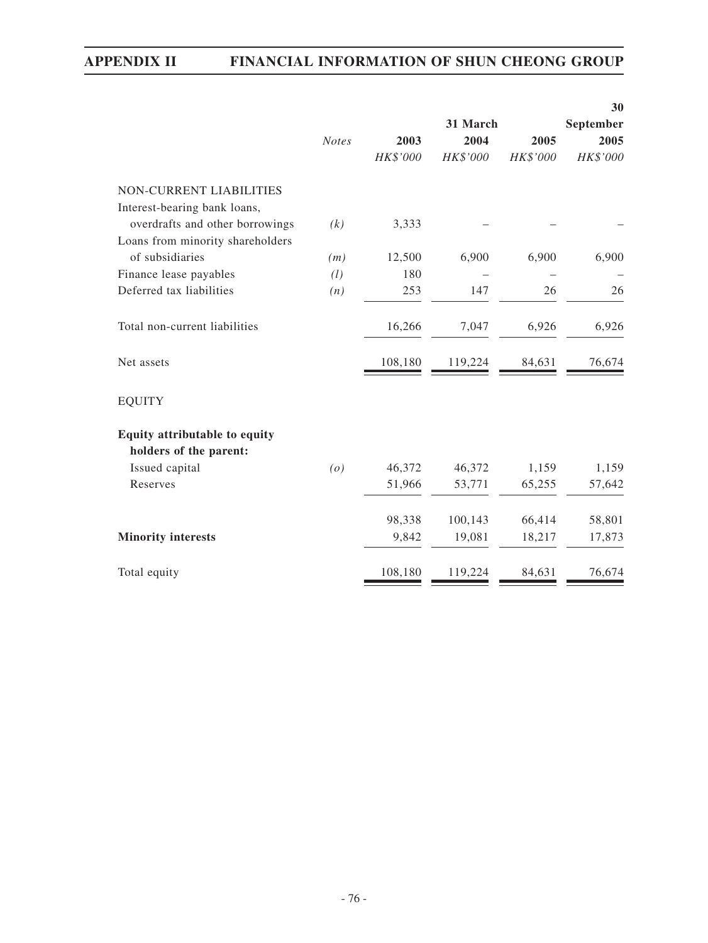|                                                         |              |          |          |          | 30        |
|---------------------------------------------------------|--------------|----------|----------|----------|-----------|
|                                                         |              |          | 31 March |          | September |
|                                                         | <b>Notes</b> | 2003     | 2004     | 2005     | 2005      |
|                                                         |              | HK\$'000 | HK\$'000 | HK\$'000 | HK\$'000  |
| <b>NON-CURRENT LIABILITIES</b>                          |              |          |          |          |           |
| Interest-bearing bank loans,                            |              |          |          |          |           |
| overdrafts and other borrowings                         | (k)          | 3,333    |          |          |           |
| Loans from minority shareholders                        |              |          |          |          |           |
| of subsidiaries                                         | (m)          | 12,500   | 6,900    | 6,900    | 6,900     |
| Finance lease payables                                  | (l)          | 180      |          |          |           |
| Deferred tax liabilities                                | (n)          | 253      | 147      | 26       | 26        |
| Total non-current liabilities                           |              | 16,266   | 7,047    | 6,926    | 6,926     |
| Net assets                                              |              | 108,180  | 119,224  | 84,631   | 76,674    |
| <b>EQUITY</b>                                           |              |          |          |          |           |
| Equity attributable to equity<br>holders of the parent: |              |          |          |          |           |
| Issued capital                                          | (o)          | 46,372   | 46,372   | 1,159    | 1,159     |
| Reserves                                                |              | 51,966   | 53,771   | 65,255   | 57,642    |
|                                                         |              | 98,338   | 100,143  | 66,414   | 58,801    |
| <b>Minority interests</b>                               |              | 9,842    | 19,081   | 18,217   | 17,873    |
| Total equity                                            |              | 108,180  | 119,224  | 84,631   | 76,674    |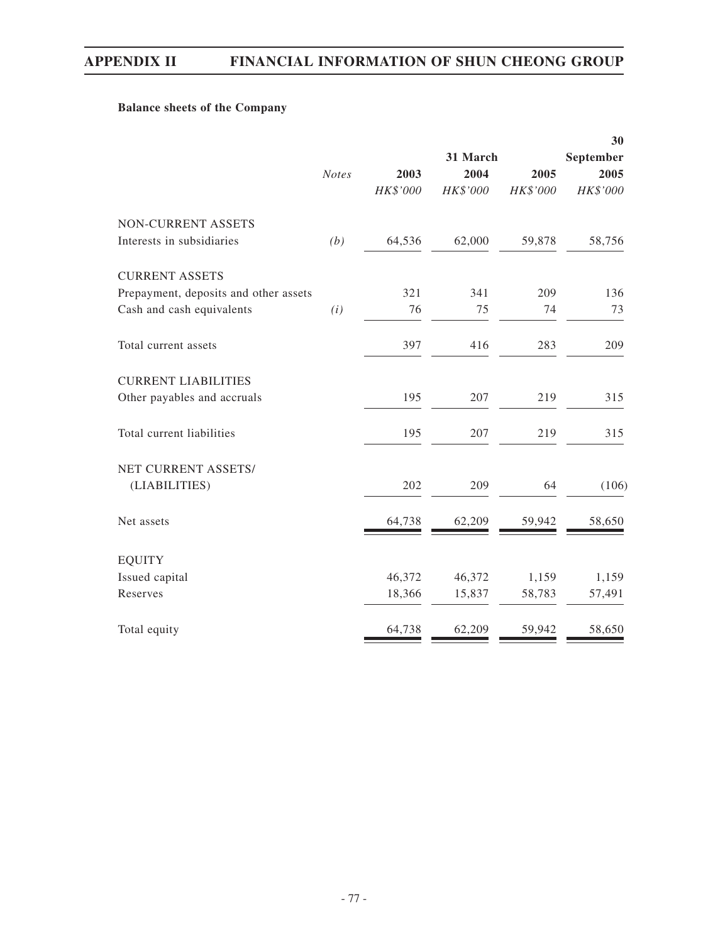## **Balance sheets of the Company**

|                                       |              |          |          |          | 30        |
|---------------------------------------|--------------|----------|----------|----------|-----------|
|                                       |              |          | 31 March |          | September |
|                                       | <b>Notes</b> | 2003     | 2004     | 2005     | 2005      |
|                                       |              | HK\$'000 | HK\$'000 | HK\$'000 | HK\$'000  |
| <b>NON-CURRENT ASSETS</b>             |              |          |          |          |           |
| Interests in subsidiaries             | (b)          | 64,536   | 62,000   | 59,878   | 58,756    |
| <b>CURRENT ASSETS</b>                 |              |          |          |          |           |
| Prepayment, deposits and other assets |              | 321      | 341      | 209      | 136       |
| Cash and cash equivalents             | (i)          | 76       | 75       | 74       | 73        |
| Total current assets                  |              | 397      | 416      | 283      | 209       |
| <b>CURRENT LIABILITIES</b>            |              |          |          |          |           |
| Other payables and accruals           |              | 195      | 207      | 219      | 315       |
| Total current liabilities             |              | 195      | 207      | 219      | 315       |
| NET CURRENT ASSETS/                   |              |          |          |          |           |
| (LIABILITIES)                         |              | 202      | 209      | 64       | (106)     |
| Net assets                            |              | 64,738   | 62,209   | 59,942   | 58,650    |
| <b>EQUITY</b>                         |              |          |          |          |           |
| Issued capital                        |              | 46,372   | 46,372   | 1,159    | 1,159     |
| Reserves                              |              | 18,366   | 15,837   | 58,783   | 57,491    |
| Total equity                          |              | 64,738   | 62,209   | 59,942   | 58,650    |
|                                       |              |          |          |          |           |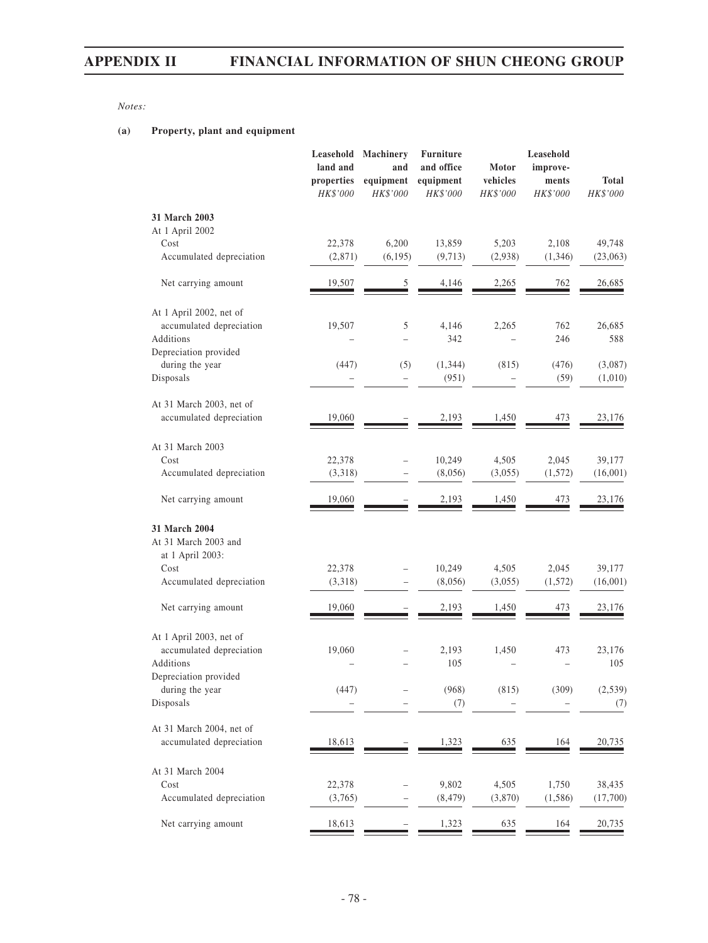#### *Notes:*

## **(a) Property, plant and equipment**

|                                                                  | land and<br>properties<br>HK\$'000 | Leasehold Machinery<br>and<br>equipment<br>HK\$'000 | <b>Furniture</b><br>and office<br>equipment<br>HK\$'000 | Motor<br>vehicles<br>HK\$'000 | Leasehold<br>improve-<br>ments<br>HK\$'000 | <b>Total</b><br>HK\$'000 |
|------------------------------------------------------------------|------------------------------------|-----------------------------------------------------|---------------------------------------------------------|-------------------------------|--------------------------------------------|--------------------------|
| 31 March 2003                                                    |                                    |                                                     |                                                         |                               |                                            |                          |
| At 1 April 2002                                                  |                                    |                                                     |                                                         |                               |                                            |                          |
| Cost<br>Accumulated depreciation                                 | 22,378<br>(2,871)                  | 6,200<br>(6, 195)                                   | 13,859<br>(9, 713)                                      | 5,203<br>(2,938)              | 2,108<br>(1, 346)                          | 49,748<br>(23,063)       |
| Net carrying amount                                              | 19,507                             | 5                                                   | 4,146                                                   | 2,265                         | 762                                        | 26,685                   |
| At 1 April 2002, net of                                          |                                    |                                                     |                                                         |                               |                                            |                          |
| accumulated depreciation                                         | 19,507                             | 5                                                   | 4,146                                                   | 2,265                         | 762                                        | 26,685                   |
| Additions                                                        |                                    |                                                     | 342                                                     |                               | 246                                        | 588                      |
| Depreciation provided                                            |                                    |                                                     |                                                         |                               |                                            |                          |
| during the year                                                  | (447)                              | (5)                                                 | (1, 344)                                                | (815)                         | (476)                                      | (3,087)                  |
| Disposals                                                        |                                    | $\overline{\phantom{0}}$                            | (951)                                                   |                               | (59)                                       | (1,010)                  |
| At 31 March 2003, net of                                         |                                    |                                                     |                                                         |                               |                                            |                          |
| accumulated depreciation                                         | 19,060                             |                                                     | 2,193                                                   | 1,450                         | 473                                        | 23,176                   |
| At 31 March 2003                                                 |                                    |                                                     |                                                         |                               |                                            |                          |
| Cost                                                             | 22,378                             |                                                     | 10,249                                                  | 4,505                         | 2,045                                      | 39,177                   |
| Accumulated depreciation                                         | (3,318)                            |                                                     | (8,056)                                                 | (3,055)                       | (1, 572)                                   | (16,001)                 |
| Net carrying amount                                              | 19,060                             |                                                     | 2,193                                                   | 1,450                         | 473                                        | 23,176                   |
| 31 March 2004<br>At 31 March 2003 and<br>at 1 April 2003:        |                                    |                                                     |                                                         |                               |                                            |                          |
| Cost                                                             | 22,378                             |                                                     | 10,249                                                  | 4,505                         | 2,045                                      | 39,177                   |
| Accumulated depreciation                                         | (3,318)                            |                                                     | (8,056)                                                 | (3,055)                       | (1, 572)                                   | (16,001)                 |
| Net carrying amount                                              | 19,060                             |                                                     | 2,193                                                   | 1,450                         | 473                                        | 23,176                   |
| At 1 April 2003, net of<br>accumulated depreciation<br>Additions | 19,060                             |                                                     | 2,193<br>105                                            | 1,450                         | 473                                        | 23,176<br>105            |
| Depreciation provided                                            |                                    |                                                     |                                                         |                               |                                            |                          |
| during the year                                                  | (447)                              |                                                     | (968)                                                   | (815)                         | (309)                                      | (2, 539)                 |
| Disposals                                                        |                                    |                                                     | (7)                                                     |                               |                                            | (7)                      |
| At 31 March 2004, net of<br>accumulated depreciation             | 18,613                             |                                                     | 1,323                                                   | 635                           | 164                                        | 20,735                   |
| At 31 March 2004                                                 |                                    |                                                     |                                                         |                               |                                            |                          |
| Cost                                                             | 22,378                             |                                                     | 9,802                                                   | 4,505                         | 1,750                                      | 38,435                   |
| Accumulated depreciation                                         | (3,765)                            |                                                     | (8, 479)                                                | (3,870)                       | (1, 586)                                   | (17,700)                 |
| Net carrying amount                                              | 18,613                             |                                                     | 1,323                                                   | 635                           | 164                                        | 20,735                   |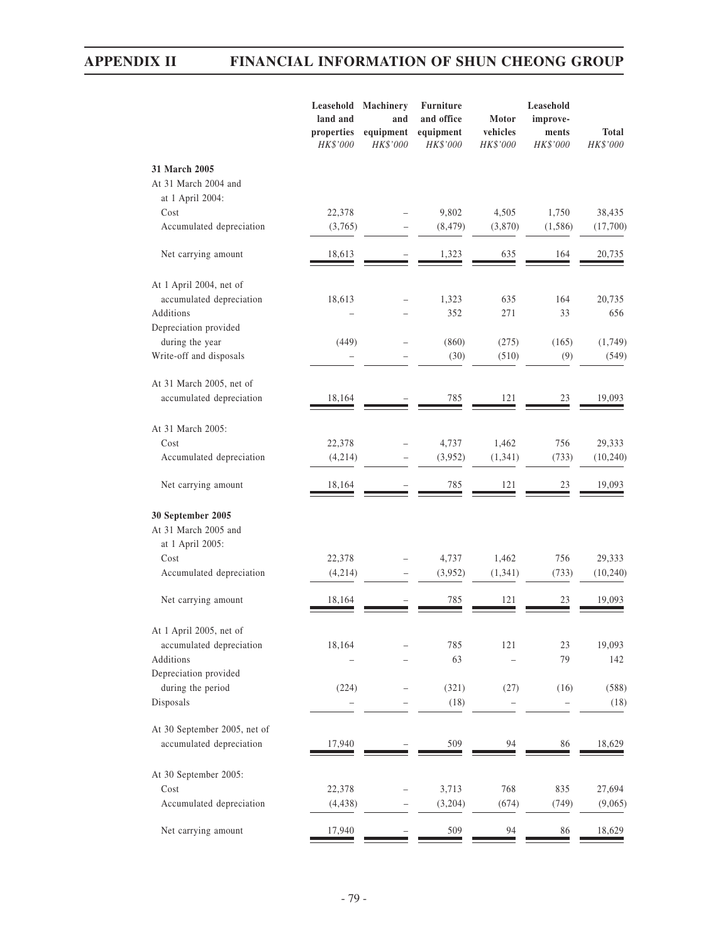|                              | Leasehold<br>land and<br>properties<br>HK\$'000 | Machinery<br>and<br>equipment<br>HK\$'000 | <b>Furniture</b><br>and office<br>equipment<br>HK\$'000 | Motor<br>vehicles<br>HK\$'000 | Leasehold<br>improve-<br>ments<br>HK\$'000 | <b>Total</b><br>HK\$'000 |
|------------------------------|-------------------------------------------------|-------------------------------------------|---------------------------------------------------------|-------------------------------|--------------------------------------------|--------------------------|
| 31 March 2005                |                                                 |                                           |                                                         |                               |                                            |                          |
| At 31 March 2004 and         |                                                 |                                           |                                                         |                               |                                            |                          |
| at 1 April 2004:<br>Cost     | 22,378                                          |                                           | 9,802                                                   | 4,505                         | 1,750                                      | 38,435                   |
| Accumulated depreciation     | (3,765)                                         |                                           | (8, 479)                                                | (3,870)                       | (1, 586)                                   | (17,700)                 |
| Net carrying amount          | 18,613                                          |                                           | 1,323                                                   | 635                           | 164                                        | 20,735                   |
| At 1 April 2004, net of      |                                                 |                                           |                                                         |                               |                                            |                          |
| accumulated depreciation     | 18,613                                          |                                           | 1,323                                                   | 635                           | 164                                        | 20,735                   |
| Additions                    |                                                 |                                           | 352                                                     | 271                           | 33                                         | 656                      |
| Depreciation provided        |                                                 |                                           |                                                         |                               |                                            |                          |
| during the year              | (449)                                           |                                           | (860)                                                   | (275)                         | (165)                                      | (1,749)                  |
| Write-off and disposals      |                                                 |                                           | (30)                                                    | (510)                         | (9)                                        | (549)                    |
| At 31 March 2005, net of     |                                                 |                                           |                                                         |                               |                                            |                          |
| accumulated depreciation     | 18,164                                          |                                           | 785                                                     | 121                           | 23                                         | 19,093                   |
| At 31 March 2005:            |                                                 |                                           |                                                         |                               |                                            |                          |
| Cost                         | 22,378                                          |                                           | 4,737                                                   | 1,462                         | 756                                        | 29,333                   |
| Accumulated depreciation     | (4,214)                                         |                                           | (3,952)                                                 | (1, 341)                      | (733)                                      | (10, 240)                |
| Net carrying amount          | 18,164                                          |                                           | 785                                                     | 121                           | 23                                         | 19,093                   |
| 30 September 2005            |                                                 |                                           |                                                         |                               |                                            |                          |
| At 31 March 2005 and         |                                                 |                                           |                                                         |                               |                                            |                          |
| at 1 April 2005:             |                                                 |                                           |                                                         |                               |                                            |                          |
| Cost                         | 22,378                                          |                                           | 4,737                                                   | 1,462                         | 756                                        | 29,333                   |
| Accumulated depreciation     | (4,214)                                         |                                           | (3,952)                                                 | (1, 341)                      | (733)                                      | (10, 240)                |
| Net carrying amount          | 18,164                                          |                                           | 785                                                     | 121                           | 23                                         | 19,093                   |
| At 1 April 2005, net of      |                                                 |                                           |                                                         |                               |                                            |                          |
| accumulated depreciation     | 18,164                                          |                                           | 785                                                     | 121                           | 23                                         | 19,093                   |
| Additions                    |                                                 |                                           | 63                                                      |                               | 79                                         | 142                      |
| Depreciation provided        |                                                 |                                           |                                                         |                               |                                            |                          |
| during the period            | (224)                                           |                                           | (321)                                                   | (27)                          | (16)                                       | (588)                    |
| Disposals                    |                                                 |                                           | (18)                                                    |                               |                                            | (18)                     |
| At 30 September 2005, net of |                                                 |                                           |                                                         |                               |                                            |                          |
| accumulated depreciation     | 17,940                                          |                                           | 509                                                     | 94                            | 86                                         | 18,629                   |
| At 30 September 2005:        |                                                 |                                           |                                                         |                               |                                            |                          |
| Cost                         | 22,378                                          |                                           | 3,713                                                   | 768                           | 835                                        | 27,694                   |
| Accumulated depreciation     | (4, 438)                                        |                                           | (3,204)                                                 | (674)                         | (749)                                      | (9,065)                  |
| Net carrying amount          | 17,940                                          |                                           | 509                                                     | 94                            | 86                                         | 18,629                   |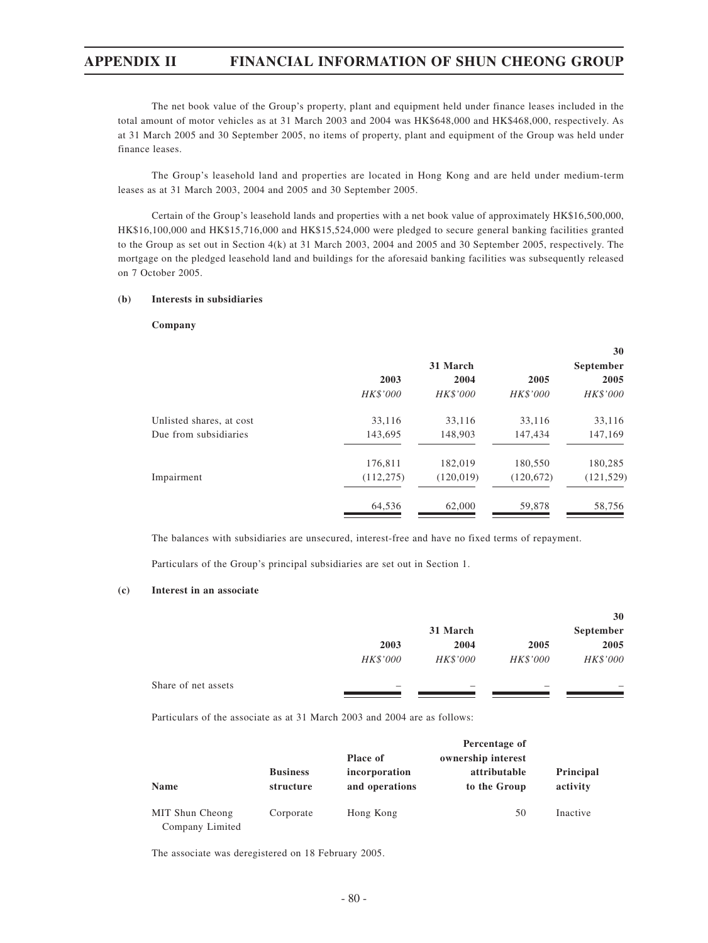The net book value of the Group's property, plant and equipment held under finance leases included in the total amount of motor vehicles as at 31 March 2003 and 2004 was HK\$648,000 and HK\$468,000, respectively. As at 31 March 2005 and 30 September 2005, no items of property, plant and equipment of the Group was held under finance leases.

The Group's leasehold land and properties are located in Hong Kong and are held under medium-term leases as at 31 March 2003, 2004 and 2005 and 30 September 2005.

Certain of the Group's leasehold lands and properties with a net book value of approximately HK\$16,500,000, HK\$16,100,000 and HK\$15,716,000 and HK\$15,524,000 were pledged to secure general banking facilities granted to the Group as set out in Section 4(k) at 31 March 2003, 2004 and 2005 and 30 September 2005, respectively. The mortgage on the pledged leasehold land and buildings for the aforesaid banking facilities was subsequently released on 7 October 2005.

#### **(b) Interests in subsidiaries**

#### **Company**

|                          |            |            |            | 30         |
|--------------------------|------------|------------|------------|------------|
|                          |            | 31 March   |            | September  |
|                          | 2003       | 2004       | 2005       | 2005       |
|                          | HK\$'000   | HK\$'000   | HK\$'000   | HK\$'000   |
| Unlisted shares, at cost | 33.116     | 33,116     | 33,116     | 33,116     |
| Due from subsidiaries    | 143,695    | 148,903    | 147,434    | 147,169    |
|                          | 176,811    | 182,019    | 180,550    | 180,285    |
| Impairment               | (112, 275) | (120, 019) | (120, 672) | (121, 529) |
|                          | 64,536     | 62,000     | 59,878     | 58,756     |
|                          |            |            |            |            |

The balances with subsidiaries are unsecured, interest-free and have no fixed terms of repayment.

Particulars of the Group's principal subsidiaries are set out in Section 1.

#### **(c) Interest in an associate**

|                     |          |           |          | 30       |
|---------------------|----------|-----------|----------|----------|
|                     |          | September |          |          |
|                     | 2003     | 2004      | 2005     | 2005     |
|                     | HK\$'000 | HK\$'000  | HK\$'000 | HK\$'000 |
| Share of net assets |          |           | -        | -        |
|                     |          |           |          |          |

Particulars of the associate as at 31 March 2003 and 2004 are as follows:

|                                    |                              |                                             | Percentage of                                      |                       |
|------------------------------------|------------------------------|---------------------------------------------|----------------------------------------------------|-----------------------|
| <b>Name</b>                        | <b>Business</b><br>structure | Place of<br>incorporation<br>and operations | ownership interest<br>attributable<br>to the Group | Principal<br>activity |
| MIT Shun Cheong<br>Company Limited | Corporate                    | Hong Kong                                   | 50                                                 | Inactive              |

The associate was deregistered on 18 February 2005.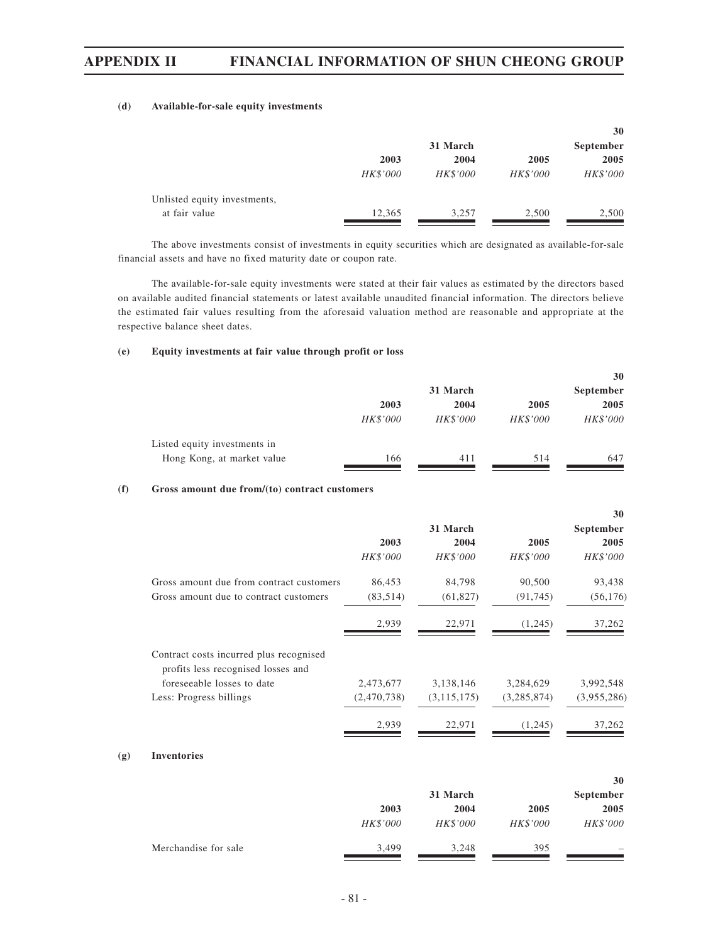#### **(d) Available-for-sale equity investments**

|                              |          |           |          | 30       |
|------------------------------|----------|-----------|----------|----------|
|                              |          | September |          |          |
|                              | 2003     | 2004      | 2005     | 2005     |
|                              | HK\$'000 | HK\$'000  | HK\$'000 | HK\$'000 |
| Unlisted equity investments, |          |           |          |          |
| at fair value                | 12,365   | 3,257     | 2,500    | 2,500    |
|                              |          |           |          |          |

The above investments consist of investments in equity securities which are designated as available-for-sale financial assets and have no fixed maturity date or coupon rate.

The available-for-sale equity investments were stated at their fair values as estimated by the directors based on available audited financial statements or latest available unaudited financial information. The directors believe the estimated fair values resulting from the aforesaid valuation method are reasonable and appropriate at the respective balance sheet dates.

#### **(e) Equity investments at fair value through profit or loss**

|                              |          |           |          | 30       |
|------------------------------|----------|-----------|----------|----------|
|                              |          | September |          |          |
|                              | 2003     | 2004      | 2005     | 2005     |
|                              | HK\$'000 | HK\$'000  | HK\$'000 | HK\$'000 |
| Listed equity investments in |          |           |          |          |
| Hong Kong, at market value   | 166      | 411       | 514      | 647      |

**30**

#### **(f) Gross amount due from/(to) contract customers**

|                                                                               |             |               |             | ЭV.         |
|-------------------------------------------------------------------------------|-------------|---------------|-------------|-------------|
|                                                                               |             | 31 March      |             | September   |
|                                                                               | 2003        | 2004          | 2005        | 2005        |
|                                                                               | HK\$'000    | HK\$'000      | HK\$'000    | HK\$'000    |
| Gross amount due from contract customers                                      | 86,453      | 84.798        | 90,500      | 93,438      |
| Gross amount due to contract customers                                        | (83, 514)   | (61, 827)     | (91, 745)   | (56, 176)   |
|                                                                               | 2,939       | 22,971        | (1,245)     | 37,262      |
| Contract costs incurred plus recognised<br>profits less recognised losses and |             |               |             |             |
| foreseeable losses to date                                                    | 2,473,677   | 3,138,146     | 3,284,629   | 3,992,548   |
| Less: Progress billings                                                       | (2,470,738) | (3, 115, 175) | (3,285,874) | (3,955,286) |
|                                                                               | 2,939       | 22,971        | (1,245)     | 37,262      |
|                                                                               |             |               |             |             |

### **(g) Inventories**

|                      |          |          |          | 30                       |
|----------------------|----------|----------|----------|--------------------------|
|                      |          | 31 March |          |                          |
|                      | 2003     | 2004     | 2005     | 2005                     |
|                      | HK\$'000 | HK\$'000 | HK\$'000 | HK\$'000                 |
| Merchandise for sale | 3,499    | 3,248    | 395      | $\overline{\phantom{a}}$ |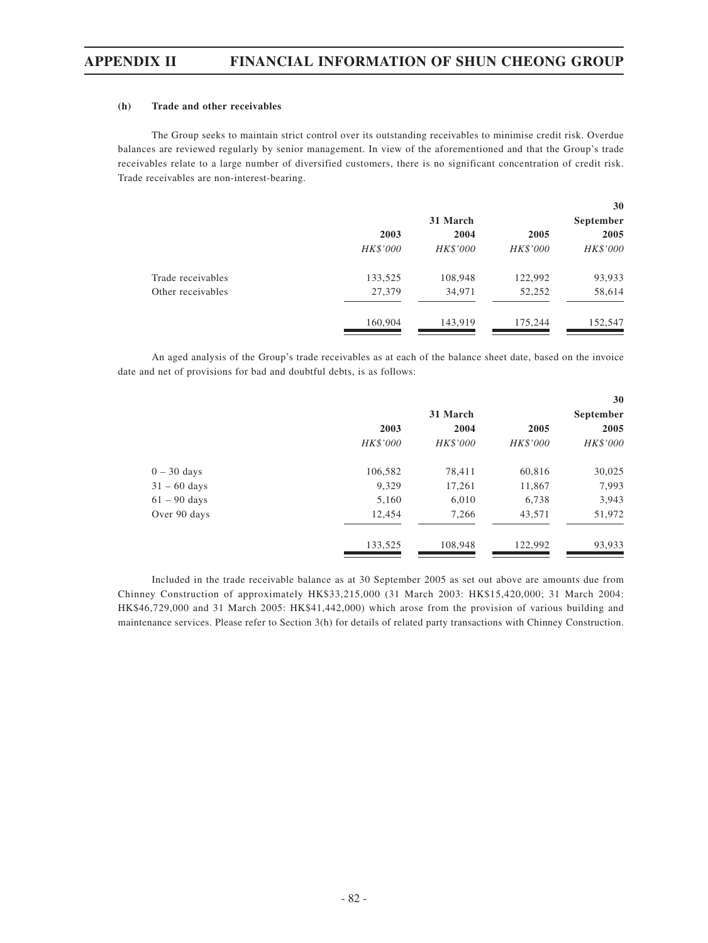#### **(h) Trade and other receivables**

The Group seeks to maintain strict control over its outstanding receivables to minimise credit risk. Overdue balances are reviewed regularly by senior management. In view of the aforementioned and that the Group's trade receivables relate to a large number of diversified customers, there is no significant concentration of credit risk. Trade receivables are non-interest-bearing.

|                   |          |          |          | 30        |
|-------------------|----------|----------|----------|-----------|
|                   |          | 31 March |          | September |
|                   | 2003     | 2004     | 2005     | 2005      |
|                   | HK\$'000 | HK\$'000 | HK\$'000 | HK\$'000  |
| Trade receivables | 133,525  | 108,948  | 122,992  | 93,933    |
| Other receivables | 27,379   | 34,971   | 52,252   | 58,614    |
|                   | 160,904  | 143,919  | 175,244  | 152,547   |

An aged analysis of the Group's trade receivables as at each of the balance sheet date, based on the invoice date and net of provisions for bad and doubtful debts, is as follows:

|                |          |          |          | ЭV.       |
|----------------|----------|----------|----------|-----------|
|                |          | 31 March |          | September |
|                | 2003     | 2004     | 2005     | 2005      |
|                | HK\$'000 | HK\$'000 | HK\$'000 | HK\$'000  |
| $0-30$ days    | 106,582  | 78,411   | 60,816   | 30,025    |
| $31 - 60$ days | 9,329    | 17,261   | 11,867   | 7,993     |
| $61 - 90$ days | 5,160    | 6,010    | 6,738    | 3,943     |
| Over 90 days   | 12,454   | 7,266    | 43,571   | 51,972    |
|                | 133,525  | 108,948  | 122,992  | 93,933    |

**30**

Included in the trade receivable balance as at 30 September 2005 as set out above are amounts due from Chinney Construction of approximately HK\$33,215,000 (31 March 2003: HK\$15,420,000; 31 March 2004: HK\$46,729,000 and 31 March 2005: HK\$41,442,000) which arose from the provision of various building and maintenance services. Please refer to Section 3(h) for details of related party transactions with Chinney Construction.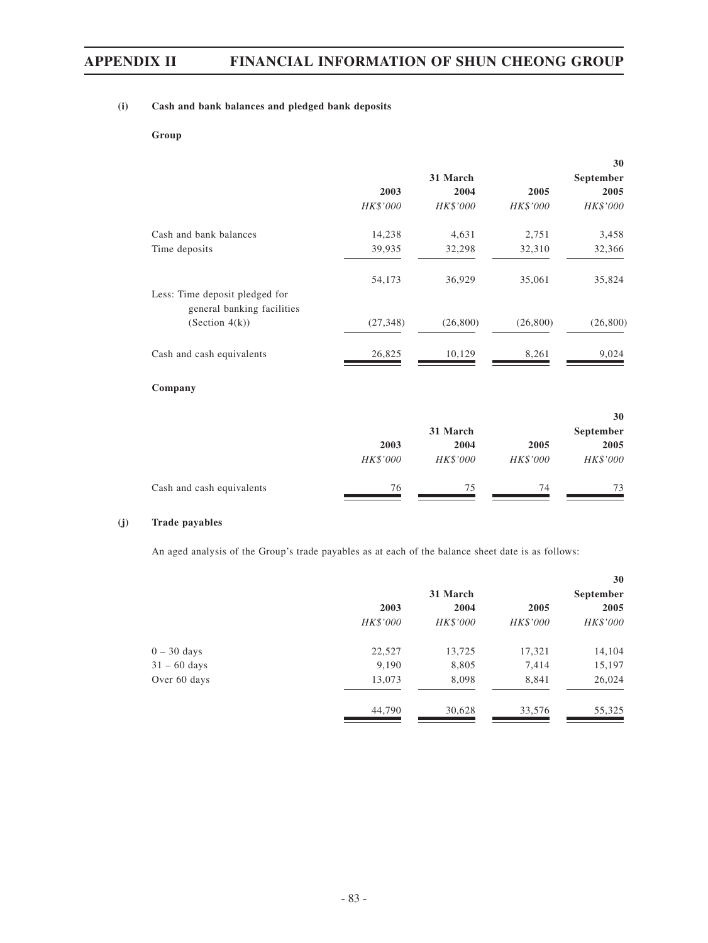### **(i) Cash and bank balances and pledged bank deposits**

## **Group**

|                                                              |           |           |           | 30        |
|--------------------------------------------------------------|-----------|-----------|-----------|-----------|
|                                                              |           | 31 March  |           | September |
|                                                              | 2003      | 2004      | 2005      | 2005      |
|                                                              | HK\$'000  | HK\$'000  | HK\$'000  | HK\$'000  |
| Cash and bank balances                                       | 14,238    | 4,631     | 2,751     | 3,458     |
| Time deposits                                                | 39,935    | 32,298    | 32,310    | 32,366    |
|                                                              | 54,173    | 36,929    | 35,061    | 35,824    |
| Less: Time deposit pledged for<br>general banking facilities |           |           |           |           |
| (Section $4(k)$ )                                            | (27, 348) | (26, 800) | (26, 800) | (26,800)  |
| Cash and cash equivalents                                    | 26,825    | 10,129    | 8,261     | 9,024     |
| Company                                                      |           |           |           |           |
|                                                              |           |           |           | 30        |
|                                                              |           | 31 March  |           | September |
|                                                              | 2003      | 2004      | 2005      | 2005      |

| Cash and cash equivalents | $\sim$ |  |
|---------------------------|--------|--|

*HK\$'000 HK\$'000 HK\$'000 HK\$'000*

## **(j) Trade payables**

An aged analysis of the Group's trade payables as at each of the balance sheet date is as follows:

|                |          |          |          | 30        |
|----------------|----------|----------|----------|-----------|
|                |          | 31 March |          | September |
|                | 2003     | 2004     | 2005     | 2005      |
|                | HK\$'000 | HK\$'000 | HK\$'000 | HK\$'000  |
| $0 - 30$ days  | 22,527   | 13,725   | 17,321   | 14,104    |
| $31 - 60$ days | 9,190    | 8,805    | 7,414    | 15,197    |
| Over 60 days   | 13,073   | 8,098    | 8,841    | 26,024    |
|                | 44,790   | 30,628   | 33,576   | 55,325    |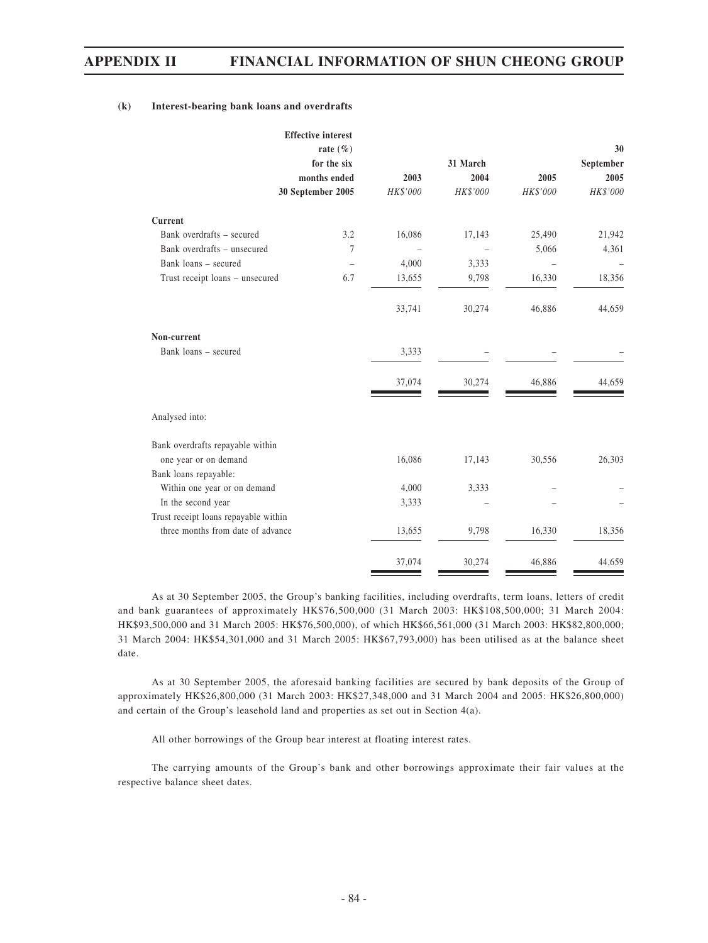#### **(k) Interest-bearing bank loans and overdrafts**

|                                      | <b>Effective interest</b>   |          |          |          |                 |
|--------------------------------------|-----------------------------|----------|----------|----------|-----------------|
|                                      | rate $(\% )$<br>for the six |          | 31 March |          | 30<br>September |
|                                      | months ended                | 2003     | 2004     | 2005     | 2005            |
|                                      | 30 September 2005           | HK\$'000 | HK\$'000 | HK\$'000 | HK\$'000        |
| Current                              |                             |          |          |          |                 |
| Bank overdrafts - secured            | 3.2                         | 16,086   | 17,143   | 25,490   | 21,942          |
| Bank overdrafts - unsecured          | 7                           |          |          | 5,066    | 4,361           |
| Bank loans – secured                 |                             | 4,000    | 3,333    |          |                 |
| Trust receipt loans - unsecured      | 6.7                         | 13,655   | 9,798    | 16,330   | 18,356          |
|                                      |                             | 33,741   | 30,274   | 46,886   | 44,659          |
| Non-current                          |                             |          |          |          |                 |
| Bank loans - secured                 |                             | 3,333    |          |          |                 |
|                                      |                             | 37,074   | 30,274   | 46,886   | 44,659          |
| Analysed into:                       |                             |          |          |          |                 |
| Bank overdrafts repayable within     |                             |          |          |          |                 |
| one year or on demand                |                             | 16,086   | 17,143   | 30,556   | 26,303          |
| Bank loans repayable:                |                             |          |          |          |                 |
| Within one year or on demand         |                             | 4,000    | 3,333    |          |                 |
| In the second year                   |                             | 3,333    |          |          |                 |
| Trust receipt loans repayable within |                             |          |          |          |                 |
| three months from date of advance    |                             | 13,655   | 9,798    | 16,330   | 18,356          |
|                                      |                             | 37,074   | 30,274   | 46,886   | 44,659          |

As at 30 September 2005, the Group's banking facilities, including overdrafts, term loans, letters of credit and bank guarantees of approximately HK\$76,500,000 (31 March 2003: HK\$108,500,000; 31 March 2004: HK\$93,500,000 and 31 March 2005: HK\$76,500,000), of which HK\$66,561,000 (31 March 2003: HK\$82,800,000; 31 March 2004: HK\$54,301,000 and 31 March 2005: HK\$67,793,000) has been utilised as at the balance sheet date.

As at 30 September 2005, the aforesaid banking facilities are secured by bank deposits of the Group of approximately HK\$26,800,000 (31 March 2003: HK\$27,348,000 and 31 March 2004 and 2005: HK\$26,800,000) and certain of the Group's leasehold land and properties as set out in Section 4(a).

All other borrowings of the Group bear interest at floating interest rates.

The carrying amounts of the Group's bank and other borrowings approximate their fair values at the respective balance sheet dates.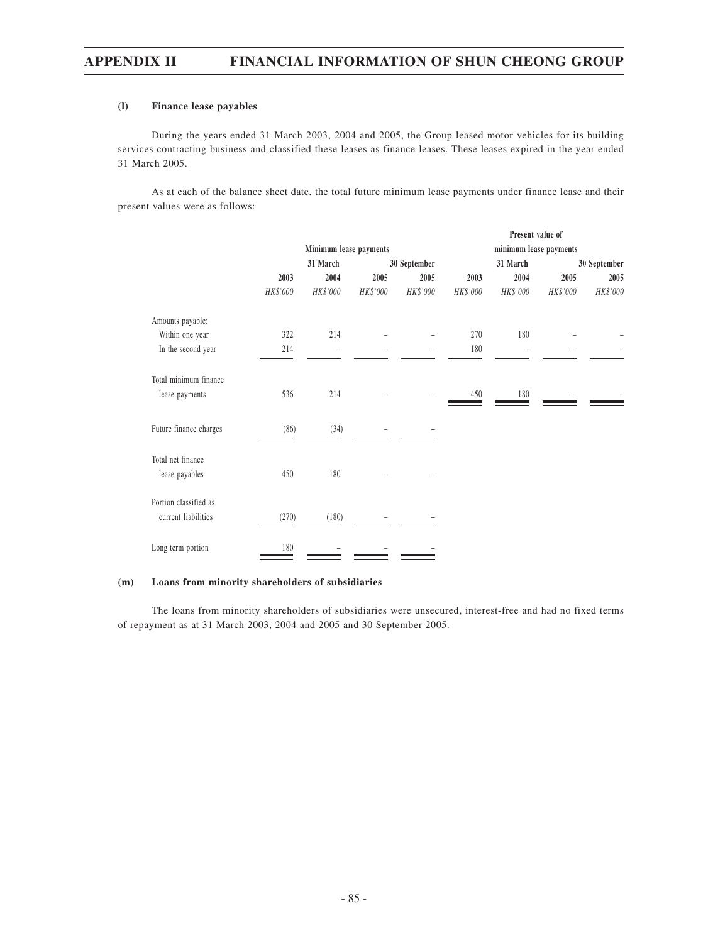#### **(l) Finance lease payables**

During the years ended 31 March 2003, 2004 and 2005, the Group leased motor vehicles for its building services contracting business and classified these leases as finance leases. These leases expired in the year ended 31 March 2005.

As at each of the balance sheet date, the total future minimum lease payments under finance lease and their present values were as follows:

|                                              |          |                        |          |              |          | Present value of       |          |              |
|----------------------------------------------|----------|------------------------|----------|--------------|----------|------------------------|----------|--------------|
|                                              |          | Minimum lease payments |          |              |          | minimum lease payments |          |              |
|                                              |          | 31 March               |          | 30 September |          | 31 March               |          | 30 September |
|                                              | 2003     | 2004                   | 2005     | 2005         | 2003     | 2004                   | 2005     | 2005         |
|                                              | HK\$'000 | HK\$'000               | HK\$'000 | HK\$'000     | HK\$'000 | HK\$'000               | HK\$'000 | HK\$'000     |
| Amounts payable:                             |          |                        |          |              |          |                        |          |              |
| Within one year                              | 322      | 214                    |          |              | 270      | 180                    |          |              |
| In the second year                           | 214      |                        |          |              | 180      |                        |          |              |
| Total minimum finance                        |          |                        |          |              |          |                        |          |              |
| lease payments                               | 536      | 214                    |          |              | 450      | 180                    |          |              |
| Future finance charges                       | (86)     | (34)                   |          |              |          |                        |          |              |
| Total net finance<br>lease payables          | 450      | 180                    |          |              |          |                        |          |              |
| Portion classified as<br>current liabilities | (270)    | (180)                  |          |              |          |                        |          |              |
| Long term portion                            | 180      |                        |          |              |          |                        |          |              |

#### **(m) Loans from minority shareholders of subsidiaries**

The loans from minority shareholders of subsidiaries were unsecured, interest-free and had no fixed terms of repayment as at 31 March 2003, 2004 and 2005 and 30 September 2005.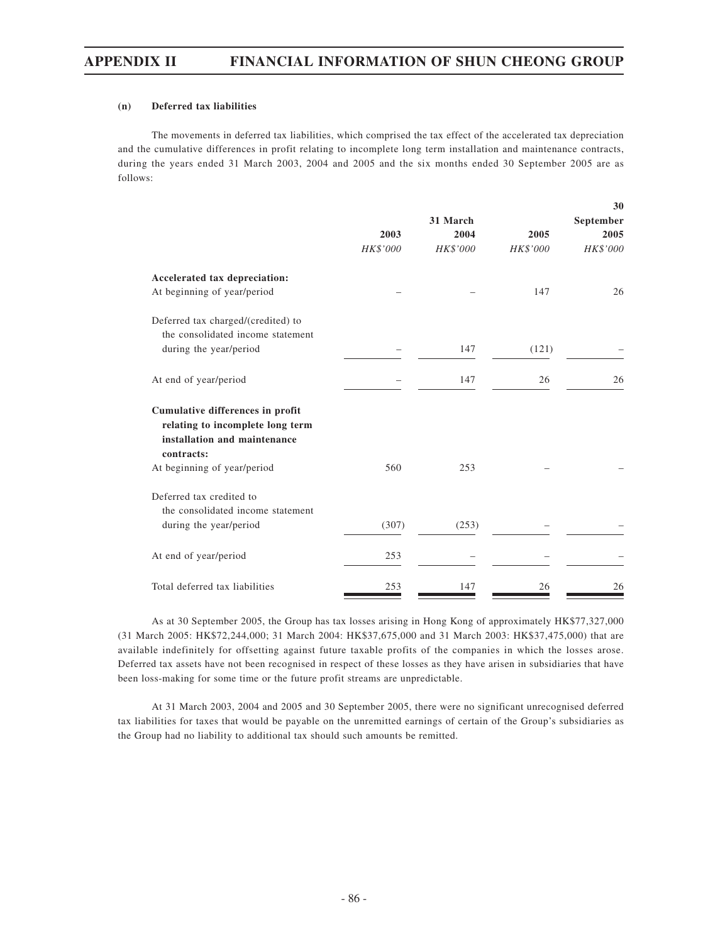#### **(n) Deferred tax liabilities**

The movements in deferred tax liabilities, which comprised the tax effect of the accelerated tax depreciation and the cumulative differences in profit relating to incomplete long term installation and maintenance contracts, during the years ended 31 March 2003, 2004 and 2005 and the six months ended 30 September 2005 are as follows:

|                                                                                                                           |          |          |          | 30        |
|---------------------------------------------------------------------------------------------------------------------------|----------|----------|----------|-----------|
|                                                                                                                           |          | 31 March |          | September |
|                                                                                                                           | 2003     | 2004     | 2005     | 2005      |
|                                                                                                                           | HK\$'000 | HK\$'000 | HK\$'000 | HK\$'000  |
| Accelerated tax depreciation:                                                                                             |          |          |          |           |
| At beginning of year/period                                                                                               |          |          | 147      | 26        |
| Deferred tax charged/(credited) to                                                                                        |          |          |          |           |
| the consolidated income statement                                                                                         |          |          |          |           |
| during the year/period                                                                                                    |          | 147      | (121)    |           |
| At end of year/period                                                                                                     |          | 147      | 26       | 26        |
| <b>Cumulative differences in profit</b><br>relating to incomplete long term<br>installation and maintenance<br>contracts: |          |          |          |           |
| At beginning of year/period                                                                                               | 560      | 253      |          |           |
| Deferred tax credited to<br>the consolidated income statement                                                             |          |          |          |           |
| during the year/period                                                                                                    | (307)    | (253)    |          |           |
| At end of year/period                                                                                                     | 253      |          |          |           |
| Total deferred tax liabilities                                                                                            | 253      | 147      | 26       | 26        |

As at 30 September 2005, the Group has tax losses arising in Hong Kong of approximately HK\$77,327,000 (31 March 2005: HK\$72,244,000; 31 March 2004: HK\$37,675,000 and 31 March 2003: HK\$37,475,000) that are available indefinitely for offsetting against future taxable profits of the companies in which the losses arose. Deferred tax assets have not been recognised in respect of these losses as they have arisen in subsidiaries that have been loss-making for some time or the future profit streams are unpredictable.

At 31 March 2003, 2004 and 2005 and 30 September 2005, there were no significant unrecognised deferred tax liabilities for taxes that would be payable on the unremitted earnings of certain of the Group's subsidiaries as the Group had no liability to additional tax should such amounts be remitted.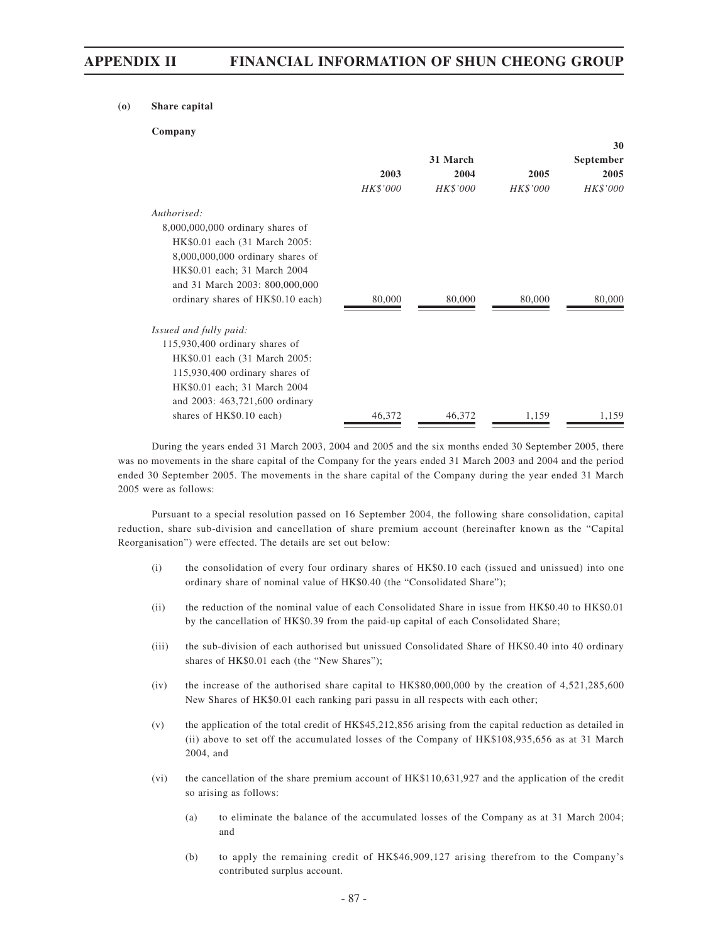**30**

## **(o) Share capital**

## **Company**

|                                   |          |          |          | JV.       |
|-----------------------------------|----------|----------|----------|-----------|
|                                   |          | 31 March |          | September |
|                                   | 2003     | 2004     | 2005     | 2005      |
|                                   | HK\$'000 | HK\$'000 | HK\$'000 | HK\$'000  |
| Authorised:                       |          |          |          |           |
| 8,000,000,000 ordinary shares of  |          |          |          |           |
| HK\$0.01 each (31 March 2005:     |          |          |          |           |
| 8,000,000,000 ordinary shares of  |          |          |          |           |
| HK\$0.01 each; 31 March 2004      |          |          |          |           |
| and 31 March 2003: 800,000,000    |          |          |          |           |
| ordinary shares of HK\$0.10 each) | 80,000   | 80,000   | 80,000   | 80,000    |
|                                   |          |          |          |           |
| Issued and fully paid:            |          |          |          |           |
| $115,930,400$ ordinary shares of  |          |          |          |           |
| HK\$0.01 each (31 March 2005:     |          |          |          |           |
| $115,930,400$ ordinary shares of  |          |          |          |           |
| HK\$0.01 each; 31 March 2004      |          |          |          |           |
| and 2003: 463,721,600 ordinary    |          |          |          |           |
| shares of HK\$0.10 each)          | 46,372   | 46,372   | 1,159    | 1,159     |

During the years ended 31 March 2003, 2004 and 2005 and the six months ended 30 September 2005, there was no movements in the share capital of the Company for the years ended 31 March 2003 and 2004 and the period ended 30 September 2005. The movements in the share capital of the Company during the year ended 31 March 2005 were as follows:

Pursuant to a special resolution passed on 16 September 2004, the following share consolidation, capital reduction, share sub-division and cancellation of share premium account (hereinafter known as the "Capital Reorganisation") were effected. The details are set out below:

- (i) the consolidation of every four ordinary shares of HK\$0.10 each (issued and unissued) into one ordinary share of nominal value of HK\$0.40 (the "Consolidated Share");
- (ii) the reduction of the nominal value of each Consolidated Share in issue from HK\$0.40 to HK\$0.01 by the cancellation of HK\$0.39 from the paid-up capital of each Consolidated Share;
- (iii) the sub-division of each authorised but unissued Consolidated Share of HK\$0.40 into 40 ordinary shares of HK\$0.01 each (the "New Shares");
- (iv) the increase of the authorised share capital to HK\$80,000,000 by the creation of 4,521,285,600 New Shares of HK\$0.01 each ranking pari passu in all respects with each other;
- (v) the application of the total credit of HK\$45,212,856 arising from the capital reduction as detailed in (ii) above to set off the accumulated losses of the Company of HK\$108,935,656 as at 31 March 2004, and
- (vi) the cancellation of the share premium account of HK\$110,631,927 and the application of the credit so arising as follows:
	- (a) to eliminate the balance of the accumulated losses of the Company as at 31 March 2004; and
	- (b) to apply the remaining credit of HK\$46,909,127 arising therefrom to the Company's contributed surplus account.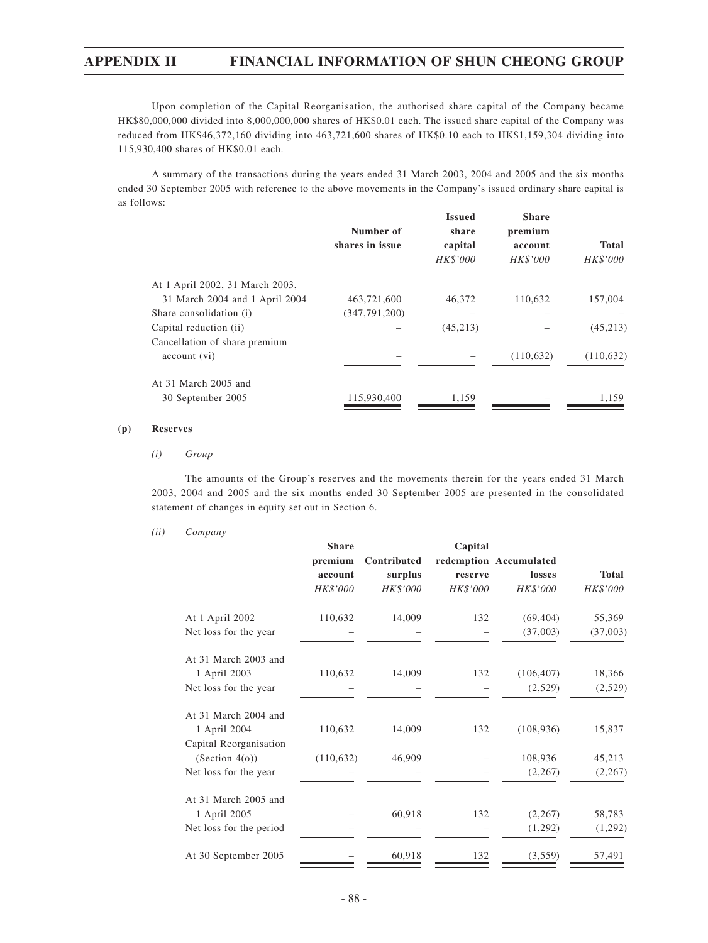Upon completion of the Capital Reorganisation, the authorised share capital of the Company became HK\$80,000,000 divided into 8,000,000,000 shares of HK\$0.01 each. The issued share capital of the Company was reduced from HK\$46,372,160 dividing into 463,721,600 shares of HK\$0.10 each to HK\$1,159,304 dividing into 115,930,400 shares of HK\$0.01 each.

A summary of the transactions during the years ended 31 March 2003, 2004 and 2005 and the six months ended 30 September 2005 with reference to the above movements in the Company's issued ordinary share capital is as follows:

|                                 | Number of<br>shares in issue | <b>Issued</b><br>share<br>capital<br><b>HK\$'000</b> | <b>Share</b><br>premium<br>account<br>HK\$'000 | <b>Total</b><br>HK\$'000 |
|---------------------------------|------------------------------|------------------------------------------------------|------------------------------------------------|--------------------------|
| At 1 April 2002, 31 March 2003, |                              |                                                      |                                                |                          |
| 31 March 2004 and 1 April 2004  | 463,721,600                  | 46,372                                               | 110,632                                        | 157,004                  |
| Share consolidation (i)         | (347,791,200)                |                                                      |                                                |                          |
| Capital reduction (ii)          |                              | (45,213)                                             |                                                | (45, 213)                |
| Cancellation of share premium   |                              |                                                      |                                                |                          |
| account (vi)                    |                              |                                                      | (110, 632)                                     | (110, 632)               |
| At $31$ March 2005 and          |                              |                                                      |                                                |                          |
| 30 September 2005               | 115,930,400                  | 1,159                                                |                                                | 1,159                    |
|                                 |                              |                                                      |                                                |                          |

### **(p) Reserves**

#### *(i) Group*

The amounts of the Group's reserves and the movements therein for the years ended 31 March 2003, 2004 and 2005 and the six months ended 30 September 2005 are presented in the consolidated statement of changes in equity set out in Section 6.

#### *(ii) Company*

|                         | <b>Share</b> |             | Capital  |                        |              |
|-------------------------|--------------|-------------|----------|------------------------|--------------|
|                         | premium      | Contributed |          | redemption Accumulated |              |
|                         | account      | surplus     | reserve  | losses                 | <b>Total</b> |
|                         | HK\$'000     | HK\$'000    | HK\$'000 | HK\$'000               | HK\$'000     |
| At 1 April 2002         | 110,632      | 14,009      | 132      | (69, 404)              | 55,369       |
| Net loss for the year   |              |             |          | (37,003)               | (37,003)     |
| At 31 March 2003 and    |              |             |          |                        |              |
| 1 April 2003            | 110,632      | 14,009      | 132      | (106, 407)             | 18,366       |
| Net loss for the year   |              |             |          | (2,529)                | (2,529)      |
| At 31 March 2004 and    |              |             |          |                        |              |
| 1 April 2004            | 110,632      | 14,009      | 132      | (108, 936)             | 15,837       |
| Capital Reorganisation  |              |             |          |                        |              |
| (Section 4(o))          | (110, 632)   | 46,909      |          | 108,936                | 45,213       |
| Net loss for the year   |              |             |          | (2,267)                | (2,267)      |
| At 31 March 2005 and    |              |             |          |                        |              |
| 1 April 2005            |              | 60,918      | 132      | (2,267)                | 58,783       |
| Net loss for the period |              |             |          | (1,292)                | (1,292)      |
| At 30 September 2005    |              | 60,918      | 132      | (3,559)                | 57,491       |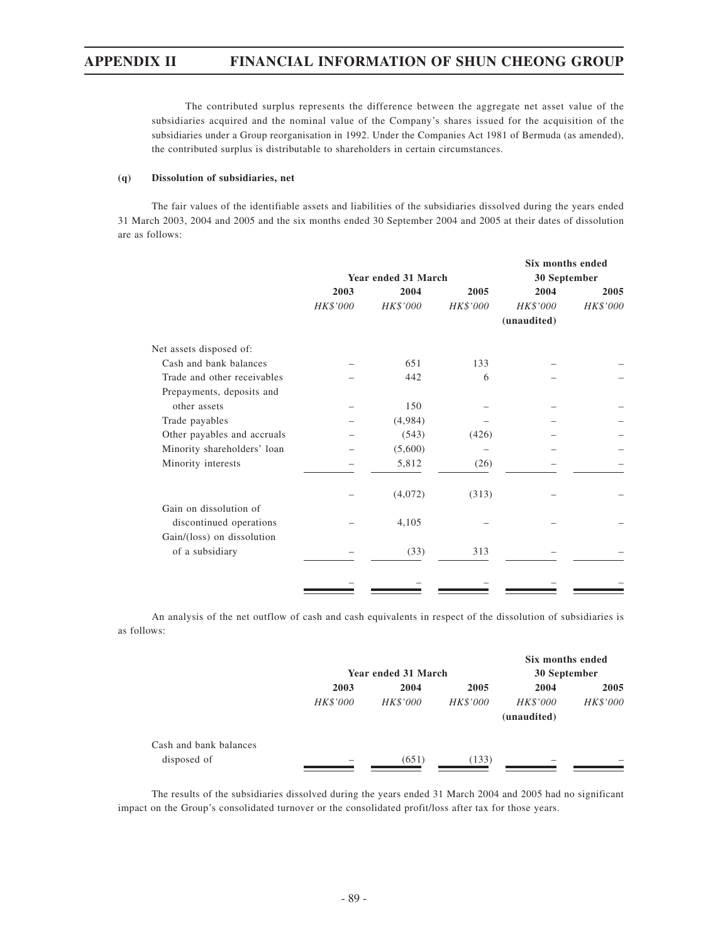The contributed surplus represents the difference between the aggregate net asset value of the subsidiaries acquired and the nominal value of the Company's shares issued for the acquisition of the subsidiaries under a Group reorganisation in 1992. Under the Companies Act 1981 of Bermuda (as amended), the contributed surplus is distributable to shareholders in certain circumstances.

#### **(q) Dissolution of subsidiaries, net**

The fair values of the identifiable assets and liabilities of the subsidiaries dissolved during the years ended 31 March 2003, 2004 and 2005 and the six months ended 30 September 2004 and 2005 at their dates of dissolution are as follows:

|                             |          |                     |          | Six months ended |              |
|-----------------------------|----------|---------------------|----------|------------------|--------------|
|                             |          | Year ended 31 March |          |                  | 30 September |
|                             | 2003     | 2004                | 2005     | 2004             | 2005         |
|                             | HK\$'000 | HK\$'000            | HK\$'000 | HK\$'000         | HK\$'000     |
|                             |          |                     |          | (unaudited)      |              |
| Net assets disposed of:     |          |                     |          |                  |              |
| Cash and bank balances      |          | 651                 | 133      |                  |              |
| Trade and other receivables |          | 442                 | 6        |                  |              |
| Prepayments, deposits and   |          |                     |          |                  |              |
| other assets                |          | 150                 |          |                  |              |
| Trade payables              |          | (4,984)             |          |                  |              |
| Other payables and accruals |          | (543)               | (426)    |                  |              |
| Minority shareholders' loan |          | (5,600)             |          |                  |              |
| Minority interests          |          | 5,812               | (26)     |                  |              |
|                             |          | (4,072)             | (313)    |                  |              |
| Gain on dissolution of      |          |                     |          |                  |              |
| discontinued operations     |          | 4,105               |          |                  |              |
| Gain/(loss) on dissolution  |          |                     |          |                  |              |
| of a subsidiary             |          | (33)                | 313      |                  |              |
|                             |          |                     |          |                  |              |
|                             |          |                     |          |                  |              |

An analysis of the net outflow of cash and cash equivalents in respect of the dissolution of subsidiaries is as follows:

|                        |          |                     |          | этх шопину епаса         |          |  |
|------------------------|----------|---------------------|----------|--------------------------|----------|--|
|                        |          | Year ended 31 March |          | 30 September             |          |  |
|                        | 2003     | 2004                | 2005     | 2004                     | 2005     |  |
|                        | HK\$'000 | HK\$'000            | HK\$'000 | <i>HK\$'000</i>          | HK\$'000 |  |
|                        |          |                     |          | (unaudited)              |          |  |
| Cash and bank balances |          |                     |          |                          |          |  |
| disposed of            |          | (651)               | (133)    | $\overline{\phantom{a}}$ | -        |  |

**Six months ended**

The results of the subsidiaries dissolved during the years ended 31 March 2004 and 2005 had no significant impact on the Group's consolidated turnover or the consolidated profit/loss after tax for those years.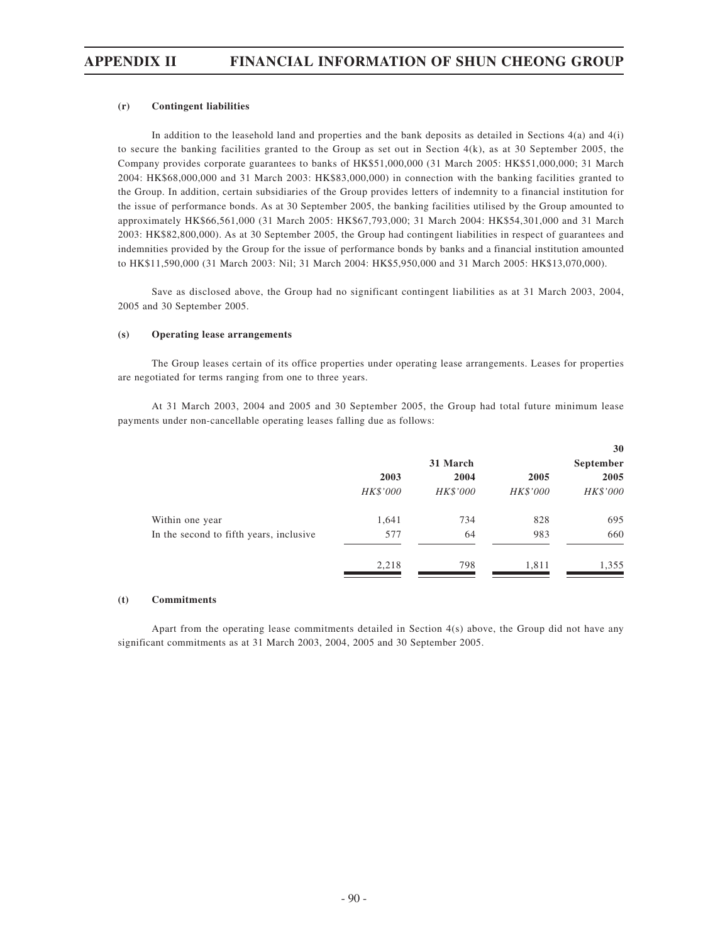#### **(r) Contingent liabilities**

In addition to the leasehold land and properties and the bank deposits as detailed in Sections 4(a) and 4(i) to secure the banking facilities granted to the Group as set out in Section 4(k), as at 30 September 2005, the Company provides corporate guarantees to banks of HK\$51,000,000 (31 March 2005: HK\$51,000,000; 31 March 2004: HK\$68,000,000 and 31 March 2003: HK\$83,000,000) in connection with the banking facilities granted to the Group. In addition, certain subsidiaries of the Group provides letters of indemnity to a financial institution for the issue of performance bonds. As at 30 September 2005, the banking facilities utilised by the Group amounted to approximately HK\$66,561,000 (31 March 2005: HK\$67,793,000; 31 March 2004: HK\$54,301,000 and 31 March 2003: HK\$82,800,000). As at 30 September 2005, the Group had contingent liabilities in respect of guarantees and indemnities provided by the Group for the issue of performance bonds by banks and a financial institution amounted to HK\$11,590,000 (31 March 2003: Nil; 31 March 2004: HK\$5,950,000 and 31 March 2005: HK\$13,070,000).

Save as disclosed above, the Group had no significant contingent liabilities as at 31 March 2003, 2004, 2005 and 30 September 2005.

#### **(s) Operating lease arrangements**

The Group leases certain of its office properties under operating lease arrangements. Leases for properties are negotiated for terms ranging from one to three years.

At 31 March 2003, 2004 and 2005 and 30 September 2005, the Group had total future minimum lease payments under non-cancellable operating leases falling due as follows:

|                                         |          |          |          | 30        |
|-----------------------------------------|----------|----------|----------|-----------|
|                                         |          | 31 March |          | September |
|                                         | 2003     | 2004     | 2005     | 2005      |
|                                         | HK\$'000 | HK\$'000 | HK\$'000 | HK\$'000  |
| Within one year                         | 1,641    | 734      | 828      | 695       |
| In the second to fifth years, inclusive | 577      | 64       | 983      | 660       |
|                                         | 2,218    | 798      | 1,811    | 1,355     |
|                                         |          |          |          |           |

#### **(t) Commitments**

Apart from the operating lease commitments detailed in Section 4(s) above, the Group did not have any significant commitments as at 31 March 2003, 2004, 2005 and 30 September 2005.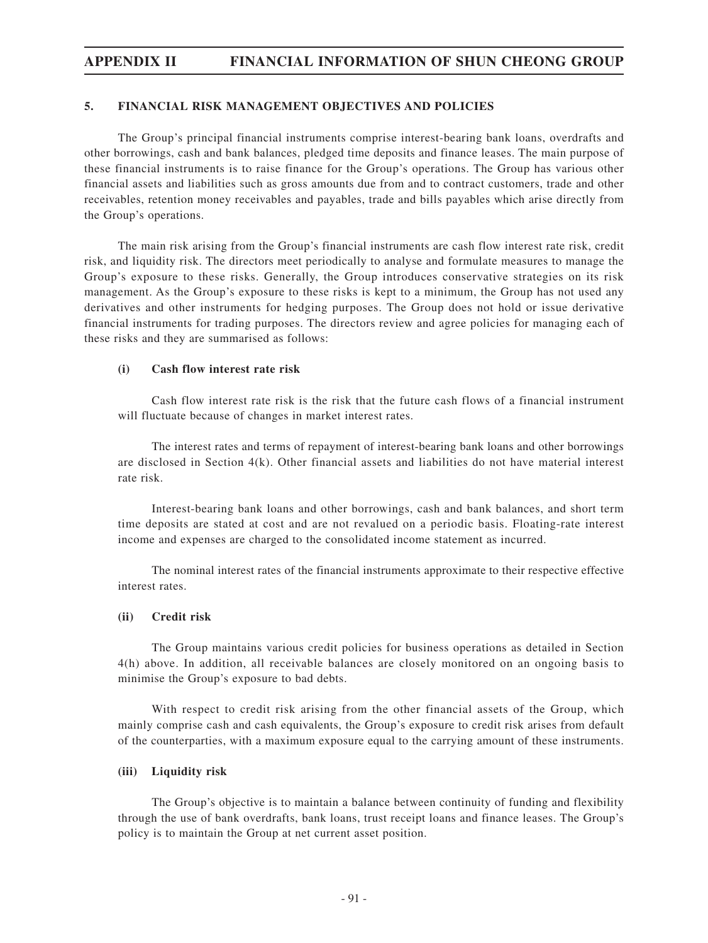## **5. FINANCIAL RISK MANAGEMENT OBJECTIVES AND POLICIES**

The Group's principal financial instruments comprise interest-bearing bank loans, overdrafts and other borrowings, cash and bank balances, pledged time deposits and finance leases. The main purpose of these financial instruments is to raise finance for the Group's operations. The Group has various other financial assets and liabilities such as gross amounts due from and to contract customers, trade and other receivables, retention money receivables and payables, trade and bills payables which arise directly from the Group's operations.

The main risk arising from the Group's financial instruments are cash flow interest rate risk, credit risk, and liquidity risk. The directors meet periodically to analyse and formulate measures to manage the Group's exposure to these risks. Generally, the Group introduces conservative strategies on its risk management. As the Group's exposure to these risks is kept to a minimum, the Group has not used any derivatives and other instruments for hedging purposes. The Group does not hold or issue derivative financial instruments for trading purposes. The directors review and agree policies for managing each of these risks and they are summarised as follows:

### **(i) Cash flow interest rate risk**

Cash flow interest rate risk is the risk that the future cash flows of a financial instrument will fluctuate because of changes in market interest rates.

The interest rates and terms of repayment of interest-bearing bank loans and other borrowings are disclosed in Section 4(k). Other financial assets and liabilities do not have material interest rate risk.

Interest-bearing bank loans and other borrowings, cash and bank balances, and short term time deposits are stated at cost and are not revalued on a periodic basis. Floating-rate interest income and expenses are charged to the consolidated income statement as incurred.

The nominal interest rates of the financial instruments approximate to their respective effective interest rates.

## **(ii) Credit risk**

The Group maintains various credit policies for business operations as detailed in Section 4(h) above. In addition, all receivable balances are closely monitored on an ongoing basis to minimise the Group's exposure to bad debts.

With respect to credit risk arising from the other financial assets of the Group, which mainly comprise cash and cash equivalents, the Group's exposure to credit risk arises from default of the counterparties, with a maximum exposure equal to the carrying amount of these instruments.

#### **(iii) Liquidity risk**

The Group's objective is to maintain a balance between continuity of funding and flexibility through the use of bank overdrafts, bank loans, trust receipt loans and finance leases. The Group's policy is to maintain the Group at net current asset position.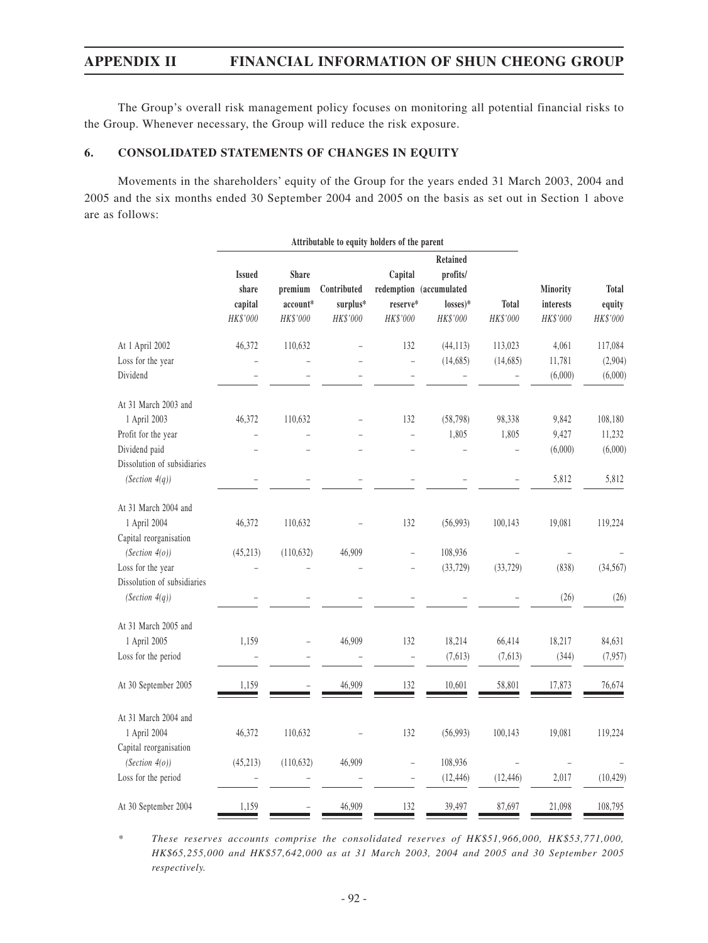The Group's overall risk management policy focuses on monitoring all potential financial risks to the Group. Whenever necessary, the Group will reduce the risk exposure.

## **6. CONSOLIDATED STATEMENTS OF CHANGES IN EQUITY**

Movements in the shareholders' equity of the Group for the years ended 31 March 2003, 2004 and 2005 and the six months ended 30 September 2004 and 2005 on the basis as set out in Section 1 above are as follows:

|                                                  |                                               |                                                 | Attributable to equity holders of the parent |                                 |                                                                           |                          |                                   |                                    |
|--------------------------------------------------|-----------------------------------------------|-------------------------------------------------|----------------------------------------------|---------------------------------|---------------------------------------------------------------------------|--------------------------|-----------------------------------|------------------------------------|
|                                                  | <b>Issued</b><br>share<br>capital<br>HK\$'000 | <b>Share</b><br>premium<br>account*<br>HK\$'000 | Contributed<br>surplus*<br>HK\$'000          | Capital<br>reserve*<br>HK\$'000 | Retained<br>profits/<br>redemption (accumulated<br>$losses)*$<br>HK\$'000 | <b>Total</b><br>HK\$'000 | Minority<br>interests<br>HK\$'000 | <b>Total</b><br>equity<br>HK\$'000 |
| At 1 April 2002<br>Loss for the year             | 46,372                                        | 110,632                                         |                                              | 132<br>$\overline{\phantom{a}}$ | (44, 113)<br>(14,685)                                                     | 113,023<br>(14, 685)     | 4,061<br>11,781                   | 117,084<br>(2,904)                 |
| Dividend                                         |                                               |                                                 |                                              |                                 |                                                                           |                          | (6,000)                           | (6,000)                            |
| At 31 March 2003 and                             |                                               |                                                 |                                              |                                 |                                                                           |                          |                                   |                                    |
| 1 April 2003                                     | 46,372                                        | 110,632                                         |                                              | 132                             | (58, 798)                                                                 | 98,338                   | 9,842                             | 108,180                            |
| Profit for the year                              | $\overline{a}$                                |                                                 |                                              | $\equiv$                        | 1,805                                                                     | 1,805                    | 9,427                             | 11,232                             |
| Dividend paid                                    |                                               |                                                 |                                              |                                 |                                                                           |                          | (6,000)                           | (6,000)                            |
| Dissolution of subsidiaries<br>(Section $4(q)$ ) |                                               |                                                 |                                              |                                 |                                                                           |                          | 5,812                             | 5,812                              |
| At 31 March 2004 and                             |                                               |                                                 |                                              |                                 |                                                                           |                          |                                   |                                    |
| 1 April 2004                                     | 46,372                                        | 110,632                                         |                                              | 132                             | (56,993)                                                                  | 100,143                  | 19,081                            | 119,224                            |
| Capital reorganisation                           |                                               |                                                 |                                              |                                 |                                                                           |                          |                                   |                                    |
| (Section $4(o)$ )                                | (45, 213)                                     | (110, 632)                                      | 46,909                                       |                                 | 108,936                                                                   |                          |                                   |                                    |
| Loss for the year                                |                                               |                                                 |                                              |                                 | (33, 729)                                                                 | (33, 729)                | (838)                             | (34, 567)                          |
| Dissolution of subsidiaries<br>(Section $4(q)$ ) |                                               |                                                 |                                              |                                 |                                                                           |                          | (26)                              | (26)                               |
| At 31 March 2005 and                             |                                               |                                                 |                                              |                                 |                                                                           |                          |                                   |                                    |
| 1 April 2005                                     | 1,159                                         |                                                 | 46,909                                       | 132                             | 18,214                                                                    | 66,414                   | 18,217                            | 84,631                             |
| Loss for the period                              |                                               |                                                 |                                              |                                 | (7,613)                                                                   | (7,613)                  | (344)                             | (7, 957)                           |
| At 30 September 2005                             | 1,159                                         |                                                 | 46,909                                       | 132                             | 10,601                                                                    | 58,801                   | 17,873                            | 76,674                             |
| At 31 March 2004 and                             |                                               |                                                 |                                              |                                 |                                                                           |                          |                                   |                                    |
| 1 April 2004                                     | 46,372                                        | 110,632                                         |                                              | 132                             | (56,993)                                                                  | 100,143                  | 19,081                            | 119,224                            |
| Capital reorganisation                           |                                               |                                                 |                                              |                                 |                                                                           |                          |                                   |                                    |
| (Section $4(o)$ )                                | (45, 213)                                     | (110, 632)                                      | 46,909                                       | $\overline{\phantom{0}}$        | 108,936                                                                   |                          |                                   |                                    |
| Loss for the period                              |                                               |                                                 |                                              |                                 | (12, 446)                                                                 | (12, 446)                | 2,017                             | (10, 429)                          |
| At 30 September 2004                             | 1,159                                         |                                                 | 46,909                                       | 132                             | 39,497                                                                    | 87,697                   | 21,098                            | 108,795                            |

*\* These reserves accounts comprise the consolidated reserves of HK\$51,966,000, HK\$53,771,000, HK\$65,255,000 and HK\$57,642,000 as at 31 March 2003, 2004 and 2005 and 30 September 2005 respectively.*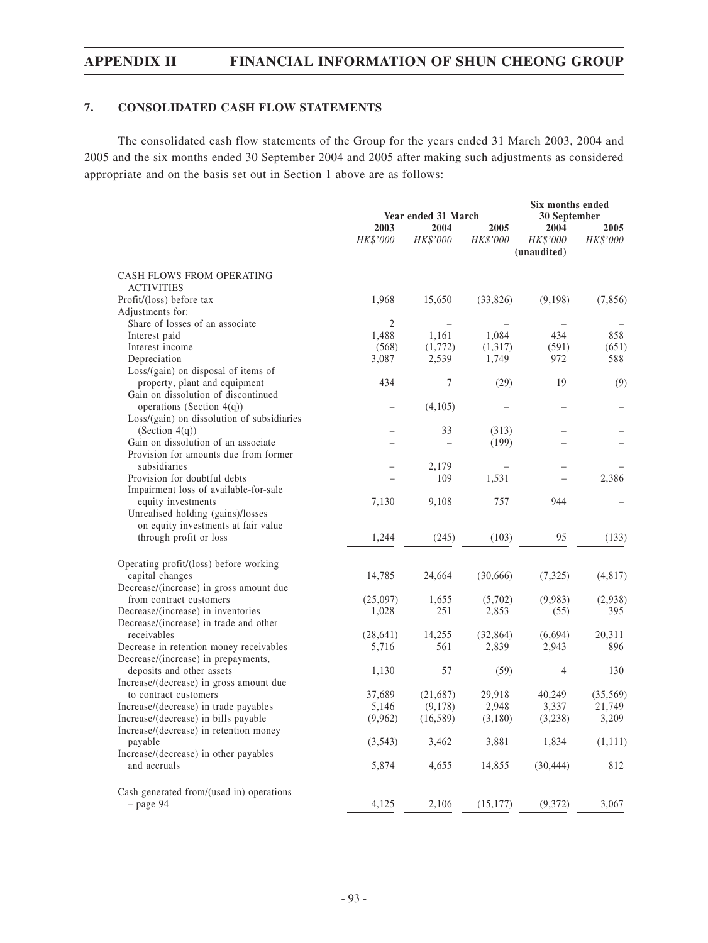## **7. CONSOLIDATED CASH FLOW STATEMENTS**

The consolidated cash flow statements of the Group for the years ended 31 March 2003, 2004 and 2005 and the six months ended 30 September 2004 and 2005 after making such adjustments as considered appropriate and on the basis set out in Section 1 above are as follows:

|                                            | Year ended 31 March<br>2004<br>2003<br>2005 |                          |           | Six months ended<br>30 September<br>2004<br>2005 |          |
|--------------------------------------------|---------------------------------------------|--------------------------|-----------|--------------------------------------------------|----------|
|                                            | HK\$'000                                    | HK\$'000                 | HK\$'000  | HK\$'000                                         | HK\$'000 |
|                                            |                                             |                          |           | (unaudited)                                      |          |
| <b>CASH FLOWS FROM OPERATING</b>           |                                             |                          |           |                                                  |          |
| <b>ACTIVITIES</b>                          |                                             |                          |           |                                                  |          |
| Profit/(loss) before tax                   | 1,968                                       | 15,650                   | (33,826)  | (9,198)                                          | (7,856)  |
| Adjustments for:                           |                                             |                          |           |                                                  |          |
| Share of losses of an associate            | $\overline{2}$                              |                          |           |                                                  |          |
| Interest paid                              | 1,488                                       | 1,161                    | 1,084     | 434                                              | 858      |
| Interest income                            | (568)                                       | (1,772)                  | (1,317)   | (591)                                            | (651)    |
| Depreciation                               | 3,087                                       | 2,539                    | 1,749     | 972                                              | 588      |
| $Loss/(gain)$ on disposal of items of      |                                             |                          |           |                                                  |          |
| property, plant and equipment              | 434                                         | 7                        | (29)      | 19                                               | (9)      |
| Gain on dissolution of discontinued        |                                             |                          |           |                                                  |          |
| operations (Section $4(q)$ )               |                                             | (4,105)                  |           |                                                  |          |
| Loss/(gain) on dissolution of subsidiaries |                                             |                          |           |                                                  |          |
| (Section $4(q)$ )                          |                                             | 33                       | (313)     |                                                  |          |
| Gain on dissolution of an associate        |                                             | $\overline{\phantom{0}}$ | (199)     |                                                  |          |
| Provision for amounts due from former      |                                             |                          |           |                                                  |          |
| subsidiaries                               |                                             | 2,179                    |           |                                                  |          |
| Provision for doubtful debts               |                                             | 109                      | 1,531     |                                                  | 2,386    |
| Impairment loss of available-for-sale      |                                             |                          |           |                                                  |          |
| equity investments                         | 7,130                                       | 9,108                    | 757       | 944                                              |          |
| Unrealised holding (gains)/losses          |                                             |                          |           |                                                  |          |
| on equity investments at fair value        |                                             |                          |           |                                                  |          |
| through profit or loss                     | 1,244                                       | (245)                    | (103)     | 95                                               | (133)    |
|                                            |                                             |                          |           |                                                  |          |
| Operating profit/(loss) before working     |                                             |                          |           |                                                  |          |
| capital changes                            | 14,785                                      | 24,664                   | (30,666)  | (7,325)                                          | (4,817)  |
| Decrease/(increase) in gross amount due    |                                             |                          |           |                                                  |          |
| from contract customers                    | (25,097)                                    | 1,655                    | (5,702)   | (9,983)                                          | (2,938)  |
| Decrease/(increase) in inventories         | 1,028                                       | 251                      | 2,853     | (55)                                             | 395      |
| Decrease/(increase) in trade and other     |                                             |                          |           |                                                  |          |
| receivables                                | (28, 641)                                   | 14,255                   | (32, 864) | (6,694)                                          | 20,311   |
| Decrease in retention money receivables    | 5,716                                       | 561                      | 2,839     | 2,943                                            | 896      |
| Decrease/(increase) in prepayments,        |                                             |                          |           |                                                  |          |
| deposits and other assets                  | 1,130                                       | 57                       | (59)      | $\overline{4}$                                   | 130      |
| Increase/(decrease) in gross amount due    |                                             |                          |           |                                                  |          |
| to contract customers                      | 37,689                                      | (21,687)                 | 29,918    | 40,249                                           | (35,569) |
| Increase/(decrease) in trade payables      | 5,146                                       | (9,178)                  | 2,948     | 3,337                                            | 21,749   |
| Increase/(decrease) in bills payable       | (9,962)                                     | (16, 589)                | (3,180)   | (3,238)                                          | 3,209    |
| Increase/(decrease) in retention money     |                                             |                          |           |                                                  |          |
| payable                                    | (3,543)                                     | 3,462                    | 3,881     | 1,834                                            | (1,111)  |
| Increase/(decrease) in other payables      |                                             |                          |           |                                                  |          |
| and accruals                               | 5,874                                       | 4,655                    | 14,855    | (30, 444)                                        | 812      |
|                                            |                                             |                          |           |                                                  |          |
| Cash generated from/(used in) operations   |                                             |                          |           |                                                  |          |
| $-$ page 94                                | 4,125                                       | 2,106                    | (15, 177) | (9,372)                                          | 3,067    |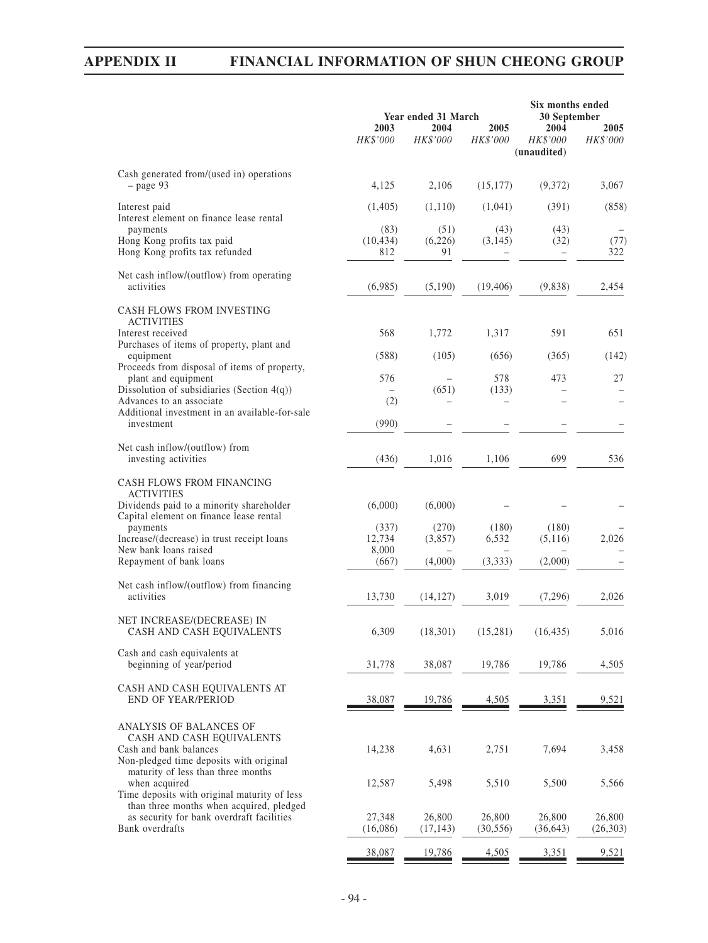|                                                                                                                           | Year ended 31 March<br>2004<br>2005<br>2003 |                     |                     | Six months ended<br>30 September<br>2004<br>2005 |                    |
|---------------------------------------------------------------------------------------------------------------------------|---------------------------------------------|---------------------|---------------------|--------------------------------------------------|--------------------|
|                                                                                                                           | HK\$'000                                    | HK\$'000            | HK\$'000            | $HK\$ '000<br>(unaudited)                        | HK\$'000           |
| Cash generated from/(used in) operations<br>$-$ page 93                                                                   | 4,125                                       | 2,106               | (15, 177)           | (9,372)                                          | 3,067              |
| Interest paid<br>Interest element on finance lease rental<br>payments                                                     | (1,405)<br>(83)                             | (1,110)<br>(51)     | (1,041)<br>(43)     | (391)<br>(43)                                    | (858)              |
| Hong Kong profits tax paid<br>Hong Kong profits tax refunded                                                              | (10, 434)<br>812                            | (6,226)<br>91       | (3, 145)            | (32)                                             | (77)<br>322        |
| Net cash inflow/(outflow) from operating<br>activities                                                                    | (6,985)                                     | (5,190)             | (19, 406)           | (9,838)                                          | 2,454              |
| CASH FLOWS FROM INVESTING                                                                                                 |                                             |                     |                     |                                                  |                    |
| <b>ACTIVITIES</b><br>Interest received                                                                                    | 568                                         | 1,772               | 1,317               | 591                                              | 651                |
| Purchases of items of property, plant and<br>equipment<br>Proceeds from disposal of items of property,                    | (588)                                       | (105)               | (656)               | (365)                                            | (142)              |
| plant and equipment<br>Dissolution of subsidiaries (Section $4(q)$ )                                                      | 576                                         | (651)               | 578<br>(133)        | 473                                              | 27                 |
| Advances to an associate<br>Additional investment in an available-for-sale                                                | (2)                                         |                     |                     |                                                  |                    |
| investment                                                                                                                | (990)                                       |                     |                     |                                                  |                    |
| Net cash inflow/(outflow) from<br>investing activities                                                                    | (436)                                       | 1,016               | 1,106               | 699                                              | 536                |
| CASH FLOWS FROM FINANCING<br><b>ACTIVITIES</b>                                                                            |                                             |                     |                     |                                                  |                    |
| Dividends paid to a minority shareholder<br>Capital element on finance lease rental                                       | (6,000)                                     | (6,000)             |                     |                                                  |                    |
| payments<br>Increase/(decrease) in trust receipt loans                                                                    | (337)<br>12,734                             | (270)<br>(3,857)    | (180)<br>6,532      | (180)<br>(5,116)                                 | 2,026              |
| New bank loans raised<br>Repayment of bank loans                                                                          | 8,000<br>(667)                              | (4,000)             | (3,333)             | (2,000)                                          |                    |
| Net cash inflow/(outflow) from financing<br>activities                                                                    | 13,730                                      | (14, 127)           | 3,019               | (7,296)                                          | 2,026              |
| NET INCREASE/(DECREASE) IN<br>CASH AND CASH EQUIVALENTS                                                                   | 6,309                                       | (18, 301)           | (15, 281)           | (16, 435)                                        | 5,016              |
| Cash and cash equivalents at<br>beginning of year/period                                                                  | 31,778                                      | 38,087              | 19,786              | 19,786                                           | 4,505              |
| CASH AND CASH EQUIVALENTS AT<br>END OF YEAR/PERIOD                                                                        | 38,087                                      | <u>19,786</u>       | <u>4,505</u>        | <u>3,351</u>                                     | <u>9,521</u>       |
| ANALYSIS OF BALANCES OF<br>CASH AND CASH EQUIVALENTS<br>Cash and bank balances<br>Non-pledged time deposits with original | 14,238                                      | 4,631               | 2,751               | 7,694                                            | 3,458              |
| maturity of less than three months<br>when acquired<br>Time deposits with original maturity of less                       | 12,587                                      | 5,498               | 5,510               | 5,500                                            | 5,566              |
| than three months when acquired, pledged<br>as security for bank overdraft facilities<br>Bank overdrafts                  | 27,348<br>(16,086)                          | 26,800<br>(17, 143) | 26,800<br>(30, 556) | 26,800<br>(36, 643)                              | 26,800<br>(26,303) |
|                                                                                                                           | 38,087                                      | 19,786              | 4,505               | <u>3,351</u>                                     | 9,521              |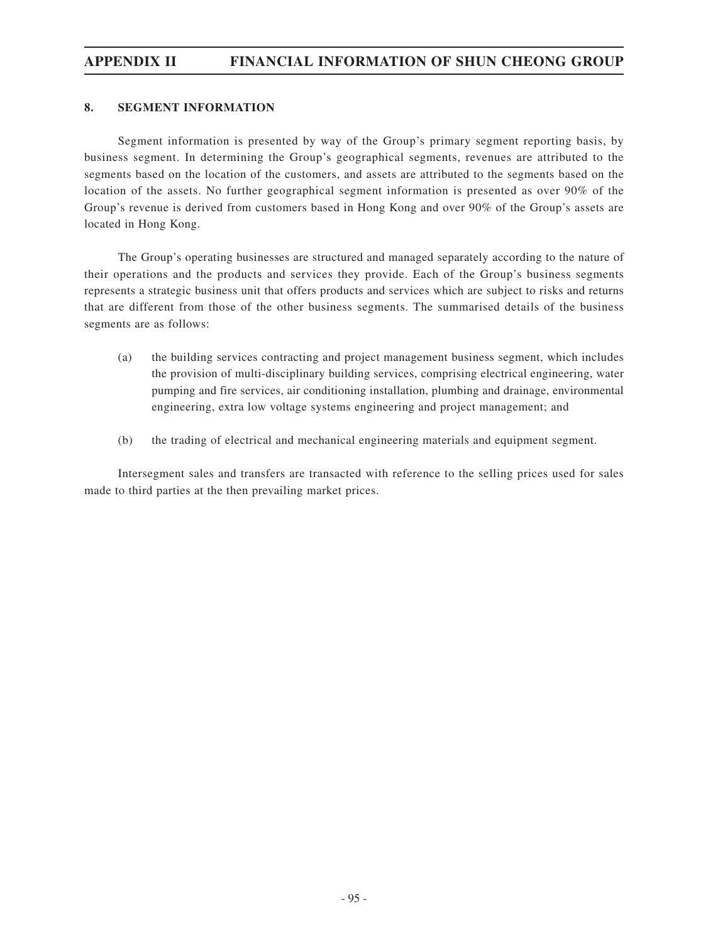## **8. SEGMENT INFORMATION**

Segment information is presented by way of the Group's primary segment reporting basis, by business segment. In determining the Group's geographical segments, revenues are attributed to the segments based on the location of the customers, and assets are attributed to the segments based on the location of the assets. No further geographical segment information is presented as over 90% of the Group's revenue is derived from customers based in Hong Kong and over 90% of the Group's assets are located in Hong Kong.

The Group's operating businesses are structured and managed separately according to the nature of their operations and the products and services they provide. Each of the Group's business segments represents a strategic business unit that offers products and services which are subject to risks and returns that are different from those of the other business segments. The summarised details of the business segments are as follows:

- (a) the building services contracting and project management business segment, which includes the provision of multi-disciplinary building services, comprising electrical engineering, water pumping and fire services, air conditioning installation, plumbing and drainage, environmental engineering, extra low voltage systems engineering and project management; and
- (b) the trading of electrical and mechanical engineering materials and equipment segment.

Intersegment sales and transfers are transacted with reference to the selling prices used for sales made to third parties at the then prevailing market prices.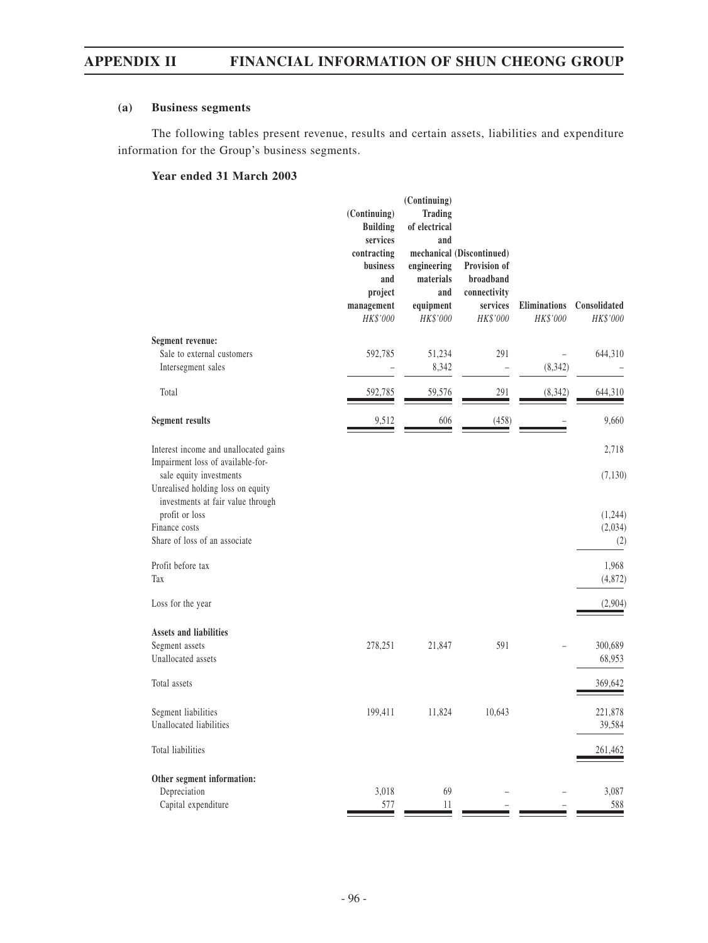## **(a) Business segments**

The following tables present revenue, results and certain assets, liabilities and expenditure information for the Group's business segments.

## **Year ended 31 March 2003**

|                                                                                                                                                                                                                    | (Continuing)<br><b>Building</b><br>services<br>contracting<br>business<br>and<br>project<br>management<br>HK\$'000 | (Continuing)<br><b>Trading</b><br>of electrical<br>and<br>engineering<br>materials<br>and<br>equipment<br>HK\$'000 | mechanical (Discontinued)<br>Provision of<br>broadband<br>connectivity<br>services<br><b>HK\$'000</b> | <b>Eliminations</b><br><b>HK\$'000</b> | Consolidated<br>HK\$'000                |
|--------------------------------------------------------------------------------------------------------------------------------------------------------------------------------------------------------------------|--------------------------------------------------------------------------------------------------------------------|--------------------------------------------------------------------------------------------------------------------|-------------------------------------------------------------------------------------------------------|----------------------------------------|-----------------------------------------|
| Segment revenue:                                                                                                                                                                                                   |                                                                                                                    |                                                                                                                    |                                                                                                       |                                        |                                         |
| Sale to external customers<br>Intersegment sales                                                                                                                                                                   | 592,785                                                                                                            | 51,234<br>8,342                                                                                                    | 291<br>$\overline{a}$                                                                                 | (8, 342)                               | 644,310                                 |
| Total                                                                                                                                                                                                              | 592,785                                                                                                            | 59,576                                                                                                             | 291                                                                                                   | (8, 342)                               | 644,310                                 |
| <b>Segment results</b>                                                                                                                                                                                             | 9,512                                                                                                              | 606                                                                                                                | (458)                                                                                                 |                                        | 9,660                                   |
| Interest income and unallocated gains<br>Impairment loss of available-for-<br>sale equity investments<br>Unrealised holding loss on equity<br>investments at fair value through<br>profit or loss<br>Finance costs |                                                                                                                    |                                                                                                                    |                                                                                                       |                                        | 2,718<br>(7, 130)<br>(1,244)<br>(2,034) |
| Share of loss of an associate<br>Profit before tax                                                                                                                                                                 |                                                                                                                    |                                                                                                                    |                                                                                                       |                                        | (2)<br>1,968                            |
| Tax                                                                                                                                                                                                                |                                                                                                                    |                                                                                                                    |                                                                                                       |                                        | (4, 872)                                |
| Loss for the year                                                                                                                                                                                                  |                                                                                                                    |                                                                                                                    |                                                                                                       |                                        | (2,904)                                 |
| <b>Assets and liabilities</b><br>Segment assets<br>Unallocated assets                                                                                                                                              | 278,251                                                                                                            | 21,847                                                                                                             | 591                                                                                                   |                                        | 300,689<br>68,953                       |
| Total assets                                                                                                                                                                                                       |                                                                                                                    |                                                                                                                    |                                                                                                       |                                        | 369,642                                 |
| Segment liabilities<br>Unallocated liabilities                                                                                                                                                                     | 199,411                                                                                                            | 11,824                                                                                                             | 10,643                                                                                                |                                        | 221,878<br>39,584                       |
| Total liabilities                                                                                                                                                                                                  |                                                                                                                    |                                                                                                                    |                                                                                                       |                                        | 261,462                                 |
| Other segment information:<br>Depreciation<br>Capital expenditure                                                                                                                                                  | 3,018<br>577                                                                                                       | 69<br>11                                                                                                           |                                                                                                       |                                        | 3,087<br>588                            |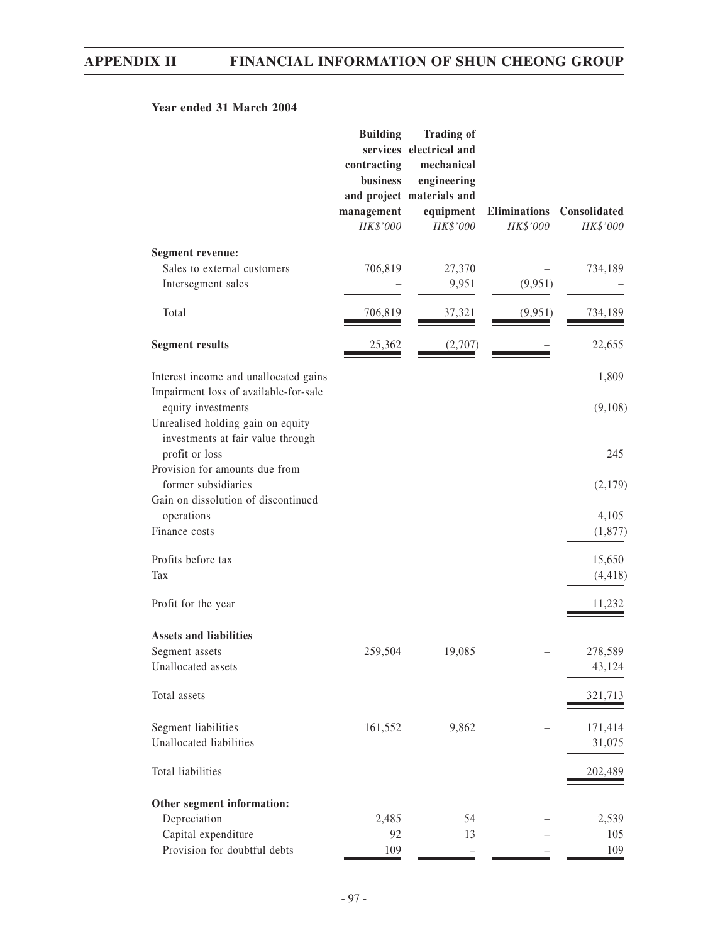## **Year ended 31 March 2004**

|                                                                                                                                           | <b>Building</b><br>contracting<br>business<br>management<br>HK\$'000 | <b>Trading of</b><br>services electrical and<br>mechanical<br>engineering<br>and project materials and<br>equipment<br>HK\$'000 | Eliminations<br>HK\$'000 | Consolidated<br>HK\$'000 |
|-------------------------------------------------------------------------------------------------------------------------------------------|----------------------------------------------------------------------|---------------------------------------------------------------------------------------------------------------------------------|--------------------------|--------------------------|
| <b>Segment revenue:</b>                                                                                                                   |                                                                      |                                                                                                                                 |                          |                          |
| Sales to external customers<br>Intersegment sales                                                                                         | 706,819                                                              | 27,370<br>9,951                                                                                                                 | (9,951)                  | 734,189                  |
| Total                                                                                                                                     | 706,819                                                              | 37,321                                                                                                                          | (9,951)                  | 734,189                  |
| <b>Segment results</b>                                                                                                                    | 25,362                                                               | (2,707)                                                                                                                         |                          | 22,655                   |
| Interest income and unallocated gains<br>Impairment loss of available-for-sale<br>equity investments<br>Unrealised holding gain on equity |                                                                      |                                                                                                                                 |                          | 1,809<br>(9,108)         |
| investments at fair value through<br>profit or loss                                                                                       |                                                                      |                                                                                                                                 |                          | 245                      |
| Provision for amounts due from<br>former subsidiaries                                                                                     |                                                                      |                                                                                                                                 |                          | (2,179)                  |
| Gain on dissolution of discontinued<br>operations<br>Finance costs                                                                        |                                                                      |                                                                                                                                 |                          | 4,105<br>(1, 877)        |
| Profits before tax<br>Tax                                                                                                                 |                                                                      |                                                                                                                                 |                          | 15,650<br>(4, 418)       |
| Profit for the year                                                                                                                       |                                                                      |                                                                                                                                 |                          | 11,232                   |
| <b>Assets and liabilities</b><br>Segment assets<br>Unallocated assets                                                                     | 259,504                                                              | 19,085                                                                                                                          |                          | 278,589<br>43,124        |
| Total assets                                                                                                                              |                                                                      |                                                                                                                                 |                          | 321,713                  |
| Segment liabilities<br>Unallocated liabilities                                                                                            | 161,552                                                              | 9,862                                                                                                                           |                          | 171,414<br>31,075        |
| Total liabilities                                                                                                                         |                                                                      |                                                                                                                                 |                          | 202,489                  |
| Other segment information:<br>Depreciation<br>Capital expenditure<br>Provision for doubtful debts                                         | 2,485<br>92<br>109                                                   | 54<br>13                                                                                                                        |                          | 2,539<br>105<br>109      |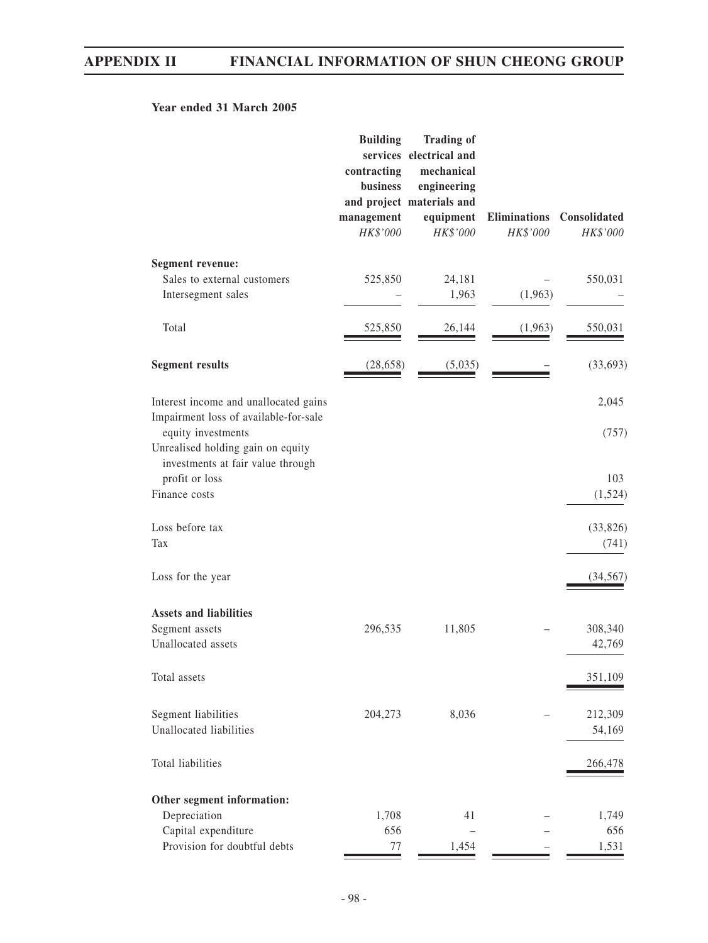## **Year ended 31 March 2005**

|                                                                                                                                       | <b>Building</b><br>contracting<br>business<br>management<br>HK\$'000 | <b>Trading of</b><br>services electrical and<br>mechanical<br>engineering<br>and project materials and<br>equipment<br>HK\$'000 | <b>Eliminations</b><br>HK\$'000 | Consolidated<br>HK\$'000 |
|---------------------------------------------------------------------------------------------------------------------------------------|----------------------------------------------------------------------|---------------------------------------------------------------------------------------------------------------------------------|---------------------------------|--------------------------|
| <b>Segment revenue:</b>                                                                                                               |                                                                      |                                                                                                                                 |                                 |                          |
| Sales to external customers<br>Intersegment sales                                                                                     | 525,850                                                              | 24,181<br>1,963                                                                                                                 | (1,963)                         | 550,031                  |
| Total                                                                                                                                 | 525,850                                                              | 26,144                                                                                                                          | (1,963)                         | 550,031                  |
| <b>Segment results</b>                                                                                                                | (28, 658)                                                            | (5,035)                                                                                                                         |                                 | (33, 693)                |
| Interest income and unallocated gains                                                                                                 |                                                                      |                                                                                                                                 |                                 | 2,045                    |
| Impairment loss of available-for-sale<br>equity investments<br>Unrealised holding gain on equity<br>investments at fair value through |                                                                      |                                                                                                                                 |                                 | (757)                    |
| profit or loss<br>Finance costs                                                                                                       |                                                                      |                                                                                                                                 |                                 | 103<br>(1,524)           |
| Loss before tax<br>Tax                                                                                                                |                                                                      |                                                                                                                                 |                                 | (33, 826)<br>(741)       |
| Loss for the year                                                                                                                     |                                                                      |                                                                                                                                 |                                 | (34, 567)                |
| <b>Assets and liabilities</b>                                                                                                         |                                                                      |                                                                                                                                 |                                 |                          |
| Segment assets<br>Unallocated assets                                                                                                  | 296,535                                                              | 11,805                                                                                                                          |                                 | 308,340<br>42,769        |
| Total assets                                                                                                                          |                                                                      |                                                                                                                                 |                                 | 351,109                  |
| Segment liabilities<br>Unallocated liabilities                                                                                        | 204,273                                                              | 8,036                                                                                                                           |                                 | 212,309<br>54,169        |
| Total liabilities                                                                                                                     |                                                                      |                                                                                                                                 |                                 | 266,478                  |
| Other segment information:<br>Depreciation<br>Capital expenditure<br>Provision for doubtful debts                                     | 1,708<br>656<br>$77 \,$                                              | 41<br>1,454                                                                                                                     |                                 | 1,749<br>656<br>1,531    |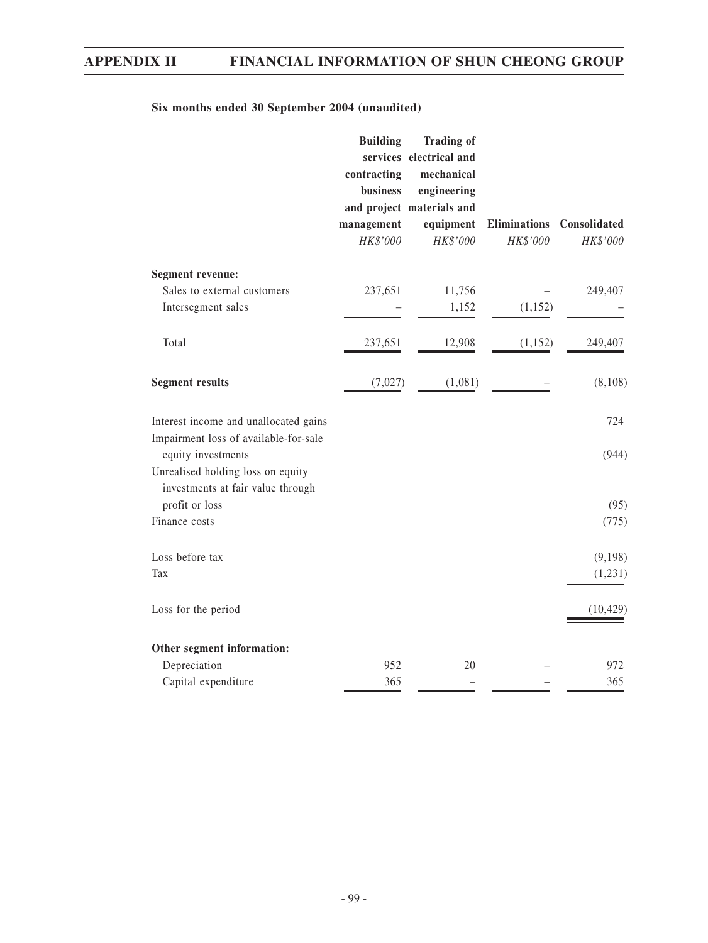# **Six months ended 30 September 2004 (unaudited)**

|                                                                        | <b>Building</b> | <b>Trading of</b>         |                     |              |
|------------------------------------------------------------------------|-----------------|---------------------------|---------------------|--------------|
|                                                                        |                 | services electrical and   |                     |              |
|                                                                        | contracting     | mechanical                |                     |              |
|                                                                        | business        | engineering               |                     |              |
|                                                                        |                 | and project materials and |                     |              |
|                                                                        | $management$    | equipment                 | <b>Eliminations</b> | Consolidated |
|                                                                        | HK\$'000        | HK\$'000                  | HK\$'000            | HK\$'000     |
| <b>Segment revenue:</b>                                                |                 |                           |                     |              |
| Sales to external customers                                            | 237,651         | 11,756                    |                     | 249,407      |
| Intersegment sales                                                     |                 | 1,152                     | (1, 152)            |              |
| Total                                                                  | 237,651         | 12,908                    | (1, 152)            | 249,407      |
| <b>Segment results</b>                                                 | (7,027)         | (1,081)                   |                     | (8, 108)     |
| Interest income and unallocated gains                                  |                 |                           |                     | 724          |
| Impairment loss of available-for-sale<br>equity investments            |                 |                           |                     | (944)        |
| Unrealised holding loss on equity<br>investments at fair value through |                 |                           |                     |              |
| profit or loss                                                         |                 |                           |                     | (95)         |
| Finance costs                                                          |                 |                           |                     | (775)        |
| Loss before tax                                                        |                 |                           |                     | (9, 198)     |
| Tax                                                                    |                 |                           |                     | (1,231)      |
| Loss for the period                                                    |                 |                           |                     | (10, 429)    |
| Other segment information:                                             |                 |                           |                     |              |
| Depreciation                                                           | 952             | 20                        |                     | 972          |
| Capital expenditure                                                    | 365             |                           |                     | 365          |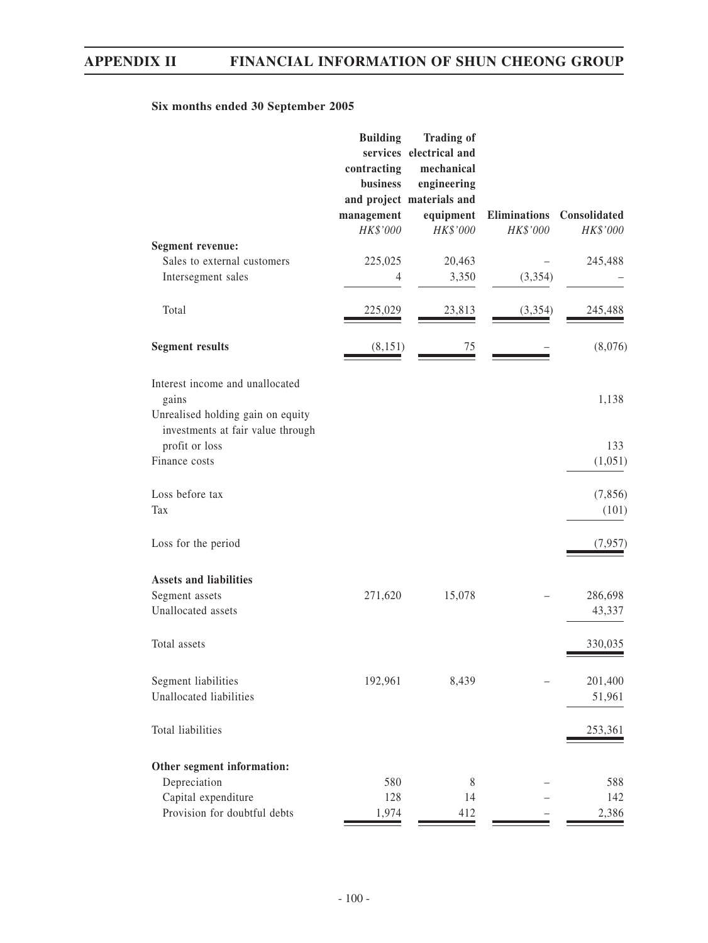# **Six months ended 30 September 2005**

|                                                                                                                    | <b>Building</b><br>contracting<br>business<br>management<br>HK\$'000 | <b>Trading of</b><br>services electrical and<br>mechanical<br>engineering<br>and project materials and<br>equipment<br>HK\$'000 | <b>Eliminations</b><br>HK\$'000 | Consolidated<br>HK\$'000 |
|--------------------------------------------------------------------------------------------------------------------|----------------------------------------------------------------------|---------------------------------------------------------------------------------------------------------------------------------|---------------------------------|--------------------------|
| <b>Segment revenue:</b>                                                                                            |                                                                      |                                                                                                                                 |                                 |                          |
| Sales to external customers<br>Intersegment sales                                                                  | 225,025<br>4                                                         | 20,463<br>3,350                                                                                                                 | (3, 354)                        | 245,488                  |
| Total                                                                                                              | 225,029                                                              | 23,813                                                                                                                          | (3,354)                         | 245,488                  |
| <b>Segment results</b>                                                                                             | (8, 151)                                                             | 75                                                                                                                              |                                 | (8,076)                  |
| Interest income and unallocated<br>gains<br>Unrealised holding gain on equity<br>investments at fair value through |                                                                      |                                                                                                                                 |                                 | 1,138                    |
| profit or loss                                                                                                     |                                                                      |                                                                                                                                 |                                 | 133                      |
| Finance costs                                                                                                      |                                                                      |                                                                                                                                 |                                 | (1,051)                  |
| Loss before tax<br>Tax                                                                                             |                                                                      |                                                                                                                                 |                                 | (7, 856)<br>(101)        |
| Loss for the period                                                                                                |                                                                      |                                                                                                                                 |                                 | (7, 957)                 |
| <b>Assets and liabilities</b><br>Segment assets<br>Unallocated assets                                              | 271,620                                                              | 15,078                                                                                                                          |                                 | 286,698<br>43,337        |
| Total assets                                                                                                       |                                                                      |                                                                                                                                 |                                 | 330,035                  |
| Segment liabilities<br>Unallocated liabilities                                                                     | 192,961                                                              | 8,439                                                                                                                           |                                 | 201,400<br>51,961        |
| Total liabilities                                                                                                  |                                                                      |                                                                                                                                 |                                 | 253,361                  |
| Other segment information:<br>Depreciation<br>Capital expenditure<br>Provision for doubtful debts                  | 580<br>128<br>1,974                                                  | 8<br>14<br>412                                                                                                                  |                                 | 588<br>142<br>2,386      |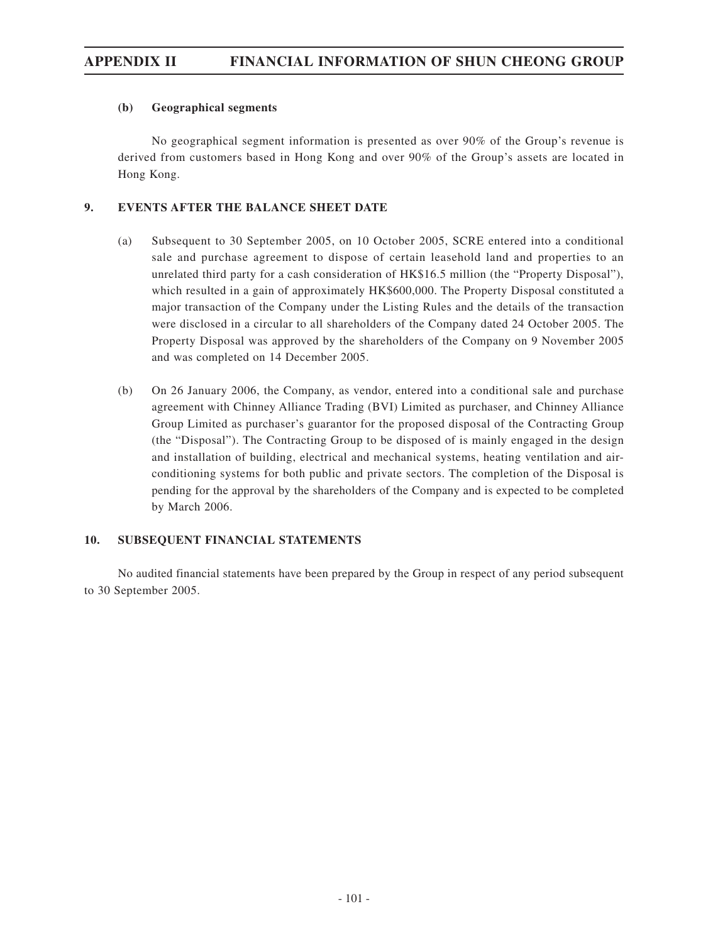## **(b) Geographical segments**

No geographical segment information is presented as over 90% of the Group's revenue is derived from customers based in Hong Kong and over 90% of the Group's assets are located in Hong Kong.

## **9. EVENTS AFTER THE BALANCE SHEET DATE**

- (a) Subsequent to 30 September 2005, on 10 October 2005, SCRE entered into a conditional sale and purchase agreement to dispose of certain leasehold land and properties to an unrelated third party for a cash consideration of HK\$16.5 million (the "Property Disposal"), which resulted in a gain of approximately HK\$600,000. The Property Disposal constituted a major transaction of the Company under the Listing Rules and the details of the transaction were disclosed in a circular to all shareholders of the Company dated 24 October 2005. The Property Disposal was approved by the shareholders of the Company on 9 November 2005 and was completed on 14 December 2005.
- (b) On 26 January 2006, the Company, as vendor, entered into a conditional sale and purchase agreement with Chinney Alliance Trading (BVI) Limited as purchaser, and Chinney Alliance Group Limited as purchaser's guarantor for the proposed disposal of the Contracting Group (the "Disposal"). The Contracting Group to be disposed of is mainly engaged in the design and installation of building, electrical and mechanical systems, heating ventilation and airconditioning systems for both public and private sectors. The completion of the Disposal is pending for the approval by the shareholders of the Company and is expected to be completed by March 2006.

## **10. SUBSEQUENT FINANCIAL STATEMENTS**

No audited financial statements have been prepared by the Group in respect of any period subsequent to 30 September 2005.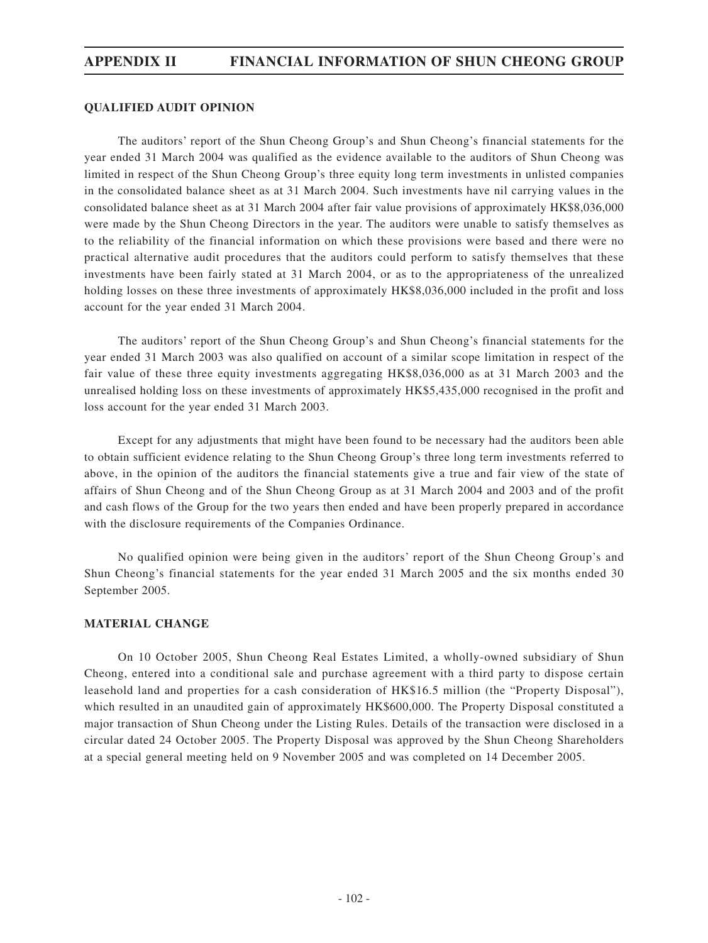## **QUALIFIED AUDIT OPINION**

The auditors' report of the Shun Cheong Group's and Shun Cheong's financial statements for the year ended 31 March 2004 was qualified as the evidence available to the auditors of Shun Cheong was limited in respect of the Shun Cheong Group's three equity long term investments in unlisted companies in the consolidated balance sheet as at 31 March 2004. Such investments have nil carrying values in the consolidated balance sheet as at 31 March 2004 after fair value provisions of approximately HK\$8,036,000 were made by the Shun Cheong Directors in the year. The auditors were unable to satisfy themselves as to the reliability of the financial information on which these provisions were based and there were no practical alternative audit procedures that the auditors could perform to satisfy themselves that these investments have been fairly stated at 31 March 2004, or as to the appropriateness of the unrealized holding losses on these three investments of approximately HK\$8,036,000 included in the profit and loss account for the year ended 31 March 2004.

The auditors' report of the Shun Cheong Group's and Shun Cheong's financial statements for the year ended 31 March 2003 was also qualified on account of a similar scope limitation in respect of the fair value of these three equity investments aggregating HK\$8,036,000 as at 31 March 2003 and the unrealised holding loss on these investments of approximately HK\$5,435,000 recognised in the profit and loss account for the year ended 31 March 2003.

Except for any adjustments that might have been found to be necessary had the auditors been able to obtain sufficient evidence relating to the Shun Cheong Group's three long term investments referred to above, in the opinion of the auditors the financial statements give a true and fair view of the state of affairs of Shun Cheong and of the Shun Cheong Group as at 31 March 2004 and 2003 and of the profit and cash flows of the Group for the two years then ended and have been properly prepared in accordance with the disclosure requirements of the Companies Ordinance.

No qualified opinion were being given in the auditors' report of the Shun Cheong Group's and Shun Cheong's financial statements for the year ended 31 March 2005 and the six months ended 30 September 2005.

### **MATERIAL CHANGE**

On 10 October 2005, Shun Cheong Real Estates Limited, a wholly-owned subsidiary of Shun Cheong, entered into a conditional sale and purchase agreement with a third party to dispose certain leasehold land and properties for a cash consideration of HK\$16.5 million (the "Property Disposal"), which resulted in an unaudited gain of approximately HK\$600,000. The Property Disposal constituted a major transaction of Shun Cheong under the Listing Rules. Details of the transaction were disclosed in a circular dated 24 October 2005. The Property Disposal was approved by the Shun Cheong Shareholders at a special general meeting held on 9 November 2005 and was completed on 14 December 2005.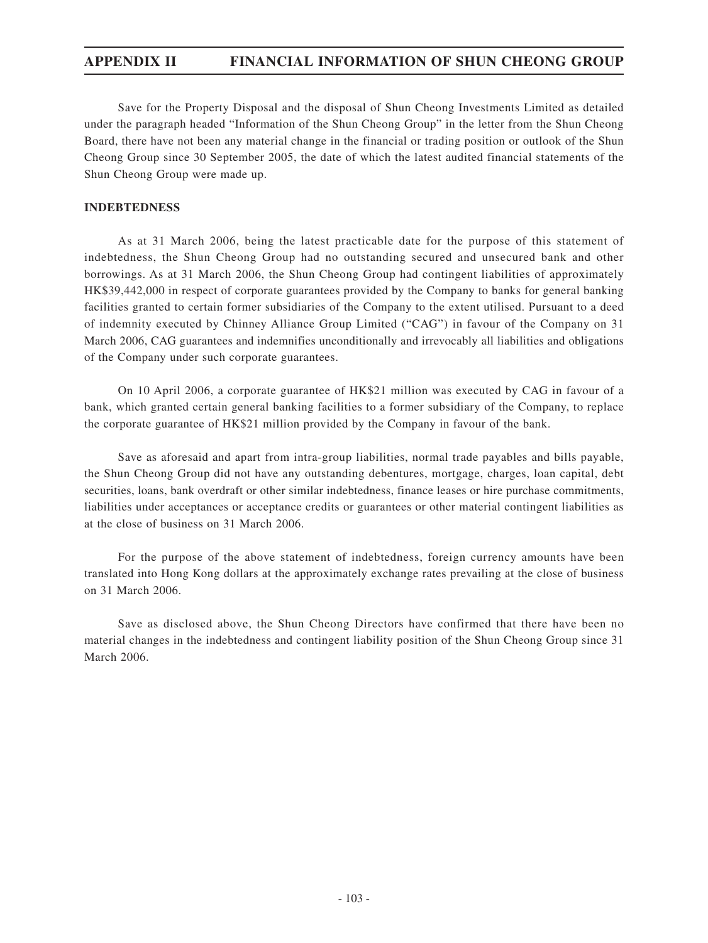Save for the Property Disposal and the disposal of Shun Cheong Investments Limited as detailed under the paragraph headed "Information of the Shun Cheong Group" in the letter from the Shun Cheong Board, there have not been any material change in the financial or trading position or outlook of the Shun Cheong Group since 30 September 2005, the date of which the latest audited financial statements of the Shun Cheong Group were made up.

## **INDEBTEDNESS**

As at 31 March 2006, being the latest practicable date for the purpose of this statement of indebtedness, the Shun Cheong Group had no outstanding secured and unsecured bank and other borrowings. As at 31 March 2006, the Shun Cheong Group had contingent liabilities of approximately HK\$39,442,000 in respect of corporate guarantees provided by the Company to banks for general banking facilities granted to certain former subsidiaries of the Company to the extent utilised. Pursuant to a deed of indemnity executed by Chinney Alliance Group Limited ("CAG") in favour of the Company on 31 March 2006, CAG guarantees and indemnifies unconditionally and irrevocably all liabilities and obligations of the Company under such corporate guarantees.

On 10 April 2006, a corporate guarantee of HK\$21 million was executed by CAG in favour of a bank, which granted certain general banking facilities to a former subsidiary of the Company, to replace the corporate guarantee of HK\$21 million provided by the Company in favour of the bank.

Save as aforesaid and apart from intra-group liabilities, normal trade payables and bills payable, the Shun Cheong Group did not have any outstanding debentures, mortgage, charges, loan capital, debt securities, loans, bank overdraft or other similar indebtedness, finance leases or hire purchase commitments, liabilities under acceptances or acceptance credits or guarantees or other material contingent liabilities as at the close of business on 31 March 2006.

For the purpose of the above statement of indebtedness, foreign currency amounts have been translated into Hong Kong dollars at the approximately exchange rates prevailing at the close of business on 31 March 2006.

Save as disclosed above, the Shun Cheong Directors have confirmed that there have been no material changes in the indebtedness and contingent liability position of the Shun Cheong Group since 31 March 2006.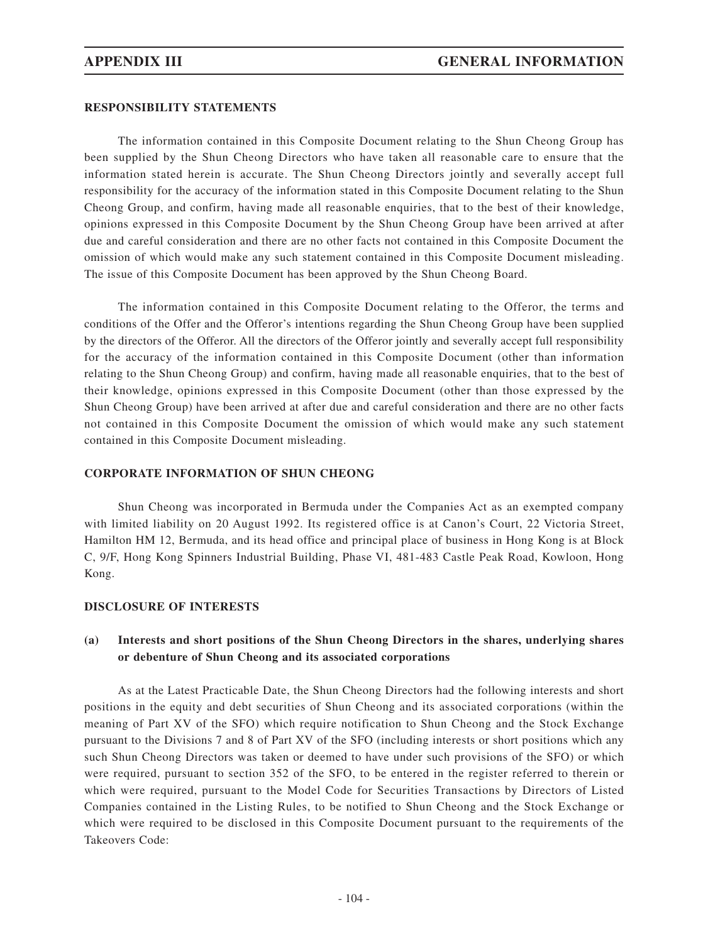## **RESPONSIBILITY STATEMENTS**

The information contained in this Composite Document relating to the Shun Cheong Group has been supplied by the Shun Cheong Directors who have taken all reasonable care to ensure that the information stated herein is accurate. The Shun Cheong Directors jointly and severally accept full responsibility for the accuracy of the information stated in this Composite Document relating to the Shun Cheong Group, and confirm, having made all reasonable enquiries, that to the best of their knowledge, opinions expressed in this Composite Document by the Shun Cheong Group have been arrived at after due and careful consideration and there are no other facts not contained in this Composite Document the omission of which would make any such statement contained in this Composite Document misleading. The issue of this Composite Document has been approved by the Shun Cheong Board.

The information contained in this Composite Document relating to the Offeror, the terms and conditions of the Offer and the Offeror's intentions regarding the Shun Cheong Group have been supplied by the directors of the Offeror. All the directors of the Offeror jointly and severally accept full responsibility for the accuracy of the information contained in this Composite Document (other than information relating to the Shun Cheong Group) and confirm, having made all reasonable enquiries, that to the best of their knowledge, opinions expressed in this Composite Document (other than those expressed by the Shun Cheong Group) have been arrived at after due and careful consideration and there are no other facts not contained in this Composite Document the omission of which would make any such statement contained in this Composite Document misleading.

## **CORPORATE INFORMATION OF SHUN CHEONG**

Shun Cheong was incorporated in Bermuda under the Companies Act as an exempted company with limited liability on 20 August 1992. Its registered office is at Canon's Court, 22 Victoria Street, Hamilton HM 12, Bermuda, and its head office and principal place of business in Hong Kong is at Block C, 9/F, Hong Kong Spinners Industrial Building, Phase VI, 481-483 Castle Peak Road, Kowloon, Hong Kong.

## **DISCLOSURE OF INTERESTS**

## **(a) Interests and short positions of the Shun Cheong Directors in the shares, underlying shares or debenture of Shun Cheong and its associated corporations**

As at the Latest Practicable Date, the Shun Cheong Directors had the following interests and short positions in the equity and debt securities of Shun Cheong and its associated corporations (within the meaning of Part XV of the SFO) which require notification to Shun Cheong and the Stock Exchange pursuant to the Divisions 7 and 8 of Part XV of the SFO (including interests or short positions which any such Shun Cheong Directors was taken or deemed to have under such provisions of the SFO) or which were required, pursuant to section 352 of the SFO, to be entered in the register referred to therein or which were required, pursuant to the Model Code for Securities Transactions by Directors of Listed Companies contained in the Listing Rules, to be notified to Shun Cheong and the Stock Exchange or which were required to be disclosed in this Composite Document pursuant to the requirements of the Takeovers Code: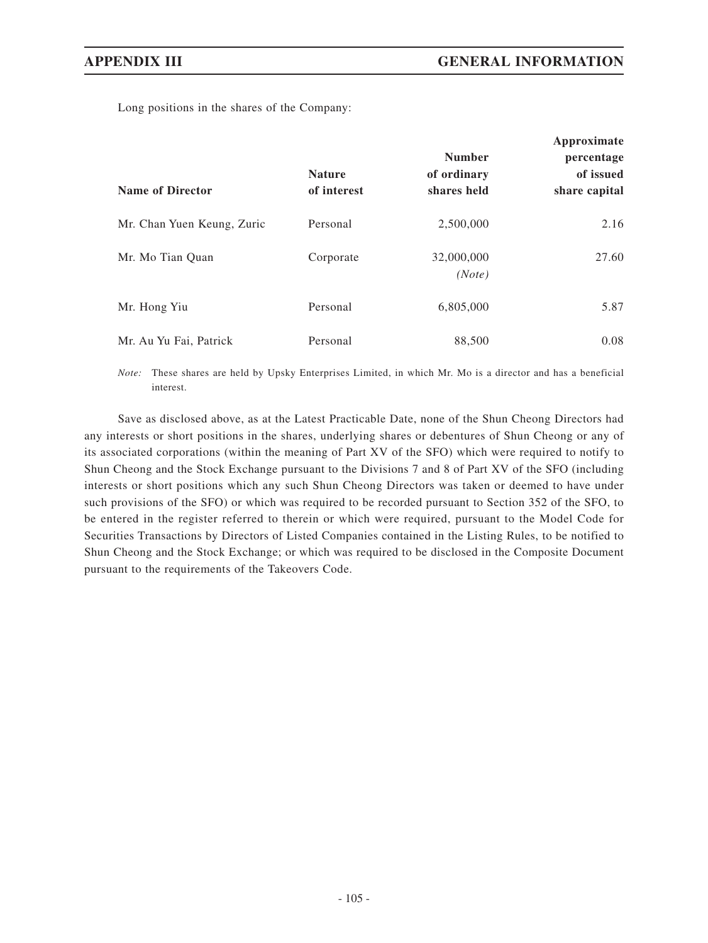Long positions in the shares of the Company:

| <b>Name of Director</b>    | <b>Nature</b><br>of interest | <b>Number</b><br>of ordinary<br>shares held | Approximate<br>percentage<br>of issued<br>share capital |
|----------------------------|------------------------------|---------------------------------------------|---------------------------------------------------------|
| Mr. Chan Yuen Keung, Zuric | Personal                     | 2,500,000                                   | 2.16                                                    |
| Mr. Mo Tian Quan           | Corporate                    | 32,000,000<br>(Note)                        | 27.60                                                   |
| Mr. Hong Yiu               | Personal                     | 6,805,000                                   | 5.87                                                    |
| Mr. Au Yu Fai, Patrick     | Personal                     | 88,500                                      | 0.08                                                    |

*Note:* These shares are held by Upsky Enterprises Limited, in which Mr. Mo is a director and has a beneficial interest.

Save as disclosed above, as at the Latest Practicable Date, none of the Shun Cheong Directors had any interests or short positions in the shares, underlying shares or debentures of Shun Cheong or any of its associated corporations (within the meaning of Part XV of the SFO) which were required to notify to Shun Cheong and the Stock Exchange pursuant to the Divisions 7 and 8 of Part XV of the SFO (including interests or short positions which any such Shun Cheong Directors was taken or deemed to have under such provisions of the SFO) or which was required to be recorded pursuant to Section 352 of the SFO, to be entered in the register referred to therein or which were required, pursuant to the Model Code for Securities Transactions by Directors of Listed Companies contained in the Listing Rules, to be notified to Shun Cheong and the Stock Exchange; or which was required to be disclosed in the Composite Document pursuant to the requirements of the Takeovers Code.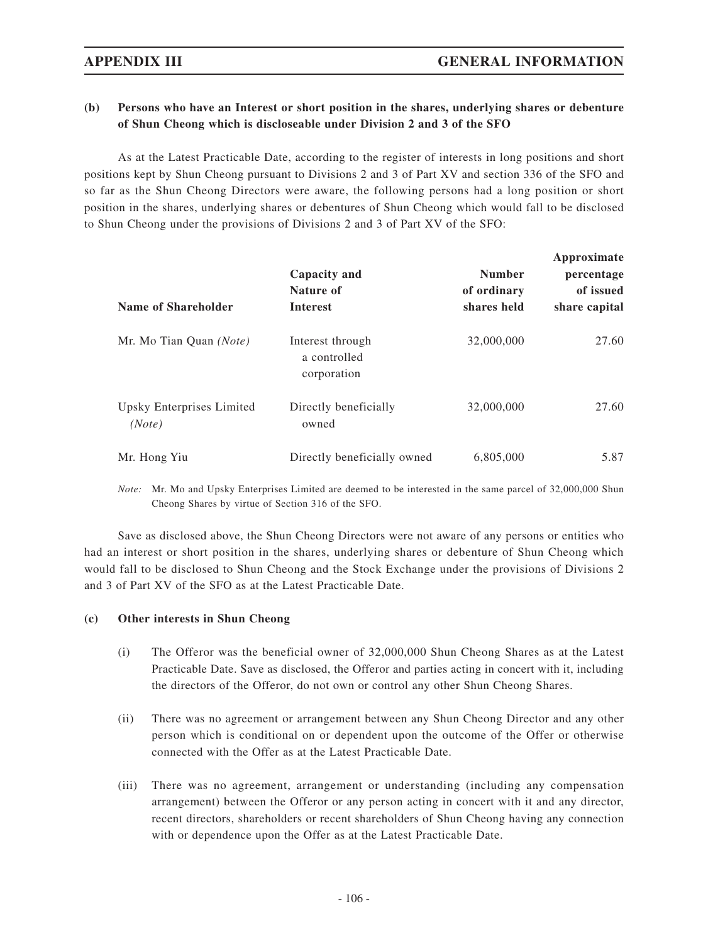## **(b) Persons who have an Interest or short position in the shares, underlying shares or debenture of Shun Cheong which is discloseable under Division 2 and 3 of the SFO**

As at the Latest Practicable Date, according to the register of interests in long positions and short positions kept by Shun Cheong pursuant to Divisions 2 and 3 of Part XV and section 336 of the SFO and so far as the Shun Cheong Directors were aware, the following persons had a long position or short position in the shares, underlying shares or debentures of Shun Cheong which would fall to be disclosed to Shun Cheong under the provisions of Divisions 2 and 3 of Part XV of the SFO:

| Name of Shareholder                 | Capacity and<br>Nature of<br><b>Interest</b>    | <b>Number</b><br>of ordinary<br>shares held | Approximate<br>percentage<br>of issued<br>share capital |
|-------------------------------------|-------------------------------------------------|---------------------------------------------|---------------------------------------------------------|
| Mr. Mo Tian Quan (Note)             | Interest through<br>a controlled<br>corporation | 32,000,000                                  | 27.60                                                   |
| Upsky Enterprises Limited<br>(Note) | Directly beneficially<br>owned                  | 32,000,000                                  | 27.60                                                   |
| Mr. Hong Yiu                        | Directly beneficially owned                     | 6,805,000                                   | 5.87                                                    |

*Note:* Mr. Mo and Upsky Enterprises Limited are deemed to be interested in the same parcel of 32,000,000 Shun Cheong Shares by virtue of Section 316 of the SFO.

Save as disclosed above, the Shun Cheong Directors were not aware of any persons or entities who had an interest or short position in the shares, underlying shares or debenture of Shun Cheong which would fall to be disclosed to Shun Cheong and the Stock Exchange under the provisions of Divisions 2 and 3 of Part XV of the SFO as at the Latest Practicable Date.

## **(c) Other interests in Shun Cheong**

- (i) The Offeror was the beneficial owner of 32,000,000 Shun Cheong Shares as at the Latest Practicable Date. Save as disclosed, the Offeror and parties acting in concert with it, including the directors of the Offeror, do not own or control any other Shun Cheong Shares.
- (ii) There was no agreement or arrangement between any Shun Cheong Director and any other person which is conditional on or dependent upon the outcome of the Offer or otherwise connected with the Offer as at the Latest Practicable Date.
- (iii) There was no agreement, arrangement or understanding (including any compensation arrangement) between the Offeror or any person acting in concert with it and any director, recent directors, shareholders or recent shareholders of Shun Cheong having any connection with or dependence upon the Offer as at the Latest Practicable Date.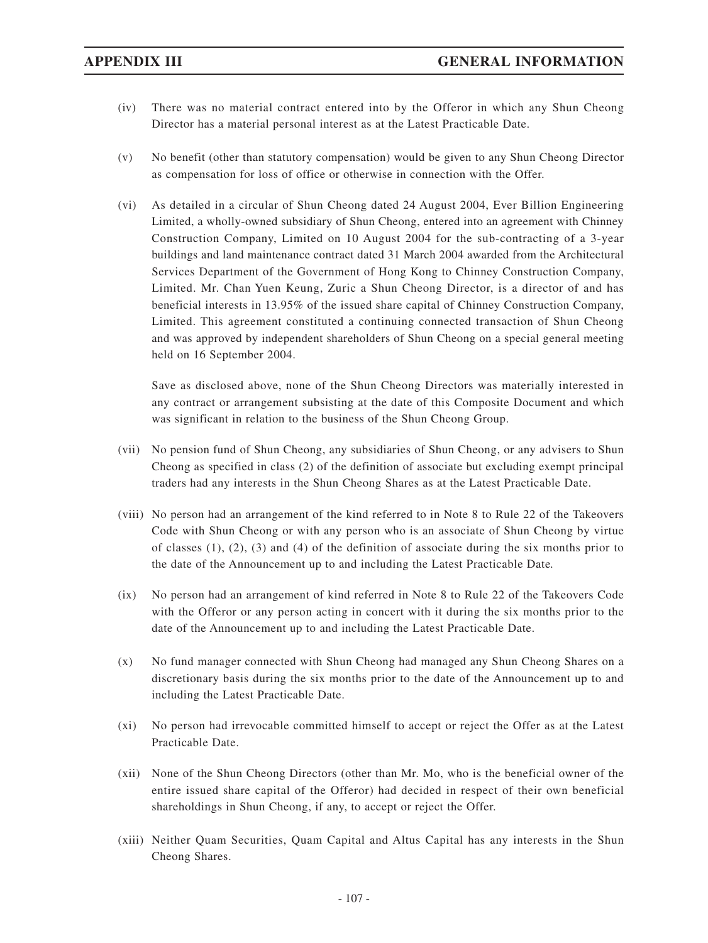- (iv) There was no material contract entered into by the Offeror in which any Shun Cheong Director has a material personal interest as at the Latest Practicable Date.
- (v) No benefit (other than statutory compensation) would be given to any Shun Cheong Director as compensation for loss of office or otherwise in connection with the Offer.
- (vi) As detailed in a circular of Shun Cheong dated 24 August 2004, Ever Billion Engineering Limited, a wholly-owned subsidiary of Shun Cheong, entered into an agreement with Chinney Construction Company, Limited on 10 August 2004 for the sub-contracting of a 3-year buildings and land maintenance contract dated 31 March 2004 awarded from the Architectural Services Department of the Government of Hong Kong to Chinney Construction Company, Limited. Mr. Chan Yuen Keung, Zuric a Shun Cheong Director, is a director of and has beneficial interests in 13.95% of the issued share capital of Chinney Construction Company, Limited. This agreement constituted a continuing connected transaction of Shun Cheong and was approved by independent shareholders of Shun Cheong on a special general meeting held on 16 September 2004.

Save as disclosed above, none of the Shun Cheong Directors was materially interested in any contract or arrangement subsisting at the date of this Composite Document and which was significant in relation to the business of the Shun Cheong Group.

- (vii) No pension fund of Shun Cheong, any subsidiaries of Shun Cheong, or any advisers to Shun Cheong as specified in class (2) of the definition of associate but excluding exempt principal traders had any interests in the Shun Cheong Shares as at the Latest Practicable Date.
- (viii) No person had an arrangement of the kind referred to in Note 8 to Rule 22 of the Takeovers Code with Shun Cheong or with any person who is an associate of Shun Cheong by virtue of classes  $(1)$ ,  $(2)$ ,  $(3)$  and  $(4)$  of the definition of associate during the six months prior to the date of the Announcement up to and including the Latest Practicable Date*.*
- (ix) No person had an arrangement of kind referred in Note 8 to Rule 22 of the Takeovers Code with the Offeror or any person acting in concert with it during the six months prior to the date of the Announcement up to and including the Latest Practicable Date.
- (x) No fund manager connected with Shun Cheong had managed any Shun Cheong Shares on a discretionary basis during the six months prior to the date of the Announcement up to and including the Latest Practicable Date.
- (xi) No person had irrevocable committed himself to accept or reject the Offer as at the Latest Practicable Date.
- (xii) None of the Shun Cheong Directors (other than Mr. Mo, who is the beneficial owner of the entire issued share capital of the Offeror) had decided in respect of their own beneficial shareholdings in Shun Cheong, if any, to accept or reject the Offer.
- (xiii) Neither Quam Securities, Quam Capital and Altus Capital has any interests in the Shun Cheong Shares.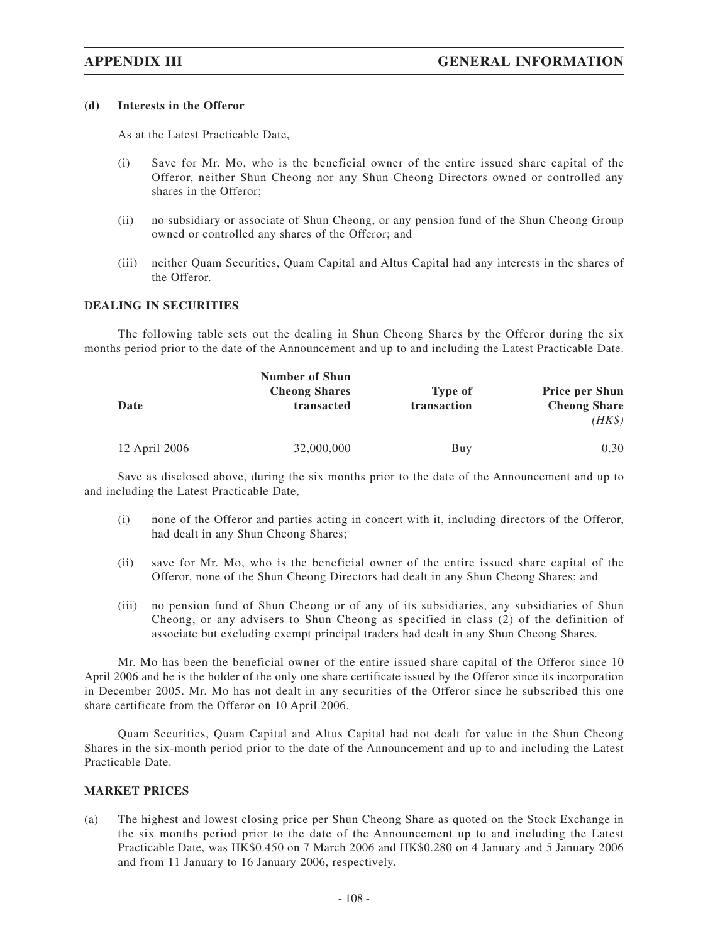## **(d) Interests in the Offeror**

As at the Latest Practicable Date,

- (i) Save for Mr. Mo, who is the beneficial owner of the entire issued share capital of the Offeror, neither Shun Cheong nor any Shun Cheong Directors owned or controlled any shares in the Offeror;
- (ii) no subsidiary or associate of Shun Cheong, or any pension fund of the Shun Cheong Group owned or controlled any shares of the Offeror; and
- (iii) neither Quam Securities, Quam Capital and Altus Capital had any interests in the shares of the Offeror.

## **DEALING IN SECURITIES**

The following table sets out the dealing in Shun Cheong Shares by the Offeror during the six months period prior to the date of the Announcement and up to and including the Latest Practicable Date.

| Date          | Number of Shun<br><b>Cheong Shares</b><br>transacted | Type of<br>transaction | <b>Price per Shun</b><br><b>Cheong Share</b><br>$(HK\$ |
|---------------|------------------------------------------------------|------------------------|--------------------------------------------------------|
| 12 April 2006 | 32,000,000                                           | Buy                    | 0.30                                                   |

Save as disclosed above, during the six months prior to the date of the Announcement and up to and including the Latest Practicable Date,

- (i) none of the Offeror and parties acting in concert with it, including directors of the Offeror, had dealt in any Shun Cheong Shares;
- (ii) save for Mr. Mo, who is the beneficial owner of the entire issued share capital of the Offeror, none of the Shun Cheong Directors had dealt in any Shun Cheong Shares; and
- (iii) no pension fund of Shun Cheong or of any of its subsidiaries, any subsidiaries of Shun Cheong, or any advisers to Shun Cheong as specified in class (2) of the definition of associate but excluding exempt principal traders had dealt in any Shun Cheong Shares.

Mr. Mo has been the beneficial owner of the entire issued share capital of the Offeror since 10 April 2006 and he is the holder of the only one share certificate issued by the Offeror since its incorporation in December 2005. Mr. Mo has not dealt in any securities of the Offeror since he subscribed this one share certificate from the Offeror on 10 April 2006.

Quam Securities, Quam Capital and Altus Capital had not dealt for value in the Shun Cheong Shares in the six-month period prior to the date of the Announcement and up to and including the Latest Practicable Date.

## **MARKET PRICES**

(a) The highest and lowest closing price per Shun Cheong Share as quoted on the Stock Exchange in the six months period prior to the date of the Announcement up to and including the Latest Practicable Date, was HK\$0.450 on 7 March 2006 and HK\$0.280 on 4 January and 5 January 2006 and from 11 January to 16 January 2006, respectively.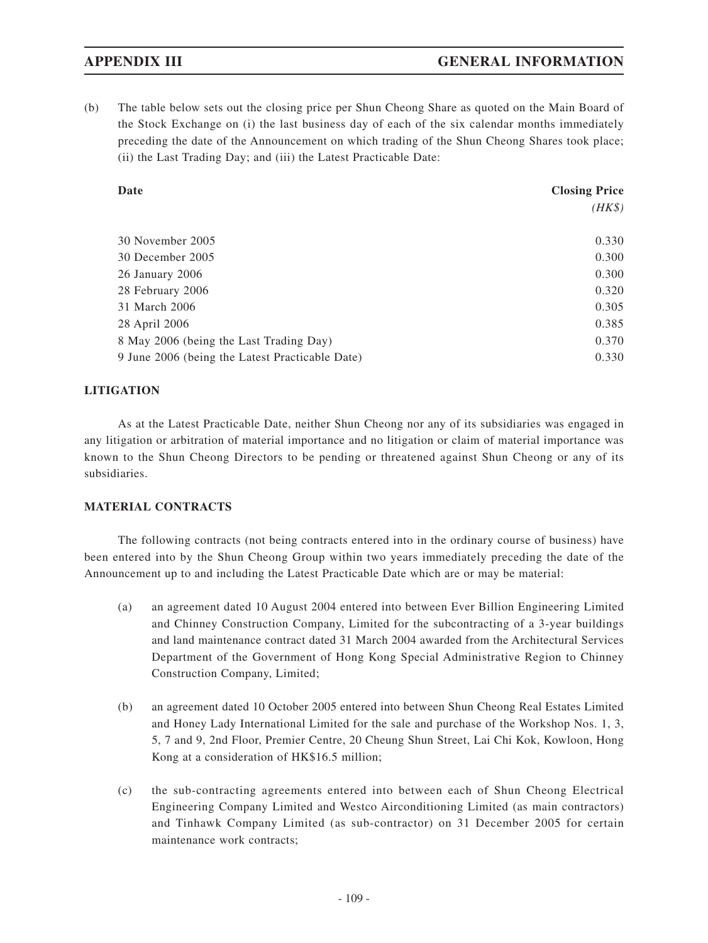# **APPENDIX III GENERAL INFORMATION**

(b) The table below sets out the closing price per Shun Cheong Share as quoted on the Main Board of the Stock Exchange on (i) the last business day of each of the six calendar months immediately preceding the date of the Announcement on which trading of the Shun Cheong Shares took place; (ii) the Last Trading Day; and (iii) the Latest Practicable Date:

| Date                                            | <b>Closing Price</b> |
|-------------------------------------------------|----------------------|
|                                                 | $(HK\$               |
|                                                 |                      |
| 30 November 2005                                | 0.330                |
| 30 December 2005                                | 0.300                |
| 26 January 2006                                 | 0.300                |
| 28 February 2006                                | 0.320                |
| 31 March 2006                                   | 0.305                |
| 28 April 2006                                   | 0.385                |
| 8 May 2006 (being the Last Trading Day)         | 0.370                |
| 9 June 2006 (being the Latest Practicable Date) | 0.330                |

## **LITIGATION**

As at the Latest Practicable Date, neither Shun Cheong nor any of its subsidiaries was engaged in any litigation or arbitration of material importance and no litigation or claim of material importance was known to the Shun Cheong Directors to be pending or threatened against Shun Cheong or any of its subsidiaries.

## **MATERIAL CONTRACTS**

The following contracts (not being contracts entered into in the ordinary course of business) have been entered into by the Shun Cheong Group within two years immediately preceding the date of the Announcement up to and including the Latest Practicable Date which are or may be material:

- (a) an agreement dated 10 August 2004 entered into between Ever Billion Engineering Limited and Chinney Construction Company, Limited for the subcontracting of a 3-year buildings and land maintenance contract dated 31 March 2004 awarded from the Architectural Services Department of the Government of Hong Kong Special Administrative Region to Chinney Construction Company, Limited;
- (b) an agreement dated 10 October 2005 entered into between Shun Cheong Real Estates Limited and Honey Lady International Limited for the sale and purchase of the Workshop Nos. 1, 3, 5, 7 and 9, 2nd Floor, Premier Centre, 20 Cheung Shun Street, Lai Chi Kok, Kowloon, Hong Kong at a consideration of HK\$16.5 million;
- (c) the sub-contracting agreements entered into between each of Shun Cheong Electrical Engineering Company Limited and Westco Airconditioning Limited (as main contractors) and Tinhawk Company Limited (as sub-contractor) on 31 December 2005 for certain maintenance work contracts;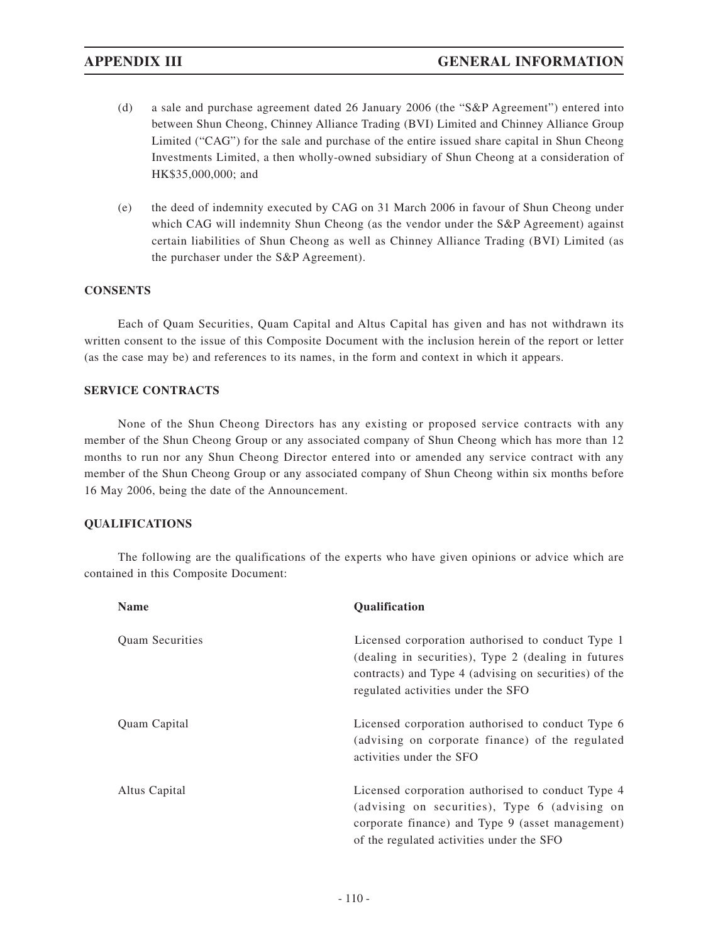## **APPENDIX III GENERAL INFORMATION**

- (d) a sale and purchase agreement dated 26 January 2006 (the "S&P Agreement") entered into between Shun Cheong, Chinney Alliance Trading (BVI) Limited and Chinney Alliance Group Limited ("CAG") for the sale and purchase of the entire issued share capital in Shun Cheong Investments Limited, a then wholly-owned subsidiary of Shun Cheong at a consideration of HK\$35,000,000; and
- (e) the deed of indemnity executed by CAG on 31 March 2006 in favour of Shun Cheong under which CAG will indemnity Shun Cheong (as the vendor under the S&P Agreement) against certain liabilities of Shun Cheong as well as Chinney Alliance Trading (BVI) Limited (as the purchaser under the S&P Agreement).

## **CONSENTS**

Each of Quam Securities, Quam Capital and Altus Capital has given and has not withdrawn its written consent to the issue of this Composite Document with the inclusion herein of the report or letter (as the case may be) and references to its names, in the form and context in which it appears.

## **SERVICE CONTRACTS**

None of the Shun Cheong Directors has any existing or proposed service contracts with any member of the Shun Cheong Group or any associated company of Shun Cheong which has more than 12 months to run nor any Shun Cheong Director entered into or amended any service contract with any member of the Shun Cheong Group or any associated company of Shun Cheong within six months before 16 May 2006, being the date of the Announcement.

## **QUALIFICATIONS**

The following are the qualifications of the experts who have given opinions or advice which are contained in this Composite Document:

| <b>Name</b>            | Qualification                                                                                                                                                                                           |
|------------------------|---------------------------------------------------------------------------------------------------------------------------------------------------------------------------------------------------------|
| <b>Quam Securities</b> | Licensed corporation authorised to conduct Type 1<br>(dealing in securities), Type 2 (dealing in futures<br>contracts) and Type 4 (advising on securities) of the<br>regulated activities under the SFO |
| Quam Capital           | Licensed corporation authorised to conduct Type 6<br>(advising on corporate finance) of the regulated<br>activities under the SFO                                                                       |
| Altus Capital          | Licensed corporation authorised to conduct Type 4<br>(advising on securities), Type 6 (advising on<br>corporate finance) and Type 9 (asset management)<br>of the regulated activities under the SFO     |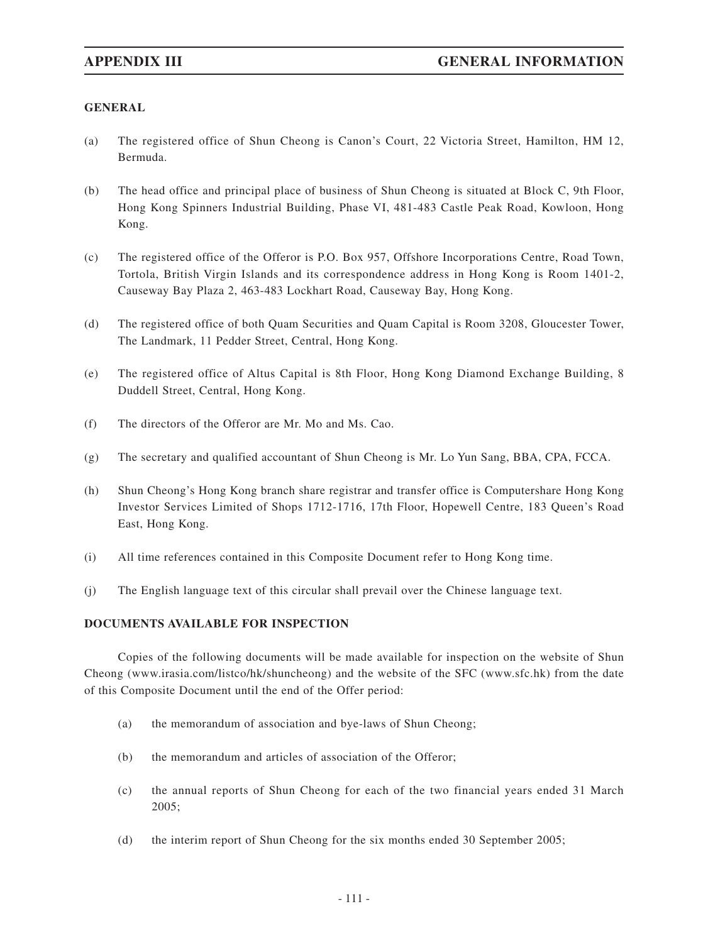## **GENERAL**

- (a) The registered office of Shun Cheong is Canon's Court, 22 Victoria Street, Hamilton, HM 12, Bermuda.
- (b) The head office and principal place of business of Shun Cheong is situated at Block C, 9th Floor, Hong Kong Spinners Industrial Building, Phase VI, 481-483 Castle Peak Road, Kowloon, Hong Kong.
- (c) The registered office of the Offeror is P.O. Box 957, Offshore Incorporations Centre, Road Town, Tortola, British Virgin Islands and its correspondence address in Hong Kong is Room 1401-2, Causeway Bay Plaza 2, 463-483 Lockhart Road, Causeway Bay, Hong Kong.
- (d) The registered office of both Quam Securities and Quam Capital is Room 3208, Gloucester Tower, The Landmark, 11 Pedder Street, Central, Hong Kong.
- (e) The registered office of Altus Capital is 8th Floor, Hong Kong Diamond Exchange Building, 8 Duddell Street, Central, Hong Kong.
- (f) The directors of the Offeror are Mr. Mo and Ms. Cao.
- (g) The secretary and qualified accountant of Shun Cheong is Mr. Lo Yun Sang, BBA, CPA, FCCA.
- (h) Shun Cheong's Hong Kong branch share registrar and transfer office is Computershare Hong Kong Investor Services Limited of Shops 1712-1716, 17th Floor, Hopewell Centre, 183 Queen's Road East, Hong Kong.
- (i) All time references contained in this Composite Document refer to Hong Kong time.
- (j) The English language text of this circular shall prevail over the Chinese language text.

## **DOCUMENTS AVAILABLE FOR INSPECTION**

Copies of the following documents will be made available for inspection on the website of Shun Cheong (www.irasia.com/listco/hk/shuncheong) and the website of the SFC (www.sfc.hk) from the date of this Composite Document until the end of the Offer period:

- (a) the memorandum of association and bye-laws of Shun Cheong;
- (b) the memorandum and articles of association of the Offeror;
- (c) the annual reports of Shun Cheong for each of the two financial years ended 31 March 2005;
- (d) the interim report of Shun Cheong for the six months ended 30 September 2005;